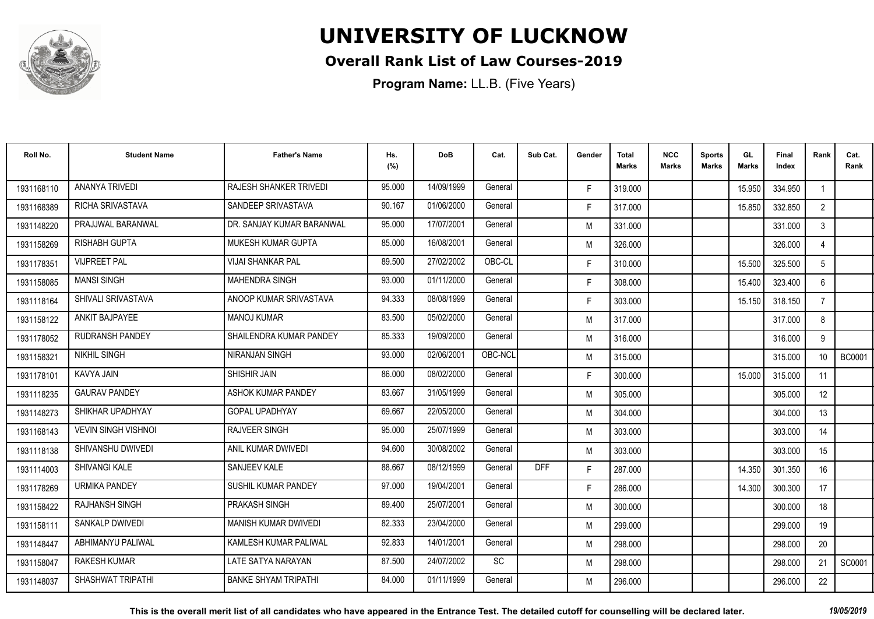

#### **Overall Rank List of Law Courses-2019**

| Roll No.   | <b>Student Name</b>        | <b>Father's Name</b>        | Hs.<br>(%) | <b>DoB</b> | Cat.    | Sub Cat.   | Gender | Total<br>Marks | <b>NCC</b><br>Marks | <b>Sports</b><br><b>Marks</b> | GL<br><b>Marks</b> | <b>Final</b><br>Index | Rank             | Cat.<br>Rank  |
|------------|----------------------------|-----------------------------|------------|------------|---------|------------|--------|----------------|---------------------|-------------------------------|--------------------|-----------------------|------------------|---------------|
| 1931168110 | <b>ANANYA TRIVEDI</b>      | RAJESH SHANKER TRIVEDI      | 95.000     | 14/09/1999 | General |            | F.     | 319.000        |                     |                               | 15.950             | 334.950               |                  |               |
| 1931168389 | <b>RICHA SRIVASTAVA</b>    | SANDEEP SRIVASTAVA          | 90.167     | 01/06/2000 | General |            | F.     | 317.000        |                     |                               | 15.850             | 332.850               | $2^{\circ}$      |               |
| 1931148220 | PRAJJWAL BARANWAL          | DR. SANJAY KUMAR BARANWAL   | 95.000     | 17/07/2001 | General |            | M      | 331.000        |                     |                               |                    | 331.000               | $\mathbf{3}$     |               |
| 1931158269 | <b>RISHABH GUPTA</b>       | MUKESH KUMAR GUPTA          | 85.000     | 16/08/2001 | General |            | M      | 326.000        |                     |                               |                    | 326.000               |                  |               |
| 1931178351 | <b>VIJPREET PAL</b>        | <b>VIJAI SHANKAR PAL</b>    | 89.500     | 27/02/2002 | OBC-CL  |            | F.     | 310.000        |                     |                               | 15.500             | 325.500               | 5                |               |
| 1931158085 | <b>MANSI SINGH</b>         | <b>MAHENDRA SINGH</b>       | 93.000     | 01/11/2000 | General |            | F.     | 308.000        |                     |                               | 15.400             | 323.400               | 6                |               |
| 1931118164 | SHIVALI SRIVASTAVA         | ANOOP KUMAR SRIVASTAVA      | 94.333     | 08/08/1999 | General |            | F.     | 303.000        |                     |                               | 15.150             | 318.150               | $\overline{7}$   |               |
| 1931158122 | ANKIT BAJPAYEE             | <b>MANOJ KUMAR</b>          | 83.500     | 05/02/2000 | General |            | M      | 317.000        |                     |                               |                    | 317.000               | 8                |               |
| 1931178052 | <b>RUDRANSH PANDEY</b>     | SHAILENDRA KUMAR PANDEY     | 85.333     | 19/09/2000 | General |            | M      | 316.000        |                     |                               |                    | 316.000               | 9                |               |
| 1931158321 | <b>NIKHIL SINGH</b>        | NIRANJAN SINGH              | 93.000     | 02/06/2001 | OBC-NCL |            | M      | 315.000        |                     |                               |                    | 315.000               | 10 <sup>°</sup>  | <b>BC0001</b> |
| 1931178101 | KAVYA JAIN                 | SHISHIR JAIN                | 86.000     | 08/02/2000 | General |            | F.     | 300.000        |                     |                               | 15.000             | 315.000               | 11               |               |
| 1931118235 | <b>GAURAV PANDEY</b>       | ASHOK KUMAR PANDEY          | 83.667     | 31/05/1999 | General |            | M      | 305.000        |                     |                               |                    | 305.000               | 12 <sup>°</sup>  |               |
| 1931148273 | SHIKHAR UPADHYAY           | <b>GOPAL UPADHYAY</b>       | 69.667     | 22/05/2000 | General |            | M      | 304.000        |                     |                               |                    | 304.000               | 13               |               |
| 1931168143 | <b>VEVIN SINGH VISHNOI</b> | <b>RAJVEER SINGH</b>        | 95.000     | 25/07/1999 | General |            | M      | 303.000        |                     |                               |                    | 303.000               | 14               |               |
| 1931118138 | SHIVANSHU DWIVEDI          | ANIL KUMAR DWIVEDI          | 94.600     | 30/08/2002 | General |            | M      | 303.000        |                     |                               |                    | 303.000               | 15 <sup>15</sup> |               |
| 1931114003 | SHIVANGI KALE              | <b>SANJEEV KALE</b>         | 88.667     | 08/12/1999 | General | <b>DFF</b> | F.     | 287.000        |                     |                               | 14.350             | 301.350               | 16               |               |
| 1931178269 | <b>URMIKA PANDEY</b>       | SUSHIL KUMAR PANDEY         | 97.000     | 19/04/2001 | General |            | F.     | 286.000        |                     |                               | 14.300             | 300.300               | 17               |               |
| 1931158422 | <b>RAJHANSH SINGH</b>      | PRAKASH SINGH               | 89.400     | 25/07/2001 | General |            | M      | 300.000        |                     |                               |                    | 300.000               | 18               |               |
| 1931158111 | <b>SANKALP DWIVEDI</b>     | <b>MANISH KUMAR DWIVEDI</b> | 82.333     | 23/04/2000 | General |            | M      | 299.000        |                     |                               |                    | 299.000               | 19               |               |
| 1931148447 | ABHIMANYU PALIWAL          | KAMLESH KUMAR PALIWAL       | 92.833     | 14/01/2001 | General |            | M      | 298.000        |                     |                               |                    | 298.000               | 20               |               |
| 1931158047 | <b>RAKESH KUMAR</b>        | LATE SATYA NARAYAN          | 87.500     | 24/07/2002 | SC      |            | M      | 298.000        |                     |                               |                    | 298.000               | 21               | SC0001        |
| 1931148037 | SHASHWAT TRIPATHI          | <b>BANKE SHYAM TRIPATHI</b> | 84.000     | 01/11/1999 | General |            | M      | 296.000        |                     |                               |                    | 296.000               | 22               |               |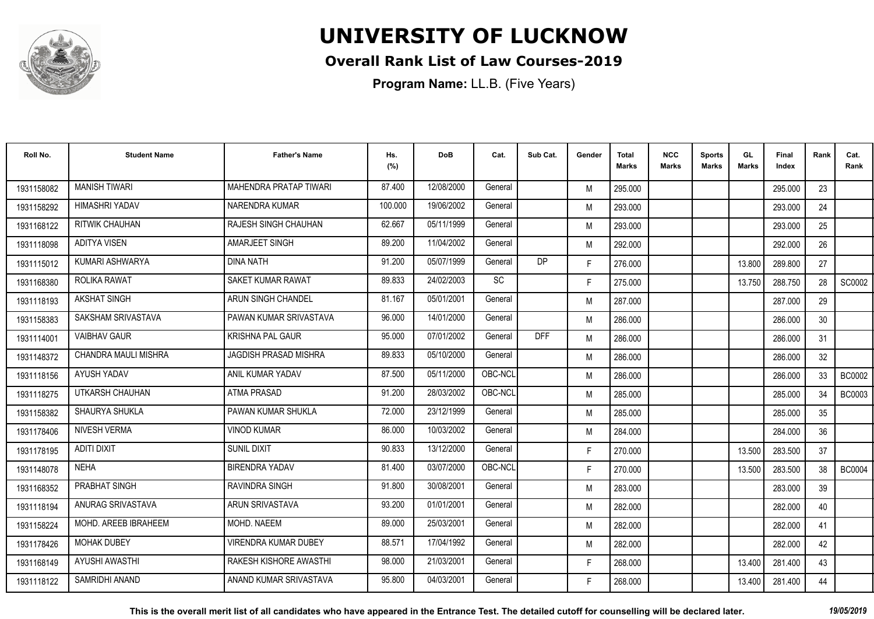

#### **Overall Rank List of Law Courses-2019**

| Roll No.   | <b>Student Name</b>   | <b>Father's Name</b>        | Hs.<br>(%) | <b>DoB</b> | Cat.    | Sub Cat.   | Gender | <b>Total</b><br><b>Marks</b> | <b>NCC</b><br><b>Marks</b> | <b>Sports</b><br><b>Marks</b> | GL<br><b>Marks</b> | <b>Final</b><br>Index | Rank            | Cat.<br>Rank  |
|------------|-----------------------|-----------------------------|------------|------------|---------|------------|--------|------------------------------|----------------------------|-------------------------------|--------------------|-----------------------|-----------------|---------------|
| 1931158082 | <b>MANISH TIWARI</b>  | MAHENDRA PRATAP TIWARI      | 87.400     | 12/08/2000 | General |            | M      | 295.000                      |                            |                               |                    | 295.000               | 23              |               |
| 1931158292 | <b>HIMASHRI YADAV</b> | NARENDRA KUMAR              | 100.000    | 19/06/2002 | General |            | M      | 293.000                      |                            |                               |                    | 293.000               | 24              |               |
| 1931168122 | <b>RITWIK CHAUHAN</b> | RAJESH SINGH CHAUHAN        | 62.667     | 05/11/1999 | General |            | M      | 293.000                      |                            |                               |                    | 293.000               | 25              |               |
| 1931118098 | ADITYA VISEN          | AMARJEET SINGH              | 89.200     | 11/04/2002 | General |            | M      | 292.000                      |                            |                               |                    | 292.000               | 26              |               |
| 1931115012 | KUMARI ASHWARYA       | <b>DINA NATH</b>            | 91.200     | 05/07/1999 | General | DP         | F.     | 276.000                      |                            |                               | 13.800             | 289.800               | 27              |               |
| 1931168380 | ROLIKA RAWAT          | SAKET KUMAR RAWAT           | 89.833     | 24/02/2003 | SC      |            | F.     | 275.000                      |                            |                               | 13.750             | 288.750               | 28              | SC0002        |
| 1931118193 | <b>AKSHAT SINGH</b>   | ARUN SINGH CHANDEL          | 81.167     | 05/01/2001 | General |            | M      | 287.000                      |                            |                               |                    | 287.000               | 29              |               |
| 1931158383 | SAKSHAM SRIVASTAVA    | PAWAN KUMAR SRIVASTAVA      | 96.000     | 14/01/2000 | General |            | M      | 286.000                      |                            |                               |                    | 286.000               | 30              |               |
| 1931114001 | <b>VAIBHAV GAUR</b>   | <b>KRISHNA PAL GAUR</b>     | 95.000     | 07/01/2002 | General | <b>DFF</b> | M      | 286.000                      |                            |                               |                    | 286.000               | 31              |               |
| 1931148372 | CHANDRA MAULI MISHRA  | JAGDISH PRASAD MISHRA       | 89.833     | 05/10/2000 | General |            | M      | 286.000                      |                            |                               |                    | 286,000               | 32 <sup>°</sup> |               |
| 1931118156 | AYUSH YADAV           | ANIL KUMAR YADAV            | 87.500     | 05/11/2000 | OBC-NCL |            | M      | 286.000                      |                            |                               |                    | 286.000               | 33              | <b>BC0002</b> |
| 1931118275 | UTKARSH CHAUHAN       | <b>ATMA PRASAD</b>          | 91.200     | 28/03/2002 | OBC-NCL |            | M      | 285.000                      |                            |                               |                    | 285.000               | 34              | <b>BC0003</b> |
| 1931158382 | SHAURYA SHUKLA        | PAWAN KUMAR SHUKLA          | 72.000     | 23/12/1999 | General |            | M      | 285.000                      |                            |                               |                    | 285.000               | 35              |               |
| 1931178406 | <b>NIVESH VERMA</b>   | <b>VINOD KUMAR</b>          | 86.000     | 10/03/2002 | General |            | M      | 284.000                      |                            |                               |                    | 284.000               | 36              |               |
| 1931178195 | ADITI DIXIT           | <b>SUNIL DIXIT</b>          | 90.833     | 13/12/2000 | General |            | F.     | 270.000                      |                            |                               | 13.500             | 283.500               | 37              |               |
| 1931148078 | <b>NEHA</b>           | <b>BIRENDRA YADAV</b>       | 81.400     | 03/07/2000 | OBC-NCL |            | F.     | 270.000                      |                            |                               | 13.500             | 283.500               | 38              | <b>BC0004</b> |
| 1931168352 | PRABHAT SINGH         | <b>RAVINDRA SINGH</b>       | 91.800     | 30/08/2001 | General |            | M      | 283.000                      |                            |                               |                    | 283.000               | 39              |               |
| 1931118194 | ANURAG SRIVASTAVA     | ARUN SRIVASTAVA             | 93.200     | 01/01/2001 | General |            | M      | 282.000                      |                            |                               |                    | 282.000               | 40              |               |
| 1931158224 | MOHD, AREEB IBRAHEEM  | MOHD. NAEEM                 | 89.000     | 25/03/2001 | General |            | M      | 282.000                      |                            |                               |                    | 282.000               | 41              |               |
| 1931178426 | <b>MOHAK DUBEY</b>    | <b>VIRENDRA KUMAR DUBEY</b> | 88.571     | 17/04/1992 | General |            | M      | 282.000                      |                            |                               |                    | 282.000               | 42              |               |
| 1931168149 | <b>AYUSHI AWASTHI</b> | RAKESH KISHORE AWASTHI      | 98.000     | 21/03/2001 | General |            | F.     | 268.000                      |                            |                               | 13.400             | 281.400               | 43              |               |
| 1931118122 | SAMRIDHI ANAND        | ANAND KUMAR SRIVASTAVA      | 95.800     | 04/03/2001 | General |            | F.     | 268.000                      |                            |                               | 13.400             | 281.400               | 44              |               |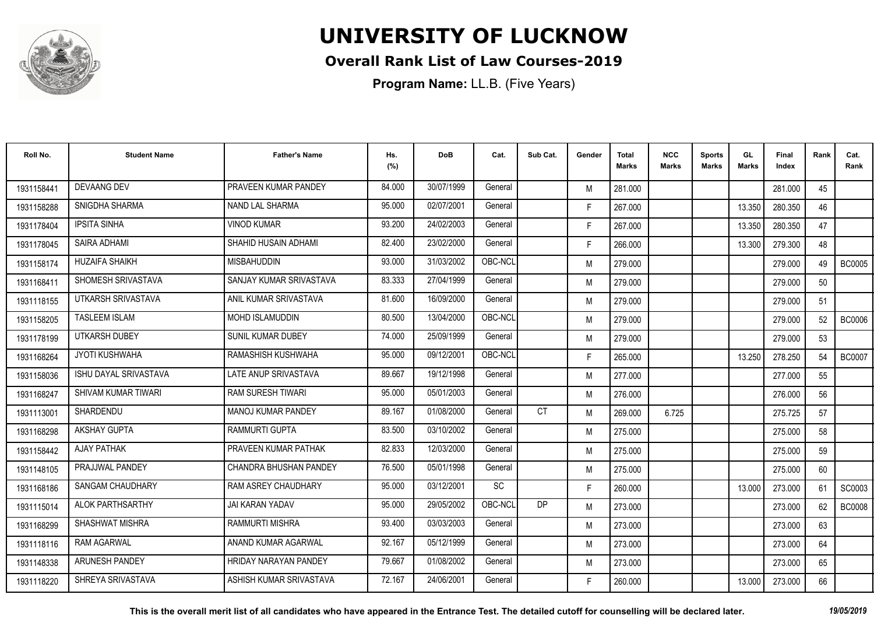

#### **Overall Rank List of Law Courses-2019**

| Roll No.   | <b>Student Name</b>     | <b>Father's Name</b>         | Hs.<br>(%) | <b>DoB</b> | Cat.    | Sub Cat.  | Gender | <b>Total</b><br><b>Marks</b> | <b>NCC</b><br><b>Marks</b> | <b>Sports</b><br><b>Marks</b> | GL<br><b>Marks</b> | <b>Final</b><br>Index | Rank | Cat.<br>Rank  |
|------------|-------------------------|------------------------------|------------|------------|---------|-----------|--------|------------------------------|----------------------------|-------------------------------|--------------------|-----------------------|------|---------------|
| 1931158441 | <b>DEVAANG DEV</b>      | PRAVEEN KUMAR PANDEY         | 84.000     | 30/07/1999 | General |           | M      | 281.000                      |                            |                               |                    | 281.000               | 45   |               |
| 1931158288 | SNIGDHA SHARMA          | NAND LAL SHARMA              | 95.000     | 02/07/2001 | General |           | F.     | 267.000                      |                            |                               | 13.350             | 280.350               | 46   |               |
| 1931178404 | <b>IPSITA SINHA</b>     | <b>VINOD KUMAR</b>           | 93.200     | 24/02/2003 | General |           | F.     | 267.000                      |                            |                               | 13.350             | 280.350               | 47   |               |
| 1931178045 | SAIRA ADHAMI            | SHAHID HUSAIN ADHAMI         | 82.400     | 23/02/2000 | General |           | F.     | 266.000                      |                            |                               | 13.300             | 279.300               | 48   |               |
| 1931158174 | <b>HUZAIFA SHAIKH</b>   | <b>MISBAHUDDIN</b>           | 93.000     | 31/03/2002 | OBC-NCL |           | M      | 279.000                      |                            |                               |                    | 279,000               | 49   | <b>BC0005</b> |
| 1931168411 | SHOMESH SRIVASTAVA      | SANJAY KUMAR SRIVASTAVA      | 83.333     | 27/04/1999 | General |           | M      | 279.000                      |                            |                               |                    | 279.000               | 50   |               |
| 1931118155 | UTKARSH SRIVASTAVA      | ANIL KUMAR SRIVASTAVA        | 81.600     | 16/09/2000 | General |           | M      | 279.000                      |                            |                               |                    | 279.000               | 51   |               |
| 1931158205 | <b>TASLEEM ISLAM</b>    | <b>MOHD ISLAMUDDIN</b>       | 80.500     | 13/04/2000 | OBC-NCL |           | M      | 279.000                      |                            |                               |                    | 279.000               | 52   | BC0006        |
| 1931178199 | UTKARSH DUBEY           | <b>SUNIL KUMAR DUBEY</b>     | 74.000     | 25/09/1999 | General |           | M      | 279.000                      |                            |                               |                    | 279.000               | 53   |               |
| 1931168264 | JYOTI KUSHWAHA          | RAMASHISH KUSHWAHA           | 95.000     | 09/12/2001 | OBC-NCL |           | F.     | 265.000                      |                            |                               | 13.250             | 278.250               | 54   | <b>BC0007</b> |
| 1931158036 | ISHU DAYAL SRIVASTAVA   | LATE ANUP SRIVASTAVA         | 89.667     | 19/12/1998 | General |           | M      | 277.000                      |                            |                               |                    | 277.000               | 55   |               |
| 1931168247 | SHIVAM KUMAR TIWARI     | RAM SURESH TIWARI            | 95.000     | 05/01/2003 | General |           | M      | 276.000                      |                            |                               |                    | 276.000               | 56   |               |
| 1931113001 | SHARDENDU               | <b>MANOJ KUMAR PANDEY</b>    | 89.167     | 01/08/2000 | General | <b>CT</b> | M      | 269.000                      | 6.725                      |                               |                    | 275.725               | 57   |               |
| 1931168298 | <b>AKSHAY GUPTA</b>     | <b>RAMMURTI GUPTA</b>        | 83.500     | 03/10/2002 | General |           | M      | 275.000                      |                            |                               |                    | 275.000               | 58   |               |
| 1931158442 | <b>AJAY PATHAK</b>      | PRAVEEN KUMAR PATHAK         | 82.833     | 12/03/2000 | General |           | M      | 275.000                      |                            |                               |                    | 275.000               | 59   |               |
| 1931148105 | PRAJJWAL PANDEY         | CHANDRA BHUSHAN PANDEY       | 76.500     | 05/01/1998 | General |           | M      | 275.000                      |                            |                               |                    | 275.000               | 60   |               |
| 1931168186 | <b>SANGAM CHAUDHARY</b> | RAM ASREY CHAUDHARY          | 95.000     | 03/12/2001 | SC      |           | F.     | 260.000                      |                            |                               | 13.000             | 273.000               | 61   | SC0003        |
| 1931115014 | <b>ALOK PARTHSARTHY</b> | <b>JAI KARAN YADAV</b>       | 95.000     | 29/05/2002 | OBC-NCL | DP        | M      | 273.000                      |                            |                               |                    | 273,000               | 62   | <b>BC0008</b> |
| 1931168299 | SHASHWAT MISHRA         | RAMMURTI MISHRA              | 93.400     | 03/03/2003 | General |           | M      | 273.000                      |                            |                               |                    | 273.000               | 63   |               |
| 1931118116 | <b>RAM AGARWAL</b>      | ANAND KUMAR AGARWAL          | 92.167     | 05/12/1999 | General |           | M      | 273.000                      |                            |                               |                    | 273.000               | 64   |               |
| 1931148338 | ARUNESH PANDEY          | <b>HRIDAY NARAYAN PANDEY</b> | 79.667     | 01/08/2002 | General |           | M      | 273.000                      |                            |                               |                    | 273.000               | 65   |               |
| 1931118220 | SHREYA SRIVASTAVA       | ASHISH KUMAR SRIVASTAVA      | 72.167     | 24/06/2001 | General |           | F      | 260.000                      |                            |                               | 13.000             | 273.000               | 66   |               |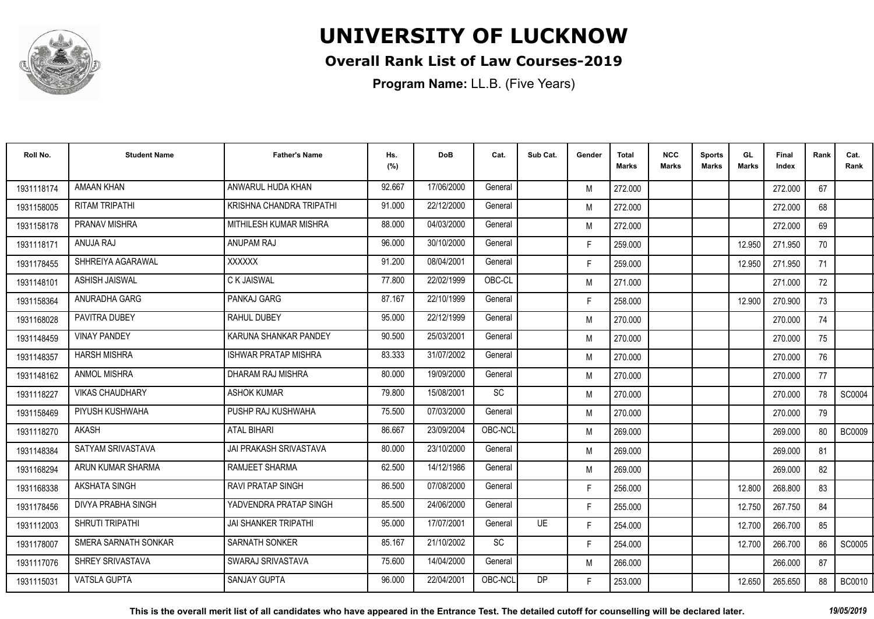

#### **Overall Rank List of Law Courses-2019**

| Roll No.   | <b>Student Name</b>       | <b>Father's Name</b>          | Hs.<br>(%) | <b>DoB</b> | Cat.      | Sub Cat.  | Gender | <b>Total</b><br><b>Marks</b> | <b>NCC</b><br><b>Marks</b> | <b>Sports</b><br><b>Marks</b> | GL<br><b>Marks</b> | Final<br>Index | Rank | Cat.<br>Rank  |
|------------|---------------------------|-------------------------------|------------|------------|-----------|-----------|--------|------------------------------|----------------------------|-------------------------------|--------------------|----------------|------|---------------|
| 1931118174 | AMAAN KHAN                | ANWARUL HUDA KHAN             | 92.667     | 17/06/2000 | General   |           | M      | 272.000                      |                            |                               |                    | 272.000        | 67   |               |
| 1931158005 | <b>RITAM TRIPATHI</b>     | KRISHNA CHANDRA TRIPATHI      | 91.000     | 22/12/2000 | General   |           | M      | 272.000                      |                            |                               |                    | 272.000        | 68   |               |
| 1931158178 | <b>PRANAV MISHRA</b>      | MITHILESH KUMAR MISHRA        | 88.000     | 04/03/2000 | General   |           | M      | 272.000                      |                            |                               |                    | 272.000        | 69   |               |
| 1931118171 | ANUJA RAJ                 | <b>ANUPAM RAJ</b>             | 96.000     | 30/10/2000 | General   |           | F.     | 259.000                      |                            |                               | 12.950             | 271.950        | 70   |               |
| 1931178455 | SHHREIYA AGARAWAL         | <b>XXXXXX</b>                 | 91.200     | 08/04/2001 | General   |           | F.     | 259.000                      |                            |                               | 12.950             | 271.950        | 71   |               |
| 1931148101 | ASHISH JAISWAL            | C K JAISWAL                   | 77.800     | 22/02/1999 | OBC-CL    |           | M      | 271.000                      |                            |                               |                    | 271.000        | 72   |               |
| 1931158364 | ANURADHA GARG             | PANKAJ GARG                   | 87.167     | 22/10/1999 | General   |           | F.     | 258.000                      |                            |                               | 12.900             | 270.900        | 73   |               |
| 1931168028 | PAVITRA DUBEY             | <b>RAHUL DUBEY</b>            | 95.000     | 22/12/1999 | General   |           | M      | 270.000                      |                            |                               |                    | 270.000        | 74   |               |
| 1931148459 | <b>VINAY PANDEY</b>       | KARUNA SHANKAR PANDEY         | 90.500     | 25/03/2001 | General   |           | M      | 270.000                      |                            |                               |                    | 270.000        | 75   |               |
| 1931148357 | <b>HARSH MISHRA</b>       | <b>ISHWAR PRATAP MISHRA</b>   | 83.333     | 31/07/2002 | General   |           | M      | 270.000                      |                            |                               |                    | 270.000        | 76   |               |
| 1931148162 | <b>ANMOL MISHRA</b>       | DHARAM RAJ MISHRA             | 80.000     | 19/09/2000 | General   |           | M      | 270.000                      |                            |                               |                    | 270.000        | 77   |               |
| 1931118227 | <b>VIKAS CHAUDHARY</b>    | <b>ASHOK KUMAR</b>            | 79.800     | 15/08/2001 | SC        |           | M      | 270.000                      |                            |                               |                    | 270.000        | 78   | SC0004        |
| 1931158469 | PIYUSH KUSHWAHA           | PUSHP RAJ KUSHWAHA            | 75.500     | 07/03/2000 | General   |           | M      | 270.000                      |                            |                               |                    | 270.000        | 79   |               |
| 1931118270 | AKASH                     | ATAL BIHARI                   | 86.667     | 23/09/2004 | OBC-NCL   |           | M      | 269.000                      |                            |                               |                    | 269.000        | 80   | <b>BC0009</b> |
| 1931148384 | SATYAM SRIVASTAVA         | <b>JAI PRAKASH SRIVASTAVA</b> | 80.000     | 23/10/2000 | General   |           | M      | 269.000                      |                            |                               |                    | 269.000        | 81   |               |
| 1931168294 | ARUN KUMAR SHARMA         | RAMJEET SHARMA                | 62.500     | 14/12/1986 | General   |           | M      | 269.000                      |                            |                               |                    | 269.000        | 82   |               |
| 1931168338 | <b>AKSHATA SINGH</b>      | <b>RAVI PRATAP SINGH</b>      | 86.500     | 07/08/2000 | General   |           | F.     | 256.000                      |                            |                               | 12.800             | 268.800        | 83   |               |
| 1931178456 | <b>DIVYA PRABHA SINGH</b> | YADVENDRA PRATAP SINGH        | 85.500     | 24/06/2000 | General   |           | F.     | 255.000                      |                            |                               | 12.750             | 267.750        | 84   |               |
| 1931112003 | SHRUTI TRIPATHI           | <b>JAI SHANKER TRIPATHI</b>   | 95.000     | 17/07/2001 | General   | <b>UE</b> | F.     | 254.000                      |                            |                               | 12.700             | 266.700        | 85   |               |
| 1931178007 | SMERA SARNATH SONKAR      | <b>SARNATH SONKER</b>         | 85.167     | 21/10/2002 | <b>SC</b> |           | F.     | 254.000                      |                            |                               | 12.700             | 266.700        | 86   | SC0005        |
| 1931117076 | SHREY SRIVASTAVA          | SWARAJ SRIVASTAVA             | 75.600     | 14/04/2000 | General   |           | M      | 266.000                      |                            |                               |                    | 266.000        | 87   |               |
| 1931115031 | <b>VATSLA GUPTA</b>       | <b>SANJAY GUPTA</b>           | 96.000     | 22/04/2001 | OBC-NCL   | DP        | F.     | 253.000                      |                            |                               | 12.650             | 265.650        | 88   | <b>BC0010</b> |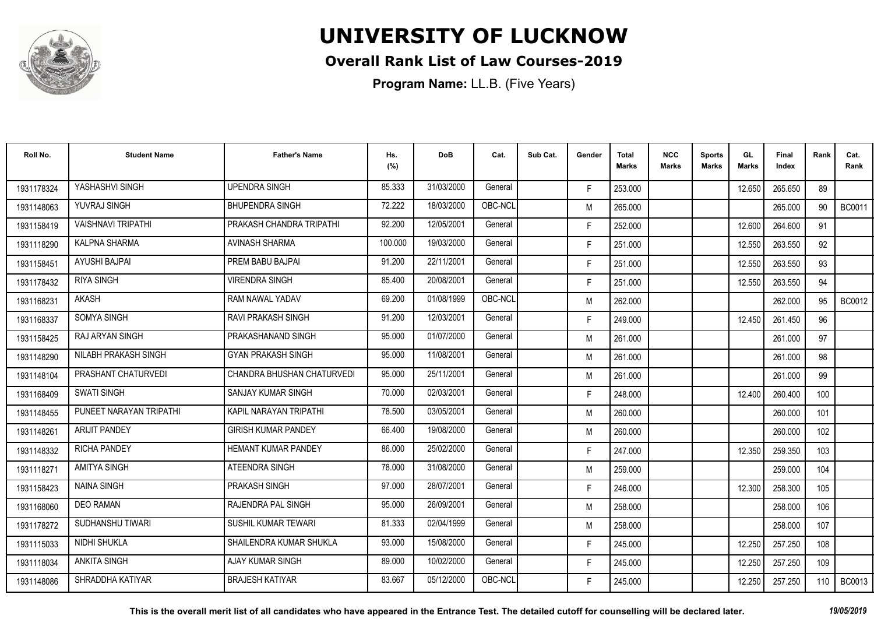

#### **Overall Rank List of Law Courses-2019**

| Roll No.   | <b>Student Name</b>       | <b>Father's Name</b>       | Hs.<br>(%) | <b>DoB</b> | Cat.    | Sub Cat. | Gender | <b>Total</b><br><b>Marks</b> | <b>NCC</b><br>Marks | <b>Sports</b><br><b>Marks</b> | GL.<br><b>Marks</b> | Final<br>Index | Rank | Cat.<br>Rank  |
|------------|---------------------------|----------------------------|------------|------------|---------|----------|--------|------------------------------|---------------------|-------------------------------|---------------------|----------------|------|---------------|
| 1931178324 | YASHASHVI SINGH           | <b>UPENDRA SINGH</b>       | 85.333     | 31/03/2000 | General |          | F.     | 253.000                      |                     |                               | 12.650              | 265.650        | 89   |               |
| 1931148063 | YUVRAJ SINGH              | <b>BHUPENDRA SINGH</b>     | 72.222     | 18/03/2000 | OBC-NCL |          | M      | 265.000                      |                     |                               |                     | 265.000        | 90   | <b>BC0011</b> |
| 1931158419 | <b>VAISHNAVI TRIPATHI</b> | PRAKASH CHANDRA TRIPATHI   | 92.200     | 12/05/2001 | General |          | F.     | 252.000                      |                     |                               | 12.600              | 264.600        | 91   |               |
| 1931118290 | KALPNA SHARMA             | AVINASH SHARMA             | 100.000    | 19/03/2000 | General |          | F.     | 251.000                      |                     |                               | 12.550              | 263.550        | 92   |               |
| 1931158451 | AYUSHI BAJPAI             | PREM BABU BAJPAI           | 91.200     | 22/11/2001 | General |          | F.     | 251.000                      |                     |                               | 12.550              | 263.550        | 93   |               |
| 1931178432 | <b>RIYA SINGH</b>         | <b>VIRENDRA SINGH</b>      | 85.400     | 20/08/2001 | General |          | F.     | 251.000                      |                     |                               | 12.550              | 263.550        | 94   |               |
| 1931168231 | <b>AKASH</b>              | RAM NAWAL YADAV            | 69.200     | 01/08/1999 | OBC-NCL |          | M      | 262.000                      |                     |                               |                     | 262.000        | 95   | BC0012        |
| 1931168337 | <b>SOMYA SINGH</b>        | <b>RAVI PRAKASH SINGH</b>  | 91.200     | 12/03/2001 | General |          | F.     | 249.000                      |                     |                               | 12.450              | 261.450        | 96   |               |
| 1931158425 | RAJ ARYAN SINGH           | PRAKASHANAND SINGH         | 95.000     | 01/07/2000 | General |          | M      | 261.000                      |                     |                               |                     | 261.000        | 97   |               |
| 1931148290 | NILABH PRAKASH SINGH      | <b>GYAN PRAKASH SINGH</b>  | 95.000     | 11/08/2001 | General |          | M      | 261.000                      |                     |                               |                     | 261.000        | 98   |               |
| 1931148104 | PRASHANT CHATURVEDI       | CHANDRA BHUSHAN CHATURVEDI | 95.000     | 25/11/2001 | General |          | M      | 261.000                      |                     |                               |                     | 261.000        | 99   |               |
| 1931168409 | <b>SWATI SINGH</b>        | <b>SANJAY KUMAR SINGH</b>  | 70.000     | 02/03/2001 | General |          | F.     | 248.000                      |                     |                               | 12.400              | 260.400        | 100  |               |
| 1931148455 | PUNEET NARAYAN TRIPATHI   | KAPIL NARAYAN TRIPATHI     | 78.500     | 03/05/2001 | General |          | M      | 260.000                      |                     |                               |                     | 260,000        | 101  |               |
| 1931148261 | <b>ARIJIT PANDEY</b>      | <b>GIRISH KUMAR PANDEY</b> | 66.400     | 19/08/2000 | General |          | M      | 260.000                      |                     |                               |                     | 260.000        | 102  |               |
| 1931148332 | <b>RICHA PANDEY</b>       | <b>HEMANT KUMAR PANDEY</b> | 86.000     | 25/02/2000 | General |          | F.     | 247.000                      |                     |                               | 12.350              | 259.350        | 103  |               |
| 1931118271 | <b>AMITYA SINGH</b>       | ATEENDRA SINGH             | 78.000     | 31/08/2000 | General |          | M      | 259.000                      |                     |                               |                     | 259.000        | 104  |               |
| 1931158423 | <b>NAINA SINGH</b>        | PRAKASH SINGH              | 97.000     | 28/07/2001 | General |          | F.     | 246.000                      |                     |                               | 12.300              | 258.300        | 105  |               |
| 1931168060 | <b>DEO RAMAN</b>          | <b>RAJENDRA PAL SINGH</b>  | 95.000     | 26/09/2001 | General |          | M      | 258.000                      |                     |                               |                     | 258,000        | 106  |               |
| 1931178272 | SUDHANSHU TIWARI          | SUSHIL KUMAR TEWARI        | 81.333     | 02/04/1999 | General |          | M      | 258.000                      |                     |                               |                     | 258.000        | 107  |               |
| 1931115033 | NIDHI SHUKLA              | SHAILENDRA KUMAR SHUKLA    | 93.000     | 15/08/2000 | General |          | F.     | 245.000                      |                     |                               | 12.250              | 257.250        | 108  |               |
| 1931118034 | <b>ANKITA SINGH</b>       | <b>AJAY KUMAR SINGH</b>    | 89.000     | 10/02/2000 | General |          | F.     | 245.000                      |                     |                               | 12.250              | 257.250        | 109  |               |
| 1931148086 | SHRADDHA KATIYAR          | <b>BRAJESH KATIYAR</b>     | 83.667     | 05/12/2000 | OBC-NCL |          | F      | 245.000                      |                     |                               | 12.250              | 257.250        | 110  | <b>BC0013</b> |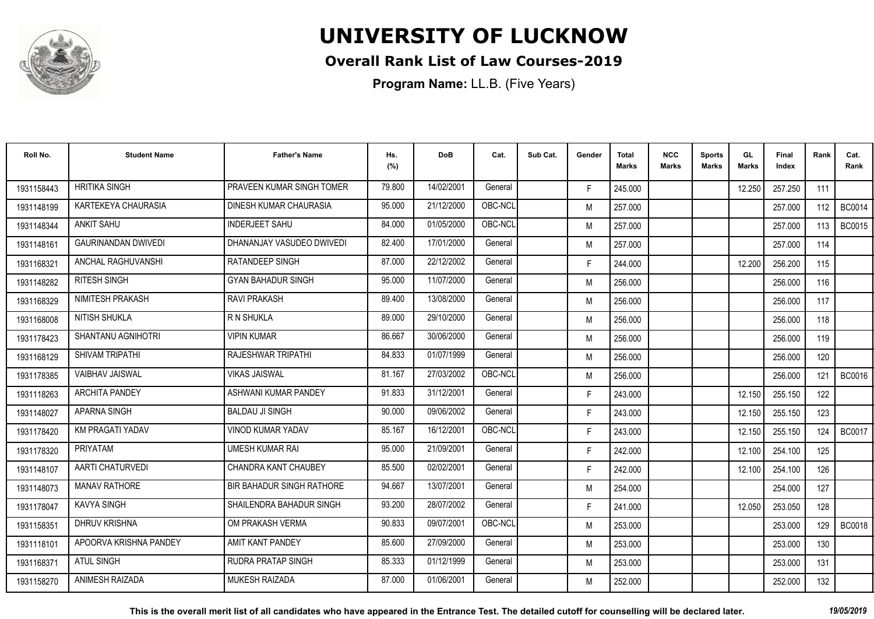

#### **Overall Rank List of Law Courses-2019**

| Roll No.   | <b>Student Name</b>        | <b>Father's Name</b>             | Hs.<br>(%) | <b>DoB</b> | Cat.    | Sub Cat. | Gender | Total<br>Marks | <b>NCC</b><br>Marks | <b>Sports</b><br><b>Marks</b> | GL<br><b>Marks</b> | <b>Final</b><br>Index | Rank | Cat.<br>Rank  |
|------------|----------------------------|----------------------------------|------------|------------|---------|----------|--------|----------------|---------------------|-------------------------------|--------------------|-----------------------|------|---------------|
| 1931158443 | <b>HRITIKA SINGH</b>       | PRAVEEN KUMAR SINGH TOMER        | 79.800     | 14/02/2001 | General |          | F.     | 245.000        |                     |                               | 12.250             | 257.250               | 111  |               |
| 1931148199 | KARTEKEYA CHAURASIA        | DINESH KUMAR CHAURASIA           | 95.000     | 21/12/2000 | OBC-NCL |          | M      | 257.000        |                     |                               |                    | 257.000               | 112  | <b>BC0014</b> |
| 1931148344 | <b>ANKIT SAHU</b>          | <b>INDERJEET SAHU</b>            | 84.000     | 01/05/2000 | OBC-NCL |          | M      | 257.000        |                     |                               |                    | 257.000               | 113  | <b>BC0015</b> |
| 1931148161 | <b>GAURINANDAN DWIVEDI</b> | DHANANJAY VASUDEO DWIVEDI        | 82.400     | 17/01/2000 | General |          | M      | 257.000        |                     |                               |                    | 257.000               | 114  |               |
| 1931168321 | ANCHAL RAGHUVANSHI         | <b>RATANDEEP SINGH</b>           | 87.000     | 22/12/2002 | General |          | F.     | 244.000        |                     |                               | 12.200             | 256.200               | 115  |               |
| 1931148282 | RITESH SINGH               | <b>GYAN BAHADUR SINGH</b>        | 95.000     | 11/07/2000 | General |          | M      | 256.000        |                     |                               |                    | 256.000               | 116  |               |
| 1931168329 | NIMITESH PRAKASH           | <b>RAVI PRAKASH</b>              | 89.400     | 13/08/2000 | General |          | M      | 256.000        |                     |                               |                    | 256.000               | 117  |               |
| 1931168008 | NITISH SHUKLA              | R N SHUKLA                       | 89.000     | 29/10/2000 | General |          | M      | 256.000        |                     |                               |                    | 256.000               | 118  |               |
| 1931178423 | SHANTANU AGNIHOTRI         | <b>VIPIN KUMAR</b>               | 86.667     | 30/06/2000 | General |          | M      | 256.000        |                     |                               |                    | 256.000               | 119  |               |
| 1931168129 | SHIVAM TRIPATHI            | RAJESHWAR TRIPATHI               | 84.833     | 01/07/1999 | General |          | M      | 256.000        |                     |                               |                    | 256,000               | 120  |               |
| 1931178385 | VAIBHAV JAISWAL            | <b>VIKAS JAISWAL</b>             | 81.167     | 27/03/2002 | OBC-NCL |          | M      | 256.000        |                     |                               |                    | 256.000               | 121  | <b>BC0016</b> |
| 1931118263 | <b>ARCHITA PANDEY</b>      | ASHWANI KUMAR PANDEY             | 91.833     | 31/12/2001 | General |          | F.     | 243.000        |                     |                               | 12.150             | 255.150               | 122  |               |
| 1931148027 | APARNA SINGH               | <b>BALDAU JI SINGH</b>           | 90.000     | 09/06/2002 | General |          | F.     | 243.000        |                     |                               | 12.150             | 255.150               | 123  |               |
| 1931178420 | <b>KM PRAGATI YADAV</b>    | <b>VINOD KUMAR YADAV</b>         | 85.167     | 16/12/2001 | OBC-NCL |          | F.     | 243.000        |                     |                               | 12.150             | 255.150               | 124  | BC0017        |
| 1931178320 | PRIYATAM                   | <b>UMESH KUMAR RAI</b>           | 95.000     | 21/09/2001 | General |          | F.     | 242.000        |                     |                               | 12.100             | 254.100               | 125  |               |
| 1931148107 | AARTI CHATURVEDI           | CHANDRA KANT CHAUBEY             | 85.500     | 02/02/2001 | General |          | F.     | 242.000        |                     |                               | 12.100             | 254.100               | 126  |               |
| 1931148073 | <b>MANAV RATHORE</b>       | <b>BIR BAHADUR SINGH RATHORE</b> | 94.667     | 13/07/2001 | General |          | M      | 254.000        |                     |                               |                    | 254.000               | 127  |               |
| 1931178047 | <b>KAVYA SINGH</b>         | SHAILENDRA BAHADUR SINGH         | 93.200     | 28/07/2002 | General |          | F.     | 241.000        |                     |                               | 12.050             | 253.050               | 128  |               |
| 1931158351 | <b>DHRUV KRISHNA</b>       | OM PRAKASH VERMA                 | 90.833     | 09/07/2001 | OBC-NCL |          | M      | 253.000        |                     |                               |                    | 253.000               | 129  | <b>BC0018</b> |
| 1931118101 | APOORVA KRISHNA PANDEY     | AMIT KANT PANDEY                 | 85.600     | 27/09/2000 | General |          | M      | 253.000        |                     |                               |                    | 253.000               | 130  |               |
| 1931168371 | <b>ATUL SINGH</b>          | <b>RUDRA PRATAP SINGH</b>        | 85.333     | 01/12/1999 | General |          | M      | 253.000        |                     |                               |                    | 253.000               | 131  |               |
| 1931158270 | ANIMESH RAIZADA            | <b>MUKESH RAIZADA</b>            | 87.000     | 01/06/2001 | General |          | M      | 252.000        |                     |                               |                    | 252.000               | 132  |               |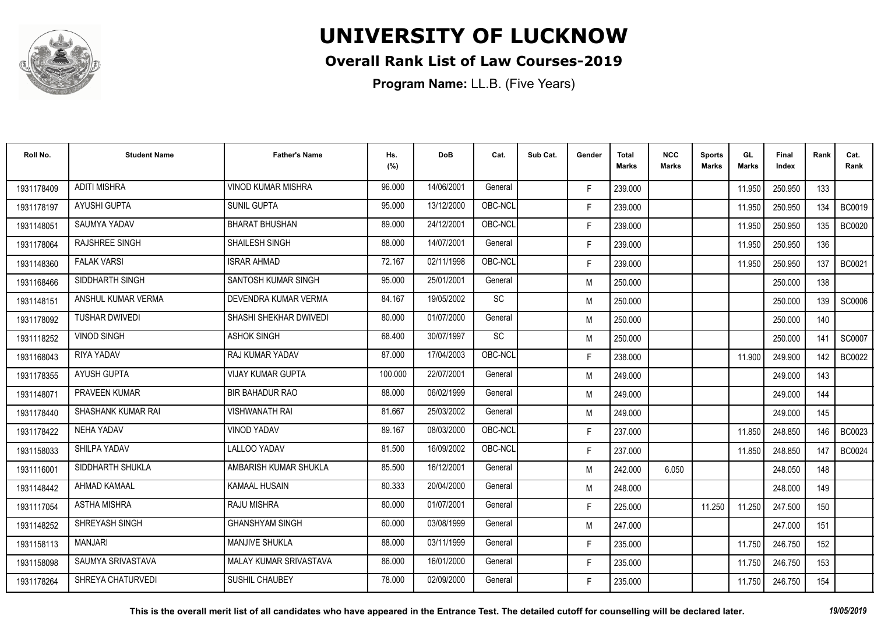

#### **Overall Rank List of Law Courses-2019**

| Roll No.   | <b>Student Name</b>       | <b>Father's Name</b>          | Hs.<br>(%) | <b>DoB</b> | Cat.    | Sub Cat. | Gender | <b>Total</b><br>Marks | <b>NCC</b><br>Marks | <b>Sports</b><br><b>Marks</b> | GL<br><b>Marks</b> | Final<br>Index | Rank | Cat.<br>Rank  |
|------------|---------------------------|-------------------------------|------------|------------|---------|----------|--------|-----------------------|---------------------|-------------------------------|--------------------|----------------|------|---------------|
| 1931178409 | <b>ADITI MISHRA</b>       | <b>VINOD KUMAR MISHRA</b>     | 96.000     | 14/06/2001 | General |          | F.     | 239.000               |                     |                               | 11.950             | 250.950        | 133  |               |
| 1931178197 | <b>AYUSHI GUPTA</b>       | <b>SUNIL GUPTA</b>            | 95.000     | 13/12/2000 | OBC-NCL |          | F.     | 239.000               |                     |                               | 11.950             | 250.950        | 134  | <b>BC0019</b> |
| 1931148051 | <b>SAUMYA YADAV</b>       | <b>BHARAT BHUSHAN</b>         | 89.000     | 24/12/2001 | OBC-NCL |          | F.     | 239.000               |                     |                               | 11.950             | 250.950        | 135  | <b>BC0020</b> |
| 1931178064 | <b>RAJSHREE SINGH</b>     | SHAILESH SINGH                | 88.000     | 14/07/2001 | General |          | F.     | 239.000               |                     |                               | 11.950             | 250.950        | 136  |               |
| 1931148360 | <b>FALAK VARSI</b>        | <b>ISRAR AHMAD</b>            | 72.167     | 02/11/1998 | OBC-NCL |          | F.     | 239.000               |                     |                               | 11.950             | 250.950        | 137  | <b>BC0021</b> |
| 1931168466 | SIDDHARTH SINGH           | SANTOSH KUMAR SINGH           | 95.000     | 25/01/2001 | General |          | M      | 250.000               |                     |                               |                    | 250.000        | 138  |               |
| 1931148151 | ANSHUL KUMAR VERMA        | DEVENDRA KUMAR VERMA          | 84.167     | 19/05/2002 | SC      |          | M      | 250.000               |                     |                               |                    | 250.000        | 139  | SC0006        |
| 1931178092 | <b>TUSHAR DWIVEDI</b>     | SHASHI SHEKHAR DWIVEDI        | 80.000     | 01/07/2000 | General |          | M      | 250.000               |                     |                               |                    | 250.000        | 140  |               |
| 1931118252 | <b>VINOD SINGH</b>        | <b>ASHOK SINGH</b>            | 68.400     | 30/07/1997 | SC      |          | M      | 250.000               |                     |                               |                    | 250.000        | 141  | SC0007        |
| 1931168043 | RIYA YADAV                | RAJ KUMAR YADAV               | 87.000     | 17/04/2003 | OBC-NCL |          | F.     | 238.000               |                     |                               | 11.900             | 249.900        | 142  | <b>BC0022</b> |
| 1931178355 | AYUSH GUPTA               | <b>VIJAY KUMAR GUPTA</b>      | 100.000    | 22/07/2001 | General |          | M      | 249.000               |                     |                               |                    | 249.000        | 143  |               |
| 1931148071 | PRAVEEN KUMAR             | BIR BAHADUR RAO               | 88.000     | 06/02/1999 | General |          | M      | 249.000               |                     |                               |                    | 249.000        | 144  |               |
| 1931178440 | <b>SHASHANK KUMAR RAI</b> | <b>VISHWANATH RAI</b>         | 81.667     | 25/03/2002 | General |          | M      | 249.000               |                     |                               |                    | 249.000        | 145  |               |
| 1931178422 | NEHA YADAV                | <b>VINOD YADAV</b>            | 89.167     | 08/03/2000 | OBC-NCL |          | F.     | 237.000               |                     |                               | 11.850             | 248.850        | 146  | <b>BC0023</b> |
| 1931158033 | SHILPA YADAV              | <b>LALLOO YADAV</b>           | 81.500     | 16/09/2002 | OBC-NCL |          | F.     | 237.000               |                     |                               | 11.850             | 248.850        | 147  | <b>BC0024</b> |
| 1931116001 | SIDDHARTH SHUKLA          | AMBARISH KUMAR SHUKLA         | 85.500     | 16/12/2001 | General |          | M      | 242.000               | 6.050               |                               |                    | 248.050        | 148  |               |
| 1931148442 | AHMAD KAMAAL              | <b>KAMAAL HUSAIN</b>          | 80.333     | 20/04/2000 | General |          | M      | 248.000               |                     |                               |                    | 248.000        | 149  |               |
| 1931117054 | <b>ASTHA MISHRA</b>       | RAJU MISHRA                   | 80.000     | 01/07/2001 | General |          | F.     | 225.000               |                     | 11.250                        | 11.250             | 247.500        | 150  |               |
| 1931148252 | <b>SHREYASH SINGH</b>     | <b>GHANSHYAM SINGH</b>        | 60.000     | 03/08/1999 | General |          | M      | 247.000               |                     |                               |                    | 247.000        | 151  |               |
| 1931158113 | <b>MANJARI</b>            | <b>MANJIVE SHUKLA</b>         | 88.000     | 03/11/1999 | General |          | F.     | 235.000               |                     |                               | 11.750             | 246.750        | 152  |               |
| 1931158098 | SAUMYA SRIVASTAVA         | <b>MALAY KUMAR SRIVASTAVA</b> | 86.000     | 16/01/2000 | General |          | F.     | 235.000               |                     |                               | 11.750             | 246.750        | 153  |               |
| 1931178264 | SHREYA CHATURVEDI         | <b>SUSHIL CHAUBEY</b>         | 78.000     | 02/09/2000 | General |          | F.     | 235.000               |                     |                               | 11.750             | 246.750        | 154  |               |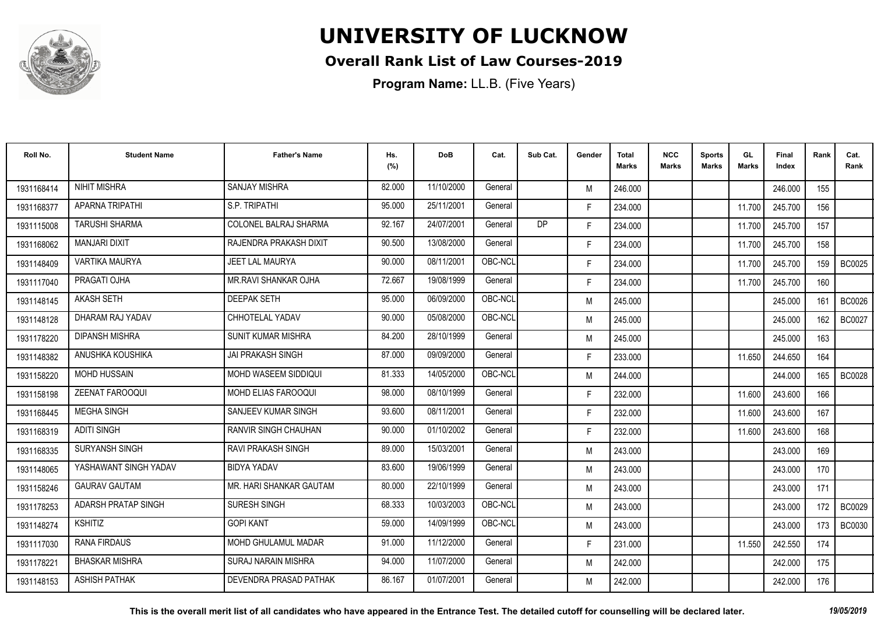

#### **Overall Rank List of Law Courses-2019**

| Roll No.   | <b>Student Name</b>    | <b>Father's Name</b>        | Hs.<br>(%) | <b>DoB</b> | Cat.    | Sub Cat. | Gender | <b>Total</b><br><b>Marks</b> | <b>NCC</b><br><b>Marks</b> | <b>Sports</b><br><b>Marks</b> | GL<br><b>Marks</b> | <b>Final</b><br>Index | Rank | Cat.<br>Rank  |
|------------|------------------------|-----------------------------|------------|------------|---------|----------|--------|------------------------------|----------------------------|-------------------------------|--------------------|-----------------------|------|---------------|
| 1931168414 | <b>NIHIT MISHRA</b>    | <b>SANJAY MISHRA</b>        | 82.000     | 11/10/2000 | General |          | M      | 246.000                      |                            |                               |                    | 246.000               | 155  |               |
| 1931168377 | <b>APARNA TRIPATHI</b> | S.P. TRIPATHI               | 95.000     | 25/11/2001 | General |          | F.     | 234.000                      |                            |                               | 11.700             | 245.700               | 156  |               |
| 1931115008 | <b>TARUSHI SHARMA</b>  | COLONEL BALRAJ SHARMA       | 92.167     | 24/07/2001 | General | DP       | F.     | 234.000                      |                            |                               | 11.700             | 245.700               | 157  |               |
| 1931168062 | MANJARI DIXIT          | RAJENDRA PRAKASH DIXIT      | 90.500     | 13/08/2000 | General |          | F.     | 234.000                      |                            |                               | 11.700             | 245.700               | 158  |               |
| 1931148409 | <b>VARTIKA MAURYA</b>  | <b>JEET LAL MAURYA</b>      | 90.000     | 08/11/2001 | OBC-NCL |          | F.     | 234.000                      |                            |                               | 11.700             | 245.700               | 159  | <b>BC0025</b> |
| 1931117040 | PRAGATI OJHA           | MR.RAVI SHANKAR OJHA        | 72.667     | 19/08/1999 | General |          | F.     | 234.000                      |                            |                               | 11.700             | 245.700               | 160  |               |
| 1931148145 | <b>AKASH SETH</b>      | <b>DEEPAK SETH</b>          | 95.000     | 06/09/2000 | OBC-NCL |          | M      | 245.000                      |                            |                               |                    | 245.000               | 161  | <b>BC0026</b> |
| 1931148128 | DHARAM RAJ YADAV       | CHHOTELAL YADAV             | 90.000     | 05/08/2000 | OBC-NCL |          | M      | 245.000                      |                            |                               |                    | 245.000               | 162  | <b>BC0027</b> |
| 1931178220 | <b>DIPANSH MISHRA</b>  | <b>SUNIT KUMAR MISHRA</b>   | 84.200     | 28/10/1999 | General |          | M      | 245.000                      |                            |                               |                    | 245.000               | 163  |               |
| 1931148382 | ANUSHKA KOUSHIKA       | JAI PRAKASH SINGH           | 87.000     | 09/09/2000 | General |          | F.     | 233.000                      |                            |                               | 11.650             | 244.650               | 164  |               |
| 1931158220 | <b>MOHD HUSSAIN</b>    | MOHD WASEEM SIDDIQUI        | 81.333     | 14/05/2000 | OBC-NCL |          | M      | 244.000                      |                            |                               |                    | 244.000               | 165  | <b>BC0028</b> |
| 1931158198 | <b>ZEENAT FAROOQUI</b> | MOHD ELIAS FAROOQUI         | 98.000     | 08/10/1999 | General |          | F.     | 232.000                      |                            |                               | 11.600             | 243.600               | 166  |               |
| 1931168445 | <b>MEGHA SINGH</b>     | SANJEEV KUMAR SINGH         | 93.600     | 08/11/2001 | General |          | F.     | 232.000                      |                            |                               | 11.600             | 243.600               | 167  |               |
| 1931168319 | <b>ADITI SINGH</b>     | <b>RANVIR SINGH CHAUHAN</b> | 90.000     | 01/10/2002 | General |          | F.     | 232.000                      |                            |                               | 11.600             | 243.600               | 168  |               |
| 1931168335 | SURYANSH SINGH         | <b>RAVI PRAKASH SINGH</b>   | 89.000     | 15/03/2001 | General |          | M      | 243.000                      |                            |                               |                    | 243.000               | 169  |               |
| 1931148065 | YASHAWANT SINGH YADAV  | <b>BIDYA YADAV</b>          | 83.600     | 19/06/1999 | General |          | M      | 243.000                      |                            |                               |                    | 243.000               | 170  |               |
| 1931158246 | <b>GAURAV GAUTAM</b>   | MR. HARI SHANKAR GAUTAM     | 80.000     | 22/10/1999 | General |          | M      | 243.000                      |                            |                               |                    | 243.000               | 171  |               |
| 1931178253 | ADARSH PRATAP SINGH    | <b>SURESH SINGH</b>         | 68.333     | 10/03/2003 | OBC-NCL |          | M      | 243.000                      |                            |                               |                    | 243.000               | 172  | <b>BC0029</b> |
| 1931148274 | <b>KSHITIZ</b>         | <b>GOPI KANT</b>            | 59.000     | 14/09/1999 | OBC-NCL |          | M      | 243.000                      |                            |                               |                    | 243.000               | 173  | <b>BC0030</b> |
| 1931117030 | <b>RANA FIRDAUS</b>    | <b>MOHD GHULAMUL MADAR</b>  | 91.000     | 11/12/2000 | General |          | F.     | 231.000                      |                            |                               | 11.550             | 242.550               | 174  |               |
| 1931178221 | <b>BHASKAR MISHRA</b>  | <b>SURAJ NARAIN MISHRA</b>  | 94.000     | 11/07/2000 | General |          | M      | 242.000                      |                            |                               |                    | 242.000               | 175  |               |
| 1931148153 | <b>ASHISH PATHAK</b>   | DEVENDRA PRASAD PATHAK      | 86.167     | 01/07/2001 | General |          | M      | 242.000                      |                            |                               |                    | 242.000               | 176  |               |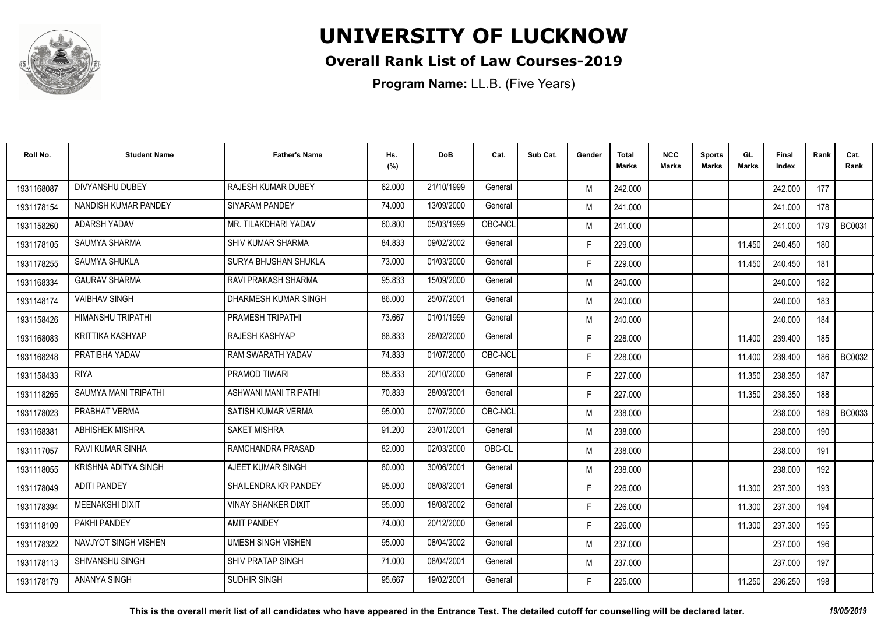

#### **Overall Rank List of Law Courses-2019**

| Roll No.   | <b>Student Name</b>      | <b>Father's Name</b>       | Hs.<br>(%) | <b>DoB</b> | Cat.    | Sub Cat. | Gender | <b>Total</b><br><b>Marks</b> | <b>NCC</b><br><b>Marks</b> | <b>Sports</b><br><b>Marks</b> | GL<br><b>Marks</b> | <b>Final</b><br>Index | Rank | Cat.<br>Rank  |
|------------|--------------------------|----------------------------|------------|------------|---------|----------|--------|------------------------------|----------------------------|-------------------------------|--------------------|-----------------------|------|---------------|
| 1931168087 | DIVYANSHU DUBEY          | <b>RAJESH KUMAR DUBEY</b>  | 62.000     | 21/10/1999 | General |          | M      | 242.000                      |                            |                               |                    | 242.000               | 177  |               |
| 1931178154 | NANDISH KUMAR PANDEY     | <b>SIYARAM PANDEY</b>      | 74.000     | 13/09/2000 | General |          | M      | 241.000                      |                            |                               |                    | 241.000               | 178  |               |
| 1931158260 | <b>ADARSH YADAV</b>      | MR. TILAKDHARI YADAV       | 60.800     | 05/03/1999 | OBC-NCL |          | M      | 241.000                      |                            |                               |                    | 241.000               | 179  | <b>BC0031</b> |
| 1931178105 | <b>SAUMYA SHARMA</b>     | <b>SHIV KUMAR SHARMA</b>   | 84.833     | 09/02/2002 | General |          | F.     | 229.000                      |                            |                               | 11.450             | 240.450               | 180  |               |
| 1931178255 | <b>SAUMYA SHUKLA</b>     | SURYA BHUSHAN SHUKLA       | 73.000     | 01/03/2000 | General |          | F.     | 229.000                      |                            |                               | 11.450             | 240.450               | 181  |               |
| 1931168334 | <b>GAURAV SHARMA</b>     | RAVI PRAKASH SHARMA        | 95.833     | 15/09/2000 | General |          | M      | 240.000                      |                            |                               |                    | 240.000               | 182  |               |
| 1931148174 | <b>VAIBHAV SINGH</b>     | DHARMESH KUMAR SINGH       | 86.000     | 25/07/2001 | General |          | M      | 240.000                      |                            |                               |                    | 240.000               | 183  |               |
| 1931158426 | <b>HIMANSHU TRIPATHI</b> | PRAMESH TRIPATHI           | 73.667     | 01/01/1999 | General |          | M      | 240.000                      |                            |                               |                    | 240.000               | 184  |               |
| 1931168083 | KRITTIKA KASHYAP         | RAJESH KASHYAP             | 88.833     | 28/02/2000 | General |          | F.     | 228.000                      |                            |                               | 11.400             | 239.400               | 185  |               |
| 1931168248 | PRATIBHA YADAV           | RAM SWARATH YADAV          | 74.833     | 01/07/2000 | OBC-NCL |          | F.     | 228.000                      |                            |                               | 11.400             | 239.400               | 186  | <b>BC0032</b> |
| 1931158433 | <b>RIYA</b>              | PRAMOD TIWARI              | 85.833     | 20/10/2000 | General |          | F.     | 227.000                      |                            |                               | 11.350             | 238.350               | 187  |               |
| 1931118265 | SAUMYA MANI TRIPATHI     | ASHWANI MANI TRIPATHI      | 70.833     | 28/09/2001 | General |          | F.     | 227.000                      |                            |                               | 11.350             | 238.350               | 188  |               |
| 1931178023 | PRABHAT VERMA            | SATISH KUMAR VERMA         | 95.000     | 07/07/2000 | OBC-NCL |          | M      | 238.000                      |                            |                               |                    | 238,000               | 189  | <b>BC0033</b> |
| 1931168381 | ABHISHEK MISHRA          | <b>SAKET MISHRA</b>        | 91.200     | 23/01/2001 | General |          | M      | 238.000                      |                            |                               |                    | 238.000               | 190  |               |
| 1931117057 | <b>RAVI KUMAR SINHA</b>  | RAMCHANDRA PRASAD          | 82.000     | 02/03/2000 | OBC-CL  |          | M      | 238.000                      |                            |                               |                    | 238.000               | 191  |               |
| 1931118055 | KRISHNA ADITYA SINGH     | AJEET KUMAR SINGH          | 80.000     | 30/06/2001 | General |          | M      | 238.000                      |                            |                               |                    | 238,000               | 192  |               |
| 1931178049 | <b>ADITI PANDEY</b>      | SHAILENDRA KR PANDEY       | 95.000     | 08/08/2001 | General |          | F.     | 226.000                      |                            |                               | 11.300             | 237.300               | 193  |               |
| 1931178394 | <b>MEENAKSHI DIXIT</b>   | <b>VINAY SHANKER DIXIT</b> | 95.000     | 18/08/2002 | General |          | F.     | 226.000                      |                            |                               | 11.300             | 237.300               | 194  |               |
| 1931118109 | PAKHI PANDEY             | <b>AMIT PANDEY</b>         | 74.000     | 20/12/2000 | General |          | F.     | 226.000                      |                            |                               | 11.300             | 237.300               | 195  |               |
| 1931178322 | NAVJYOT SINGH VISHEN     | <b>UMESH SINGH VISHEN</b>  | 95.000     | 08/04/2002 | General |          | M      | 237.000                      |                            |                               |                    | 237.000               | 196  |               |
| 1931178113 | <b>SHIVANSHU SINGH</b>   | <b>SHIV PRATAP SINGH</b>   | 71.000     | 08/04/2001 | General |          | M      | 237.000                      |                            |                               |                    | 237.000               | 197  |               |
| 1931178179 | <b>ANANYA SINGH</b>      | SUDHIR SINGH               | 95.667     | 19/02/2001 | General |          | F.     | 225.000                      |                            |                               | 11.250             | 236.250               | 198  |               |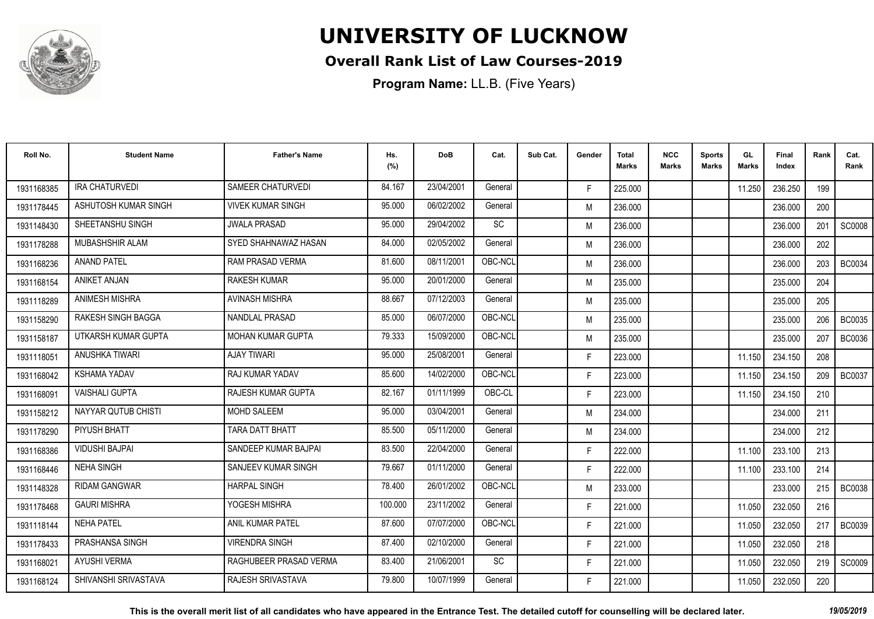

#### **Overall Rank List of Law Courses-2019**

| Roll No.   | <b>Student Name</b>       | <b>Father's Name</b>     | Hs.<br>(%) | <b>DoB</b> | Cat.    | Sub Cat. | Gender | Total<br>Marks | <b>NCC</b><br>Marks | <b>Sports</b><br><b>Marks</b> | GL<br><b>Marks</b> | <b>Final</b><br>Index | Rank | Cat.<br>Rank  |
|------------|---------------------------|--------------------------|------------|------------|---------|----------|--------|----------------|---------------------|-------------------------------|--------------------|-----------------------|------|---------------|
| 1931168385 | <b>IRA CHATURVEDI</b>     | SAMEER CHATURVEDI        | 84.167     | 23/04/2001 | General |          | F.     | 225.000        |                     |                               | 11.250             | 236.250               | 199  |               |
| 1931178445 | ASHUTOSH KUMAR SINGH      | <b>VIVEK KUMAR SINGH</b> | 95.000     | 06/02/2002 | General |          | M      | 236.000        |                     |                               |                    | 236.000               | 200  |               |
| 1931148430 | SHEETANSHU SINGH          | <b>JWALA PRASAD</b>      | 95.000     | 29/04/2002 | SC      |          | M      | 236.000        |                     |                               |                    | 236.000               | 201  | <b>SC0008</b> |
| 1931178288 | MUBASHSHIR ALAM           | SYED SHAHNAWAZ HASAN     | 84.000     | 02/05/2002 | General |          | M      | 236.000        |                     |                               |                    | 236.000               | 202  |               |
| 1931168236 | <b>ANAND PATEL</b>        | RAM PRASAD VERMA         | 81.600     | 08/11/2001 | OBC-NCL |          | M      | 236.000        |                     |                               |                    | 236.000               | 203  | <b>BC0034</b> |
| 1931168154 | <b>ANIKET ANJAN</b>       | <b>RAKESH KUMAR</b>      | 95.000     | 20/01/2000 | General |          | M      | 235.000        |                     |                               |                    | 235.000               | 204  |               |
| 1931118289 | <b>ANIMESH MISHRA</b>     | <b>AVINASH MISHRA</b>    | 88.667     | 07/12/2003 | General |          | M      | 235.000        |                     |                               |                    | 235.000               | 205  |               |
| 1931158290 | <b>RAKESH SINGH BAGGA</b> | NANDLAL PRASAD           | 85.000     | 06/07/2000 | OBC-NCL |          | M      | 235.000        |                     |                               |                    | 235.000               | 206  | BC0035        |
| 1931158187 | UTKARSH KUMAR GUPTA       | <b>MOHAN KUMAR GUPTA</b> | 79.333     | 15/09/2000 | OBC-NCL |          | M      | 235.000        |                     |                               |                    | 235.000               | 207  | <b>BC0036</b> |
| 1931118051 | ANUSHKA TIWARI            | <b>AJAY TIWARI</b>       | 95.000     | 25/08/2001 | General |          | F.     | 223.000        |                     |                               | 11.150             | 234.150               | 208  |               |
| 1931168042 | <b>KSHAMA YADAV</b>       | RAJ KUMAR YADAV          | 85.600     | 14/02/2000 | OBC-NCL |          | F.     | 223.000        |                     |                               | 11.150             | 234.150               | 209  | <b>BC0037</b> |
| 1931168091 | <b>VAISHALI GUPTA</b>     | RAJESH KUMAR GUPTA       | 82.167     | 01/11/1999 | OBC-CL  |          | F.     | 223.000        |                     |                               | 11.150             | 234.150               | 210  |               |
| 1931158212 | NAYYAR QUTUB CHISTI       | <b>MOHD SALEEM</b>       | 95.000     | 03/04/2001 | General |          | M      | 234.000        |                     |                               |                    | 234.000               | 211  |               |
| 1931178290 | PIYUSH BHATT              | <b>TARA DATT BHATT</b>   | 85.500     | 05/11/2000 | General |          | M      | 234.000        |                     |                               |                    | 234.000               | 212  |               |
| 1931168386 | <b>VIDUSHI BAJPAI</b>     | SANDEEP KUMAR BAJPAI     | 83.500     | 22/04/2000 | General |          | F.     | 222.000        |                     |                               | 11.100             | 233.100               | 213  |               |
| 1931168446 | <b>NEHA SINGH</b>         | SANJEEV KUMAR SINGH      | 79.667     | 01/11/2000 | General |          | F.     | 222.000        |                     |                               | 11.100             | 233.100               | 214  |               |
| 1931148328 | <b>RIDAM GANGWAR</b>      | <b>HARPAL SINGH</b>      | 78.400     | 26/01/2002 | OBC-NCL |          | M      | 233.000        |                     |                               |                    | 233.000               | 215  | <b>BC0038</b> |
| 1931178468 | <b>GAURI MISHRA</b>       | YOGESH MISHRA            | 100.000    | 23/11/2002 | General |          | F.     | 221.000        |                     |                               | 11.050             | 232.050               | 216  |               |
| 1931118144 | <b>NEHA PATEL</b>         | ANIL KUMAR PATEL         | 87.600     | 07/07/2000 | OBC-NCL |          | F.     | 221.000        |                     |                               | 11.050             | 232.050               | 217  | <b>BC0039</b> |
| 1931178433 | PRASHANSA SINGH           | <b>VIRENDRA SINGH</b>    | 87.400     | 02/10/2000 | General |          | F.     | 221.000        |                     |                               | 11.050             | 232.050               | 218  |               |
| 1931168021 | <b>AYUSHI VERMA</b>       | RAGHUBEER PRASAD VERMA   | 83.400     | 21/06/2001 | SC      |          | F.     | 221.000        |                     |                               | 11.050             | 232.050               | 219  | SC0009        |
| 1931168124 | SHIVANSHI SRIVASTAVA      | <b>RAJESH SRIVASTAVA</b> | 79.800     | 10/07/1999 | General |          | F.     | 221.000        |                     |                               | 11.050             | 232.050               | 220  |               |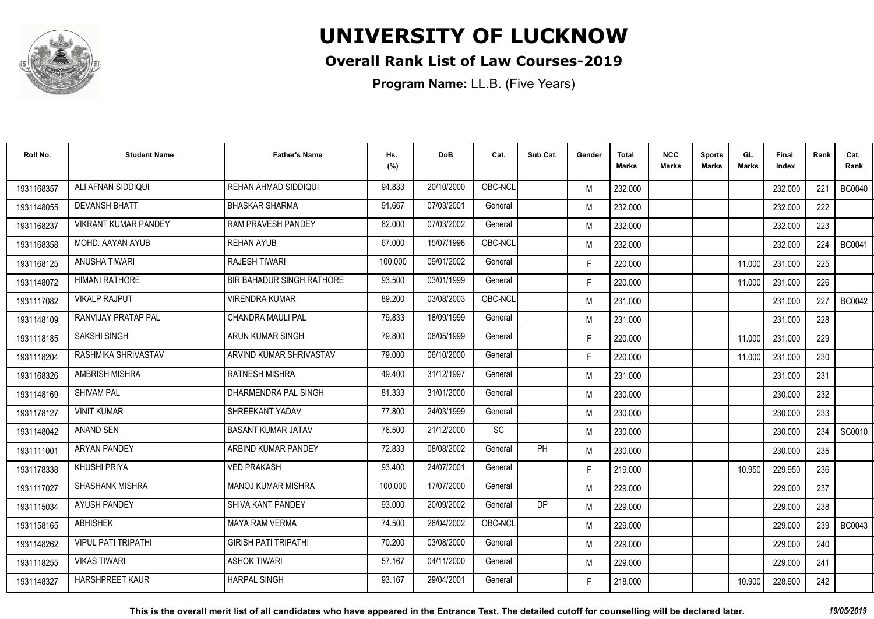

#### **Overall Rank List of Law Courses-2019**

**Program Name:** LL.B. (Five Years)

| Roll No.   | <b>Student Name</b>         | <b>Father's Name</b>             | Hs.<br>(%) | DoB        | Cat.    | Sub Cat. | Gender | <b>Total</b><br><b>Marks</b> | <b>NCC</b><br>Marks | <b>Sports</b><br><b>Marks</b> | GL<br><b>Marks</b> | Final<br>Index | Rank | Cat.<br>Rank  |
|------------|-----------------------------|----------------------------------|------------|------------|---------|----------|--------|------------------------------|---------------------|-------------------------------|--------------------|----------------|------|---------------|
| 1931168357 | ALI AFNAN SIDDIQUI          | REHAN AHMAD SIDDIQUI             | 94.833     | 20/10/2000 | OBC-NCL |          | M      | 232.000                      |                     |                               |                    | 232.000        | 221  | <b>BC0040</b> |
| 1931148055 | <b>DEVANSH BHATT</b>        | <b>BHASKAR SHARMA</b>            | 91.667     | 07/03/2001 | General |          | M      | 232.000                      |                     |                               |                    | 232.000        | 222  |               |
| 1931168237 | <b>VIKRANT KUMAR PANDEY</b> | <b>RAM PRAVESH PANDEY</b>        | 82.000     | 07/03/2002 | General |          | M      | 232.000                      |                     |                               |                    | 232.000        | 223  |               |
| 1931168358 | MOHD, AAYAN AYUB            | <b>REHAN AYUB</b>                | 67.000     | 15/07/1998 | OBC-NCL |          | M      | 232.000                      |                     |                               |                    | 232.000        | 224  | <b>BC0041</b> |
| 1931168125 | <b>ANUSHA TIWARI</b>        | <b>RAJESH TIWARI</b>             | 100.000    | 09/01/2002 | General |          | F.     | 220.000                      |                     |                               | 11.000             | 231.000        | 225  |               |
| 1931148072 | <b>HIMANI RATHORE</b>       | <b>BIR BAHADUR SINGH RATHORE</b> | 93.500     | 03/01/1999 | General |          | F.     | 220.000                      |                     |                               | 11.000             | 231.000        | 226  |               |
| 1931117082 | <b>VIKALP RAJPUT</b>        | <b>VIRENDRA KUMAR</b>            | 89.200     | 03/08/2003 | OBC-NCL |          | M      | 231.000                      |                     |                               |                    | 231.000        | 227  | <b>BC0042</b> |
| 1931148109 | RANVIJAY PRATAP PAL         | <b>CHANDRA MAULI PAL</b>         | 79.833     | 18/09/1999 | General |          | M      | 231.000                      |                     |                               |                    | 231.000        | 228  |               |
| 1931118185 | SAKSHI SINGH                | ARUN KUMAR SINGH                 | 79.800     | 08/05/1999 | General |          | F.     | 220.000                      |                     |                               | 11.000             | 231.000        | 229  |               |
| 1931118204 | RASHMIKA SHRIVASTAV         | ARVIND KUMAR SHRIVASTAV          | 79.000     | 06/10/2000 | General |          | F.     | 220.000                      |                     |                               | 11.000             | 231.000        | 230  |               |
| 1931168326 | <b>AMBRISH MISHRA</b>       | <b>RATNESH MISHRA</b>            | 49.400     | 31/12/1997 | General |          | M      | 231.000                      |                     |                               |                    | 231.000        | 231  |               |
| 1931148169 | <b>SHIVAM PAL</b>           | DHARMENDRA PAL SINGH             | 81.333     | 31/01/2000 | General |          | M      | 230.000                      |                     |                               |                    | 230.000        | 232  |               |
| 1931178127 | <b>VINIT KUMAR</b>          | SHREEKANT YADAV                  | 77.800     | 24/03/1999 | General |          | M      | 230.000                      |                     |                               |                    | 230,000        | 233  |               |
| 1931148042 | ANAND SEN                   | <b>BASANT KUMAR JATAV</b>        | 76.500     | 21/12/2000 | SC      |          | M      | 230.000                      |                     |                               |                    | 230.000        | 234  | SC0010        |
| 1931111001 | <b>ARYAN PANDEY</b>         | ARBIND KUMAR PANDEY              | 72.833     | 08/08/2002 | General | PH       | M      | 230.000                      |                     |                               |                    | 230.000        | 235  |               |
| 1931178338 | KHUSHI PRIYA                | <b>VED PRAKASH</b>               | 93.400     | 24/07/2001 | General |          | F.     | 219.000                      |                     |                               | 10.950             | 229.950        | 236  |               |
| 1931117027 | <b>SHASHANK MISHRA</b>      | <b>MANOJ KUMAR MISHRA</b>        | 100.000    | 17/07/2000 | General |          | M      | 229.000                      |                     |                               |                    | 229.000        | 237  |               |
| 1931115034 | <b>AYUSH PANDEY</b>         | SHIVA KANT PANDEY                | 93.000     | 20/09/2002 | General | DP       | M      | 229.000                      |                     |                               |                    | 229.000        | 238  |               |
| 1931158165 | <b>ABHISHEK</b>             | <b>MAYA RAM VERMA</b>            | 74.500     | 28/04/2002 | OBC-NCL |          | M      | 229.000                      |                     |                               |                    | 229.000        | 239  | BC0043        |
| 1931148262 | <b>VIPUL PATI TRIPATHI</b>  | <b>GIRISH PATI TRIPATHI</b>      | 70.200     | 03/08/2000 | General |          | M      | 229.000                      |                     |                               |                    | 229.000        | 240  |               |
| 1931118255 | <b>VIKAS TIWARI</b>         | <b>ASHOK TIWARI</b>              | 57.167     | 04/11/2000 | General |          | M      | 229.000                      |                     |                               |                    | 229,000        | 241  |               |
| 1931148327 | HARSHPREET KAUR             | <b>HARPAL SINGH</b>              | 93.167     | 29/04/2001 | General |          | F.     | 218.000                      |                     |                               | 10.900             | 228.900        | 242  |               |

**This is the overall merit list of all candidates who have appeared in the Entrance Test. The detailed cutoff for counselling will be declared later.** *19/05/2019*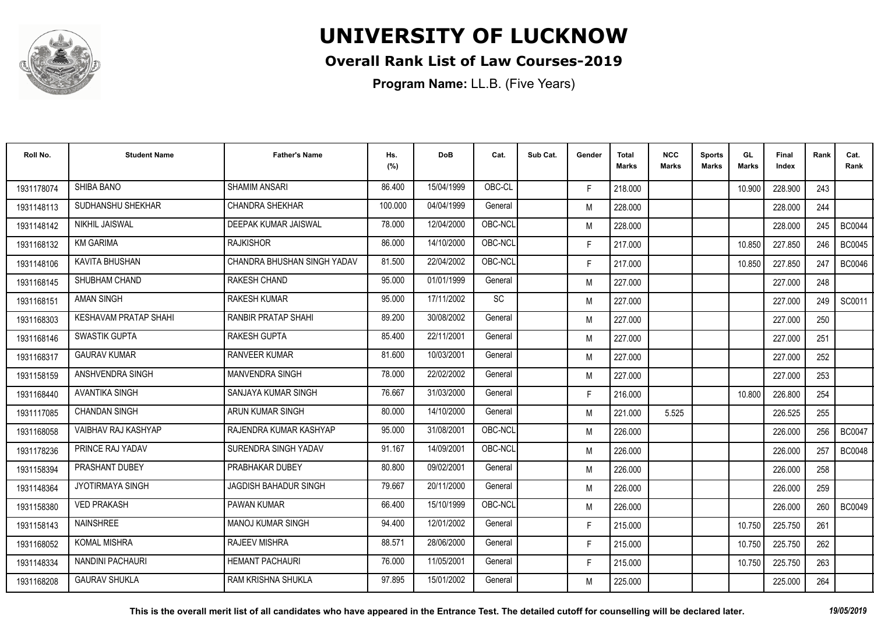

#### **Overall Rank List of Law Courses-2019**

| Roll No.   | <b>Student Name</b>          | <b>Father's Name</b>        | Hs.<br>(%) | <b>DoB</b> | Cat.      | Sub Cat. | Gender | <b>Total</b><br><b>Marks</b> | <b>NCC</b><br><b>Marks</b> | <b>Sports</b><br><b>Marks</b> | GL<br><b>Marks</b> | <b>Final</b><br>Index | Rank | Cat.<br>Rank  |
|------------|------------------------------|-----------------------------|------------|------------|-----------|----------|--------|------------------------------|----------------------------|-------------------------------|--------------------|-----------------------|------|---------------|
| 1931178074 | <b>SHIBA BANO</b>            | <b>SHAMIM ANSARI</b>        | 86.400     | 15/04/1999 | OBC-CL    |          | F.     | 218.000                      |                            |                               | 10.900             | 228.900               | 243  |               |
| 1931148113 | SUDHANSHU SHEKHAR            | <b>CHANDRA SHEKHAR</b>      | 100.000    | 04/04/1999 | General   |          | M      | 228.000                      |                            |                               |                    | 228.000               | 244  |               |
| 1931148142 | NIKHIL JAISWAL               | DEEPAK KUMAR JAISWAL        | 78.000     | 12/04/2000 | OBC-NCL   |          | M      | 228.000                      |                            |                               |                    | 228.000               | 245  | <b>BC0044</b> |
| 1931168132 | <b>KM GARIMA</b>             | <b>RAJKISHOR</b>            | 86.000     | 14/10/2000 | OBC-NCL   |          | F.     | 217.000                      |                            |                               | 10.850             | 227.850               | 246  | <b>BC0045</b> |
| 1931148106 | KAVITA BHUSHAN               | CHANDRA BHUSHAN SINGH YADAV | 81.500     | 22/04/2002 | OBC-NCL   |          | F.     | 217.000                      |                            |                               | 10.850             | 227.850               | 247  | <b>BC0046</b> |
| 1931168145 | SHUBHAM CHAND                | <b>RAKESH CHAND</b>         | 95.000     | 01/01/1999 | General   |          | M      | 227.000                      |                            |                               |                    | 227.000               | 248  |               |
| 1931168151 | <b>AMAN SINGH</b>            | <b>RAKESH KUMAR</b>         | 95.000     | 17/11/2002 | <b>SC</b> |          | M      | 227.000                      |                            |                               |                    | 227.000               | 249  | SC0011        |
| 1931168303 | <b>KESHAVAM PRATAP SHAHI</b> | <b>RANBIR PRATAP SHAHI</b>  | 89.200     | 30/08/2002 | General   |          | M      | 227.000                      |                            |                               |                    | 227.000               | 250  |               |
| 1931168146 | <b>SWASTIK GUPTA</b>         | <b>RAKESH GUPTA</b>         | 85.400     | 22/11/2001 | General   |          | M      | 227.000                      |                            |                               |                    | 227.000               | 251  |               |
| 1931168317 | <b>GAURAV KUMAR</b>          | <b>RANVEER KUMAR</b>        | 81.600     | 10/03/2001 | General   |          | M      | 227.000                      |                            |                               |                    | 227.000               | 252  |               |
| 1931158159 | ANSHVENDRA SINGH             | <b>MANVENDRA SINGH</b>      | 78.000     | 22/02/2002 | General   |          | M      | 227.000                      |                            |                               |                    | 227.000               | 253  |               |
| 1931168440 | AVANTIKA SINGH               | SANJAYA KUMAR SINGH         | 76.667     | 31/03/2000 | General   |          | F.     | 216.000                      |                            |                               | 10.800             | 226.800               | 254  |               |
| 1931117085 | <b>CHANDAN SINGH</b>         | ARUN KUMAR SINGH            | 80.000     | 14/10/2000 | General   |          | M      | 221.000                      | 5.525                      |                               |                    | 226.525               | 255  |               |
| 1931168058 | VAIBHAV RAJ KASHYAP          | RAJENDRA KUMAR KASHYAP      | 95.000     | 31/08/2001 | OBC-NCL   |          | M      | 226.000                      |                            |                               |                    | 226.000               | 256  | <b>BC0047</b> |
| 1931178236 | PRINCE RAJ YADAV             | SURENDRA SINGH YADAV        | 91.167     | 14/09/2001 | OBC-NCL   |          | M      | 226.000                      |                            |                               |                    | 226,000               | 257  | <b>BC0048</b> |
| 1931158394 | PRASHANT DUBEY               | PRABHAKAR DUBEY             | 80.800     | 09/02/2001 | General   |          | M      | 226.000                      |                            |                               |                    | 226,000               | 258  |               |
| 1931148364 | <b>JYOTIRMAYA SINGH</b>      | JAGDISH BAHADUR SINGH       | 79.667     | 20/11/2000 | General   |          | M      | 226.000                      |                            |                               |                    | 226.000               | 259  |               |
| 1931158380 | <b>VED PRAKASH</b>           | <b>PAWAN KUMAR</b>          | 66.400     | 15/10/1999 | OBC-NCL   |          | M      | 226.000                      |                            |                               |                    | 226.000               | 260  | <b>BC0049</b> |
| 1931158143 | <b>NAINSHREE</b>             | <b>MANOJ KUMAR SINGH</b>    | 94.400     | 12/01/2002 | General   |          | F.     | 215.000                      |                            |                               | 10.750             | 225.750               | 261  |               |
| 1931168052 | <b>KOMAL MISHRA</b>          | <b>RAJEEV MISHRA</b>        | 88.571     | 28/06/2000 | General   |          | F.     | 215.000                      |                            |                               | 10.750             | 225.750               | 262  |               |
| 1931148334 | NANDINI PACHAURI             | <b>HEMANT PACHAURI</b>      | 76.000     | 11/05/2001 | General   |          | F.     | 215.000                      |                            |                               | 10.750             | 225.750               | 263  |               |
| 1931168208 | <b>GAURAV SHUKLA</b>         | <b>RAM KRISHNA SHUKLA</b>   | 97.895     | 15/01/2002 | General   |          | M      | 225.000                      |                            |                               |                    | 225.000               | 264  |               |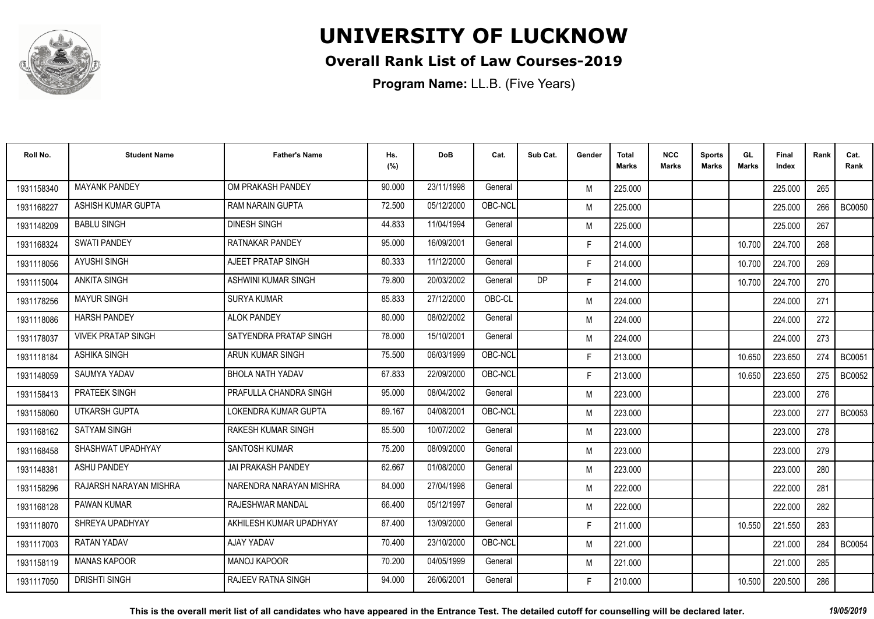

#### **Overall Rank List of Law Courses-2019**

| Roll No.   | <b>Student Name</b>       | <b>Father's Name</b>        | Hs.<br>(%) | <b>DoB</b> | Cat.    | Sub Cat.  | Gender | <b>Total</b><br><b>Marks</b> | <b>NCC</b><br>Marks | <b>Sports</b><br><b>Marks</b> | GL<br>Marks | Final<br>Index | Rank | Cat.<br>Rank  |
|------------|---------------------------|-----------------------------|------------|------------|---------|-----------|--------|------------------------------|---------------------|-------------------------------|-------------|----------------|------|---------------|
| 1931158340 | <b>MAYANK PANDEY</b>      | OM PRAKASH PANDEY           | 90.000     | 23/11/1998 | General |           | M      | 225.000                      |                     |                               |             | 225.000        | 265  |               |
| 1931168227 | ASHISH KUMAR GUPTA        | <b>RAM NARAIN GUPTA</b>     | 72.500     | 05/12/2000 | OBC-NCL |           | M      | 225.000                      |                     |                               |             | 225.000        | 266  | <b>BC0050</b> |
| 1931148209 | <b>BABLU SINGH</b>        | <b>DINESH SINGH</b>         | 44.833     | 11/04/1994 | General |           | M      | 225.000                      |                     |                               |             | 225.000        | 267  |               |
| 1931168324 | <b>SWATI PANDEY</b>       | RATNAKAR PANDEY             | 95.000     | 16/09/2001 | General |           | F.     | 214.000                      |                     |                               | 10.700      | 224.700        | 268  |               |
| 1931118056 | <b>AYUSHI SINGH</b>       | AJEET PRATAP SINGH          | 80.333     | 11/12/2000 | General |           | F.     | 214.000                      |                     |                               | 10.700      | 224.700        | 269  |               |
| 1931115004 | <b>ANKITA SINGH</b>       | ASHWINI KUMAR SINGH         | 79.800     | 20/03/2002 | General | <b>DP</b> | F.     | 214.000                      |                     |                               | 10.700      | 224.700        | 270  |               |
| 1931178256 | <b>MAYUR SINGH</b>        | <b>SURYA KUMAR</b>          | 85.833     | 27/12/2000 | OBC-CL  |           | M      | 224.000                      |                     |                               |             | 224.000        | 271  |               |
| 1931118086 | <b>HARSH PANDEY</b>       | <b>ALOK PANDEY</b>          | 80.000     | 08/02/2002 | General |           | M      | 224.000                      |                     |                               |             | 224.000        | 272  |               |
| 1931178037 | <b>VIVEK PRATAP SINGH</b> | SATYENDRA PRATAP SINGH      | 78,000     | 15/10/2001 | General |           | M      | 224.000                      |                     |                               |             | 224.000        | 273  |               |
| 1931118184 | <b>ASHIKA SINGH</b>       | ARUN KUMAR SINGH            | 75.500     | 06/03/1999 | OBC-NCL |           | F.     | 213.000                      |                     |                               | 10.650      | 223.650        | 274  | <b>BC0051</b> |
| 1931148059 | SAUMYA YADAV              | <b>BHOLA NATH YADAV</b>     | 67.833     | 22/09/2000 | OBC-NCL |           | F.     | 213.000                      |                     |                               | 10.650      | 223.650        | 275  | <b>BC0052</b> |
| 1931158413 | <b>PRATEEK SINGH</b>      | PRAFULLA CHANDRA SINGH      | 95.000     | 08/04/2002 | General |           | M      | 223.000                      |                     |                               |             | 223.000        | 276  |               |
| 1931158060 | UTKARSH GUPTA             | <b>LOKENDRA KUMAR GUPTA</b> | 89.167     | 04/08/2001 | OBC-NCL |           | M      | 223.000                      |                     |                               |             | 223.000        | 277  | <b>BC0053</b> |
| 1931168162 | <b>SATYAM SINGH</b>       | <b>RAKESH KUMAR SINGH</b>   | 85.500     | 10/07/2002 | General |           | M      | 223.000                      |                     |                               |             | 223.000        | 278  |               |
| 1931168458 | SHASHWAT UPADHYAY         | <b>SANTOSH KUMAR</b>        | 75.200     | 08/09/2000 | General |           | M      | 223.000                      |                     |                               |             | 223,000        | 279  |               |
| 1931148381 | <b>ASHU PANDEY</b>        | JAI PRAKASH PANDEY          | 62.667     | 01/08/2000 | General |           | M      | 223.000                      |                     |                               |             | 223.000        | 280  |               |
| 1931158296 | RAJARSH NARAYAN MISHRA    | NARENDRA NARAYAN MISHRA     | 84.000     | 27/04/1998 | General |           | M      | 222.000                      |                     |                               |             | 222.000        | 281  |               |
| 1931168128 | <b>PAWAN KUMAR</b>        | <b>RAJESHWAR MANDAL</b>     | 66.400     | 05/12/1997 | General |           | M      | 222.000                      |                     |                               |             | 222.000        | 282  |               |
| 1931118070 | SHREYA UPADHYAY           | AKHILESH KUMAR UPADHYAY     | 87.400     | 13/09/2000 | General |           | F.     | 211.000                      |                     |                               | 10.550      | 221.550        | 283  |               |
| 1931117003 | RATAN YADAV               | AJAY YADAV                  | 70.400     | 23/10/2000 | OBC-NCL |           | M      | 221.000                      |                     |                               |             | 221.000        | 284  | <b>BC0054</b> |
| 1931158119 | <b>MANAS KAPOOR</b>       | <b>MANOJ KAPOOR</b>         | 70.200     | 04/05/1999 | General |           | M      | 221.000                      |                     |                               |             | 221.000        | 285  |               |
| 1931117050 | <b>DRISHTI SINGH</b>      | <b>RAJEEV RATNA SINGH</b>   | 94.000     | 26/06/2001 | General |           | F      | 210.000                      |                     |                               | 10.500      | 220.500        | 286  |               |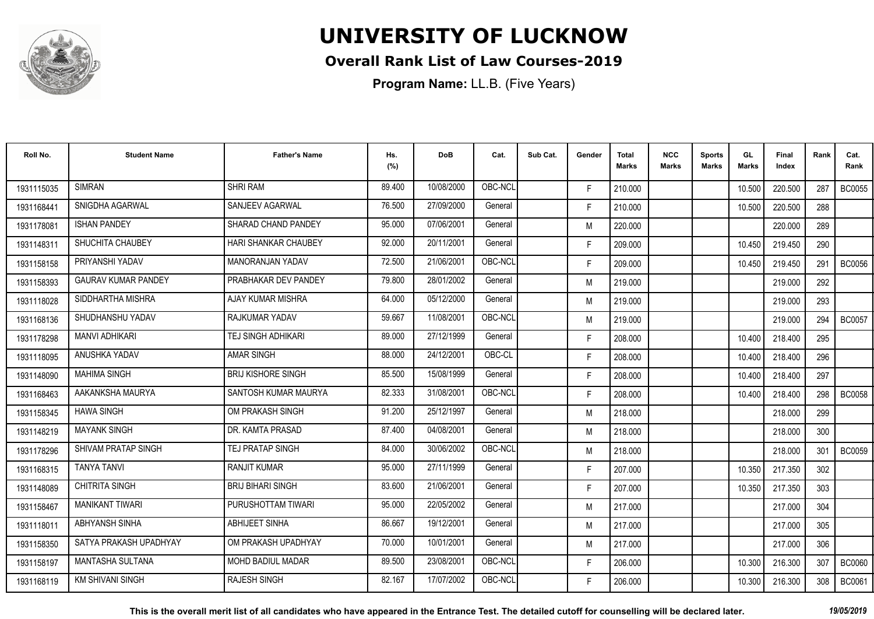

#### **Overall Rank List of Law Courses-2019**

**Program Name:** LL.B. (Five Years)

| Roll No.   | <b>Student Name</b>        | <b>Father's Name</b>        | Hs.<br>(%) | <b>DoB</b> | Cat.    | Sub Cat. | Gender | Total<br>Marks | <b>NCC</b><br>Marks | <b>Sports</b><br><b>Marks</b> | GL<br><b>Marks</b> | <b>Final</b><br>Index | Rank | Cat.<br>Rank  |
|------------|----------------------------|-----------------------------|------------|------------|---------|----------|--------|----------------|---------------------|-------------------------------|--------------------|-----------------------|------|---------------|
| 1931115035 | <b>SIMRAN</b>              | <b>SHRI RAM</b>             | 89.400     | 10/08/2000 | OBC-NCL |          | F.     | 210.000        |                     |                               | 10.500             | 220.500               | 287  | <b>BC0055</b> |
| 1931168441 | SNIGDHA AGARWAL            | SANJEEV AGARWAL             | 76.500     | 27/09/2000 | General |          | F.     | 210.000        |                     |                               | 10.500             | 220.500               | 288  |               |
| 1931178081 | <b>ISHAN PANDEY</b>        | SHARAD CHAND PANDEY         | 95.000     | 07/06/2001 | General |          | M      | 220.000        |                     |                               |                    | 220.000               | 289  |               |
| 1931148311 | SHUCHITA CHAUBEY           | <b>HARI SHANKAR CHAUBEY</b> | 92.000     | 20/11/2001 | General |          | F.     | 209.000        |                     |                               | 10.450             | 219.450               | 290  |               |
| 1931158158 | PRIYANSHI YADAV            | <b>MANORANJAN YADAV</b>     | 72.500     | 21/06/2001 | OBC-NCL |          | F.     | 209.000        |                     |                               | 10.450             | 219.450               | 291  | <b>BC0056</b> |
| 1931158393 | <b>GAURAV KUMAR PANDEY</b> | PRABHAKAR DEV PANDEY        | 79.800     | 28/01/2002 | General |          | M      | 219.000        |                     |                               |                    | 219.000               | 292  |               |
| 1931118028 | SIDDHARTHA MISHRA          | AJAY KUMAR MISHRA           | 64.000     | 05/12/2000 | General |          | M      | 219.000        |                     |                               |                    | 219.000               | 293  |               |
| 1931168136 | SHUDHANSHU YADAV           | <b>RAJKUMAR YADAV</b>       | 59.667     | 11/08/2001 | OBC-NCL |          | M      | 219.000        |                     |                               |                    | 219.000               | 294  | <b>BC0057</b> |
| 1931178298 | <b>MANVI ADHIKARI</b>      | <b>TEJ SINGH ADHIKARI</b>   | 89.000     | 27/12/1999 | General |          | F.     | 208.000        |                     |                               | 10.400             | 218.400               | 295  |               |
| 1931118095 | ANUSHKA YADAV              | AMAR SINGH                  | 88.000     | 24/12/2001 | OBC-CL  |          | F.     | 208.000        |                     |                               | 10.400             | 218.400               | 296  |               |
| 1931148090 | <b>MAHIMA SINGH</b>        | <b>BRIJ KISHORE SINGH</b>   | 85.500     | 15/08/1999 | General |          | F.     | 208.000        |                     |                               | 10.400             | 218.400               | 297  |               |
| 1931168463 | AAKANKSHA MAURYA           | SANTOSH KUMAR MAURYA        | 82.333     | 31/08/2001 | OBC-NCL |          | F.     | 208.000        |                     |                               | 10.400             | 218.400               | 298  | <b>BC0058</b> |
| 1931158345 | <b>HAWA SINGH</b>          | OM PRAKASH SINGH            | 91.200     | 25/12/1997 | General |          | M      | 218.000        |                     |                               |                    | 218,000               | 299  |               |
| 1931148219 | <b>MAYANK SINGH</b>        | DR. KAMTA PRASAD            | 87.400     | 04/08/2001 | General |          | M      | 218.000        |                     |                               |                    | 218.000               | 300  |               |
| 1931178296 | SHIVAM PRATAP SINGH        | TEJ PRATAP SINGH            | 84.000     | 30/06/2002 | OBC-NCL |          | M      | 218.000        |                     |                               |                    | 218.000               | 301  | <b>BC0059</b> |
| 1931168315 | <b>TANYA TANVI</b>         | <b>RANJIT KUMAR</b>         | 95.000     | 27/11/1999 | General |          | F.     | 207.000        |                     |                               | 10.350             | 217.350               | 302  |               |
| 1931148089 | <b>CHITRITA SINGH</b>      | <b>BRIJ BIHARI SINGH</b>    | 83.600     | 21/06/2001 | General |          | F.     | 207.000        |                     |                               | 10.350             | 217.350               | 303  |               |
| 1931158467 | <b>MANIKANT TIWARI</b>     | PURUSHOTTAM TIWARI          | 95.000     | 22/05/2002 | General |          | M      | 217.000        |                     |                               |                    | 217.000               | 304  |               |
| 1931118011 | ABHYANSH SINHA             | ABHIJEET SINHA              | 86.667     | 19/12/2001 | General |          | M      | 217.000        |                     |                               |                    | 217.000               | 305  |               |
| 1931158350 | SATYA PRAKASH UPADHYAY     | OM PRAKASH UPADHYAY         | 70.000     | 10/01/2001 | General |          | M      | 217.000        |                     |                               |                    | 217.000               | 306  |               |
| 1931158197 | <b>MANTASHA SULTANA</b>    | <b>MOHD BADIUL MADAR</b>    | 89.500     | 23/08/2001 | OBC-NCL |          | F.     | 206.000        |                     |                               | 10.300             | 216.300               | 307  | <b>BC0060</b> |
| 1931168119 | <b>KM SHIVANI SINGH</b>    | <b>RAJESH SINGH</b>         | 82.167     | 17/07/2002 | OBC-NCL |          | F.     | 206.000        |                     |                               | 10.300             | 216.300               | 308  | <b>BC0061</b> |

**This is the overall merit list of all candidates who have appeared in the Entrance Test. The detailed cutoff for counselling will be declared later.** *19/05/2019*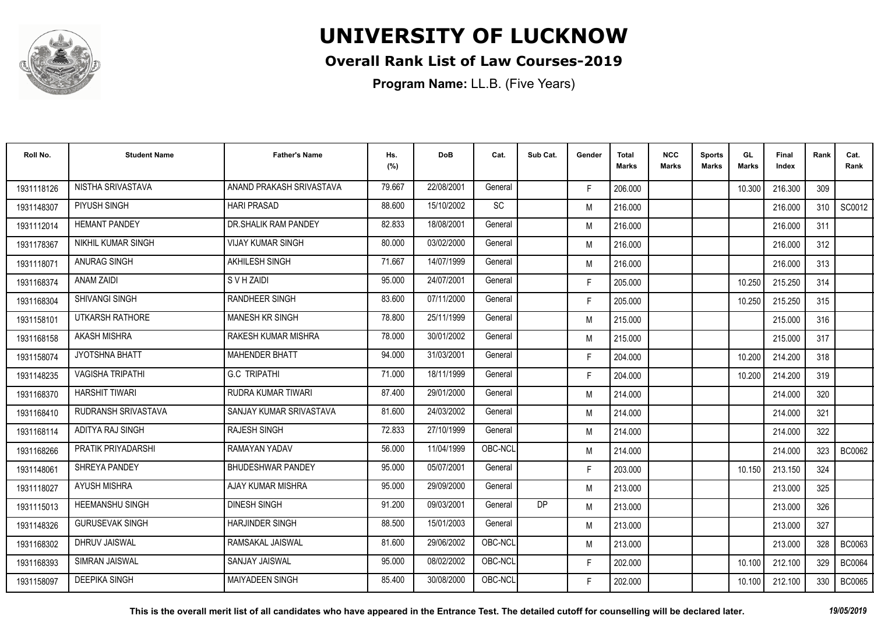

#### **Overall Rank List of Law Courses-2019**

| Roll No.   | <b>Student Name</b>     | <b>Father's Name</b>      | Hs.<br>(%) | <b>DoB</b> | Cat.                         | Sub Cat. | Gender | <b>Total</b><br><b>Marks</b> | <b>NCC</b><br><b>Marks</b> | <b>Sports</b><br><b>Marks</b> | GL<br><b>Marks</b> | <b>Final</b><br>Index | Rank | Cat.<br>Rank  |
|------------|-------------------------|---------------------------|------------|------------|------------------------------|----------|--------|------------------------------|----------------------------|-------------------------------|--------------------|-----------------------|------|---------------|
| 1931118126 | NISTHA SRIVASTAVA       | ANAND PRAKASH SRIVASTAVA  | 79.667     | 22/08/2001 | General                      |          | F.     | 206.000                      |                            |                               | 10.300             | 216.300               | 309  |               |
| 1931148307 | PIYUSH SINGH            | <b>HARI PRASAD</b>        | 88.600     | 15/10/2002 | $\operatorname{\textsf{SC}}$ |          | M      | 216.000                      |                            |                               |                    | 216.000               | 310  | SC0012        |
| 1931112014 | <b>HEMANT PANDEY</b>    | DR. SHALIK RAM PANDEY     | 82.833     | 18/08/2001 | General                      |          | M      | 216.000                      |                            |                               |                    | 216.000               | 311  |               |
| 1931178367 | NIKHIL KUMAR SINGH      | <b>VIJAY KUMAR SINGH</b>  | 80.000     | 03/02/2000 | General                      |          | M      | 216.000                      |                            |                               |                    | 216.000               | 312  |               |
| 1931118071 | <b>ANURAG SINGH</b>     | <b>AKHILESH SINGH</b>     | 71.667     | 14/07/1999 | General                      |          | M      | 216.000                      |                            |                               |                    | 216.000               | 313  |               |
| 1931168374 | <b>ANAM ZAIDI</b>       | S V H ZAIDI               | 95.000     | 24/07/2001 | General                      |          | F.     | 205.000                      |                            |                               | 10.250             | 215.250               | 314  |               |
| 1931168304 | <b>SHIVANGI SINGH</b>   | <b>RANDHEER SINGH</b>     | 83.600     | 07/11/2000 | General                      |          | F.     | 205.000                      |                            |                               | 10.250             | 215.250               | 315  |               |
| 1931158101 | UTKARSH RATHORE         | <b>MANESH KR SINGH</b>    | 78.800     | 25/11/1999 | General                      |          | M      | 215.000                      |                            |                               |                    | 215.000               | 316  |               |
| 1931168158 | <b>AKASH MISHRA</b>     | RAKESH KUMAR MISHRA       | 78.000     | 30/01/2002 | General                      |          | M      | 215,000                      |                            |                               |                    | 215.000               | 317  |               |
| 1931158074 | JYOTSHNA BHATT          | <b>MAHENDER BHATT</b>     | 94.000     | 31/03/2001 | General                      |          | F.     | 204.000                      |                            |                               | 10.200             | 214.200               | 318  |               |
| 1931148235 | <b>VAGISHA TRIPATHI</b> | <b>G.C TRIPATHI</b>       | 71.000     | 18/11/1999 | General                      |          | F.     | 204.000                      |                            |                               | 10.200             | 214.200               | 319  |               |
| 1931168370 | <b>HARSHIT TIWARI</b>   | <b>RUDRA KUMAR TIWARI</b> | 87.400     | 29/01/2000 | General                      |          | M      | 214.000                      |                            |                               |                    | 214.000               | 320  |               |
| 1931168410 | RUDRANSH SRIVASTAVA     | SANJAY KUMAR SRIVASTAVA   | 81.600     | 24/03/2002 | General                      |          | M      | 214.000                      |                            |                               |                    | 214.000               | 321  |               |
| 1931168114 | ADITYA RAJ SINGH        | <b>RAJESH SINGH</b>       | 72.833     | 27/10/1999 | General                      |          | M      | 214.000                      |                            |                               |                    | 214.000               | 322  |               |
| 1931168266 | PRATIK PRIYADARSHI      | RAMAYAN YADAV             | 56.000     | 11/04/1999 | OBC-NCL                      |          | M      | 214.000                      |                            |                               |                    | 214.000               | 323  | <b>BC0062</b> |
| 1931148061 | SHREYA PANDEY           | <b>BHUDESHWAR PANDEY</b>  | 95.000     | 05/07/2001 | General                      |          | F.     | 203.000                      |                            |                               | 10.150             | 213.150               | 324  |               |
| 1931118027 | <b>AYUSH MISHRA</b>     | AJAY KUMAR MISHRA         | 95.000     | 29/09/2000 | General                      |          | M      | 213.000                      |                            |                               |                    | 213.000               | 325  |               |
| 1931115013 | <b>HEEMANSHU SINGH</b>  | <b>DINESH SINGH</b>       | 91.200     | 09/03/2001 | General                      | DP       | M      | 213.000                      |                            |                               |                    | 213.000               | 326  |               |
| 1931148326 | <b>GURUSEVAK SINGH</b>  | <b>HARJINDER SINGH</b>    | 88.500     | 15/01/2003 | General                      |          | M      | 213.000                      |                            |                               |                    | 213.000               | 327  |               |
| 1931168302 | <b>DHRUV JAISWAL</b>    | RAMSAKAL JAISWAL          | 81.600     | 29/06/2002 | OBC-NCL                      |          | M      | 213.000                      |                            |                               |                    | 213.000               | 328  | <b>BC0063</b> |
| 1931168393 | SIMRAN JAISWAL          | <b>SANJAY JAISWAL</b>     | 95.000     | 08/02/2002 | OBC-NCL                      |          | F.     | 202.000                      |                            |                               | 10.100             | 212.100               | 329  | <b>BC0064</b> |
| 1931158097 | <b>DEEPIKA SINGH</b>    | <b>MAIYADEEN SINGH</b>    | 85.400     | 30/08/2000 | OBC-NCL                      |          | F.     | 202.000                      |                            |                               | 10.100             | 212.100               | 330  | <b>BC0065</b> |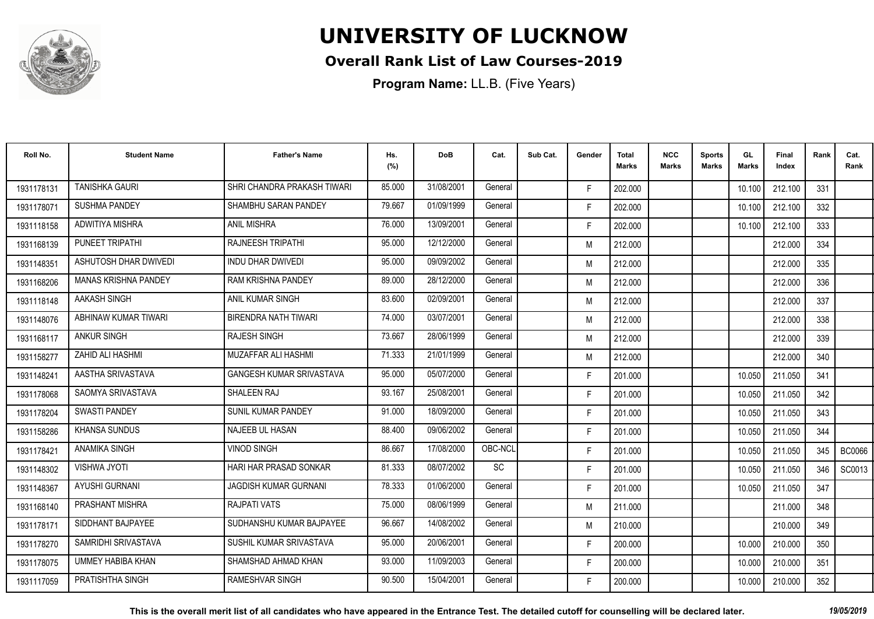

#### **Overall Rank List of Law Courses-2019**

| Roll No.   | <b>Student Name</b>         | <b>Father's Name</b>        | Hs.<br>(%) | <b>DoB</b> | Cat.      | Sub Cat. | Gender | <b>Total</b><br><b>Marks</b> | <b>NCC</b><br><b>Marks</b> | <b>Sports</b><br><b>Marks</b> | GL<br><b>Marks</b> | <b>Final</b><br>Index | Rank | Cat.<br>Rank  |
|------------|-----------------------------|-----------------------------|------------|------------|-----------|----------|--------|------------------------------|----------------------------|-------------------------------|--------------------|-----------------------|------|---------------|
| 1931178131 | <b>TANISHKA GAURI</b>       | SHRI CHANDRA PRAKASH TIWARI | 85.000     | 31/08/2001 | General   |          | F.     | 202.000                      |                            |                               | 10.100             | 212.100               | 331  |               |
| 1931178071 | <b>SUSHMA PANDEY</b>        | SHAMBHU SARAN PANDEY        | 79.667     | 01/09/1999 | General   |          | F.     | 202.000                      |                            |                               | 10.100             | 212.100               | 332  |               |
| 1931118158 | ADWITIYA MISHRA             | <b>ANIL MISHRA</b>          | 76.000     | 13/09/2001 | General   |          | F.     | 202.000                      |                            |                               | 10.100             | 212.100               | 333  |               |
| 1931168139 | PUNEET TRIPATHI             | <b>RAJNEESH TRIPATHI</b>    | 95.000     | 12/12/2000 | General   |          | M      | 212.000                      |                            |                               |                    | 212.000               | 334  |               |
| 1931148351 | ASHUTOSH DHAR DWIVEDI       | <b>INDU DHAR DWIVEDI</b>    | 95.000     | 09/09/2002 | General   |          | M      | 212.000                      |                            |                               |                    | 212.000               | 335  |               |
| 1931168206 | <b>MANAS KRISHNA PANDEY</b> | <b>RAM KRISHNA PANDEY</b>   | 89.000     | 28/12/2000 | General   |          | M      | 212.000                      |                            |                               |                    | 212.000               | 336  |               |
| 1931118148 | AAKASH SINGH                | ANIL KUMAR SINGH            | 83.600     | 02/09/2001 | General   |          | M      | 212.000                      |                            |                               |                    | 212.000               | 337  |               |
| 1931148076 | ABHINAW KUMAR TIWARI        | <b>BIRENDRA NATH TIWARI</b> | 74.000     | 03/07/2001 | General   |          | M      | 212.000                      |                            |                               |                    | 212.000               | 338  |               |
| 1931168117 | <b>ANKUR SINGH</b>          | <b>RAJESH SINGH</b>         | 73.667     | 28/06/1999 | General   |          | M      | 212.000                      |                            |                               |                    | 212.000               | 339  |               |
| 1931158277 | ZAHID ALI HASHMI            | MUZAFFAR ALI HASHMI         | 71.333     | 21/01/1999 | General   |          | M      | 212.000                      |                            |                               |                    | 212.000               | 340  |               |
| 1931148241 | AASTHA SRIVASTAVA           | GANGESH KUMAR SRIVASTAVA    | 95.000     | 05/07/2000 | General   |          | F.     | 201.000                      |                            |                               | 10.050             | 211.050               | 341  |               |
| 1931178068 | SAOMYA SRIVASTAVA           | <b>SHALEEN RAJ</b>          | 93.167     | 25/08/2001 | General   |          | F.     | 201.000                      |                            |                               | 10.050             | 211.050               | 342  |               |
| 1931178204 | <b>SWASTI PANDEY</b>        | SUNIL KUMAR PANDEY          | 91.000     | 18/09/2000 | General   |          | F.     | 201.000                      |                            |                               | 10.050             | 211.050               | 343  |               |
| 1931158286 | <b>KHANSA SUNDUS</b>        | NAJEEB UL HASAN             | 88.400     | 09/06/2002 | General   |          | F.     | 201.000                      |                            |                               | 10.050             | 211.050               | 344  |               |
| 1931178421 | <b>ANAMIKA SINGH</b>        | <b>VINOD SINGH</b>          | 86.667     | 17/08/2000 | OBC-NCL   |          | F.     | 201.000                      |                            |                               | 10.050             | 211.050               | 345  | <b>BC0066</b> |
| 1931148302 | <b>VISHWA JYOTI</b>         | HARI HAR PRASAD SONKAR      | 81.333     | 08/07/2002 | <b>SC</b> |          | F.     | 201.000                      |                            |                               | 10.050             | 211.050               | 346  | SC0013        |
| 1931148367 | <b>AYUSHI GURNANI</b>       | JAGDISH KUMAR GURNANI       | 78.333     | 01/06/2000 | General   |          | F.     | 201.000                      |                            |                               | 10.050             | 211.050               | 347  |               |
| 1931168140 | PRASHANT MISHRA             | RAJPATI VATS                | 75.000     | 08/06/1999 | General   |          | M      | 211.000                      |                            |                               |                    | 211.000               | 348  |               |
| 1931178171 | SIDDHANT BAJPAYEE           | SUDHANSHU KUMAR BAJPAYEE    | 96.667     | 14/08/2002 | General   |          | M      | 210.000                      |                            |                               |                    | 210.000               | 349  |               |
| 1931178270 | SAMRIDHI SRIVASTAVA         | SUSHIL KUMAR SRIVASTAVA     | 95.000     | 20/06/2001 | General   |          | F.     | 200.000                      |                            |                               | 10.000             | 210.000               | 350  |               |
| 1931178075 | <b>UMMEY HABIBA KHAN</b>    | SHAMSHAD AHMAD KHAN         | 93.000     | 11/09/2003 | General   |          | F.     | 200.000                      |                            |                               | 10.000             | 210.000               | 351  |               |
| 1931117059 | PRATISHTHA SINGH            | <b>RAMESHVAR SINGH</b>      | 90.500     | 15/04/2001 | General   |          | F.     | 200.000                      |                            |                               | 10.000             | 210.000               | 352  |               |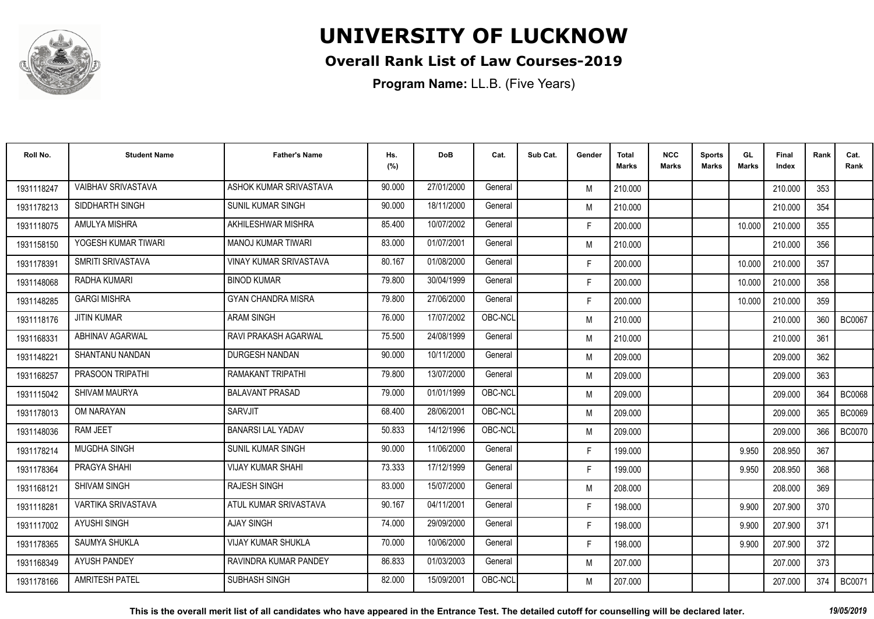

#### **Overall Rank List of Law Courses-2019**

| Roll No.   | <b>Student Name</b>       | <b>Father's Name</b>          | Hs.<br>(%) | <b>DoB</b> | Cat.    | Sub Cat. | Gender | <b>Total</b><br><b>Marks</b> | <b>NCC</b><br>Marks | <b>Sports</b><br><b>Marks</b> | GL<br><b>Marks</b> | Final<br>Index | Rank | Cat.<br>Rank  |
|------------|---------------------------|-------------------------------|------------|------------|---------|----------|--------|------------------------------|---------------------|-------------------------------|--------------------|----------------|------|---------------|
| 1931118247 | <b>VAIBHAV SRIVASTAVA</b> | ASHOK KUMAR SRIVASTAVA        | 90.000     | 27/01/2000 | General |          | M      | 210.000                      |                     |                               |                    | 210.000        | 353  |               |
| 1931178213 | SIDDHARTH SINGH           | <b>SUNIL KUMAR SINGH</b>      | 90.000     | 18/11/2000 | General |          | M      | 210.000                      |                     |                               |                    | 210.000        | 354  |               |
| 1931118075 | AMULYA MISHRA             | AKHILESHWAR MISHRA            | 85.400     | 10/07/2002 | General |          | F.     | 200.000                      |                     |                               | 10.000             | 210.000        | 355  |               |
| 1931158150 | YOGESH KUMAR TIWARI       | <b>MANOJ KUMAR TIWARI</b>     | 83.000     | 01/07/2001 | General |          | M      | 210.000                      |                     |                               |                    | 210.000        | 356  |               |
| 1931178391 | SMRITI SRIVASTAVA         | <b>VINAY KUMAR SRIVASTAVA</b> | 80.167     | 01/08/2000 | General |          | F.     | 200.000                      |                     |                               | 10.000             | 210.000        | 357  |               |
| 1931148068 | RADHA KUMARI              | <b>BINOD KUMAR</b>            | 79.800     | 30/04/1999 | General |          | F.     | 200.000                      |                     |                               | 10.000             | 210.000        | 358  |               |
| 1931148285 | <b>GARGI MISHRA</b>       | <b>GYAN CHANDRA MISRA</b>     | 79.800     | 27/06/2000 | General |          | F.     | 200.000                      |                     |                               | 10.000             | 210.000        | 359  |               |
| 1931118176 | <b>JITIN KUMAR</b>        | <b>ARAM SINGH</b>             | 76.000     | 17/07/2002 | OBC-NCL |          | M      | 210.000                      |                     |                               |                    | 210.000        | 360  | <b>BC0067</b> |
| 1931168331 | ABHINAV AGARWAL           | RAVI PRAKASH AGARWAL          | 75.500     | 24/08/1999 | General |          | M      | 210.000                      |                     |                               |                    | 210.000        | 361  |               |
| 1931148221 | SHANTANU NANDAN           | DURGESH NANDAN                | 90.000     | 10/11/2000 | General |          | M      | 209.000                      |                     |                               |                    | 209.000        | 362  |               |
| 1931168257 | PRASOON TRIPATHI          | <b>RAMAKANT TRIPATHI</b>      | 79.800     | 13/07/2000 | General |          | M      | 209.000                      |                     |                               |                    | 209.000        | 363  |               |
| 1931115042 | <b>SHIVAM MAURYA</b>      | <b>BALAVANT PRASAD</b>        | 79.000     | 01/01/1999 | OBC-NCL |          | M      | 209.000                      |                     |                               |                    | 209.000        | 364  | <b>BC0068</b> |
| 1931178013 | OM NARAYAN                | <b>SARVJIT</b>                | 68.400     | 28/06/2001 | OBC-NCL |          | M      | 209.000                      |                     |                               |                    | 209.000        | 365  | <b>BC0069</b> |
| 1931148036 | <b>RAM JEET</b>           | <b>BANARSI LAL YADAV</b>      | 50.833     | 14/12/1996 | OBC-NCL |          | M      | 209.000                      |                     |                               |                    | 209.000        | 366  | <b>BC0070</b> |
| 1931178214 | <b>MUGDHA SINGH</b>       | <b>SUNIL KUMAR SINGH</b>      | 90.000     | 11/06/2000 | General |          | F.     | 199.000                      |                     |                               | 9.950              | 208.950        | 367  |               |
| 1931178364 | PRAGYA SHAHI              | <b>VIJAY KUMAR SHAHI</b>      | 73.333     | 17/12/1999 | General |          | F.     | 199.000                      |                     |                               | 9.950              | 208.950        | 368  |               |
| 1931168121 | <b>SHIVAM SINGH</b>       | <b>RAJESH SINGH</b>           | 83.000     | 15/07/2000 | General |          | M      | 208.000                      |                     |                               |                    | 208.000        | 369  |               |
| 1931118281 | VARTIKA SRIVASTAVA        | ATUL KUMAR SRIVASTAVA         | 90.167     | 04/11/2001 | General |          | F.     | 198.000                      |                     |                               | 9.900              | 207.900        | 370  |               |
| 1931117002 | AYUSHI SINGH              | <b>AJAY SINGH</b>             | 74.000     | 29/09/2000 | General |          | F.     | 198.000                      |                     |                               | 9.900              | 207.900        | 371  |               |
| 1931178365 | SAUMYA SHUKLA             | <b>VIJAY KUMAR SHUKLA</b>     | 70.000     | 10/06/2000 | General |          | F.     | 198.000                      |                     |                               | 9.900              | 207.900        | 372  |               |
| 1931168349 | <b>AYUSH PANDEY</b>       | RAVINDRA KUMAR PANDEY         | 86.833     | 01/03/2003 | General |          | M      | 207.000                      |                     |                               |                    | 207.000        | 373  |               |
| 1931178166 | <b>AMRITESH PATEL</b>     | SUBHASH SINGH                 | 82.000     | 15/09/2001 | OBC-NCL |          | M      | 207.000                      |                     |                               |                    | 207.000        | 374  | <b>BC0071</b> |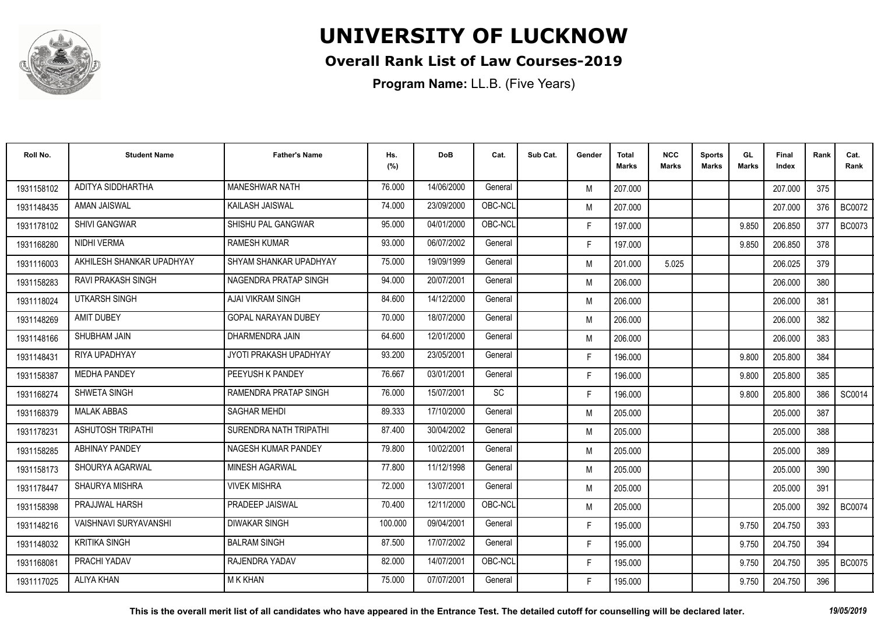

#### **Overall Rank List of Law Courses-2019**

**Program Name:** LL.B. (Five Years)

| Roll No.   | <b>Student Name</b>          | <b>Father's Name</b>       | Hs.<br>(%) | DoB        | Cat.      | Sub Cat. | Gender | <b>Total</b><br><b>Marks</b> | <b>NCC</b><br>Marks | <b>Sports</b><br><b>Marks</b> | GL<br><b>Marks</b> | Final<br>Index | Rank | Cat.<br>Rank  |
|------------|------------------------------|----------------------------|------------|------------|-----------|----------|--------|------------------------------|---------------------|-------------------------------|--------------------|----------------|------|---------------|
| 1931158102 | ADITYA SIDDHARTHA            | <b>MANESHWAR NATH</b>      | 76.000     | 14/06/2000 | General   |          | M      | 207.000                      |                     |                               |                    | 207.000        | 375  |               |
| 1931148435 | <b>AMAN JAISWAL</b>          | <b>KAILASH JAISWAL</b>     | 74.000     | 23/09/2000 | OBC-NCL   |          | M      | 207.000                      |                     |                               |                    | 207.000        | 376  | <b>BC0072</b> |
| 1931178102 | <b>SHIVI GANGWAR</b>         | SHISHU PAL GANGWAR         | 95.000     | 04/01/2000 | OBC-NCL   |          | F.     | 197.000                      |                     |                               | 9.850              | 206.850        | 377  | <b>BC0073</b> |
| 1931168280 | NIDHI VERMA                  | <b>RAMESH KUMAR</b>        | 93.000     | 06/07/2002 | General   |          | F.     | 197.000                      |                     |                               | 9.850              | 206.850        | 378  |               |
| 1931116003 | AKHILESH SHANKAR UPADHYAY    | SHYAM SHANKAR UPADHYAY     | 75.000     | 19/09/1999 | General   |          | M      | 201.000                      | 5.025               |                               |                    | 206.025        | 379  |               |
| 1931158283 | <b>RAVI PRAKASH SINGH</b>    | NAGENDRA PRATAP SINGH      | 94.000     | 20/07/2001 | General   |          | M      | 206.000                      |                     |                               |                    | 206.000        | 380  |               |
| 1931118024 | UTKARSH SINGH                | AJAI VIKRAM SINGH          | 84.600     | 14/12/2000 | General   |          | M      | 206.000                      |                     |                               |                    | 206.000        | 381  |               |
| 1931148269 | <b>AMIT DUBEY</b>            | <b>GOPAL NARAYAN DUBEY</b> | 70.000     | 18/07/2000 | General   |          | M      | 206.000                      |                     |                               |                    | 206.000        | 382  |               |
| 1931148166 | SHUBHAM JAIN                 | DHARMENDRA JAIN            | 64.600     | 12/01/2000 | General   |          | M      | 206.000                      |                     |                               |                    | 206.000        | 383  |               |
| 1931148431 | RIYA UPADHYAY                | JYOTI PRAKASH UPADHYAY     | 93.200     | 23/05/2001 | General   |          | F.     | 196.000                      |                     |                               | 9.800              | 205.800        | 384  |               |
| 1931158387 | <b>MEDHA PANDEY</b>          | PEEYUSH K PANDEY           | 76.667     | 03/01/2001 | General   |          | F.     | 196.000                      |                     |                               | 9.800              | 205.800        | 385  |               |
| 1931168274 | <b>SHWETA SINGH</b>          | RAMENDRA PRATAP SINGH      | 76.000     | 15/07/2001 | <b>SC</b> |          | F.     | 196.000                      |                     |                               | 9.800              | 205.800        | 386  | SC0014        |
| 1931168379 | <b>MALAK ABBAS</b>           | <b>SAGHAR MEHDI</b>        | 89.333     | 17/10/2000 | General   |          | M      | 205.000                      |                     |                               |                    | 205.000        | 387  |               |
| 1931178231 | <b>ASHUTOSH TRIPATHI</b>     | SURENDRA NATH TRIPATHI     | 87.400     | 30/04/2002 | General   |          | M      | 205.000                      |                     |                               |                    | 205.000        | 388  |               |
| 1931158285 | <b>ABHINAY PANDEY</b>        | NAGESH KUMAR PANDEY        | 79.800     | 10/02/2001 | General   |          | M      | 205.000                      |                     |                               |                    | 205.000        | 389  |               |
| 1931158173 | SHOURYA AGARWAL              | MINESH AGARWAL             | 77.800     | 11/12/1998 | General   |          | M      | 205.000                      |                     |                               |                    | 205.000        | 390  |               |
| 1931178447 | SHAURYA MISHRA               | <b>VIVEK MISHRA</b>        | 72.000     | 13/07/2001 | General   |          | M      | 205.000                      |                     |                               |                    | 205.000        | 391  |               |
| 1931158398 | <b>PRAJJWAL HARSH</b>        | PRADEEP JAISWAL            | 70.400     | 12/11/2000 | OBC-NCL   |          | M      | 205.000                      |                     |                               |                    | 205.000        | 392  | <b>BC0074</b> |
| 1931148216 | <b>VAISHNAVI SURYAVANSHI</b> | <b>DIWAKAR SINGH</b>       | 100.000    | 09/04/2001 | General   |          | F.     | 195.000                      |                     |                               | 9.750              | 204.750        | 393  |               |
| 1931148032 | <b>KRITIKA SINGH</b>         | <b>BALRAM SINGH</b>        | 87.500     | 17/07/2002 | General   |          | F.     | 195.000                      |                     |                               | 9.750              | 204.750        | 394  |               |
| 1931168081 | PRACHI YADAV                 | RAJENDRA YADAV             | 82.000     | 14/07/2001 | OBC-NCL   |          | F.     | 195.000                      |                     |                               | 9.750              | 204.750        | 395  | <b>BC0075</b> |
| 1931117025 | <b>ALIYA KHAN</b>            | <b>M K KHAN</b>            | 75.000     | 07/07/2001 | General   |          | F.     | 195.000                      |                     |                               | 9.750              | 204.750        | 396  |               |

**This is the overall merit list of all candidates who have appeared in the Entrance Test. The detailed cutoff for counselling will be declared later.** *19/05/2019*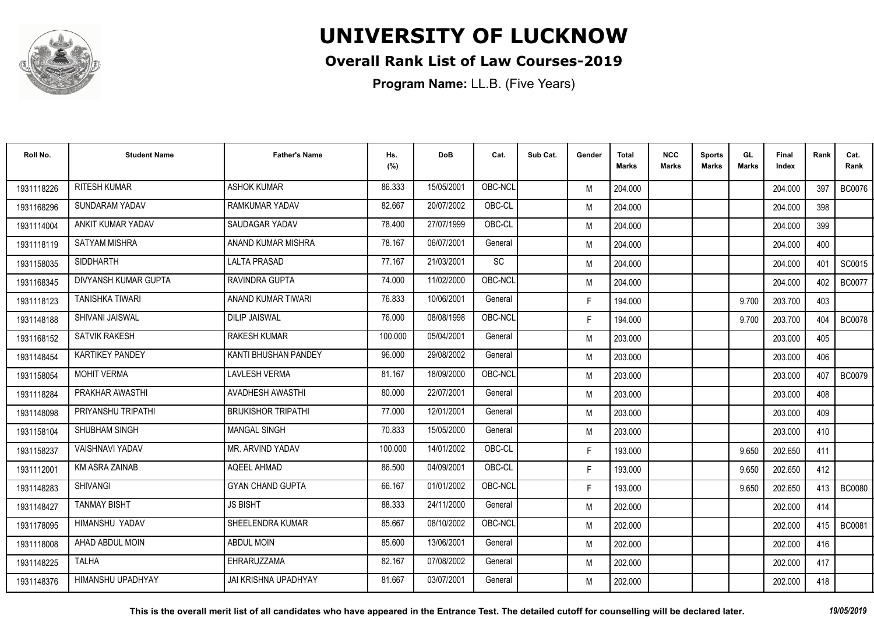

#### **Overall Rank List of Law Courses-2019**

| Roll No.   | <b>Student Name</b>    | <b>Father's Name</b>        | Hs.<br>(%) | <b>DoB</b> | Cat.    | Sub Cat. | Gender | <b>Total</b><br><b>Marks</b> | <b>NCC</b><br><b>Marks</b> | <b>Sports</b><br><b>Marks</b> | GL<br><b>Marks</b> | <b>Final</b><br>Index | Rank | Cat.<br>Rank  |
|------------|------------------------|-----------------------------|------------|------------|---------|----------|--------|------------------------------|----------------------------|-------------------------------|--------------------|-----------------------|------|---------------|
| 1931118226 | <b>RITESH KUMAR</b>    | <b>ASHOK KUMAR</b>          | 86.333     | 15/05/2001 | OBC-NCL |          | M      | 204.000                      |                            |                               |                    | 204.000               | 397  | <b>BC0076</b> |
| 1931168296 | <b>SUNDARAM YADAV</b>  | RAMKUMAR YADAV              | 82.667     | 20/07/2002 | OBC-CL  |          | M      | 204.000                      |                            |                               |                    | 204.000               | 398  |               |
| 1931114004 | ANKIT KUMAR YADAV      | SAUDAGAR YADAV              | 78.400     | 27/07/1999 | OBC-CL  |          | M      | 204.000                      |                            |                               |                    | 204.000               | 399  |               |
| 1931118119 | <b>SATYAM MISHRA</b>   | ANAND KUMAR MISHRA          | 78.167     | 06/07/2001 | General |          | M      | 204.000                      |                            |                               |                    | 204.000               | 400  |               |
| 1931158035 | <b>SIDDHARTH</b>       | <b>LALTA PRASAD</b>         | 77.167     | 21/03/2001 | SC      |          | M      | 204.000                      |                            |                               |                    | 204.000               | 401  | SC0015        |
| 1931168345 | DIVYANSH KUMAR GUPTA   | <b>RAVINDRA GUPTA</b>       | 74.000     | 11/02/2000 | OBC-NCL |          | M      | 204.000                      |                            |                               |                    | 204.000               | 402  | <b>BC0077</b> |
| 1931118123 | <b>TANISHKA TIWARI</b> | ANAND KUMAR TIWARI          | 76.833     | 10/06/2001 | General |          | F.     | 194.000                      |                            |                               | 9.700              | 203.700               | 403  |               |
| 1931148188 | SHIVANI JAISWAL        | <b>DILIP JAISWAL</b>        | 76.000     | 08/08/1998 | OBC-NCL |          | F.     | 194.000                      |                            |                               | 9.700              | 203.700               | 404  | <b>BC0078</b> |
| 1931168152 | <b>SATVIK RAKESH</b>   | <b>RAKESH KUMAR</b>         | 100.000    | 05/04/2001 | General |          | M      | 203.000                      |                            |                               |                    | 203.000               | 405  |               |
| 1931148454 | <b>KARTIKEY PANDEY</b> | KANTI BHUSHAN PANDEY        | 96.000     | 29/08/2002 | General |          | M      | 203.000                      |                            |                               |                    | 203.000               | 406  |               |
| 1931158054 | <b>MOHIT VERMA</b>     | <b>LAVLESH VERMA</b>        | 81.167     | 18/09/2000 | OBC-NCL |          | M      | 203.000                      |                            |                               |                    | 203.000               | 407  | <b>BC0079</b> |
| 1931118284 | PRAKHAR AWASTHI        | <b>AVADHESH AWASTHI</b>     | 80.000     | 22/07/2001 | General |          | M      | 203.000                      |                            |                               |                    | 203.000               | 408  |               |
| 1931148098 | PRIYANSHU TRIPATHI     | <b>BRIJKISHOR TRIPATHI</b>  | 77.000     | 12/01/2001 | General |          | M      | 203.000                      |                            |                               |                    | 203.000               | 409  |               |
| 1931158104 | SHUBHAM SINGH          | <b>MANGAL SINGH</b>         | 70.833     | 15/05/2000 | General |          | M      | 203.000                      |                            |                               |                    | 203.000               | 410  |               |
| 1931158237 | <b>VAISHNAVI YADAV</b> | MR. ARVIND YADAV            | 100.000    | 14/01/2002 | OBC-CL  |          | F.     | 193.000                      |                            |                               | 9.650              | 202.650               | 411  |               |
| 1931112001 | KM ASRA ZAINAB         | AQEEL AHMAD                 | 86.500     | 04/09/2001 | OBC-CL  |          | F.     | 193.000                      |                            |                               | 9.650              | 202.650               | 412  |               |
| 1931148283 | <b>SHIVANGI</b>        | <b>GYAN CHAND GUPTA</b>     | 66.167     | 01/01/2002 | OBC-NCL |          | F.     | 193.000                      |                            |                               | 9.650              | 202.650               | 413  | <b>BC0080</b> |
| 1931148427 | <b>TANMAY BISHT</b>    | <b>JS BISHT</b>             | 88.333     | 24/11/2000 | General |          | M      | 202.000                      |                            |                               |                    | 202.000               | 414  |               |
| 1931178095 | HIMANSHU YADAV         | SHEELENDRA KUMAR            | 85.667     | 08/10/2002 | OBC-NCL |          | M      | 202.000                      |                            |                               |                    | 202.000               | 415  | <b>BC0081</b> |
| 1931118008 | AHAD ABDUL MOIN        | <b>ABDUL MOIN</b>           | 85.600     | 13/06/2001 | General |          | M      | 202.000                      |                            |                               |                    | 202.000               | 416  |               |
| 1931148225 | <b>TALHA</b>           | EHRARUZZAMA                 | 82.167     | 07/08/2002 | General |          | M      | 202.000                      |                            |                               |                    | 202.000               | 417  |               |
| 1931148376 | HIMANSHU UPADHYAY      | <b>JAI KRISHNA UPADHYAY</b> | 81.667     | 03/07/2001 | General |          | M      | 202.000                      |                            |                               |                    | 202.000               | 418  |               |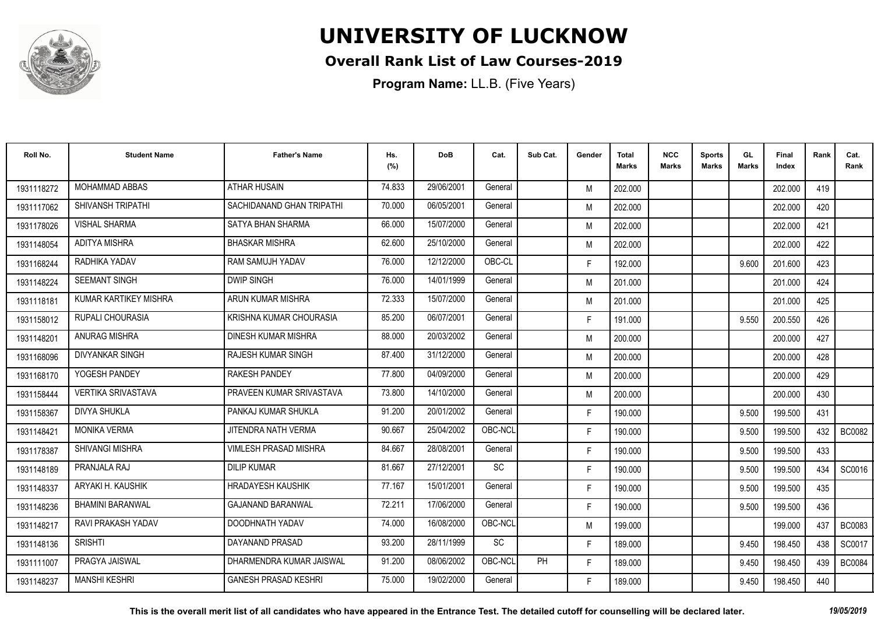

#### **Overall Rank List of Law Courses-2019**

**Program Name:** LL.B. (Five Years)

| Roll No.   | <b>Student Name</b>       | <b>Father's Name</b>         | Hs.<br>(%) | <b>DoB</b> | Cat.      | Sub Cat.  | Gender | <b>Total</b><br><b>Marks</b> | <b>NCC</b><br><b>Marks</b> | <b>Sports</b><br><b>Marks</b> | GL<br><b>Marks</b> | <b>Final</b><br>Index | Rank | Cat.<br>Rank  |
|------------|---------------------------|------------------------------|------------|------------|-----------|-----------|--------|------------------------------|----------------------------|-------------------------------|--------------------|-----------------------|------|---------------|
| 1931118272 | <b>MOHAMMAD ABBAS</b>     | <b>ATHAR HUSAIN</b>          | 74.833     | 29/06/2001 | General   |           | M      | 202.000                      |                            |                               |                    | 202.000               | 419  |               |
| 1931117062 | SHIVANSH TRIPATHI         | SACHIDANAND GHAN TRIPATHI    | 70.000     | 06/05/2001 | General   |           | M      | 202.000                      |                            |                               |                    | 202.000               | 420  |               |
| 1931178026 | <b>VISHAL SHARMA</b>      | SATYA BHAN SHARMA            | 66.000     | 15/07/2000 | General   |           | M      | 202.000                      |                            |                               |                    | 202.000               | 421  |               |
| 1931148054 | <b>ADITYA MISHRA</b>      | <b>BHASKAR MISHRA</b>        | 62.600     | 25/10/2000 | General   |           | M      | 202.000                      |                            |                               |                    | 202.000               | 422  |               |
| 1931168244 | RADHIKA YADAV             | <b>RAM SAMUJH YADAV</b>      | 76.000     | 12/12/2000 | OBC-CL    |           | F.     | 192.000                      |                            |                               | 9.600              | 201.600               | 423  |               |
| 1931148224 | <b>SEEMANT SINGH</b>      | <b>DWIP SINGH</b>            | 76.000     | 14/01/1999 | General   |           | M      | 201.000                      |                            |                               |                    | 201.000               | 424  |               |
| 1931118181 | KUMAR KARTIKEY MISHRA     | ARUN KUMAR MISHRA            | 72.333     | 15/07/2000 | General   |           | M      | 201.000                      |                            |                               |                    | 201.000               | 425  |               |
| 1931158012 | RUPALI CHOURASIA          | KRISHNA KUMAR CHOURASIA      | 85.200     | 06/07/2001 | General   |           | F.     | 191.000                      |                            |                               | 9.550              | 200.550               | 426  |               |
| 1931148201 | ANURAG MISHRA             | DINESH KUMAR MISHRA          | 88.000     | 20/03/2002 | General   |           | M      | 200.000                      |                            |                               |                    | 200.000               | 427  |               |
| 1931168096 | <b>DIVYANKAR SINGH</b>    | RAJESH KUMAR SINGH           | 87.400     | 31/12/2000 | General   |           | M      | 200.000                      |                            |                               |                    | 200.000               | 428  |               |
| 1931168170 | YOGESH PANDEY             | <b>RAKESH PANDEY</b>         | 77.800     | 04/09/2000 | General   |           | M      | 200.000                      |                            |                               |                    | 200.000               | 429  |               |
| 1931158444 | <b>VERTIKA SRIVASTAVA</b> | PRAVEEN KUMAR SRIVASTAVA     | 73.800     | 14/10/2000 | General   |           | M      | 200.000                      |                            |                               |                    | 200.000               | 430  |               |
| 1931158367 | <b>DIVYA SHUKLA</b>       | PANKAJ KUMAR SHUKLA          | 91.200     | 20/01/2002 | General   |           | F.     | 190.000                      |                            |                               | 9.500              | 199.500               | 431  |               |
| 1931148421 | <b>MONIKA VERMA</b>       | JITENDRA NATH VERMA          | 90.667     | 25/04/2002 | OBC-NCL   |           | F.     | 190.000                      |                            |                               | 9.500              | 199.500               | 432  | <b>BC0082</b> |
| 1931178387 | <b>SHIVANGI MISHRA</b>    | <b>VIMLESH PRASAD MISHRA</b> | 84.667     | 28/08/2001 | General   |           | F.     | 190.000                      |                            |                               | 9.500              | 199.500               | 433  |               |
| 1931148189 | PRANJALA RAJ              | <b>DILIP KUMAR</b>           | 81.667     | 27/12/2001 | <b>SC</b> |           | F.     | 190.000                      |                            |                               | 9.500              | 199.500               | 434  | SC0016        |
| 1931148337 | ARYAKI H. KAUSHIK         | <b>HRADAYESH KAUSHIK</b>     | 77.167     | 15/01/2001 | General   |           | F.     | 190.000                      |                            |                               | 9.500              | 199.500               | 435  |               |
| 1931148236 | BHAMINI BARANWAL          | <b>GAJANAND BARANWAL</b>     | 72.211     | 17/06/2000 | General   |           | F.     | 190.000                      |                            |                               | 9.500              | 199.500               | 436  |               |
| 1931148217 | RAVI PRAKASH YADAV        | DOODHNATH YADAV              | 74.000     | 16/08/2000 | OBC-NCL   |           | M      | 199.000                      |                            |                               |                    | 199.000               | 437  | <b>BC0083</b> |
| 1931148136 | <b>SRISHTI</b>            | DAYANAND PRASAD              | 93.200     | 28/11/1999 | <b>SC</b> |           | F.     | 189.000                      |                            |                               | 9.450              | 198.450               | 438  | SC0017        |
| 1931111007 | PRAGYA JAISWAL            | DHARMENDRA KUMAR JAISWAL     | 91.200     | 08/06/2002 | OBC-NCL   | <b>PH</b> | F.     | 189.000                      |                            |                               | 9.450              | 198.450               | 439  | <b>BC0084</b> |
| 1931148237 | <b>MANSHI KESHRI</b>      | <b>GANESH PRASAD KESHRI</b>  | 75.000     | 19/02/2000 | General   |           | F.     | 189.000                      |                            |                               | 9.450              | 198.450               | 440  |               |

**This is the overall merit list of all candidates who have appeared in the Entrance Test. The detailed cutoff for counselling will be declared later.** *19/05/2019*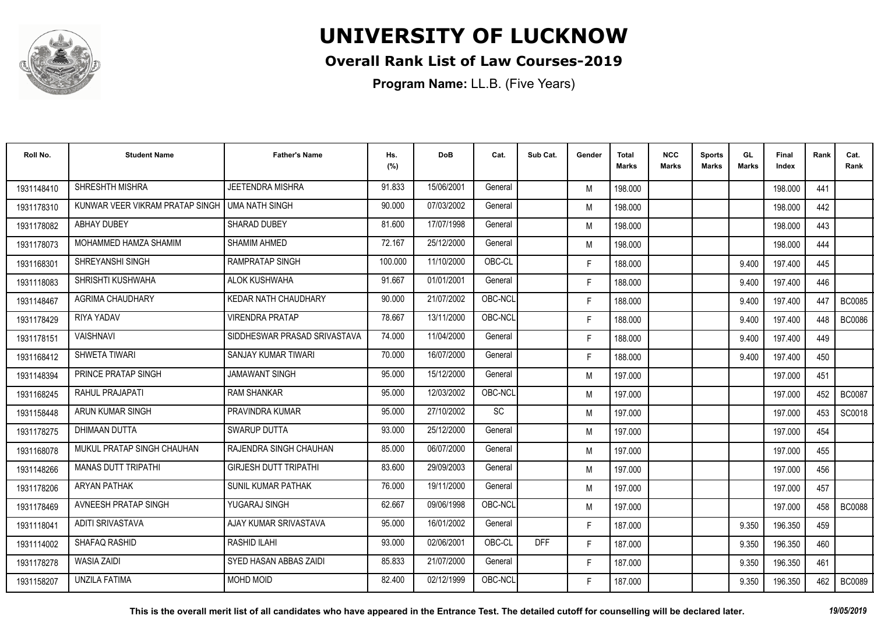

#### **Overall Rank List of Law Courses-2019**

| Roll No.   | <b>Student Name</b>             | <b>Father's Name</b>         | Hs.<br>(%) | <b>DoB</b> | Cat.    | Sub Cat.   | Gender | Total<br>Marks | <b>NCC</b><br>Marks | <b>Sports</b><br><b>Marks</b> | GL<br><b>Marks</b> | <b>Final</b><br>Index | Rank | Cat.<br>Rank  |
|------------|---------------------------------|------------------------------|------------|------------|---------|------------|--------|----------------|---------------------|-------------------------------|--------------------|-----------------------|------|---------------|
| 1931148410 | SHRESHTH MISHRA                 | JEETENDRA MISHRA             | 91.833     | 15/06/2001 | General |            | M      | 198.000        |                     |                               |                    | 198.000               | 441  |               |
| 1931178310 | KUNWAR VEER VIKRAM PRATAP SINGH | <b>UMA NATH SINGH</b>        | 90.000     | 07/03/2002 | General |            | M      | 198.000        |                     |                               |                    | 198.000               | 442  |               |
| 1931178082 | <b>ABHAY DUBEY</b>              | SHARAD DUBEY                 | 81.600     | 17/07/1998 | General |            | M      | 198.000        |                     |                               |                    | 198.000               | 443  |               |
| 1931178073 | MOHAMMED HAMZA SHAMIM           | <b>SHAMIM AHMED</b>          | 72.167     | 25/12/2000 | General |            | M      | 198.000        |                     |                               |                    | 198.000               | 444  |               |
| 1931168301 | <b>SHREYANSHI SINGH</b>         | <b>RAMPRATAP SINGH</b>       | 100.000    | 11/10/2000 | OBC-CL  |            | F.     | 188.000        |                     |                               | 9.400              | 197.400               | 445  |               |
| 1931118083 | SHRISHTI KUSHWAHA               | ALOK KUSHWAHA                | 91.667     | 01/01/2001 | General |            | F.     | 188.000        |                     |                               | 9.400              | 197.400               | 446  |               |
| 1931148467 | <b>AGRIMA CHAUDHARY</b>         | KEDAR NATH CHAUDHARY         | 90.000     | 21/07/2002 | OBC-NCL |            | F.     | 188.000        |                     |                               | 9.400              | 197.400               | 447  | <b>BC0085</b> |
| 1931178429 | RIYA YADAV                      | <b>VIRENDRA PRATAP</b>       | 78.667     | 13/11/2000 | OBC-NCL |            | F.     | 188.000        |                     |                               | 9.400              | 197.400               | 448  | BC0086        |
| 1931178151 | <b>VAISHNAVI</b>                | SIDDHESWAR PRASAD SRIVASTAVA | 74.000     | 11/04/2000 | General |            | F.     | 188.000        |                     |                               | 9.400              | 197.400               | 449  |               |
| 1931168412 | SHWETA TIWARI                   | SANJAY KUMAR TIWARI          | 70.000     | 16/07/2000 | General |            | F.     | 188.000        |                     |                               | 9.400              | 197.400               | 450  |               |
| 1931148394 | <b>PRINCE PRATAP SINGH</b>      | <b>JAMAWANT SINGH</b>        | 95.000     | 15/12/2000 | General |            | M      | 197.000        |                     |                               |                    | 197.000               | 451  |               |
| 1931168245 | RAHUL PRAJAPATI                 | <b>RAM SHANKAR</b>           | 95.000     | 12/03/2002 | OBC-NCL |            | M      | 197.000        |                     |                               |                    | 197.000               | 452  | <b>BC0087</b> |
| 1931158448 | ARUN KUMAR SINGH                | PRAVINDRA KUMAR              | 95.000     | 27/10/2002 | SC      |            | M      | 197.000        |                     |                               |                    | 197.000               | 453  | SC0018        |
| 1931178275 | <b>DHIMAAN DUTTA</b>            | <b>SWARUP DUTTA</b>          | 93.000     | 25/12/2000 | General |            | M      | 197.000        |                     |                               |                    | 197.000               | 454  |               |
| 1931168078 | MUKUL PRATAP SINGH CHAUHAN      | RAJENDRA SINGH CHAUHAN       | 85.000     | 06/07/2000 | General |            | M      | 197.000        |                     |                               |                    | 197.000               | 455  |               |
| 1931148266 | <b>MANAS DUTT TRIPATHI</b>      | <b>GIRJESH DUTT TRIPATHI</b> | 83.600     | 29/09/2003 | General |            | M      | 197.000        |                     |                               |                    | 197.000               | 456  |               |
| 1931178206 | <b>ARYAN PATHAK</b>             | <b>SUNIL KUMAR PATHAK</b>    | 76.000     | 19/11/2000 | General |            | M      | 197.000        |                     |                               |                    | 197.000               | 457  |               |
| 1931178469 | AVNEESH PRATAP SINGH            | YUGARAJ SINGH                | 62.667     | 09/06/1998 | OBC-NCL |            | M      | 197.000        |                     |                               |                    | 197.000               | 458  | <b>BC0088</b> |
| 1931118041 | ADITI SRIVASTAVA                | AJAY KUMAR SRIVASTAVA        | 95.000     | 16/01/2002 | General |            | F.     | 187.000        |                     |                               | 9.350              | 196.350               | 459  |               |
| 1931114002 | <b>SHAFAQ RASHID</b>            | <b>RASHID ILAHI</b>          | 93.000     | 02/06/2001 | OBC-CL  | <b>DFF</b> | F.     | 187.000        |                     |                               | 9.350              | 196.350               | 460  |               |
| 1931178278 | <b>WASIA ZAIDI</b>              | SYED HASAN ABBAS ZAIDI       | 85.833     | 21/07/2000 | General |            | F.     | 187.000        |                     |                               | 9.350              | 196.350               | 461  |               |
| 1931158207 | <b>UNZILA FATIMA</b>            | <b>MOHD MOID</b>             | 82.400     | 02/12/1999 | OBC-NCL |            | F.     | 187.000        |                     |                               | 9.350              | 196.350               | 462  | <b>BC0089</b> |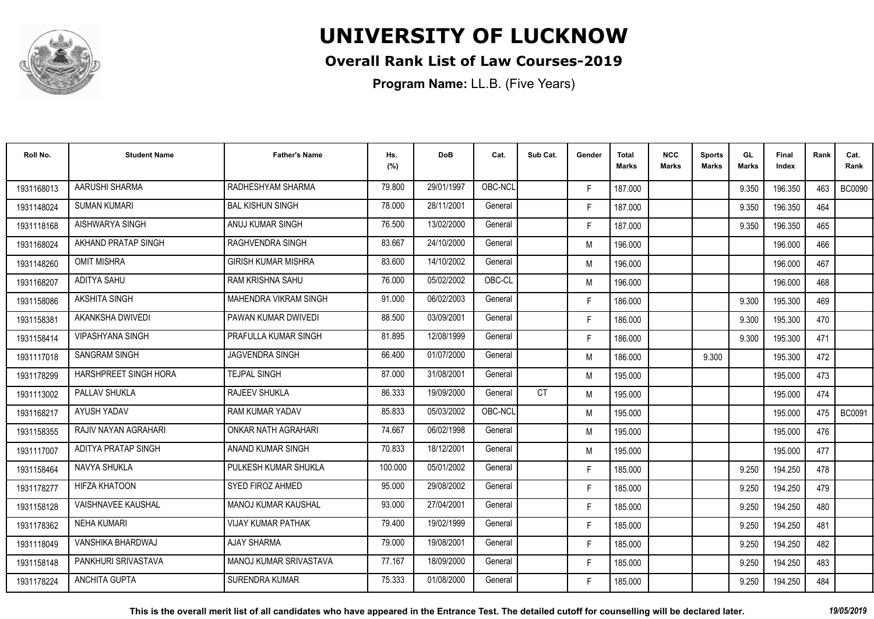

#### **Overall Rank List of Law Courses-2019**

| Roll No.   | <b>Student Name</b>       | <b>Father's Name</b>          | Hs.<br>(%) | <b>DoB</b> | Cat.    | Sub Cat.  | Gender | <b>Total</b><br><b>Marks</b> | <b>NCC</b><br><b>Marks</b> | <b>Sports</b><br><b>Marks</b> | GL<br><b>Marks</b> | <b>Final</b><br>Index | Rank | Cat.<br>Rank  |
|------------|---------------------------|-------------------------------|------------|------------|---------|-----------|--------|------------------------------|----------------------------|-------------------------------|--------------------|-----------------------|------|---------------|
| 1931168013 | AARUSHI SHARMA            | RADHESHYAM SHARMA             | 79.800     | 29/01/1997 | OBC-NCL |           | F.     | 187.000                      |                            |                               | 9.350              | 196.350               | 463  | <b>BC0090</b> |
| 1931148024 | <b>SUMAN KUMARI</b>       | <b>BAL KISHUN SINGH</b>       | 78.000     | 28/11/2001 | General |           | F.     | 187.000                      |                            |                               | 9.350              | 196.350               | 464  |               |
| 1931118168 | AISHWARYA SINGH           | ANUJ KUMAR SINGH              | 76.500     | 13/02/2000 | General |           | F.     | 187.000                      |                            |                               | 9.350              | 196.350               | 465  |               |
| 1931168024 | AKHAND PRATAP SINGH       | <b>RAGHVENDRA SINGH</b>       | 83.667     | 24/10/2000 | General |           | M      | 196.000                      |                            |                               |                    | 196.000               | 466  |               |
| 1931148260 | <b>OMIT MISHRA</b>        | <b>GIRISH KUMAR MISHRA</b>    | 83.600     | 14/10/2002 | General |           | M      | 196.000                      |                            |                               |                    | 196.000               | 467  |               |
| 1931168207 | ADITYA SAHU               | <b>RAM KRISHNA SAHU</b>       | 76.000     | 05/02/2002 | OBC-CL  |           | M      | 196.000                      |                            |                               |                    | 196.000               | 468  |               |
| 1931158086 | <b>AKSHITA SINGH</b>      | <b>MAHENDRA VIKRAM SINGH</b>  | 91.000     | 06/02/2003 | General |           | F.     | 186.000                      |                            |                               | 9.300              | 195.300               | 469  |               |
| 1931158381 | AKANKSHA DWIVEDI          | PAWAN KUMAR DWIVEDI           | 88.500     | 03/09/2001 | General |           | F.     | 186.000                      |                            |                               | 9.300              | 195.300               | 470  |               |
| 1931158414 | <b>VIPASHYANA SINGH</b>   | PRAFULLA KUMAR SINGH          | 81.895     | 12/08/1999 | General |           | F.     | 186.000                      |                            |                               | 9.300              | 195.300               | 471  |               |
| 1931117018 | <b>SANGRAM SINGH</b>      | <b>JAGVENDRA SINGH</b>        | 66.400     | 01/07/2000 | General |           | M      | 186.000                      |                            | 9.300                         |                    | 195.300               | 472  |               |
| 1931178299 | HARSHPREET SINGH HORA     | <b>TEJPAL SINGH</b>           | 87.000     | 31/08/2001 | General |           | M      | 195.000                      |                            |                               |                    | 195.000               | 473  |               |
| 1931113002 | PALLAV SHUKLA             | RAJEEV SHUKLA                 | 86.333     | 19/09/2000 | General | <b>CT</b> | M      | 195.000                      |                            |                               |                    | 195.000               | 474  |               |
| 1931168217 | AYUSH YADAV               | <b>RAM KUMAR YADAV</b>        | 85.833     | 05/03/2002 | OBC-NCL |           | M      | 195.000                      |                            |                               |                    | 195.000               | 475  | <b>BC0091</b> |
| 1931158355 | RAJIV NAYAN AGRAHARI      | ONKAR NATH AGRAHARI           | 74.667     | 06/02/1998 | General |           | M      | 195.000                      |                            |                               |                    | 195.000               | 476  |               |
| 1931117007 | ADITYA PRATAP SINGH       | ANAND KUMAR SINGH             | 70.833     | 18/12/2001 | General |           | M      | 195.000                      |                            |                               |                    | 195.000               | 477  |               |
| 1931158464 | NAVYA SHUKLA              | PULKESH KUMAR SHUKLA          | 100.000    | 05/01/2002 | General |           | F.     | 185.000                      |                            |                               | 9.250              | 194.250               | 478  |               |
| 1931178277 | <b>HIFZA KHATOON</b>      | SYED FIROZ AHMED              | 95.000     | 29/08/2002 | General |           | F.     | 185.000                      |                            |                               | 9.250              | 194.250               | 479  |               |
| 1931158128 | <b>VAISHNAVEE KAUSHAL</b> | <b>MANOJ KUMAR KAUSHAL</b>    | 93.000     | 27/04/2001 | General |           | F.     | 185.000                      |                            |                               | 9.250              | 194.250               | 480  |               |
| 1931178362 | <b>NEHA KUMARI</b>        | <b>VIJAY KUMAR PATHAK</b>     | 79.400     | 19/02/1999 | General |           | F.     | 185.000                      |                            |                               | 9.250              | 194.250               | 481  |               |
| 1931118049 | VANSHIKA BHARDWAJ         | <b>AJAY SHARMA</b>            | 79.000     | 19/08/2001 | General |           | F.     | 185.000                      |                            |                               | 9.250              | 194.250               | 482  |               |
| 1931158148 | PANKHURI SRIVASTAVA       | <b>MANOJ KUMAR SRIVASTAVA</b> | 77.167     | 18/09/2000 | General |           | F.     | 185.000                      |                            |                               | 9.250              | 194.250               | 483  |               |
| 1931178224 | <b>ANCHITA GUPTA</b>      | <b>SURENDRA KUMAR</b>         | 75.333     | 01/08/2000 | General |           | F.     | 185.000                      |                            |                               | 9.250              | 194.250               | 484  |               |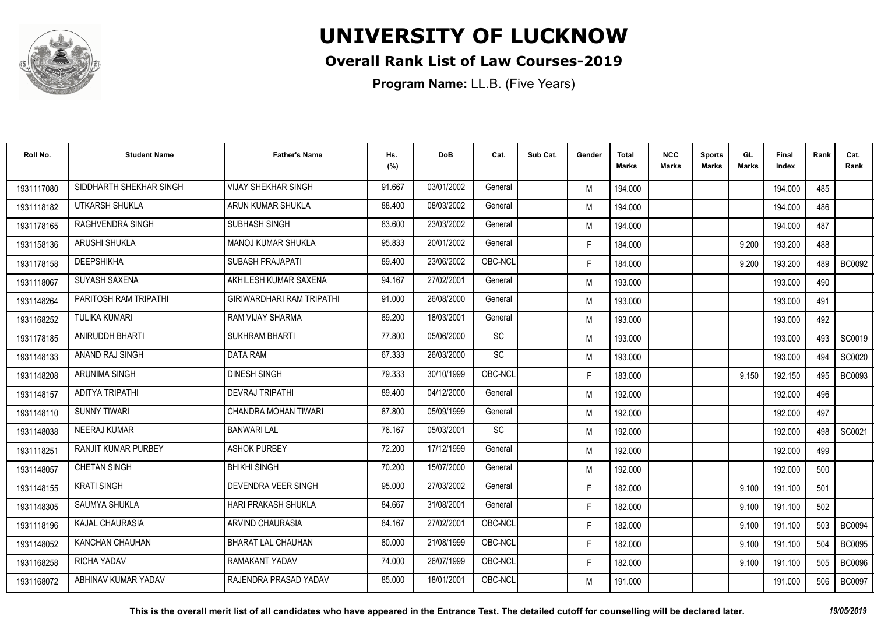

#### **Overall Rank List of Law Courses-2019**

| Roll No.   | <b>Student Name</b>     | <b>Father's Name</b>             | Hs.<br>(%) | <b>DoB</b> | Cat.    | Sub Cat. | Gender | Total<br>Marks | <b>NCC</b><br>Marks | <b>Sports</b><br><b>Marks</b> | GL<br><b>Marks</b> | <b>Final</b><br>Index | Rank | Cat.<br>Rank  |
|------------|-------------------------|----------------------------------|------------|------------|---------|----------|--------|----------------|---------------------|-------------------------------|--------------------|-----------------------|------|---------------|
| 1931117080 | SIDDHARTH SHEKHAR SINGH | <b>VIJAY SHEKHAR SINGH</b>       | 91.667     | 03/01/2002 | General |          | M      | 194.000        |                     |                               |                    | 194.000               | 485  |               |
| 1931118182 | UTKARSH SHUKLA          | ARUN KUMAR SHUKLA                | 88.400     | 08/03/2002 | General |          | M      | 194.000        |                     |                               |                    | 194.000               | 486  |               |
| 1931178165 | <b>RAGHVENDRA SINGH</b> | SUBHASH SINGH                    | 83.600     | 23/03/2002 | General |          | M      | 194.000        |                     |                               |                    | 194.000               | 487  |               |
| 1931158136 | ARUSHI SHUKLA           | <b>MANOJ KUMAR SHUKLA</b>        | 95.833     | 20/01/2002 | General |          | F.     | 184.000        |                     |                               | 9.200              | 193.200               | 488  |               |
| 1931178158 | <b>DEEPSHIKHA</b>       | <b>SUBASH PRAJAPATI</b>          | 89.400     | 23/06/2002 | OBC-NCL |          | F.     | 184.000        |                     |                               | 9.200              | 193.200               | 489  | <b>BC0092</b> |
| 1931118067 | <b>SUYASH SAXENA</b>    | AKHILESH KUMAR SAXENA            | 94.167     | 27/02/2001 | General |          | M      | 193.000        |                     |                               |                    | 193.000               | 490  |               |
| 1931148264 | PARITOSH RAM TRIPATHI   | <b>GIRIWARDHARI RAM TRIPATHI</b> | 91.000     | 26/08/2000 | General |          | M      | 193.000        |                     |                               |                    | 193.000               | 491  |               |
| 1931168252 | <b>TULIKA KUMARI</b>    | <b>RAM VIJAY SHARMA</b>          | 89.200     | 18/03/2001 | General |          | M      | 193.000        |                     |                               |                    | 193.000               | 492  |               |
| 1931178185 | ANIRUDDH BHARTI         | <b>SUKHRAM BHARTI</b>            | 77.800     | 05/06/2000 | SC      |          | M      | 193.000        |                     |                               |                    | 193.000               | 493  | SC0019        |
| 1931148133 | ANAND RAJ SINGH         | <b>DATA RAM</b>                  | 67.333     | 26/03/2000 | SC      |          | M      | 193.000        |                     |                               |                    | 193.000               | 494  | SC0020        |
| 1931148208 | ARUNIMA SINGH           | <b>DINESH SINGH</b>              | 79.333     | 30/10/1999 | OBC-NCL |          | F.     | 183.000        |                     |                               | 9.150              | 192.150               | 495  | <b>BC0093</b> |
| 1931148157 | ADITYA TRIPATHI         | <b>DEVRAJ TRIPATHI</b>           | 89.400     | 04/12/2000 | General |          | M      | 192.000        |                     |                               |                    | 192.000               | 496  |               |
| 1931148110 | <b>SUNNY TIWARI</b>     | CHANDRA MOHAN TIWARI             | 87.800     | 05/09/1999 | General |          | M      | 192.000        |                     |                               |                    | 192.000               | 497  |               |
| 1931148038 | <b>NEERAJ KUMAR</b>     | <b>BANWARI LAL</b>               | 76.167     | 05/03/2001 | SC      |          | M      | 192.000        |                     |                               |                    | 192.000               | 498  | SC0021        |
| 1931118251 | RANJIT KUMAR PURBEY     | <b>ASHOK PURBEY</b>              | 72.200     | 17/12/1999 | General |          | M      | 192.000        |                     |                               |                    | 192.000               | 499  |               |
| 1931148057 | <b>CHETAN SINGH</b>     | <b>BHIKHI SINGH</b>              | 70.200     | 15/07/2000 | General |          | M      | 192.000        |                     |                               |                    | 192.000               | 500  |               |
| 1931148155 | <b>KRATI SINGH</b>      | <b>DEVENDRA VEER SINGH</b>       | 95.000     | 27/03/2002 | General |          | F.     | 182.000        |                     |                               | 9.100              | 191.100               | 501  |               |
| 1931148305 | SAUMYA SHUKLA           | <b>HARI PRAKASH SHUKLA</b>       | 84.667     | 31/08/2001 | General |          | F.     | 182.000        |                     |                               | 9.100              | 191.100               | 502  |               |
| 1931118196 | <b>KAJAL CHAURASIA</b>  | ARVIND CHAURASIA                 | 84.167     | 27/02/2001 | OBC-NCL |          | F.     | 182.000        |                     |                               | 9.100              | 191.100               | 503  | <b>BC0094</b> |
| 1931148052 | KANCHAN CHAUHAN         | <b>BHARAT LAL CHAUHAN</b>        | 80.000     | 21/08/1999 | OBC-NCL |          | F.     | 182.000        |                     |                               | 9.100              | 191.100               | 504  | <b>BC0095</b> |
| 1931168258 | <b>RICHA YADAV</b>      | <b>RAMAKANT YADAV</b>            | 74.000     | 26/07/1999 | OBC-NCL |          | F.     | 182.000        |                     |                               | 9.100              | 191.100               | 505  | <b>BC0096</b> |
| 1931168072 | ABHINAV KUMAR YADAV     | RAJENDRA PRASAD YADAV            | 85.000     | 18/01/2001 | OBC-NCL |          | M      | 191.000        |                     |                               |                    | 191.000               | 506  | <b>BC0097</b> |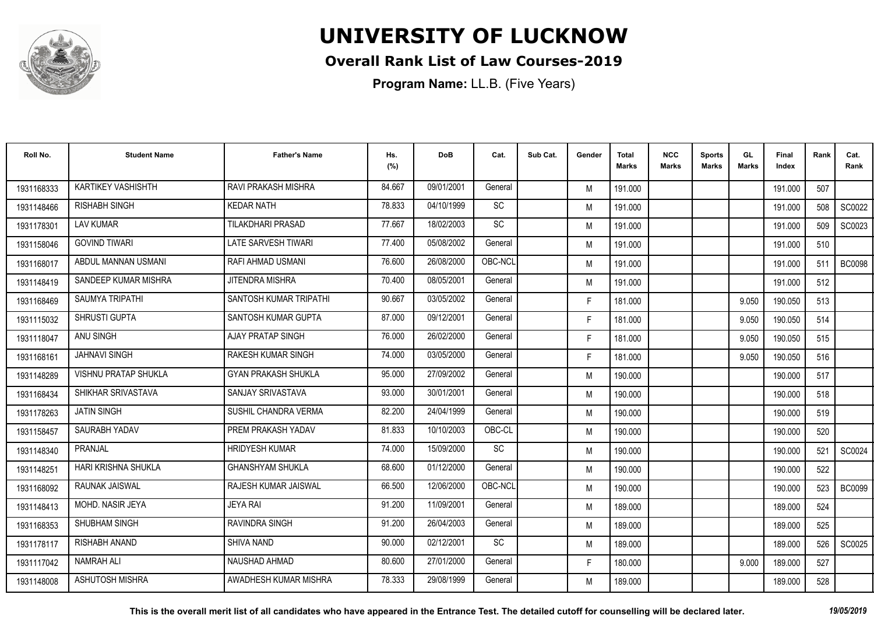

#### **Overall Rank List of Law Courses-2019**

| Roll No.   | <b>Student Name</b>         | <b>Father's Name</b>       | Hs.<br>(%) | <b>DoB</b> | Cat.      | Sub Cat. | Gender | Total<br>Marks | <b>NCC</b><br>Marks | <b>Sports</b><br><b>Marks</b> | GL<br><b>Marks</b> | <b>Final</b><br>Index | Rank | Cat.<br>Rank  |
|------------|-----------------------------|----------------------------|------------|------------|-----------|----------|--------|----------------|---------------------|-------------------------------|--------------------|-----------------------|------|---------------|
| 1931168333 | KARTIKEY VASHISHTH          | RAVI PRAKASH MISHRA        | 84.667     | 09/01/2001 | General   |          | M      | 191.000        |                     |                               |                    | 191.000               | 507  |               |
| 1931148466 | <b>RISHABH SINGH</b>        | <b>KEDAR NATH</b>          | 78.833     | 04/10/1999 | SC        |          | M      | 191.000        |                     |                               |                    | 191.000               | 508  | SC0022        |
| 1931178301 | <b>LAV KUMAR</b>            | <b>TILAKDHARI PRASAD</b>   | 77.667     | 18/02/2003 | <b>SC</b> |          | M      | 191.000        |                     |                               |                    | 191.000               | 509  | SC0023        |
| 1931158046 | <b>GOVIND TIWARI</b>        | LATE SARVESH TIWARI        | 77.400     | 05/08/2002 | General   |          | M      | 191.000        |                     |                               |                    | 191.000               | 510  |               |
| 1931168017 | ABDUL MANNAN USMANI         | RAFI AHMAD USMANI          | 76.600     | 26/08/2000 | OBC-NCL   |          | M      | 191.000        |                     |                               |                    | 191.000               | 511  | <b>BC0098</b> |
| 1931148419 | SANDEEP KUMAR MISHRA        | JITENDRA MISHRA            | 70.400     | 08/05/2001 | General   |          | M      | 191.000        |                     |                               |                    | 191.000               | 512  |               |
| 1931168469 | <b>SAUMYA TRIPATHI</b>      | SANTOSH KUMAR TRIPATHI     | 90.667     | 03/05/2002 | General   |          | F      | 181.000        |                     |                               | 9.050              | 190.050               | 513  |               |
| 1931115032 | SHRUSTI GUPTA               | SANTOSH KUMAR GUPTA        | 87.000     | 09/12/2001 | General   |          | F.     | 181.000        |                     |                               | 9.050              | 190.050               | 514  |               |
| 1931118047 | ANU SINGH                   | <b>AJAY PRATAP SINGH</b>   | 76.000     | 26/02/2000 | General   |          | F.     | 181.000        |                     |                               | 9.050              | 190.050               | 515  |               |
| 1931168161 | <b>JAHNAVI SINGH</b>        | <b>RAKESH KUMAR SINGH</b>  | 74.000     | 03/05/2000 | General   |          | F.     | 181.000        |                     |                               | 9.050              | 190.050               | 516  |               |
| 1931148289 | <b>VISHNU PRATAP SHUKLA</b> | <b>GYAN PRAKASH SHUKLA</b> | 95.000     | 27/09/2002 | General   |          | M      | 190.000        |                     |                               |                    | 190.000               | 517  |               |
| 1931168434 | SHIKHAR SRIVASTAVA          | SANJAY SRIVASTAVA          | 93.000     | 30/01/2001 | General   |          | M      | 190.000        |                     |                               |                    | 190.000               | 518  |               |
| 1931178263 | <b>JATIN SINGH</b>          | SUSHIL CHANDRA VERMA       | 82.200     | 24/04/1999 | General   |          | M      | 190.000        |                     |                               |                    | 190.000               | 519  |               |
| 1931158457 | SAURABH YADAV               | PREM PRAKASH YADAV         | 81.833     | 10/10/2003 | OBC-CL    |          | M      | 190.000        |                     |                               |                    | 190.000               | 520  |               |
| 1931148340 | PRANJAL                     | <b>HRIDYESH KUMAR</b>      | 74.000     | 15/09/2000 | <b>SC</b> |          | M      | 190.000        |                     |                               |                    | 190.000               | 521  | SC0024        |
| 1931148251 | HARI KRISHNA SHUKLA         | <b>GHANSHYAM SHUKLA</b>    | 68.600     | 01/12/2000 | General   |          | M      | 190.000        |                     |                               |                    | 190.000               | 522  |               |
| 1931168092 | RAUNAK JAISWAL              | RAJESH KUMAR JAISWAL       | 66.500     | 12/06/2000 | OBC-NCL   |          | M      | 190.000        |                     |                               |                    | 190.000               | 523  | <b>BC0099</b> |
| 1931148413 | MOHD. NASIR JEYA            | <b>JEYA RAI</b>            | 91.200     | 11/09/2001 | General   |          | M      | 189.000        |                     |                               |                    | 189.000               | 524  |               |
| 1931168353 | SHUBHAM SINGH               | RAVINDRA SINGH             | 91.200     | 26/04/2003 | General   |          | M      | 189.000        |                     |                               |                    | 189.000               | 525  |               |
| 1931178117 | <b>RISHABH ANAND</b>        | <b>SHIVA NAND</b>          | 90.000     | 02/12/2001 | SC        |          | M      | 189.000        |                     |                               |                    | 189.000               | 526  | SC0025        |
| 1931117042 | <b>NAMRAH ALI</b>           | NAUSHAD AHMAD              | 80.600     | 27/01/2000 | General   |          | F.     | 180.000        |                     |                               | 9.000              | 189.000               | 527  |               |
| 1931148008 | ASHUTOSH MISHRA             | AWADHESH KUMAR MISHRA      | 78.333     | 29/08/1999 | General   |          | M      | 189.000        |                     |                               |                    | 189.000               | 528  |               |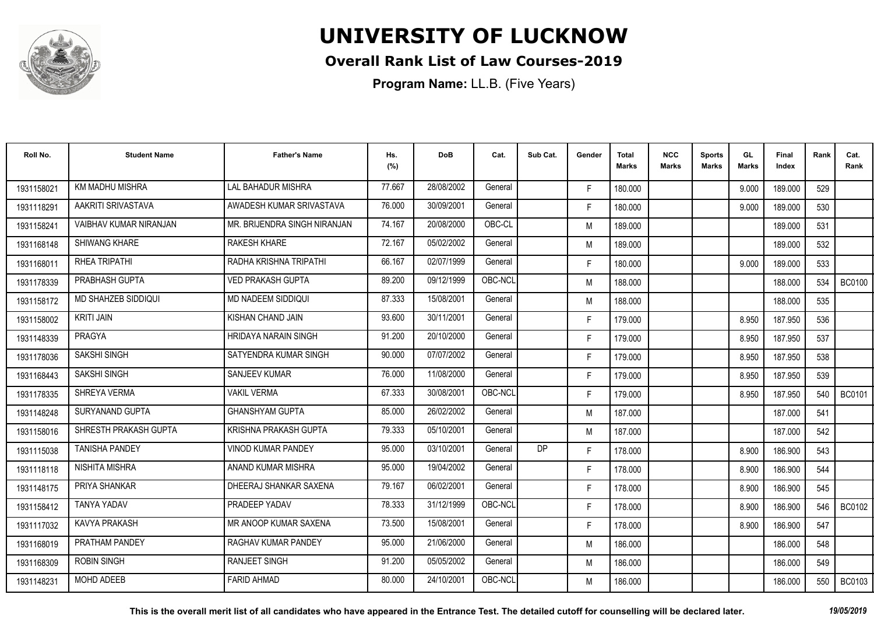

#### **Overall Rank List of Law Courses-2019**

| Roll No.   | <b>Student Name</b>    | <b>Father's Name</b>         | Hs.<br>(%) | <b>DoB</b> | Cat.    | Sub Cat.  | Gender | <b>Total</b><br>Marks | <b>NCC</b><br>Marks | <b>Sports</b><br><b>Marks</b> | GL<br><b>Marks</b> | Final<br>Index | Rank | Cat.<br>Rank  |
|------------|------------------------|------------------------------|------------|------------|---------|-----------|--------|-----------------------|---------------------|-------------------------------|--------------------|----------------|------|---------------|
| 1931158021 | KM MADHU MISHRA        | <b>LAL BAHADUR MISHRA</b>    | 77.667     | 28/08/2002 | General |           | F.     | 180.000               |                     |                               | 9.000              | 189.000        | 529  |               |
| 1931118291 | AAKRITI SRIVASTAVA     | AWADESH KUMAR SRIVASTAVA     | 76.000     | 30/09/2001 | General |           | F.     | 180.000               |                     |                               | 9.000              | 189.000        | 530  |               |
| 1931158241 | VAIBHAV KUMAR NIRANJAN | MR. BRIJENDRA SINGH NIRANJAN | 74.167     | 20/08/2000 | OBC-CL  |           | M      | 189.000               |                     |                               |                    | 189.000        | 531  |               |
| 1931168148 | <b>SHIWANG KHARE</b>   | <b>RAKESH KHARE</b>          | 72.167     | 05/02/2002 | General |           | M      | 189.000               |                     |                               |                    | 189.000        | 532  |               |
| 1931168011 | RHEA TRIPATHI          | RADHA KRISHNA TRIPATHI       | 66.167     | 02/07/1999 | General |           | F.     | 180.000               |                     |                               | 9.000              | 189.000        | 533  |               |
| 1931178339 | PRABHASH GUPTA         | <b>VED PRAKASH GUPTA</b>     | 89.200     | 09/12/1999 | OBC-NCL |           | M      | 188.000               |                     |                               |                    | 188.000        | 534  | <b>BC0100</b> |
| 1931158172 | MD SHAHZEB SIDDIQUI    | MD NADEEM SIDDIQUI           | 87.333     | 15/08/2001 | General |           | M      | 188.000               |                     |                               |                    | 188.000        | 535  |               |
| 1931158002 | <b>KRITI JAIN</b>      | KISHAN CHAND JAIN            | 93.600     | 30/11/2001 | General |           | F.     | 179.000               |                     |                               | 8.950              | 187.950        | 536  |               |
| 1931148339 | PRAGYA                 | <b>HRIDAYA NARAIN SINGH</b>  | 91.200     | 20/10/2000 | General |           | F.     | 179.000               |                     |                               | 8.950              | 187.950        | 537  |               |
| 1931178036 | SAKSHI SINGH           | SATYENDRA KUMAR SINGH        | 90.000     | 07/07/2002 | General |           | F.     | 179.000               |                     |                               | 8.950              | 187.950        | 538  |               |
| 1931168443 | SAKSHI SINGH           | <b>SANJEEV KUMAR</b>         | 76.000     | 11/08/2000 | General |           | F.     | 179.000               |                     |                               | 8.950              | 187.950        | 539  |               |
| 1931178335 | SHREYA VERMA           | <b>VAKIL VERMA</b>           | 67.333     | 30/08/2001 | OBC-NCL |           | F.     | 179.000               |                     |                               | 8.950              | 187.950        | 540  | <b>BC0101</b> |
| 1931148248 | SURYANAND GUPTA        | <b>GHANSHYAM GUPTA</b>       | 85.000     | 26/02/2002 | General |           | M      | 187.000               |                     |                               |                    | 187.000        | 541  |               |
| 1931158016 | SHRESTH PRAKASH GUPTA  | KRISHNA PRAKASH GUPTA        | 79.333     | 05/10/2001 | General |           | M      | 187.000               |                     |                               |                    | 187.000        | 542  |               |
| 1931115038 | <b>TANISHA PANDEY</b>  | <b>VINOD KUMAR PANDEY</b>    | 95.000     | 03/10/2001 | General | <b>DP</b> | F.     | 178.000               |                     |                               | 8.900              | 186.900        | 543  |               |
| 1931118118 | <b>NISHITA MISHRA</b>  | ANAND KUMAR MISHRA           | 95.000     | 19/04/2002 | General |           | F.     | 178.000               |                     |                               | 8.900              | 186.900        | 544  |               |
| 1931148175 | PRIYA SHANKAR          | DHEERAJ SHANKAR SAXENA       | 79.167     | 06/02/2001 | General |           | F.     | 178.000               |                     |                               | 8.900              | 186.900        | 545  |               |
| 1931158412 | <b>TANYA YADAV</b>     | PRADEEP YADAV                | 78.333     | 31/12/1999 | OBC-NCL |           | F.     | 178.000               |                     |                               | 8.900              | 186.900        | 546  | <b>BC0102</b> |
| 1931117032 | KAVYA PRAKASH          | MR ANOOP KUMAR SAXENA        | 73.500     | 15/08/2001 | General |           | F.     | 178.000               |                     |                               | 8.900              | 186.900        | 547  |               |
| 1931168019 | PRATHAM PANDEY         | RAGHAV KUMAR PANDEY          | 95.000     | 21/06/2000 | General |           | M      | 186.000               |                     |                               |                    | 186.000        | 548  |               |
| 1931168309 | <b>ROBIN SINGH</b>     | <b>RANJEET SINGH</b>         | 91.200     | 05/05/2002 | General |           | M      | 186.000               |                     |                               |                    | 186.000        | 549  |               |
| 1931148231 | MOHD ADEEB             | <b>FARID AHMAD</b>           | 80.000     | 24/10/2001 | OBC-NCL |           | M      | 186.000               |                     |                               |                    | 186.000        | 550  | <b>BC0103</b> |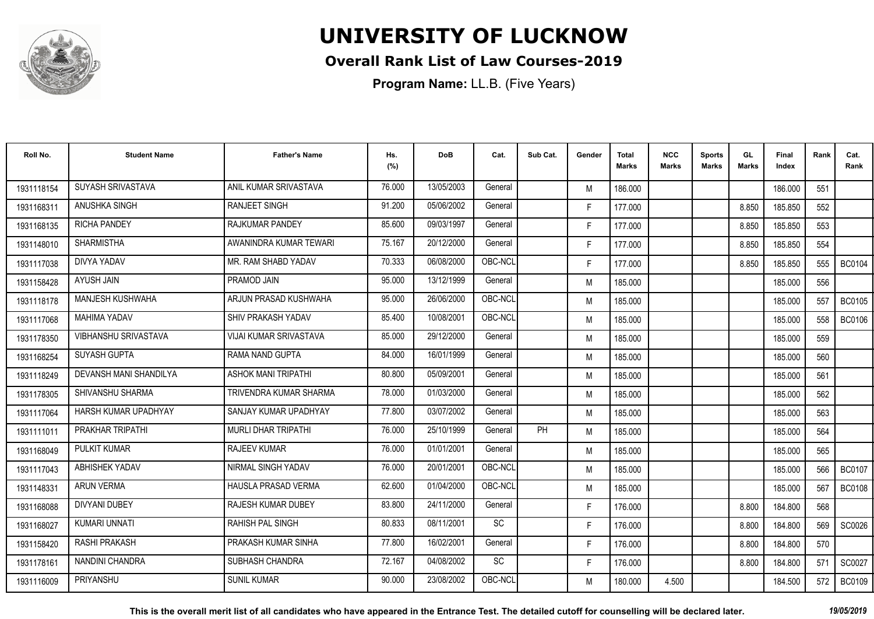

#### **Overall Rank List of Law Courses-2019**

| Roll No.   | <b>Student Name</b>    | <b>Father's Name</b>          | Hs.<br>(%) | <b>DoB</b> | Cat.      | Sub Cat. | Gender | <b>Total</b><br><b>Marks</b> | <b>NCC</b><br><b>Marks</b> | <b>Sports</b><br><b>Marks</b> | GL<br><b>Marks</b> | <b>Final</b><br>Index | Rank | Cat.<br>Rank  |
|------------|------------------------|-------------------------------|------------|------------|-----------|----------|--------|------------------------------|----------------------------|-------------------------------|--------------------|-----------------------|------|---------------|
| 1931118154 | SUYASH SRIVASTAVA      | ANIL KUMAR SRIVASTAVA         | 76.000     | 13/05/2003 | General   |          | M      | 186.000                      |                            |                               |                    | 186.000               | 551  |               |
| 1931168311 | ANUSHKA SINGH          | <b>RANJEET SINGH</b>          | 91.200     | 05/06/2002 | General   |          | F.     | 177.000                      |                            |                               | 8.850              | 185.850               | 552  |               |
| 1931168135 | <b>RICHA PANDEY</b>    | <b>RAJKUMAR PANDEY</b>        | 85.600     | 09/03/1997 | General   |          | F.     | 177.000                      |                            |                               | 8.850              | 185.850               | 553  |               |
| 1931148010 | <b>SHARMISTHA</b>      | AWANINDRA KUMAR TEWARI        | 75.167     | 20/12/2000 | General   |          | F.     | 177.000                      |                            |                               | 8.850              | 185.850               | 554  |               |
| 1931117038 | DIVYA YADAV            | MR. RAM SHABD YADAV           | 70.333     | 06/08/2000 | OBC-NCL   |          | F.     | 177.000                      |                            |                               | 8.850              | 185.850               | 555  | <b>BC0104</b> |
| 1931158428 | AYUSH JAIN             | PRAMOD JAIN                   | 95.000     | 13/12/1999 | General   |          | M      | 185.000                      |                            |                               |                    | 185.000               | 556  |               |
| 1931118178 | MANJESH KUSHWAHA       | ARJUN PRASAD KUSHWAHA         | 95.000     | 26/06/2000 | OBC-NCL   |          | M      | 185.000                      |                            |                               |                    | 185.000               | 557  | <b>BC0105</b> |
| 1931117068 | <b>MAHIMA YADAV</b>    | SHIV PRAKASH YADAV            | 85.400     | 10/08/2001 | OBC-NCL   |          | M      | 185.000                      |                            |                               |                    | 185.000               | 558  | <b>BC0106</b> |
| 1931178350 | VIBHANSHU SRIVASTAVA   | <b>VIJAI KUMAR SRIVASTAVA</b> | 85.000     | 29/12/2000 | General   |          | M      | 185.000                      |                            |                               |                    | 185.000               | 559  |               |
| 1931168254 | SUYASH GUPTA           | RAMA NAND GUPTA               | 84.000     | 16/01/1999 | General   |          | M      | 185.000                      |                            |                               |                    | 185.000               | 560  |               |
| 1931118249 | DEVANSH MANI SHANDILYA | <b>ASHOK MANI TRIPATHI</b>    | 80.800     | 05/09/2001 | General   |          | M      | 185.000                      |                            |                               |                    | 185.000               | 561  |               |
| 1931178305 | SHIVANSHU SHARMA       | TRIVENDRA KUMAR SHARMA        | 78.000     | 01/03/2000 | General   |          | M      | 185.000                      |                            |                               |                    | 185.000               | 562  |               |
| 1931117064 | HARSH KUMAR UPADHYAY   | SANJAY KUMAR UPADHYAY         | 77.800     | 03/07/2002 | General   |          | M      | 185.000                      |                            |                               |                    | 185.000               | 563  |               |
| 1931111011 | PRAKHAR TRIPATHI       | <b>MURLI DHAR TRIPATHI</b>    | 76.000     | 25/10/1999 | General   | PH       | M      | 185.000                      |                            |                               |                    | 185.000               | 564  |               |
| 1931168049 | <b>PULKIT KUMAR</b>    | <b>RAJEEV KUMAR</b>           | 76.000     | 01/01/2001 | General   |          | M      | 185.000                      |                            |                               |                    | 185.000               | 565  |               |
| 1931117043 | ABHISHEK YADAV         | NIRMAL SINGH YADAV            | 76.000     | 20/01/2001 | OBC-NCL   |          | M      | 185.000                      |                            |                               |                    | 185.000               | 566  | <b>BC0107</b> |
| 1931148331 | <b>ARUN VERMA</b>      | <b>HAUSLA PRASAD VERMA</b>    | 62.600     | 01/04/2000 | OBC-NCL   |          | M      | 185.000                      |                            |                               |                    | 185.000               | 567  | <b>BC0108</b> |
| 1931168088 | <b>DIVYANI DUBEY</b>   | RAJESH KUMAR DUBEY            | 83.800     | 24/11/2000 | General   |          | F.     | 176.000                      |                            |                               | 8.800              | 184.800               | 568  |               |
| 1931168027 | KUMARI UNNATI          | <b>RAHISH PAL SINGH</b>       | 80.833     | 08/11/2001 | <b>SC</b> |          | F.     | 176.000                      |                            |                               | 8.800              | 184.800               | 569  | SC0026        |
| 1931158420 | <b>RASHI PRAKASH</b>   | PRAKASH KUMAR SINHA           | 77.800     | 16/02/2001 | General   |          | F.     | 176.000                      |                            |                               | 8.800              | 184.800               | 570  |               |
| 1931178161 | NANDINI CHANDRA        | SUBHASH CHANDRA               | 72.167     | 04/08/2002 | SC        |          | F.     | 176.000                      |                            |                               | 8.800              | 184.800               | 571  | SC0027        |
| 1931116009 | PRIYANSHU              | <b>SUNIL KUMAR</b>            | 90.000     | 23/08/2002 | OBC-NCL   |          | M      | 180.000                      | 4.500                      |                               |                    | 184.500               | 572  | <b>BC0109</b> |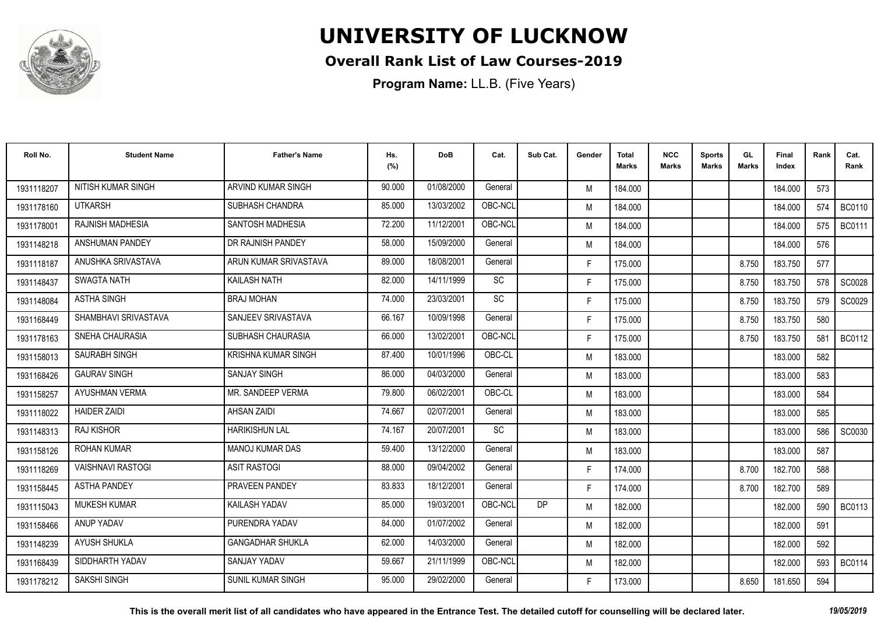

#### **Overall Rank List of Law Courses-2019**

| Roll No.   | <b>Student Name</b>      | <b>Father's Name</b>       | Hs.<br>(%) | <b>DoB</b> | Cat.    | Sub Cat. | Gender | Total<br>Marks | <b>NCC</b><br>Marks | <b>Sports</b><br><b>Marks</b> | GL<br><b>Marks</b> | <b>Final</b><br>Index | Rank | Cat.<br>Rank  |
|------------|--------------------------|----------------------------|------------|------------|---------|----------|--------|----------------|---------------------|-------------------------------|--------------------|-----------------------|------|---------------|
| 1931118207 | NITISH KUMAR SINGH       | ARVIND KUMAR SINGH         | 90.000     | 01/08/2000 | General |          | M      | 184.000        |                     |                               |                    | 184.000               | 573  |               |
| 1931178160 | <b>UTKARSH</b>           | SUBHASH CHANDRA            | 85.000     | 13/03/2002 | OBC-NCL |          | M      | 184.000        |                     |                               |                    | 184.000               | 574  | <b>BC0110</b> |
| 1931178001 | <b>RAJNISH MADHESIA</b>  | <b>SANTOSH MADHESIA</b>    | 72.200     | 11/12/2001 | OBC-NCL |          | M      | 184.000        |                     |                               |                    | 184.000               | 575  | <b>BC0111</b> |
| 1931148218 | ANSHUMAN PANDEY          | DR RAJNISH PANDEY          | 58.000     | 15/09/2000 | General |          | M      | 184.000        |                     |                               |                    | 184.000               | 576  |               |
| 1931118187 | ANUSHKA SRIVASTAVA       | ARUN KUMAR SRIVASTAVA      | 89.000     | 18/08/2001 | General |          | F.     | 175.000        |                     |                               | 8.750              | 183.750               | 577  |               |
| 1931148437 | <b>SWAGTA NATH</b>       | KAILASH NATH               | 82.000     | 14/11/1999 | SC      |          | F.     | 175.000        |                     |                               | 8.750              | 183.750               | 578  | SC0028        |
| 1931148084 | <b>ASTHA SINGH</b>       | <b>BRAJ MOHAN</b>          | 74.000     | 23/03/2001 | SC      |          | F.     | 175.000        |                     |                               | 8.750              | 183.750               | 579  | SC0029        |
| 1931168449 | SHAMBHAVI SRIVASTAVA     | SANJEEV SRIVASTAVA         | 66.167     | 10/09/1998 | General |          | F.     | 175.000        |                     |                               | 8.750              | 183.750               | 580  |               |
| 1931178163 | <b>SNEHA CHAURASIA</b>   | SUBHASH CHAURASIA          | 66.000     | 13/02/2001 | OBC-NCL |          | F.     | 175.000        |                     |                               | 8.750              | 183.750               | 581  | BC0112        |
| 1931158013 | SAURABH SINGH            | <b>KRISHNA KUMAR SINGH</b> | 87.400     | 10/01/1996 | OBC-CL  |          | M      | 183.000        |                     |                               |                    | 183.000               | 582  |               |
| 1931168426 | <b>GAURAV SINGH</b>      | <b>SANJAY SINGH</b>        | 86.000     | 04/03/2000 | General |          | M      | 183.000        |                     |                               |                    | 183.000               | 583  |               |
| 1931158257 | AYUSHMAN VERMA           | MR. SANDEEP VERMA          | 79.800     | 06/02/2001 | OBC-CL  |          | M      | 183.000        |                     |                               |                    | 183.000               | 584  |               |
| 1931118022 | <b>HAIDER ZAIDI</b>      | <b>AHSAN ZAIDI</b>         | 74.667     | 02/07/2001 | General |          | M      | 183.000        |                     |                               |                    | 183.000               | 585  |               |
| 1931148313 | <b>RAJ KISHOR</b>        | <b>HARIKISHUN LAL</b>      | 74.167     | 20/07/2001 | SC      |          | M      | 183.000        |                     |                               |                    | 183.000               | 586  | SC0030        |
| 1931158126 | <b>ROHAN KUMAR</b>       | <b>MANOJ KUMAR DAS</b>     | 59.400     | 13/12/2000 | General |          | M      | 183.000        |                     |                               |                    | 183.000               | 587  |               |
| 1931118269 | <b>VAISHNAVI RASTOGI</b> | <b>ASIT RASTOGI</b>        | 88.000     | 09/04/2002 | General |          | F.     | 174.000        |                     |                               | 8.700              | 182.700               | 588  |               |
| 1931158445 | <b>ASTHA PANDEY</b>      | PRAVEEN PANDEY             | 83.833     | 18/12/2001 | General |          | F.     | 174.000        |                     |                               | 8.700              | 182.700               | 589  |               |
| 1931115043 | <b>MUKESH KUMAR</b>      | <b>KAILASH YADAV</b>       | 85.000     | 19/03/2001 | OBC-NCI | DP       | M      | 182.000        |                     |                               |                    | 182.000               | 590  | <b>BC0113</b> |
| 1931158466 | <b>ANUP YADAV</b>        | PURENDRA YADAV             | 84.000     | 01/07/2002 | General |          | M      | 182.000        |                     |                               |                    | 182.000               | 591  |               |
| 1931148239 | <b>AYUSH SHUKLA</b>      | <b>GANGADHAR SHUKLA</b>    | 62.000     | 14/03/2000 | General |          | M      | 182.000        |                     |                               |                    | 182.000               | 592  |               |
| 1931168439 | SIDDHARTH YADAV          | <b>SANJAY YADAV</b>        | 59.667     | 21/11/1999 | OBC-NCL |          | M      | 182.000        |                     |                               |                    | 182.000               | 593  | <b>BC0114</b> |
| 1931178212 | <b>SAKSHI SINGH</b>      | <b>SUNIL KUMAR SINGH</b>   | 95.000     | 29/02/2000 | General |          | F.     | 173.000        |                     |                               | 8.650              | 181.650               | 594  |               |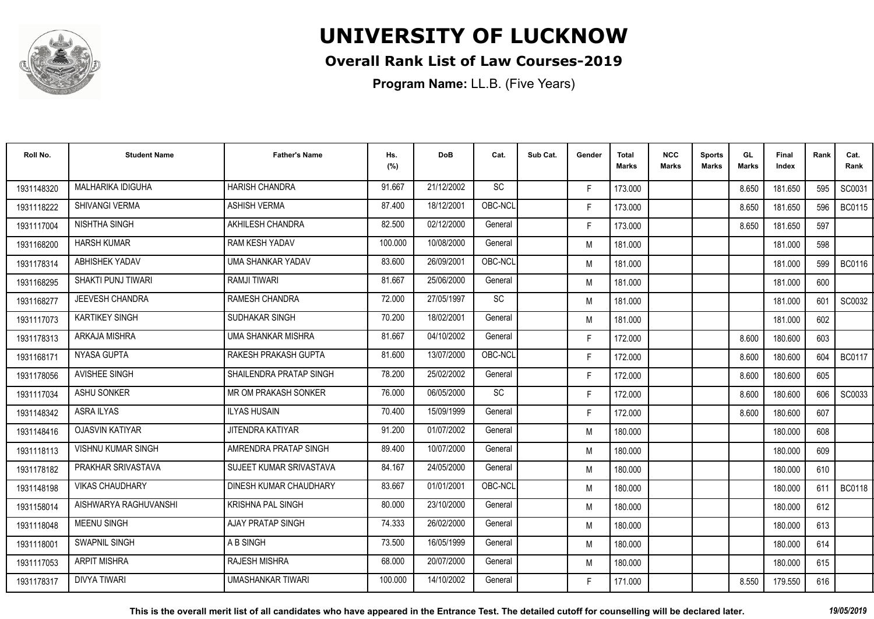

#### **Overall Rank List of Law Courses-2019**

| Roll No.   | <b>Student Name</b>       | <b>Father's Name</b>     | Hs.<br>(%) | <b>DoB</b> | Cat.      | Sub Cat. | Gender | <b>Total</b><br><b>Marks</b> | <b>NCC</b><br><b>Marks</b> | <b>Sports</b><br><b>Marks</b> | GL<br><b>Marks</b> | <b>Final</b><br>Index | Rank | Cat.<br>Rank  |
|------------|---------------------------|--------------------------|------------|------------|-----------|----------|--------|------------------------------|----------------------------|-------------------------------|--------------------|-----------------------|------|---------------|
| 1931148320 | MALHARIKA IDIGUHA         | <b>HARISH CHANDRA</b>    | 91.667     | 21/12/2002 | <b>SC</b> |          | F.     | 173.000                      |                            |                               | 8.650              | 181.650               | 595  | SC0031        |
| 1931118222 | <b>SHIVANGI VERMA</b>     | <b>ASHISH VERMA</b>      | 87.400     | 18/12/2001 | OBC-NCL   |          | F.     | 173.000                      |                            |                               | 8.650              | 181.650               | 596  | <b>BC0115</b> |
| 1931117004 | NISHTHA SINGH             | AKHILESH CHANDRA         | 82.500     | 02/12/2000 | General   |          | F.     | 173.000                      |                            |                               | 8.650              | 181.650               | 597  |               |
| 1931168200 | <b>HARSH KUMAR</b>        | <b>RAM KESH YADAV</b>    | 100.000    | 10/08/2000 | General   |          | M      | 181.000                      |                            |                               |                    | 181.000               | 598  |               |
| 1931178314 | ABHISHEK YADAV            | UMA SHANKAR YADAV        | 83.600     | 26/09/2001 | OBC-NCL   |          | M      | 181.000                      |                            |                               |                    | 181.000               | 599  | <b>BC0116</b> |
| 1931168295 | <b>SHAKTI PUNJ TIWARI</b> | <b>RAMJI TIWARI</b>      | 81.667     | 25/06/2000 | General   |          | M      | 181.000                      |                            |                               |                    | 181.000               | 600  |               |
| 1931168277 | JEEVESH CHANDRA           | <b>RAMESH CHANDRA</b>    | 72.000     | 27/05/1997 | SC        |          | M      | 181.000                      |                            |                               |                    | 181.000               | 601  | SC0032        |
| 1931117073 | <b>KARTIKEY SINGH</b>     | SUDHAKAR SINGH           | 70.200     | 18/02/2001 | General   |          | M      | 181.000                      |                            |                               |                    | 181.000               | 602  |               |
| 1931178313 | ARKAJA MISHRA             | UMA SHANKAR MISHRA       | 81.667     | 04/10/2002 | General   |          | F.     | 172.000                      |                            |                               | 8.600              | 180.600               | 603  |               |
| 1931168171 | NYASA GUPTA               | RAKESH PRAKASH GUPTA     | 81.600     | 13/07/2000 | OBC-NCL   |          | F.     | 172.000                      |                            |                               | 8.600              | 180.600               | 604  | <b>BC0117</b> |
| 1931178056 | <b>AVISHEE SINGH</b>      | SHAILENDRA PRATAP SINGH  | 78.200     | 25/02/2002 | General   |          | F.     | 172.000                      |                            |                               | 8.600              | 180.600               | 605  |               |
| 1931117034 | <b>ASHU SONKER</b>        | MR OM PRAKASH SONKER     | 76.000     | 06/05/2000 | SC        |          | F.     | 172.000                      |                            |                               | 8.600              | 180.600               | 606  | SC0033        |
| 1931148342 | <b>ASRA ILYAS</b>         | <b>ILYAS HUSAIN</b>      | 70.400     | 15/09/1999 | General   |          | F.     | 172.000                      |                            |                               | 8.600              | 180.600               | 607  |               |
| 1931148416 | <b>OJASVIN KATIYAR</b>    | <b>JITENDRA KATIYAR</b>  | 91.200     | 01/07/2002 | General   |          | M      | 180.000                      |                            |                               |                    | 180.000               | 608  |               |
| 1931118113 | <b>VISHNU KUMAR SINGH</b> | AMRENDRA PRATAP SINGH    | 89.400     | 10/07/2000 | General   |          | M      | 180.000                      |                            |                               |                    | 180.000               | 609  |               |
| 1931178182 | PRAKHAR SRIVASTAVA        | SUJEET KUMAR SRIVASTAVA  | 84.167     | 24/05/2000 | General   |          | M      | 180.000                      |                            |                               |                    | 180.000               | 610  |               |
| 1931148198 | <b>VIKAS CHAUDHARY</b>    | DINESH KUMAR CHAUDHARY   | 83.667     | 01/01/2001 | OBC-NCL   |          | M      | 180.000                      |                            |                               |                    | 180.000               | 611  | <b>BC0118</b> |
| 1931158014 | AISHWARYA RAGHUVANSHI     | <b>KRISHNA PAL SINGH</b> | 80.000     | 23/10/2000 | General   |          | M      | 180.000                      |                            |                               |                    | 180.000               | 612  |               |
| 1931118048 | <b>MEENU SINGH</b>        | <b>AJAY PRATAP SINGH</b> | 74.333     | 26/02/2000 | General   |          | M      | 180.000                      |                            |                               |                    | 180.000               | 613  |               |
| 1931118001 | <b>SWAPNIL SINGH</b>      | A B SINGH                | 73.500     | 16/05/1999 | General   |          | M      | 180.000                      |                            |                               |                    | 180.000               | 614  |               |
| 1931117053 | <b>ARPIT MISHRA</b>       | <b>RAJESH MISHRA</b>     | 68.000     | 20/07/2000 | General   |          | M      | 180.000                      |                            |                               |                    | 180.000               | 615  |               |
| 1931178317 | DIVYA TIWARI              | UMASHANKAR TIWARI        | 100.000    | 14/10/2002 | General   |          | F.     | 171.000                      |                            |                               | 8.550              | 179.550               | 616  |               |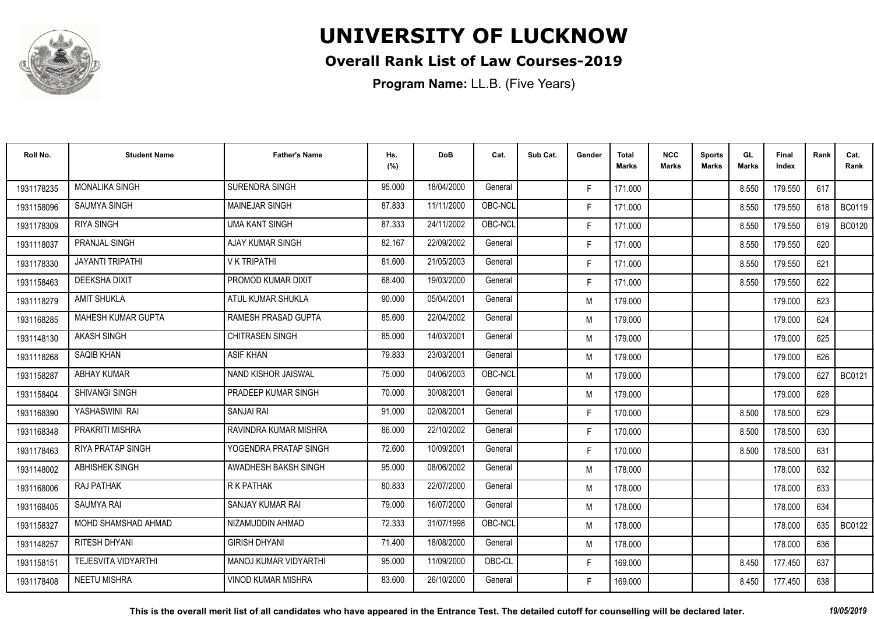

#### **Overall Rank List of Law Courses-2019**

| Roll No.   | <b>Student Name</b>        | <b>Father's Name</b>         | Hs.<br>(%) | <b>DoB</b> | Cat.    | Sub Cat. | Gender | <b>Total</b><br><b>Marks</b> | <b>NCC</b><br>Marks | <b>Sports</b><br><b>Marks</b> | GL<br>Marks | <b>Final</b><br>Index | Rank  | Cat.<br>Rank  |
|------------|----------------------------|------------------------------|------------|------------|---------|----------|--------|------------------------------|---------------------|-------------------------------|-------------|-----------------------|-------|---------------|
| 1931178235 | <b>MONALIKA SINGH</b>      | SURENDRA SINGH               | 95.000     | 18/04/2000 | General |          | E      | 171.000                      |                     |                               | 8.550       | 179.550               | 617   |               |
| 1931158096 | <b>SAUMYA SINGH</b>        | <b>MAINEJAR SINGH</b>        | 87.833     | 11/11/2000 | OBC-NCL |          | F.     | 171.000                      |                     |                               | 8.550       | 179.550               | 618 I | <b>BC0119</b> |
| 1931178309 | <b>RIYA SINGH</b>          | <b>UMA KANT SINGH</b>        | 87.333     | 24/11/2002 | OBC-NCL |          | F.     | 171.000                      |                     |                               | 8.550       | 179.550               | 619   | <b>BC0120</b> |
| 1931118037 | <b>PRANJAL SINGH</b>       | <b>AJAY KUMAR SINGH</b>      | 82.167     | 22/09/2002 | General |          | F.     | 171.000                      |                     |                               | 8.550       | 179.550               | 620   |               |
| 1931178330 | <b>JAYANTI TRIPATHI</b>    | <b>V K TRIPATHI</b>          | 81.600     | 21/05/2003 | General |          | F.     | 171.000                      |                     |                               | 8.550       | 179.550               | 621   |               |
| 1931158463 | <b>DEEKSHA DIXIT</b>       | PROMOD KUMAR DIXIT           | 68.400     | 19/03/2000 | General |          | F.     | 171.000                      |                     |                               | 8.550       | 179.550               | 622   |               |
| 1931118279 | <b>AMIT SHUKLA</b>         | ATUL KUMAR SHUKLA            | 90.000     | 05/04/2001 | General |          | M      | 179.000                      |                     |                               |             | 179.000               | 623   |               |
| 1931168285 | MAHESH KUMAR GUPTA         | RAMESH PRASAD GUPTA          | 85.600     | 22/04/2002 | General |          | M      | 179.000                      |                     |                               |             | 179.000               | 624   |               |
| 1931148130 | <b>AKASH SINGH</b>         | <b>CHITRASEN SINGH</b>       | 85.000     | 14/03/2001 | General |          | M      | 179.000                      |                     |                               |             | 179.000               | 625   |               |
| 1931118268 | SAQIB KHAN                 | <b>ASIF KHAN</b>             | 79.833     | 23/03/2001 | General |          | M      | 179.000                      |                     |                               |             | 179.000               | 626   |               |
| 1931158287 | <b>ABHAY KUMAR</b>         | NAND KISHOR JAISWAL          | 75.000     | 04/06/2003 | OBC-NCL |          | M      | 179.000                      |                     |                               |             | 179.000               | 627   | BC0121        |
| 1931158404 | <b>SHIVANGI SINGH</b>      | PRADEEP KUMAR SINGH          | 70.000     | 30/08/2001 | General |          | M      | 179.000                      |                     |                               |             | 179.000               | 628   |               |
| 1931168390 | YASHASWINI RAI             | SANJAI RAI                   | 91.000     | 02/08/2001 | General |          | F.     | 170.000                      |                     |                               | 8.500       | 178.500               | 629   |               |
| 1931168348 | PRAKRITI MISHRA            | RAVINDRA KUMAR MISHRA        | 86.000     | 22/10/2002 | General |          | F.     | 170.000                      |                     |                               | 8.500       | 178.500               | 630   |               |
| 1931178463 | RIYA PRATAP SINGH          | YOGENDRA PRATAP SINGH        | 72.600     | 10/09/2001 | General |          | F.     | 170.000                      |                     |                               | 8.500       | 178.500               | 631   |               |
| 1931148002 | <b>ABHISHEK SINGH</b>      | AWADHESH BAKSH SINGH         | 95.000     | 08/06/2002 | General |          | M      | 178.000                      |                     |                               |             | 178.000               | 632   |               |
| 1931168006 | RAJ PATHAK                 | R K PATHAK                   | 80.833     | 22/07/2000 | General |          | M      | 178.000                      |                     |                               |             | 178.000               | 633   |               |
| 1931168405 | <b>SAUMYA RAI</b>          | SANJAY KUMAR RAI             | 79.000     | 16/07/2000 | General |          | M      | 178.000                      |                     |                               |             | 178.000               | 634   |               |
| 1931158327 | MOHD SHAMSHAD AHMAD        | NIZAMUDDIN AHMAD             | 72.333     | 31/07/1998 | OBC-NCL |          | M      | 178.000                      |                     |                               |             | 178.000               | 635   | BC0122        |
| 1931148257 | <b>RITESH DHYANI</b>       | <b>GIRISH DHYANI</b>         | 71.400     | 18/08/2000 | General |          | M      | 178.000                      |                     |                               |             | 178.000               | 636   |               |
| 1931158151 | <b>TEJESVITA VIDYARTHI</b> | <b>MANOJ KUMAR VIDYARTHI</b> | 95.000     | 11/09/2000 | OBC-CL  |          | F.     | 169.000                      |                     |                               | 8.450       | 177.450               | 637   |               |
| 1931178408 | <b>NEETU MISHRA</b>        | <b>VINOD KUMAR MISHRA</b>    | 83.600     | 26/10/2000 | General |          | F.     | 169.000                      |                     |                               | 8.450       | 177.450               | 638   |               |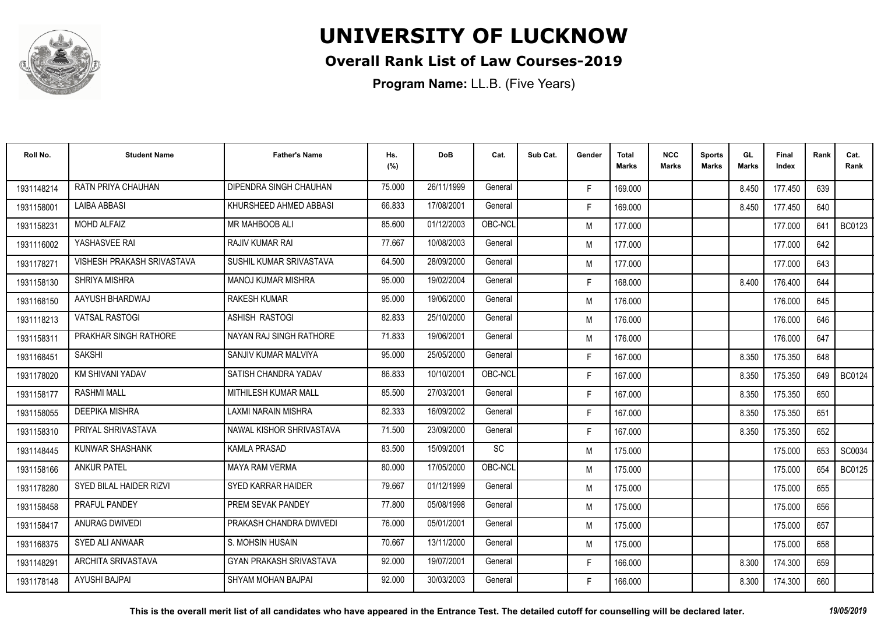

#### **Overall Rank List of Law Courses-2019**

| Roll No.   | <b>Student Name</b>        | <b>Father's Name</b>           | Hs.<br>(%) | <b>DoB</b> | Cat.    | Sub Cat. | Gender | <b>Total</b><br><b>Marks</b> | <b>NCC</b><br>Marks | <b>Sports</b><br><b>Marks</b> | GL<br><b>Marks</b> | Final<br>Index | Rank | Cat.<br>Rank  |
|------------|----------------------------|--------------------------------|------------|------------|---------|----------|--------|------------------------------|---------------------|-------------------------------|--------------------|----------------|------|---------------|
| 1931148214 | <b>RATN PRIYA CHAUHAN</b>  | DIPENDRA SINGH CHAUHAN         | 75.000     | 26/11/1999 | General |          | F.     | 169.000                      |                     |                               | 8.450              | 177.450        | 639  |               |
| 1931158001 | <b>LAIBA ABBASI</b>        | KHURSHEED AHMED ABBASI         | 66.833     | 17/08/2001 | General |          | F.     | 169.000                      |                     |                               | 8.450              | 177.450        | 640  |               |
| 1931158231 | <b>MOHD ALFAIZ</b>         | <b>MR MAHBOOB ALI</b>          | 85.600     | 01/12/2003 | OBC-NCL |          | M      | 177.000                      |                     |                               |                    | 177.000        | 641  | <b>BC0123</b> |
| 1931116002 | YASHASVEE RAI              | <b>RAJIV KUMAR RAI</b>         | 77.667     | 10/08/2003 | General |          | M      | 177.000                      |                     |                               |                    | 177.000        | 642  |               |
| 1931178271 | VISHESH PRAKASH SRIVASTAVA | SUSHIL KUMAR SRIVASTAVA        | 64.500     | 28/09/2000 | General |          | M      | 177.000                      |                     |                               |                    | 177.000        | 643  |               |
| 1931158130 | SHRIYA MISHRA              | <b>MANOJ KUMAR MISHRA</b>      | 95.000     | 19/02/2004 | General |          | F.     | 168.000                      |                     |                               | 8.400              | 176.400        | 644  |               |
| 1931168150 | AAYUSH BHARDWAJ            | <b>RAKESH KUMAR</b>            | 95.000     | 19/06/2000 | General |          | M      | 176.000                      |                     |                               |                    | 176.000        | 645  |               |
| 1931118213 | <b>VATSAL RASTOGI</b>      | <b>ASHISH RASTOGI</b>          | 82.833     | 25/10/2000 | General |          | M      | 176.000                      |                     |                               |                    | 176.000        | 646  |               |
| 1931158311 | PRAKHAR SINGH RATHORE      | NAYAN RAJ SINGH RATHORE        | 71.833     | 19/06/2001 | General |          | M      | 176.000                      |                     |                               |                    | 176.000        | 647  |               |
| 1931168451 | <b>SAKSHI</b>              | SANJIV KUMAR MALVIYA           | 95.000     | 25/05/2000 | General |          | F.     | 167.000                      |                     |                               | 8.350              | 175.350        | 648  |               |
| 1931178020 | <b>KM SHIVANI YADAV</b>    | SATISH CHANDRA YADAV           | 86.833     | 10/10/2001 | OBC-NCL |          | F.     | 167.000                      |                     |                               | 8.350              | 175.350        | 649  | <b>BC0124</b> |
| 1931158177 | <b>RASHMI MALL</b>         | MITHILESH KUMAR MALL           | 85.500     | 27/03/2001 | General |          | F.     | 167.000                      |                     |                               | 8.350              | 175.350        | 650  |               |
| 1931158055 | <b>DEEPIKA MISHRA</b>      | <b>LAXMI NARAIN MISHRA</b>     | 82.333     | 16/09/2002 | General |          | F.     | 167.000                      |                     |                               | 8.350              | 175.350        | 651  |               |
| 1931158310 | PRIYAL SHRIVASTAVA         | NAWAL KISHOR SHRIVASTAVA       | 71.500     | 23/09/2000 | General |          | F.     | 167.000                      |                     |                               | 8.350              | 175.350        | 652  |               |
| 1931148445 | <b>KUNWAR SHASHANK</b>     | <b>KAMLA PRASAD</b>            | 83.500     | 15/09/2001 | SC      |          | M      | 175.000                      |                     |                               |                    | 175.000        | 653  | SC0034        |
| 1931158166 | <b>ANKUR PATEL</b>         | <b>MAYA RAM VERMA</b>          | 80.000     | 17/05/2000 | OBC-NCL |          | M      | 175.000                      |                     |                               |                    | 175.000        | 654  | <b>BC0125</b> |
| 1931178280 | SYED BILAL HAIDER RIZVI    | <b>SYED KARRAR HAIDER</b>      | 79.667     | 01/12/1999 | General |          | M      | 175.000                      |                     |                               |                    | 175.000        | 655  |               |
| 1931158458 | PRAFUL PANDEY              | PREM SEVAK PANDEY              | 77.800     | 05/08/1998 | General |          | M      | 175.000                      |                     |                               |                    | 175.000        | 656  |               |
| 1931158417 | ANURAG DWIVEDI             | PRAKASH CHANDRA DWIVEDI        | 76.000     | 05/01/2001 | General |          | M      | 175.000                      |                     |                               |                    | 175.000        | 657  |               |
| 1931168375 | SYED ALI ANWAAR            | S. MOHSIN HUSAIN               | 70.667     | 13/11/2000 | General |          | M      | 175.000                      |                     |                               |                    | 175.000        | 658  |               |
| 1931148291 | ARCHITA SRIVASTAVA         | <b>GYAN PRAKASH SRIVASTAVA</b> | 92.000     | 19/07/2001 | General |          | F.     | 166.000                      |                     |                               | 8.300              | 174.300        | 659  |               |
| 1931178148 | AYUSHI BAJPAI              | SHYAM MOHAN BAJPAI             | 92.000     | 30/03/2003 | General |          | F      | 166.000                      |                     |                               | 8.300              | 174.300        | 660  |               |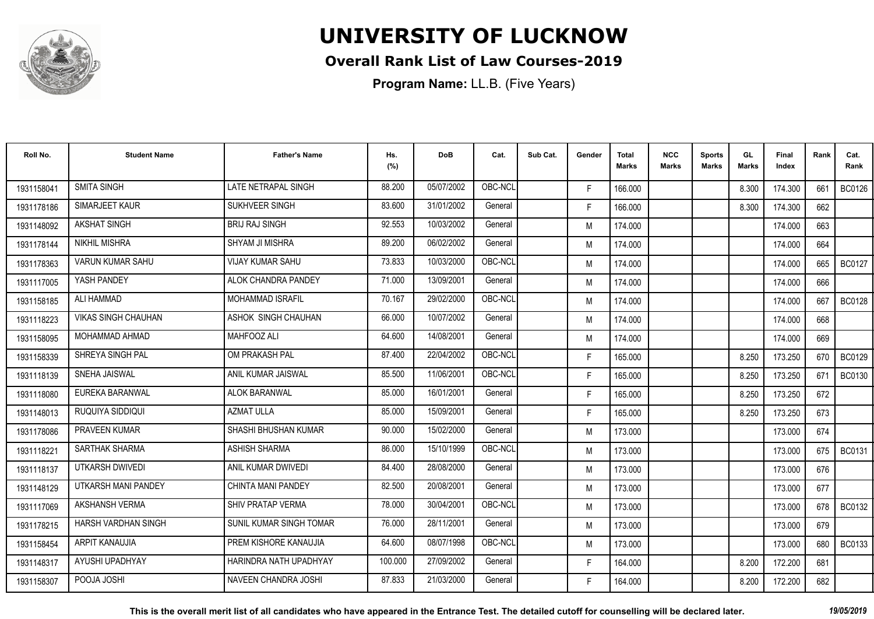

#### **Overall Rank List of Law Courses-2019**

| Roll No.   | <b>Student Name</b>        | <b>Father's Name</b>      | Hs.<br>(%) | <b>DoB</b> | Cat.    | Sub Cat. | Gender | <b>Total</b><br><b>Marks</b> | <b>NCC</b><br>Marks | <b>Sports</b><br><b>Marks</b> | GL<br><b>Marks</b> | Final<br>Index | Rank | Cat.<br>Rank  |
|------------|----------------------------|---------------------------|------------|------------|---------|----------|--------|------------------------------|---------------------|-------------------------------|--------------------|----------------|------|---------------|
| 1931158041 | <b>SMITA SINGH</b>         | LATE NETRAPAL SINGH       | 88.200     | 05/07/2002 | OBC-NCL |          | F.     | 166.000                      |                     |                               | 8.300              | 174.300        | 661  | <b>BC0126</b> |
| 1931178186 | SIMARJEET KAUR             | SUKHVEER SINGH            | 83.600     | 31/01/2002 | General |          | F.     | 166.000                      |                     |                               | 8.300              | 174.300        | 662  |               |
| 1931148092 | <b>AKSHAT SINGH</b>        | <b>BRIJ RAJ SINGH</b>     | 92.553     | 10/03/2002 | General |          | M      | 174.000                      |                     |                               |                    | 174.000        | 663  |               |
| 1931178144 | <b>NIKHIL MISHRA</b>       | <b>SHYAM JI MISHRA</b>    | 89.200     | 06/02/2002 | General |          | M      | 174.000                      |                     |                               |                    | 174.000        | 664  |               |
| 1931178363 | <b>VARUN KUMAR SAHU</b>    | <b>VIJAY KUMAR SAHU</b>   | 73.833     | 10/03/2000 | OBC-NCL |          | M      | 174.000                      |                     |                               |                    | 174.000        | 665  | <b>BC0127</b> |
| 1931117005 | YASH PANDEY                | ALOK CHANDRA PANDEY       | 71.000     | 13/09/2001 | General |          | M      | 174.000                      |                     |                               |                    | 174.000        | 666  |               |
| 1931158185 | ALI HAMMAD                 | <b>MOHAMMAD ISRAFIL</b>   | 70.167     | 29/02/2000 | OBC-NCL |          | M      | 174.000                      |                     |                               |                    | 174.000        | 667  | <b>BC0128</b> |
| 1931118223 | <b>VIKAS SINGH CHAUHAN</b> | ASHOK SINGH CHAUHAN       | 66.000     | 10/07/2002 | General |          | M      | 174.000                      |                     |                               |                    | 174.000        | 668  |               |
| 1931158095 | MOHAMMAD AHMAD             | MAHFOOZ ALI               | 64.600     | 14/08/2001 | General |          | M      | 174.000                      |                     |                               |                    | 174.000        | 669  |               |
| 1931158339 | SHREYA SINGH PAL           | OM PRAKASH PAL            | 87.400     | 22/04/2002 | OBC-NCL |          | F.     | 165.000                      |                     |                               | 8.250              | 173.250        | 670  | <b>BC0129</b> |
| 1931118139 | SNEHA JAISWAL              | ANIL KUMAR JAISWAL        | 85.500     | 11/06/2001 | OBC-NCL |          | F.     | 165.000                      |                     |                               | 8.250              | 173.250        | 671  | <b>BC0130</b> |
| 1931118080 | EUREKA BARANWAL            | <b>ALOK BARANWAL</b>      | 85.000     | 16/01/2001 | General |          | F.     | 165.000                      |                     |                               | 8.250              | 173.250        | 672  |               |
| 1931148013 | RUQUIYA SIDDIQUI           | <b>AZMAT ULLA</b>         | 85.000     | 15/09/2001 | General |          | F.     | 165.000                      |                     |                               | 8.250              | 173.250        | 673  |               |
| 1931178086 | PRAVEEN KUMAR              | SHASHI BHUSHAN KUMAR      | 90.000     | 15/02/2000 | General |          | M      | 173.000                      |                     |                               |                    | 173.000        | 674  |               |
| 1931118221 | SARTHAK SHARMA             | <b>ASHISH SHARMA</b>      | 86.000     | 15/10/1999 | OBC-NCL |          | M      | 173.000                      |                     |                               |                    | 173.000        | 675  | <b>BC0131</b> |
| 1931118137 | UTKARSH DWIVEDI            | ANIL KUMAR DWIVEDI        | 84.400     | 28/08/2000 | General |          | M      | 173.000                      |                     |                               |                    | 173.000        | 676  |               |
| 1931148129 | UTKARSH MANI PANDEY        | <b>CHINTA MANI PANDEY</b> | 82.500     | 20/08/2001 | General |          | M      | 173.000                      |                     |                               |                    | 173.000        | 677  |               |
| 1931117069 | AKSHANSH VERMA             | SHIV PRATAP VERMA         | 78,000     | 30/04/2001 | OBC-NCL |          | M      | 173.000                      |                     |                               |                    | 173.000        | 678  | <b>BC0132</b> |
| 1931178215 | HARSH VARDHAN SINGH        | SUNIL KUMAR SINGH TOMAR   | 76.000     | 28/11/2001 | General |          | M      | 173.000                      |                     |                               |                    | 173.000        | 679  |               |
| 1931158454 | ARPIT KANAUJIA             | PREM KISHORE KANAUJIA     | 64.600     | 08/07/1998 | OBC-NCL |          | M      | 173.000                      |                     |                               |                    | 173.000        | 680  | BC0133        |
| 1931148317 | AYUSHI UPADHYAY            | HARINDRA NATH UPADHYAY    | 100.000    | 27/09/2002 | General |          | F.     | 164.000                      |                     |                               | 8.200              | 172.200        | 681  |               |
| 1931158307 | POOJA JOSHI                | NAVEEN CHANDRA JOSHI      | 87.833     | 21/03/2000 | General |          | F      | 164.000                      |                     |                               | 8.200              | 172.200        | 682  |               |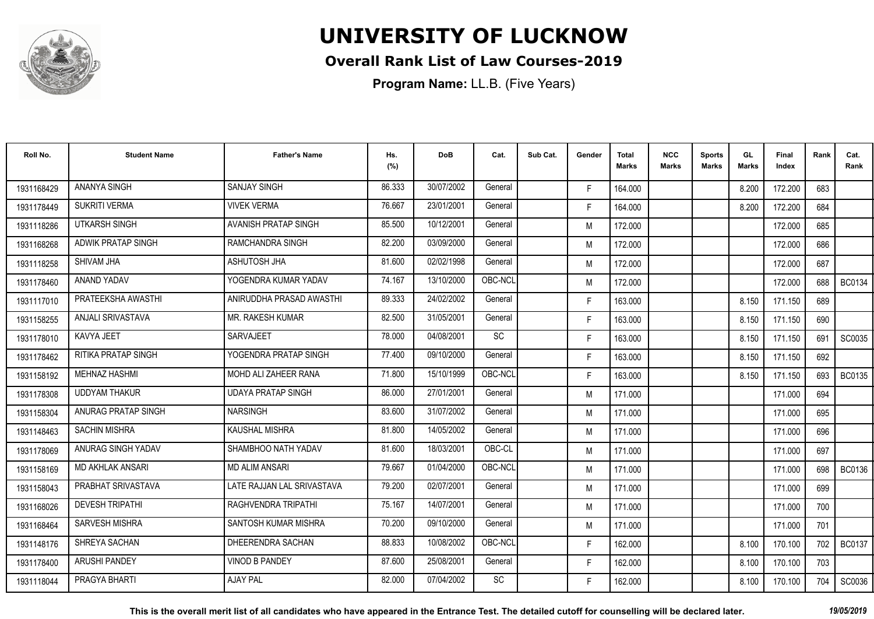

#### **Overall Rank List of Law Courses-2019**

**Program Name:** LL.B. (Five Years)

| Roll No.   | <b>Student Name</b>       | <b>Father's Name</b>       | Hs.<br>(%) | <b>DoB</b> | Cat.      | Sub Cat. | Gender | <b>Total</b><br><b>Marks</b> | <b>NCC</b><br>Marks | <b>Sports</b><br><b>Marks</b> | GL.<br><b>Marks</b> | Final<br>Index | Rank | Cat.<br>Rank  |
|------------|---------------------------|----------------------------|------------|------------|-----------|----------|--------|------------------------------|---------------------|-------------------------------|---------------------|----------------|------|---------------|
| 1931168429 | ANANYA SINGH              | <b>SANJAY SINGH</b>        | 86.333     | 30/07/2002 | General   |          | F.     | 164.000                      |                     |                               | 8.200               | 172.200        | 683  |               |
| 1931178449 | <b>SUKRITI VERMA</b>      | <b>VIVEK VERMA</b>         | 76.667     | 23/01/2001 | General   |          | F.     | 164.000                      |                     |                               | 8.200               | 172.200        | 684  |               |
| 1931118286 | UTKARSH SINGH             | AVANISH PRATAP SINGH       | 85.500     | 10/12/2001 | General   |          | M      | 172.000                      |                     |                               |                     | 172.000        | 685  |               |
| 1931168268 | <b>ADWIK PRATAP SINGH</b> | RAMCHANDRA SINGH           | 82.200     | 03/09/2000 | General   |          | M      | 172.000                      |                     |                               |                     | 172.000        | 686  |               |
| 1931118258 | SHIVAM JHA                | ASHUTOSH JHA               | 81.600     | 02/02/1998 | General   |          | M      | 172.000                      |                     |                               |                     | 172.000        | 687  |               |
| 1931178460 | ANAND YADAV               | YOGENDRA KUMAR YADAV       | 74.167     | 13/10/2000 | OBC-NCL   |          | M      | 172.000                      |                     |                               |                     | 172.000        | 688  | BC0134        |
| 1931117010 | PRATEEKSHA AWASTHI        | ANIRUDDHA PRASAD AWASTHI   | 89.333     | 24/02/2002 | General   |          | F.     | 163.000                      |                     |                               | 8.150               | 171.150        | 689  |               |
| 1931158255 | ANJALI SRIVASTAVA         | MR. RAKESH KUMAR           | 82.500     | 31/05/2001 | General   |          | F.     | 163.000                      |                     |                               | 8.150               | 171.150        | 690  |               |
| 1931178010 | KAVYA JEET                | SARVAJEET                  | 78.000     | 04/08/2001 | SC        |          | F.     | 163.000                      |                     |                               | 8.150               | 171.150        | 691  | SC0035        |
| 1931178462 | RITIKA PRATAP SINGH       | YOGENDRA PRATAP SINGH      | 77.400     | 09/10/2000 | General   |          | F.     | 163.000                      |                     |                               | 8.150               | 171.150        | 692  |               |
| 1931158192 | <b>MEHNAZ HASHMI</b>      | MOHD ALI ZAHEER RANA       | 71.800     | 15/10/1999 | OBC-NCL   |          | F.     | 163.000                      |                     |                               | 8.150               | 171.150        | 693  | <b>BC0135</b> |
| 1931178308 | <b>UDDYAM THAKUR</b>      | <b>UDAYA PRATAP SINGH</b>  | 86.000     | 27/01/2001 | General   |          | M      | 171.000                      |                     |                               |                     | 171.000        | 694  |               |
| 1931158304 | ANURAG PRATAP SINGH       | <b>NARSINGH</b>            | 83.600     | 31/07/2002 | General   |          | M      | 171.000                      |                     |                               |                     | 171.000        | 695  |               |
| 1931148463 | <b>SACHIN MISHRA</b>      | <b>KAUSHAL MISHRA</b>      | 81.800     | 14/05/2002 | General   |          | M      | 171.000                      |                     |                               |                     | 171.000        | 696  |               |
| 1931178069 | ANURAG SINGH YADAV        | SHAMBHOO NATH YADAV        | 81.600     | 18/03/2001 | OBC-CL    |          | M      | 171.000                      |                     |                               |                     | 171.000        | 697  |               |
| 1931158169 | <b>MD AKHLAK ANSARI</b>   | <b>MD ALIM ANSARI</b>      | 79.667     | 01/04/2000 | OBC-NCL   |          | M      | 171.000                      |                     |                               |                     | 171.000        | 698  | BC0136        |
| 1931158043 | PRABHAT SRIVASTAVA        | LATE RAJJAN LAL SRIVASTAVA | 79.200     | 02/07/2001 | General   |          | M      | 171.000                      |                     |                               |                     | 171.000        | 699  |               |
| 1931168026 | <b>DEVESH TRIPATHI</b>    | RAGHVENDRA TRIPATHI        | 75.167     | 14/07/2001 | General   |          | M      | 171.000                      |                     |                               |                     | 171.000        | 700  |               |
| 1931168464 | <b>SARVESH MISHRA</b>     | SANTOSH KUMAR MISHRA       | 70.200     | 09/10/2000 | General   |          | M      | 171.000                      |                     |                               |                     | 171.000        | 701  |               |
| 1931148176 | SHREYA SACHAN             | DHEERENDRA SACHAN          | 88.833     | 10/08/2002 | OBC-NCL   |          | F.     | 162.000                      |                     |                               | 8.100               | 170.100        | 702  | <b>BC0137</b> |
| 1931178400 | <b>ARUSHI PANDEY</b>      | <b>VINOD B PANDEY</b>      | 87.600     | 25/08/2001 | General   |          | F.     | 162.000                      |                     |                               | 8.100               | 170.100        | 703  |               |
| 1931118044 | PRAGYA BHARTI             | <b>AJAY PAL</b>            | 82.000     | 07/04/2002 | <b>SC</b> |          | F      | 162.000                      |                     |                               | 8.100               | 170.100        | 704  | SC0036        |

**This is the overall merit list of all candidates who have appeared in the Entrance Test. The detailed cutoff for counselling will be declared later.** *19/05/2019*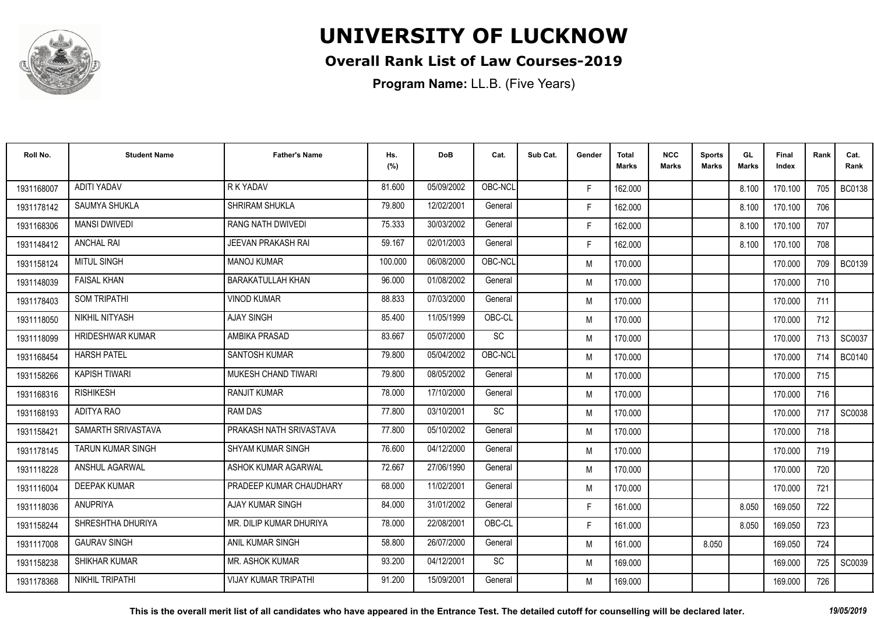

#### **Overall Rank List of Law Courses-2019**

| Roll No.   | <b>Student Name</b>      | <b>Father's Name</b>        | Hs.<br>(%) | <b>DoB</b> | Cat.    | Sub Cat. | Gender | <b>Total</b><br><b>Marks</b> | <b>NCC</b><br><b>Marks</b> | <b>Sports</b><br><b>Marks</b> | GL<br><b>Marks</b> | <b>Final</b><br>Index | Rank | Cat.<br>Rank  |
|------------|--------------------------|-----------------------------|------------|------------|---------|----------|--------|------------------------------|----------------------------|-------------------------------|--------------------|-----------------------|------|---------------|
| 1931168007 | <b>ADITI YADAV</b>       | R K YADAV                   | 81.600     | 05/09/2002 | OBC-NCL |          | F.     | 162.000                      |                            |                               | 8.100              | 170.100               | 705  | <b>BC0138</b> |
| 1931178142 | <b>SAUMYA SHUKLA</b>     | <b>SHRIRAM SHUKLA</b>       | 79.800     | 12/02/2001 | General |          | F.     | 162.000                      |                            |                               | 8.100              | 170.100               | 706  |               |
| 1931168306 | <b>MANSI DWIVEDI</b>     | <b>RANG NATH DWIVEDI</b>    | 75.333     | 30/03/2002 | General |          | F.     | 162.000                      |                            |                               | 8.100              | 170.100               | 707  |               |
| 1931148412 | <b>ANCHAL RAI</b>        | <b>JEEVAN PRAKASH RAI</b>   | 59.167     | 02/01/2003 | General |          | F.     | 162.000                      |                            |                               | 8.100              | 170.100               | 708  |               |
| 1931158124 | <b>MITUL SINGH</b>       | <b>MANOJ KUMAR</b>          | 100.000    | 06/08/2000 | OBC-NCL |          | M      | 170.000                      |                            |                               |                    | 170.000               | 709  | <b>BC0139</b> |
| 1931148039 | <b>FAISAL KHAN</b>       | <b>BARAKATULLAH KHAN</b>    | 96.000     | 01/08/2002 | General |          | M      | 170.000                      |                            |                               |                    | 170.000               | 710  |               |
| 1931178403 | <b>SOM TRIPATHI</b>      | <b>VINOD KUMAR</b>          | 88.833     | 07/03/2000 | General |          | M      | 170.000                      |                            |                               |                    | 170.000               | 711  |               |
| 1931118050 | NIKHIL NITYASH           | <b>AJAY SINGH</b>           | 85.400     | 11/05/1999 | OBC-CL  |          | M      | 170.000                      |                            |                               |                    | 170.000               | 712  |               |
| 1931118099 | <b>HRIDESHWAR KUMAR</b>  | AMBIKA PRASAD               | 83.667     | 05/07/2000 | SC      |          | M      | 170.000                      |                            |                               |                    | 170.000               | 713  | SC0037        |
| 1931168454 | <b>HARSH PATEL</b>       | SANTOSH KUMAR               | 79.800     | 05/04/2002 | OBC-NCL |          | M      | 170.000                      |                            |                               |                    | 170.000               | 714  | <b>BC0140</b> |
| 1931158266 | <b>KAPISH TIWARI</b>     | MUKESH CHAND TIWARI         | 79.800     | 08/05/2002 | General |          | M      | 170.000                      |                            |                               |                    | 170.000               | 715  |               |
| 1931168316 | <b>RISHIKESH</b>         | <b>RANJIT KUMAR</b>         | 78.000     | 17/10/2000 | General |          | M      | 170.000                      |                            |                               |                    | 170.000               | 716  |               |
| 1931168193 | ADITYA RAO               | <b>RAM DAS</b>              | 77.800     | 03/10/2001 | SC      |          | M      | 170.000                      |                            |                               |                    | 170.000               | 717  | SC0038        |
| 1931158421 | SAMARTH SRIVASTAVA       | PRAKASH NATH SRIVASTAVA     | 77.800     | 05/10/2002 | General |          | M      | 170.000                      |                            |                               |                    | 170.000               | 718  |               |
| 1931178145 | <b>TARUN KUMAR SINGH</b> | <b>SHYAM KUMAR SINGH</b>    | 76.600     | 04/12/2000 | General |          | M      | 170.000                      |                            |                               |                    | 170.000               | 719  |               |
| 1931118228 | ANSHUL AGARWAL           | ASHOK KUMAR AGARWAL         | 72.667     | 27/06/1990 | General |          | M      | 170.000                      |                            |                               |                    | 170.000               | 720  |               |
| 1931116004 | <b>DEEPAK KUMAR</b>      | PRADEEP KUMAR CHAUDHARY     | 68.000     | 11/02/2001 | General |          | M      | 170.000                      |                            |                               |                    | 170.000               | 721  |               |
| 1931118036 | ANUPRIYA                 | AJAY KUMAR SINGH            | 84.000     | 31/01/2002 | General |          | F.     | 161.000                      |                            |                               | 8.050              | 169.050               | 722  |               |
| 1931158244 | SHRESHTHA DHURIYA        | MR. DILIP KUMAR DHURIYA     | 78,000     | 22/08/2001 | OBC-CL  |          | F.     | 161.000                      |                            |                               | 8.050              | 169.050               | 723  |               |
| 1931117008 | <b>GAURAV SINGH</b>      | ANIL KUMAR SINGH            | 58.800     | 26/07/2000 | General |          | M      | 161.000                      |                            | 8.050                         |                    | 169.050               | 724  |               |
| 1931158238 | <b>SHIKHAR KUMAR</b>     | MR. ASHOK KUMAR             | 93.200     | 04/12/2001 | SC      |          | M      | 169.000                      |                            |                               |                    | 169,000               | 725  | SC0039        |
| 1931178368 | NIKHIL TRIPATHI          | <b>VIJAY KUMAR TRIPATHI</b> | 91.200     | 15/09/2001 | General |          | M      | 169.000                      |                            |                               |                    | 169.000               | 726  |               |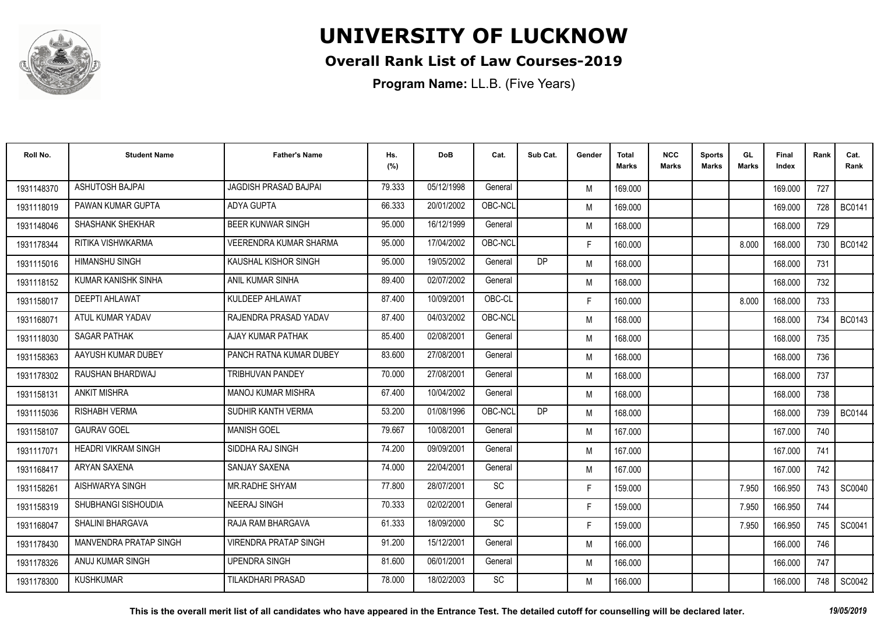

#### **Overall Rank List of Law Courses-2019**

**Program Name:** LL.B. (Five Years)

| Roll No.   | <b>Student Name</b>        | <b>Father's Name</b>          | Hs.<br>(%) | <b>DoB</b> | Cat.      | Sub Cat.  | Gender | <b>Total</b><br>Marks | <b>NCC</b><br>Marks | <b>Sports</b><br><b>Marks</b> | GL<br><b>Marks</b> | Final<br>Index | Rank | Cat.<br>Rank  |
|------------|----------------------------|-------------------------------|------------|------------|-----------|-----------|--------|-----------------------|---------------------|-------------------------------|--------------------|----------------|------|---------------|
| 1931148370 | ASHUTOSH BAJPAI            | <b>JAGDISH PRASAD BAJPAI</b>  | 79.333     | 05/12/1998 | General   |           | M      | 169.000               |                     |                               |                    | 169.000        | 727  |               |
| 1931118019 | PAWAN KUMAR GUPTA          | <b>ADYA GUPTA</b>             | 66.333     | 20/01/2002 | OBC-NCL   |           | M      | 169.000               |                     |                               |                    | 169.000        | 728  | <b>BC0141</b> |
| 1931148046 | <b>SHASHANK SHEKHAR</b>    | <b>BEER KUNWAR SINGH</b>      | 95.000     | 16/12/1999 | General   |           | M      | 168.000               |                     |                               |                    | 168.000        | 729  |               |
| 1931178344 | RITIKA VISHWKARMA          | <b>VEERENDRA KUMAR SHARMA</b> | 95.000     | 17/04/2002 | OBC-NCL   |           | F.     | 160.000               |                     |                               | 8.000              | 168.000        | 730  | BC0142        |
| 1931115016 | <b>HIMANSHU SINGH</b>      | KAUSHAL KISHOR SINGH          | 95.000     | 19/05/2002 | General   | <b>DP</b> | M      | 168.000               |                     |                               |                    | 168.000        | 731  |               |
| 1931118152 | KUMAR KANISHK SINHA        | ANIL KUMAR SINHA              | 89.400     | 02/07/2002 | General   |           | M      | 168.000               |                     |                               |                    | 168.000        | 732  |               |
| 1931158017 | <b>DEEPTI AHLAWAT</b>      | KULDEEP AHLAWAT               | 87.400     | 10/09/2001 | OBC-CL    |           | F.     | 160.000               |                     |                               | 8.000              | 168.000        | 733  |               |
| 1931168071 | ATUL KUMAR YADAV           | RAJENDRA PRASAD YADAV         | 87.400     | 04/03/2002 | OBC-NCL   |           | M      | 168.000               |                     |                               |                    | 168.000        | 734  | <b>BC0143</b> |
| 1931118030 | <b>SAGAR PATHAK</b>        | AJAY KUMAR PATHAK             | 85.400     | 02/08/2001 | General   |           | M      | 168.000               |                     |                               |                    | 168.000        | 735  |               |
| 1931158363 | AAYUSH KUMAR DUBEY         | PANCH RATNA KUMAR DUBEY       | 83.600     | 27/08/2001 | General   |           | M      | 168.000               |                     |                               |                    | 168.000        | 736  |               |
| 1931178302 | RAUSHAN BHARDWAJ           | <b>TRIBHUVAN PANDEY</b>       | 70.000     | 27/08/2001 | General   |           | M      | 168.000               |                     |                               |                    | 168.000        | 737  |               |
| 1931158131 | <b>ANKIT MISHRA</b>        | <b>MANOJ KUMAR MISHRA</b>     | 67.400     | 10/04/2002 | General   |           | M      | 168.000               |                     |                               |                    | 168.000        | 738  |               |
| 1931115036 | <b>RISHABH VERMA</b>       | SUDHIR KANTH VERMA            | 53.200     | 01/08/1996 | OBC-NCI   | <b>DP</b> | M      | 168.000               |                     |                               |                    | 168.000        | 739  | <b>BC0144</b> |
| 1931158107 | <b>GAURAV GOEL</b>         | <b>MANISH GOEL</b>            | 79.667     | 10/08/2001 | General   |           | M      | 167.000               |                     |                               |                    | 167.000        | 740  |               |
| 1931117071 | <b>HEADRI VIKRAM SINGH</b> | SIDDHA RAJ SINGH              | 74.200     | 09/09/2001 | General   |           | M      | 167.000               |                     |                               |                    | 167.000        | 741  |               |
| 1931168417 | <b>ARYAN SAXENA</b>        | <b>SANJAY SAXENA</b>          | 74.000     | 22/04/2001 | General   |           | M      | 167.000               |                     |                               |                    | 167.000        | 742  |               |
| 1931158261 | AISHWARYA SINGH            | MR.RADHE SHYAM                | 77.800     | 28/07/2001 | <b>SC</b> |           | F.     | 159.000               |                     |                               | 7.950              | 166.950        | 743  | SC0040        |
| 1931158319 | SHUBHANGI SISHOUDIA        | <b>NEERAJ SINGH</b>           | 70.333     | 02/02/2001 | General   |           | F.     | 159.000               |                     |                               | 7.950              | 166.950        | 744  |               |
| 1931168047 | SHALINI BHARGAVA           | RAJA RAM BHARGAVA             | 61.333     | 18/09/2000 | SC        |           | F.     | 159.000               |                     |                               | 7.950              | 166.950        | 745  | SC0041        |
| 1931178430 | MANVENDRA PRATAP SINGH     | <b>VIRENDRA PRATAP SINGH</b>  | 91.200     | 15/12/2001 | General   |           | M      | 166.000               |                     |                               |                    | 166.000        | 746  |               |
| 1931178326 | ANUJ KUMAR SINGH           | <b>UPENDRA SINGH</b>          | 81.600     | 06/01/2001 | General   |           | M      | 166.000               |                     |                               |                    | 166.000        | 747  |               |
| 1931178300 | <b>KUSHKUMAR</b>           | <b>TILAKDHARI PRASAD</b>      | 78.000     | 18/02/2003 | SC        |           | M      | 166.000               |                     |                               |                    | 166.000        | 748  | SC0042        |

**This is the overall merit list of all candidates who have appeared in the Entrance Test. The detailed cutoff for counselling will be declared later.** *19/05/2019*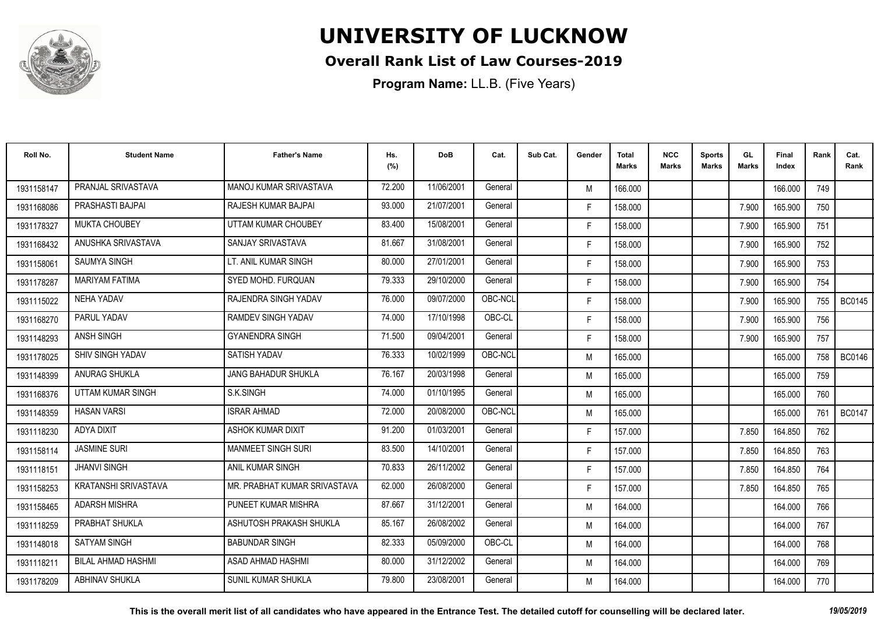

#### **Overall Rank List of Law Courses-2019**

| Roll No.   | <b>Student Name</b>         | <b>Father's Name</b>         | Hs.<br>(%) | <b>DoB</b> | Cat.    | Sub Cat. | Gender | <b>Total</b><br><b>Marks</b> | <b>NCC</b><br>Marks | <b>Sports</b><br><b>Marks</b> | GL<br><b>Marks</b> | Final<br>Index | Rank | Cat.<br>Rank  |
|------------|-----------------------------|------------------------------|------------|------------|---------|----------|--------|------------------------------|---------------------|-------------------------------|--------------------|----------------|------|---------------|
| 1931158147 | PRANJAL SRIVASTAVA          | MANOJ KUMAR SRIVASTAVA       | 72.200     | 11/06/2001 | General |          | M      | 166.000                      |                     |                               |                    | 166.000        | 749  |               |
| 1931168086 | PRASHASTI BAJPAI            | RAJESH KUMAR BAJPAI          | 93.000     | 21/07/2001 | General |          | F.     | 158.000                      |                     |                               | 7.900              | 165.900        | 750  |               |
| 1931178327 | <b>MUKTA CHOUBEY</b>        | UTTAM KUMAR CHOUBEY          | 83.400     | 15/08/2001 | General |          | F.     | 158.000                      |                     |                               | 7.900              | 165.900        | 751  |               |
| 1931168432 | ANUSHKA SRIVASTAVA          | SANJAY SRIVASTAVA            | 81.667     | 31/08/2001 | General |          | F.     | 158.000                      |                     |                               | 7.900              | 165.900        | 752  |               |
| 1931158061 | <b>SAUMYA SINGH</b>         | LT. ANIL KUMAR SINGH         | 80.000     | 27/01/2001 | General |          | F.     | 158.000                      |                     |                               | 7.900              | 165.900        | 753  |               |
| 1931178287 | <b>MARIYAM FATIMA</b>       | SYED MOHD, FURQUAN           | 79.333     | 29/10/2000 | General |          | F.     | 158.000                      |                     |                               | 7.900              | 165.900        | 754  |               |
| 1931115022 | <b>NEHA YADAV</b>           | RAJENDRA SINGH YADAV         | 76.000     | 09/07/2000 | OBC-NCL |          | F.     | 158.000                      |                     |                               | 7.900              | 165.900        | 755  | <b>BC0145</b> |
| 1931168270 | PARUL YADAV                 | RAMDEV SINGH YADAV           | 74.000     | 17/10/1998 | OBC-CL  |          | F.     | 158.000                      |                     |                               | 7.900              | 165.900        | 756  |               |
| 1931148293 | <b>ANSH SINGH</b>           | <b>GYANENDRA SINGH</b>       | 71.500     | 09/04/2001 | General |          | F.     | 158.000                      |                     |                               | 7.900              | 165.900        | 757  |               |
| 1931178025 | <b>SHIV SINGH YADAV</b>     | <b>SATISH YADAV</b>          | 76.333     | 10/02/1999 | OBC-NCL |          | M      | 165.000                      |                     |                               |                    | 165.000        | 758  | <b>BC0146</b> |
| 1931148399 | ANURAG SHUKLA               | <b>JANG BAHADUR SHUKLA</b>   | 76.167     | 20/03/1998 | General |          | M      | 165.000                      |                     |                               |                    | 165.000        | 759  |               |
| 1931168376 | UTTAM KUMAR SINGH           | S.K.SINGH                    | 74.000     | 01/10/1995 | General |          | M      | 165.000                      |                     |                               |                    | 165.000        | 760  |               |
| 1931148359 | <b>HASAN VARSI</b>          | <b>ISRAR AHMAD</b>           | 72.000     | 20/08/2000 | OBC-NCL |          | M      | 165.000                      |                     |                               |                    | 165.000        | 761  | <b>BC0147</b> |
| 1931118230 | ADYA DIXIT                  | <b>ASHOK KUMAR DIXIT</b>     | 91.200     | 01/03/2001 | General |          | F.     | 157.000                      |                     |                               | 7.850              | 164.850        | 762  |               |
| 1931158114 | <b>JASMINE SURI</b>         | <b>MANMEET SINGH SURI</b>    | 83.500     | 14/10/2001 | General |          | F.     | 157.000                      |                     |                               | 7.850              | 164.850        | 763  |               |
| 1931118151 | <b>JHANVI SINGH</b>         | ANIL KUMAR SINGH             | 70.833     | 26/11/2002 | General |          | F.     | 157.000                      |                     |                               | 7.850              | 164.850        | 764  |               |
| 1931158253 | <b>KRATANSHI SRIVASTAVA</b> | MR. PRABHAT KUMAR SRIVASTAVA | 62.000     | 26/08/2000 | General |          | F.     | 157.000                      |                     |                               | 7.850              | 164.850        | 765  |               |
| 1931158465 | <b>ADARSH MISHRA</b>        | PUNEET KUMAR MISHRA          | 87.667     | 31/12/2001 | General |          | M      | 164.000                      |                     |                               |                    | 164.000        | 766  |               |
| 1931118259 | PRABHAT SHUKLA              | ASHUTOSH PRAKASH SHUKLA      | 85.167     | 26/08/2002 | General |          | M      | 164.000                      |                     |                               |                    | 164.000        | 767  |               |
| 1931148018 | <b>SATYAM SINGH</b>         | <b>BABUNDAR SINGH</b>        | 82.333     | 05/09/2000 | OBC-CL  |          | M      | 164.000                      |                     |                               |                    | 164.000        | 768  |               |
| 1931118211 | <b>BILAL AHMAD HASHMI</b>   | ASAD AHMAD HASHMI            | 80.000     | 31/12/2002 | General |          | M      | 164.000                      |                     |                               |                    | 164.000        | 769  |               |
| 1931178209 | ABHINAV SHUKLA              | <b>SUNIL KUMAR SHUKLA</b>    | 79.800     | 23/08/2001 | General |          | M      | 164.000                      |                     |                               |                    | 164.000        | 770  |               |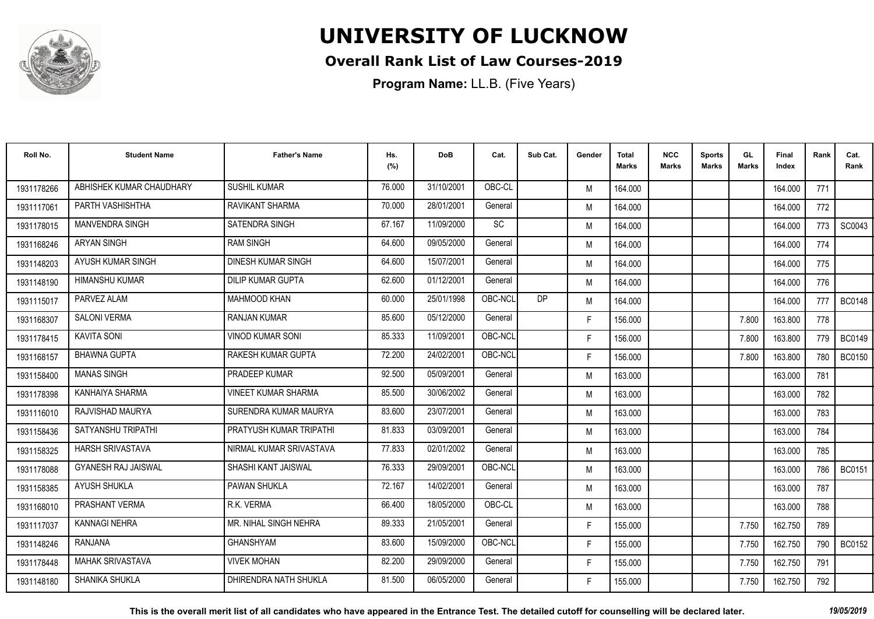

#### **Overall Rank List of Law Courses-2019**

| Roll No.   | <b>Student Name</b>        | <b>Father's Name</b>       | Hs.<br>(%) | <b>DoB</b> | Cat.    | Sub Cat. | Gender | <b>Total</b><br><b>Marks</b> | <b>NCC</b><br><b>Marks</b> | <b>Sports</b><br><b>Marks</b> | GL<br><b>Marks</b> | <b>Final</b><br>Index | Rank | Cat.<br>Rank  |
|------------|----------------------------|----------------------------|------------|------------|---------|----------|--------|------------------------------|----------------------------|-------------------------------|--------------------|-----------------------|------|---------------|
| 1931178266 | ABHISHEK KUMAR CHAUDHARY   | <b>SUSHIL KUMAR</b>        | 76.000     | 31/10/2001 | OBC-CL  |          | M      | 164.000                      |                            |                               |                    | 164.000               | 771  |               |
| 1931117061 | PARTH VASHISHTHA           | <b>RAVIKANT SHARMA</b>     | 70.000     | 28/01/2001 | General |          | M      | 164.000                      |                            |                               |                    | 164.000               | 772  |               |
| 1931178015 | <b>MANVENDRA SINGH</b>     | <b>SATENDRA SINGH</b>      | 67.167     | 11/09/2000 | SC      |          | M      | 164.000                      |                            |                               |                    | 164.000               | 773  | SC0043        |
| 1931168246 | <b>ARYAN SINGH</b>         | <b>RAM SINGH</b>           | 64.600     | 09/05/2000 | General |          | M      | 164.000                      |                            |                               |                    | 164.000               | 774  |               |
| 1931148203 | AYUSH KUMAR SINGH          | DINESH KUMAR SINGH         | 64.600     | 15/07/2001 | General |          | M      | 164.000                      |                            |                               |                    | 164.000               | 775  |               |
| 1931148190 | <b>HIMANSHU KUMAR</b>      | <b>DILIP KUMAR GUPTA</b>   | 62.600     | 01/12/2001 | General |          | M      | 164.000                      |                            |                               |                    | 164.000               | 776  |               |
| 1931115017 | PARVEZ ALAM                | <b>MAHMOOD KHAN</b>        | 60.000     | 25/01/1998 | OBC-NCL | DP       | M      | 164.000                      |                            |                               |                    | 164.000               | 777  | <b>BC0148</b> |
| 1931168307 | <b>SALONI VERMA</b>        | <b>RANJAN KUMAR</b>        | 85.600     | 05/12/2000 | General |          | F.     | 156.000                      |                            |                               | 7.800              | 163.800               | 778  |               |
| 1931178415 | <b>KAVITA SONI</b>         | <b>VINOD KUMAR SONI</b>    | 85.333     | 11/09/2001 | OBC-NCL |          | F.     | 156.000                      |                            |                               | 7.800              | 163.800               | 779  | <b>BC0149</b> |
| 1931168157 | <b>BHAWNA GUPTA</b>        | <b>RAKESH KUMAR GUPTA</b>  | 72.200     | 24/02/2001 | OBC-NCL |          | F.     | 156.000                      |                            |                               | 7.800              | 163.800               | 780  | <b>BC0150</b> |
| 1931158400 | <b>MANAS SINGH</b>         | PRADEEP KUMAR              | 92.500     | 05/09/2001 | General |          | M      | 163.000                      |                            |                               |                    | 163.000               | 781  |               |
| 1931178398 | KANHAIYA SHARMA            | <b>VINEET KUMAR SHARMA</b> | 85.500     | 30/06/2002 | General |          | M      | 163.000                      |                            |                               |                    | 163.000               | 782  |               |
| 1931116010 | RAJVISHAD MAURYA           | SURENDRA KUMAR MAURYA      | 83.600     | 23/07/2001 | General |          | M      | 163.000                      |                            |                               |                    | 163.000               | 783  |               |
| 1931158436 | SATYANSHU TRIPATHI         | PRATYUSH KUMAR TRIPATHI    | 81.833     | 03/09/2001 | General |          | M      | 163.000                      |                            |                               |                    | 163.000               | 784  |               |
| 1931158325 | <b>HARSH SRIVASTAVA</b>    | NIRMAL KUMAR SRIVASTAVA    | 77.833     | 02/01/2002 | General |          | M      | 163.000                      |                            |                               |                    | 163.000               | 785  |               |
| 1931178088 | <b>GYANESH RAJ JAISWAL</b> | SHASHI KANT JAISWAL        | 76.333     | 29/09/2001 | OBC-NCL |          | M      | 163.000                      |                            |                               |                    | 163.000               | 786  | <b>BC0151</b> |
| 1931158385 | AYUSH SHUKLA               | <b>PAWAN SHUKLA</b>        | 72.167     | 14/02/2001 | General |          | M      | 163.000                      |                            |                               |                    | 163.000               | 787  |               |
| 1931168010 | PRASHANT VERMA             | R.K. VERMA                 | 66.400     | 18/05/2000 | OBC-CL  |          | M      | 163.000                      |                            |                               |                    | 163.000               | 788  |               |
| 1931117037 | <b>KANNAGI NEHRA</b>       | MR. NIHAL SINGH NEHRA      | 89.333     | 21/05/2001 | General |          | F.     | 155.000                      |                            |                               | 7.750              | 162.750               | 789  |               |
| 1931148246 | RANJANA                    | <b>GHANSHYAM</b>           | 83.600     | 15/09/2000 | OBC-NCL |          | F.     | 155.000                      |                            |                               | 7.750              | 162.750               | 790  | <b>BC0152</b> |
| 1931178448 | <b>MAHAK SRIVASTAVA</b>    | <b>VIVEK MOHAN</b>         | 82.200     | 29/09/2000 | General |          | F.     | 155.000                      |                            |                               | 7.750              | 162.750               | 791  |               |
| 1931148180 | SHANIKA SHUKLA             | DHIRENDRA NATH SHUKLA      | 81.500     | 06/05/2000 | General |          | F      | 155.000                      |                            |                               | 7.750              | 162.750               | 792  |               |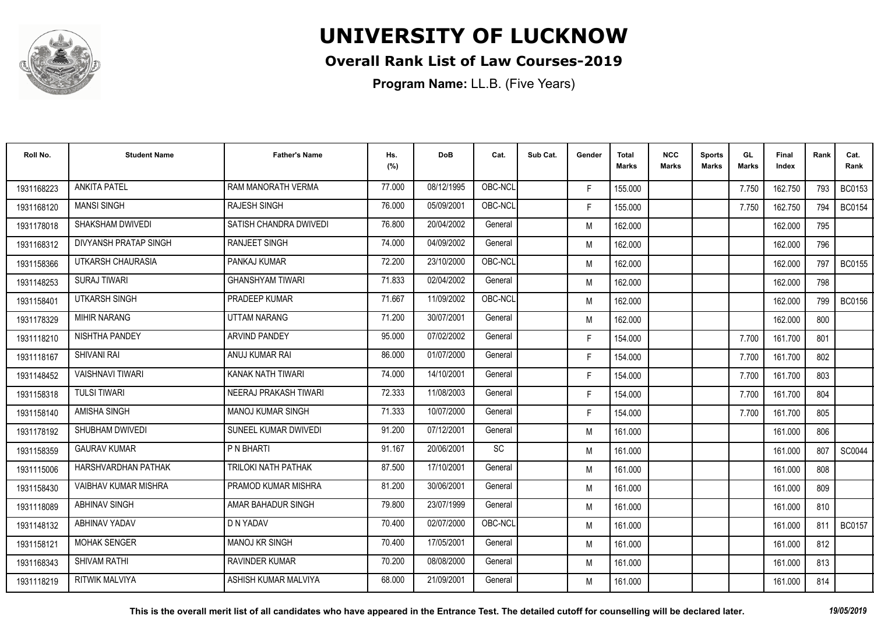

### **Overall Rank List of Law Courses-2019**

| Roll No.   | <b>Student Name</b>        | <b>Father's Name</b>       | Hs.<br>(%) | <b>DoB</b> | Cat.      | Sub Cat. | Gender | <b>Total</b><br><b>Marks</b> | <b>NCC</b><br><b>Marks</b> | <b>Sports</b><br><b>Marks</b> | GL<br><b>Marks</b> | <b>Final</b><br>Index | Rank | Cat.<br>Rank  |
|------------|----------------------------|----------------------------|------------|------------|-----------|----------|--------|------------------------------|----------------------------|-------------------------------|--------------------|-----------------------|------|---------------|
| 1931168223 | <b>ANKITA PATEL</b>        | RAM MANORATH VERMA         | 77.000     | 08/12/1995 | OBC-NCL   |          | F.     | 155.000                      |                            |                               | 7.750              | 162.750               | 793  | <b>BC0153</b> |
| 1931168120 | <b>MANSI SINGH</b>         | <b>RAJESH SINGH</b>        | 76.000     | 05/09/2001 | OBC-NCL   |          | F.     | 155.000                      |                            |                               | 7.750              | 162.750               | 794  | <b>BC0154</b> |
| 1931178018 | SHAKSHAM DWIVEDI           | SATISH CHANDRA DWIVEDI     | 76.800     | 20/04/2002 | General   |          | M      | 162.000                      |                            |                               |                    | 162.000               | 795  |               |
| 1931168312 | DIVYANSH PRATAP SINGH      | <b>RANJEET SINGH</b>       | 74.000     | 04/09/2002 | General   |          | M      | 162.000                      |                            |                               |                    | 162.000               | 796  |               |
| 1931158366 | UTKARSH CHAURASIA          | PANKAJ KUMAR               | 72.200     | 23/10/2000 | OBC-NCL   |          | M      | 162.000                      |                            |                               |                    | 162.000               | 797  | <b>BC0155</b> |
| 1931148253 | <b>SURAJ TIWARI</b>        | <b>GHANSHYAM TIWARI</b>    | 71.833     | 02/04/2002 | General   |          | M      | 162.000                      |                            |                               |                    | 162.000               | 798  |               |
| 1931158401 | UTKARSH SINGH              | PRADEEP KUMAR              | 71.667     | 11/09/2002 | OBC-NCL   |          | M      | 162.000                      |                            |                               |                    | 162.000               | 799  | <b>BC0156</b> |
| 1931178329 | <b>MIHIR NARANG</b>        | <b>UTTAM NARANG</b>        | 71.200     | 30/07/2001 | General   |          | M      | 162.000                      |                            |                               |                    | 162.000               | 800  |               |
| 1931118210 | NISHTHA PANDEY             | <b>ARVIND PANDEY</b>       | 95.000     | 07/02/2002 | General   |          | F.     | 154.000                      |                            |                               | 7.700              | 161.700               | 801  |               |
| 1931118167 | <b>SHIVANI RAI</b>         | ANUJ KUMAR RAI             | 86.000     | 01/07/2000 | General   |          | F.     | 154.000                      |                            |                               | 7.700              | 161.700               | 802  |               |
| 1931148452 | <b>VAISHNAVI TIWARI</b>    | KANAK NATH TIWARI          | 74.000     | 14/10/2001 | General   |          | F.     | 154.000                      |                            |                               | 7.700              | 161.700               | 803  |               |
| 1931158318 | <b>TULSI TIWARI</b>        | NEERAJ PRAKASH TIWARI      | 72.333     | 11/08/2003 | General   |          | F.     | 154.000                      |                            |                               | 7.700              | 161.700               | 804  |               |
| 1931158140 | <b>AMISHA SINGH</b>        | <b>MANOJ KUMAR SINGH</b>   | 71.333     | 10/07/2000 | General   |          | F.     | 154.000                      |                            |                               | 7.700              | 161.700               | 805  |               |
| 1931178192 | SHUBHAM DWIVEDI            | SUNEEL KUMAR DWIVEDI       | 91.200     | 07/12/2001 | General   |          | M      | 161.000                      |                            |                               |                    | 161.000               | 806  |               |
| 1931158359 | <b>GAURAV KUMAR</b>        | P N BHARTI                 | 91.167     | 20/06/2001 | <b>SC</b> |          | M      | 161.000                      |                            |                               |                    | 161.000               | 807  | SC0044        |
| 1931115006 | <b>HARSHVARDHAN PATHAK</b> | <b>TRILOKI NATH PATHAK</b> | 87.500     | 17/10/2001 | General   |          | M      | 161.000                      |                            |                               |                    | 161.000               | 808  |               |
| 1931158430 | VAIBHAV KUMAR MISHRA       | PRAMOD KUMAR MISHRA        | 81.200     | 30/06/2001 | General   |          | M      | 161.000                      |                            |                               |                    | 161.000               | 809  |               |
| 1931118089 | <b>ABHINAV SINGH</b>       | AMAR BAHADUR SINGH         | 79.800     | 23/07/1999 | General   |          | M      | 161.000                      |                            |                               |                    | 161.000               | 810  |               |
| 1931148132 | <b>ABHINAV YADAV</b>       | D N YADAV                  | 70.400     | 02/07/2000 | OBC-NCL   |          | M      | 161.000                      |                            |                               |                    | 161.000               | 811  | <b>BC0157</b> |
| 1931158121 | <b>MOHAK SENGER</b>        | <b>MANOJ KR SINGH</b>      | 70.400     | 17/05/2001 | General   |          | M      | 161.000                      |                            |                               |                    | 161.000               | 812  |               |
| 1931168343 | <b>SHIVAM RATHI</b>        | <b>RAVINDER KUMAR</b>      | 70.200     | 08/08/2000 | General   |          | M      | 161.000                      |                            |                               |                    | 161.000               | 813  |               |
| 1931118219 | <b>RITWIK MALVIYA</b>      | ASHISH KUMAR MALVIYA       | 68.000     | 21/09/2001 | General   |          | M      | 161.000                      |                            |                               |                    | 161.000               | 814  |               |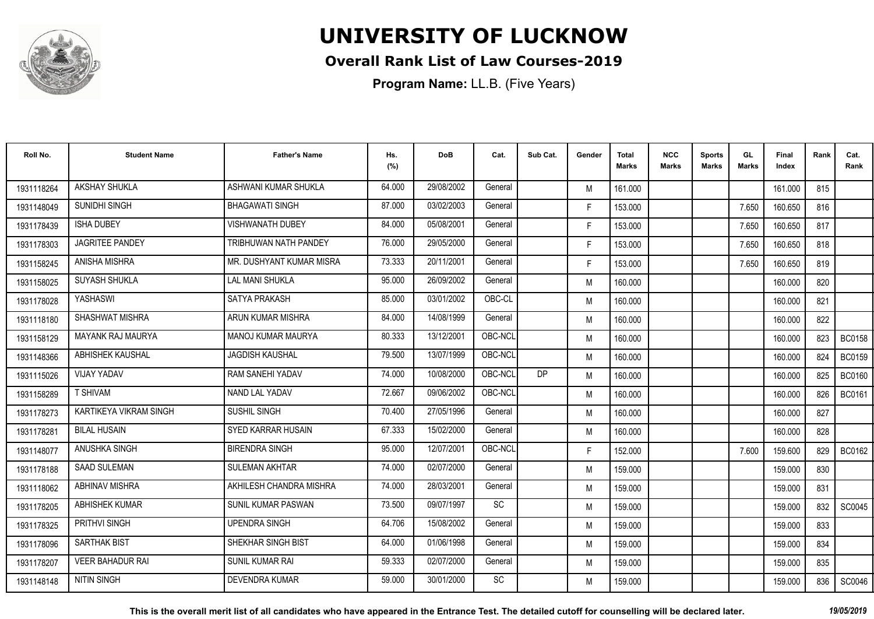

### **Overall Rank List of Law Courses-2019**

| Roll No.   | <b>Student Name</b>      | <b>Father's Name</b>      | Hs.<br>(%) | <b>DoB</b> | Cat.    | Sub Cat. | Gender | <b>Total</b><br>Marks | <b>NCC</b><br>Marks | <b>Sports</b><br><b>Marks</b> | GL<br><b>Marks</b> | Final<br>Index | Rank | Cat.<br>Rank  |
|------------|--------------------------|---------------------------|------------|------------|---------|----------|--------|-----------------------|---------------------|-------------------------------|--------------------|----------------|------|---------------|
| 1931118264 | AKSHAY SHUKLA            | ASHWANI KUMAR SHUKLA      | 64.000     | 29/08/2002 | General |          | M      | 161.000               |                     |                               |                    | 161.000        | 815  |               |
| 1931148049 | SUNIDHI SINGH            | <b>BHAGAWATI SINGH</b>    | 87.000     | 03/02/2003 | General |          | F.     | 153.000               |                     |                               | 7.650              | 160.650        | 816  |               |
| 1931178439 | <b>ISHA DUBEY</b>        | <b>VISHWANATH DUBEY</b>   | 84.000     | 05/08/2001 | General |          | F.     | 153.000               |                     |                               | 7.650              | 160.650        | 817  |               |
| 1931178303 | <b>JAGRITEE PANDEY</b>   | TRIBHUWAN NATH PANDEY     | 76.000     | 29/05/2000 | General |          | F.     | 153.000               |                     |                               | 7.650              | 160.650        | 818  |               |
| 1931158245 | ANISHA MISHRA            | MR. DUSHYANT KUMAR MISRA  | 73.333     | 20/11/2001 | General |          | F.     | 153.000               |                     |                               | 7.650              | 160.650        | 819  |               |
| 1931158025 | <b>SUYASH SHUKLA</b>     | <b>LAL MANI SHUKLA</b>    | 95.000     | 26/09/2002 | General |          | M      | 160.000               |                     |                               |                    | 160.000        | 820  |               |
| 1931178028 | YASHASWI                 | <b>SATYA PRAKASH</b>      | 85.000     | 03/01/2002 | OBC-CL  |          | M      | 160.000               |                     |                               |                    | 160.000        | 821  |               |
| 1931118180 | SHASHWAT MISHRA          | ARUN KUMAR MISHRA         | 84.000     | 14/08/1999 | General |          | M      | 160.000               |                     |                               |                    | 160.000        | 822  |               |
| 1931158129 | <b>MAYANK RAJ MAURYA</b> | <b>MANOJ KUMAR MAURYA</b> | 80.333     | 13/12/2001 | OBC-NCL |          | M      | 160.000               |                     |                               |                    | 160.000        | 823  | <b>BC0158</b> |
| 1931148366 | ABHISHEK KAUSHAL         | <b>JAGDISH KAUSHAL</b>    | 79.500     | 13/07/1999 | OBC-NCL |          | M      | 160.000               |                     |                               |                    | 160.000        | 824  | <b>BC0159</b> |
| 1931115026 | <b>VIJAY YADAV</b>       | RAM SANEHI YADAV          | 74.000     | 10/08/2000 | OBC-NCL | DP       | M      | 160.000               |                     |                               |                    | 160.000        | 825  | <b>BC0160</b> |
| 1931158289 | <b>T SHIVAM</b>          | NAND LAL YADAV            | 72.667     | 09/06/2002 | OBC-NCL |          | M      | 160.000               |                     |                               |                    | 160.000        | 826  | <b>BC0161</b> |
| 1931178273 | KARTIKEYA VIKRAM SINGH   | <b>SUSHIL SINGH</b>       | 70.400     | 27/05/1996 | General |          | M      | 160.000               |                     |                               |                    | 160.000        | 827  |               |
| 1931178281 | <b>BILAL HUSAIN</b>      | SYED KARRAR HUSAIN        | 67.333     | 15/02/2000 | General |          | M      | 160.000               |                     |                               |                    | 160.000        | 828  |               |
| 1931148077 | ANUSHKA SINGH            | <b>BIRENDRA SINGH</b>     | 95.000     | 12/07/2001 | OBC-NCL |          | F.     | 152.000               |                     |                               | 7.600              | 159.600        | 829  | <b>BC0162</b> |
| 1931178188 | <b>SAAD SULEMAN</b>      | <b>SULEMAN AKHTAR</b>     | 74.000     | 02/07/2000 | General |          | M      | 159.000               |                     |                               |                    | 159.000        | 830  |               |
| 1931118062 | <b>ABHINAV MISHRA</b>    | AKHILESH CHANDRA MISHRA   | 74.000     | 28/03/2001 | General |          | M      | 159.000               |                     |                               |                    | 159.000        | 831  |               |
| 1931178205 | <b>ABHISHEK KUMAR</b>    | SUNIL KUMAR PASWAN        | 73.500     | 09/07/1997 | SC      |          | M      | 159.000               |                     |                               |                    | 159.000        | 832  | SC0045        |
| 1931178325 | <b>PRITHVI SINGH</b>     | <b>UPENDRA SINGH</b>      | 64.706     | 15/08/2002 | General |          | M      | 159.000               |                     |                               |                    | 159.000        | 833  |               |
| 1931178096 | <b>SARTHAK BIST</b>      | SHEKHAR SINGH BIST        | 64.000     | 01/06/1998 | General |          | M      | 159.000               |                     |                               |                    | 159.000        | 834  |               |
| 1931178207 | <b>VEER BAHADUR RAI</b>  | <b>SUNIL KUMAR RAI</b>    | 59.333     | 02/07/2000 | General |          | M      | 159.000               |                     |                               |                    | 159.000        | 835  |               |
| 1931148148 | <b>NITIN SINGH</b>       | <b>DEVENDRA KUMAR</b>     | 59.000     | 30/01/2000 | SC      |          | M      | 159.000               |                     |                               |                    | 159.000        | 836  | SC0046        |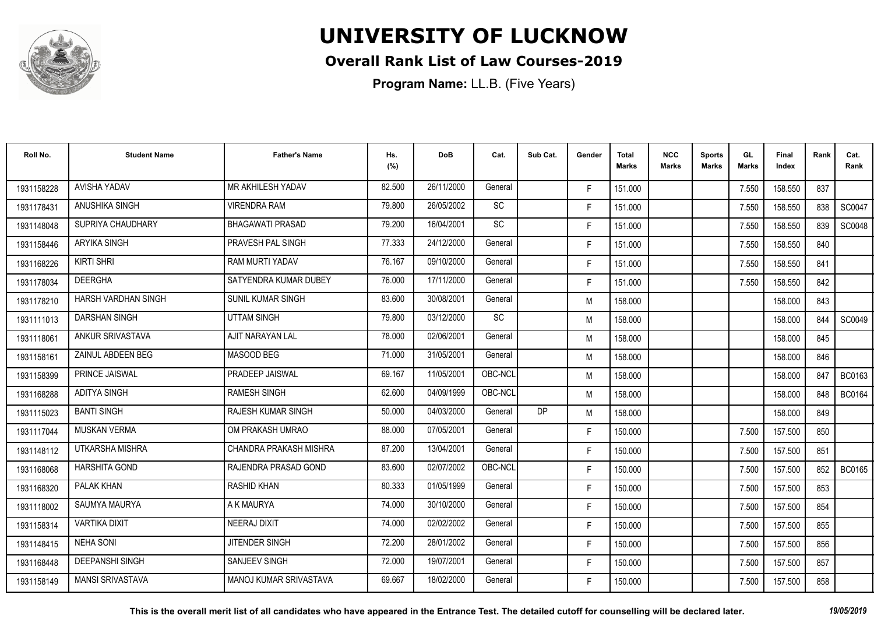

### **Overall Rank List of Law Courses-2019**

**Program Name:** LL.B. (Five Years)

| Roll No.   | <b>Student Name</b>     | <b>Father's Name</b>          | Hs.<br>(%) | <b>DoB</b> | Cat.      | Sub Cat. | Gender | <b>Total</b><br>Marks | <b>NCC</b><br>Marks | <b>Sports</b><br><b>Marks</b> | GL<br><b>Marks</b> | Final<br>Index | Rank | Cat.<br>Rank  |
|------------|-------------------------|-------------------------------|------------|------------|-----------|----------|--------|-----------------------|---------------------|-------------------------------|--------------------|----------------|------|---------------|
| 1931158228 | <b>AVISHA YADAV</b>     | MR AKHILESH YADAV             | 82.500     | 26/11/2000 | General   |          | F.     | 151.000               |                     |                               | 7.550              | 158.550        | 837  |               |
| 1931178431 | ANUSHIKA SINGH          | <b>VIRENDRA RAM</b>           | 79.800     | 26/05/2002 | <b>SC</b> |          | F.     | 151.000               |                     |                               | 7.550              | 158.550        | 838  | SC0047        |
| 1931148048 | SUPRIYA CHAUDHARY       | <b>BHAGAWATI PRASAD</b>       | 79.200     | 16/04/2001 | <b>SC</b> |          | F.     | 151.000               |                     |                               | 7.550              | 158.550        | 839  | SC0048        |
| 1931158446 | ARYIKA SINGH            | PRAVESH PAL SINGH             | 77.333     | 24/12/2000 | General   |          | F.     | 151.000               |                     |                               | 7.550              | 158.550        | 840  |               |
| 1931168226 | <b>KIRTI SHRI</b>       | RAM MURTI YADAV               | 76.167     | 09/10/2000 | General   |          | F.     | 151.000               |                     |                               | 7.550              | 158.550        | 841  |               |
| 1931178034 | <b>DEERGHA</b>          | SATYENDRA KUMAR DUBEY         | 76.000     | 17/11/2000 | General   |          | F.     | 151.000               |                     |                               | 7.550              | 158.550        | 842  |               |
| 1931178210 | HARSH VARDHAN SINGH     | <b>SUNIL KUMAR SINGH</b>      | 83.600     | 30/08/2001 | General   |          | M      | 158.000               |                     |                               |                    | 158.000        | 843  |               |
| 1931111013 | <b>DARSHAN SINGH</b>    | <b>UTTAM SINGH</b>            | 79.800     | 03/12/2000 | SC        |          | M      | 158.000               |                     |                               |                    | 158,000        | 844  | SC0049        |
| 1931118061 | ANKUR SRIVASTAVA        | AJIT NARAYAN LAL              | 78.000     | 02/06/2001 | General   |          | M      | 158.000               |                     |                               |                    | 158.000        | 845  |               |
| 1931158161 | ZAINUL ABDEEN BEG       | MASOOD BEG                    | 71.000     | 31/05/2001 | General   |          | M      | 158.000               |                     |                               |                    | 158.000        | 846  |               |
| 1931158399 | PRINCE JAISWAL          | PRADEEP JAISWAL               | 69.167     | 11/05/2001 | OBC-NCL   |          | M      | 158.000               |                     |                               |                    | 158,000        | 847  | <b>BC0163</b> |
| 1931168288 | <b>ADITYA SINGH</b>     | <b>RAMESH SINGH</b>           | 62.600     | 04/09/1999 | OBC-NCL   |          | M      | 158.000               |                     |                               |                    | 158,000        | 848  | <b>BC0164</b> |
| 1931115023 | <b>BANTI SINGH</b>      | <b>RAJESH KUMAR SINGH</b>     | 50.000     | 04/03/2000 | General   | DP       | M      | 158.000               |                     |                               |                    | 158.000        | 849  |               |
| 1931117044 | <b>MUSKAN VERMA</b>     | OM PRAKASH UMRAO              | 88.000     | 07/05/2001 | General   |          | F.     | 150.000               |                     |                               | 7.500              | 157.500        | 850  |               |
| 1931148112 | <b>UTKARSHA MISHRA</b>  | CHANDRA PRAKASH MISHRA        | 87.200     | 13/04/2001 | General   |          | F.     | 150.000               |                     |                               | 7.500              | 157.500        | 851  |               |
| 1931168068 | <b>HARSHITA GOND</b>    | RAJENDRA PRASAD GOND          | 83.600     | 02/07/2002 | OBC-NCL   |          | F.     | 150.000               |                     |                               | 7.500              | 157.500        | 852  | <b>BC0165</b> |
| 1931168320 | PALAK KHAN              | <b>RASHID KHAN</b>            | 80.333     | 01/05/1999 | General   |          | F.     | 150.000               |                     |                               | 7.500              | 157.500        | 853  |               |
| 1931118002 | <b>SAUMYA MAURYA</b>    | A K MAURYA                    | 74.000     | 30/10/2000 | General   |          | F.     | 150.000               |                     |                               | 7.500              | 157.500        | 854  |               |
| 1931158314 | <b>VARTIKA DIXIT</b>    | <b>NEERAJ DIXIT</b>           | 74.000     | 02/02/2002 | General   |          | F.     | 150.000               |                     |                               | 7.500              | 157.500        | 855  |               |
| 1931148415 | <b>NEHA SONI</b>        | <b>JITENDER SINGH</b>         | 72.200     | 28/01/2002 | General   |          | F.     | 150.000               |                     |                               | 7.500              | 157.500        | 856  |               |
| 1931168448 | <b>DEEPANSHI SINGH</b>  | SANJEEV SINGH                 | 72.000     | 19/07/2001 | General   |          | F.     | 150.000               |                     |                               | 7.500              | 157.500        | 857  |               |
| 1931158149 | <b>MANSI SRIVASTAVA</b> | <b>MANOJ KUMAR SRIVASTAVA</b> | 69.667     | 18/02/2000 | General   |          | F      | 150.000               |                     |                               | 7.500              | 157.500        | 858  |               |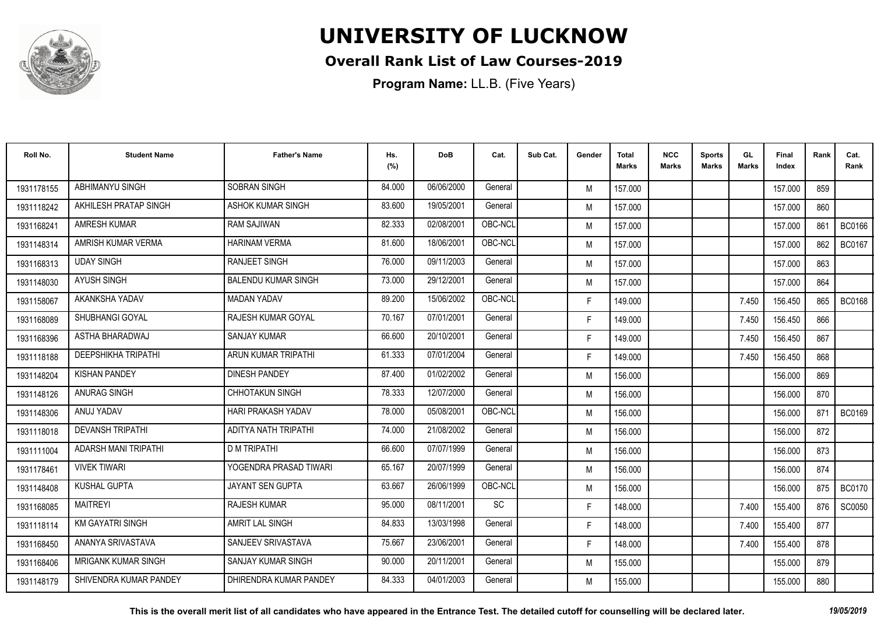

### **Overall Rank List of Law Courses-2019**

| Roll No.   | <b>Student Name</b>         | <b>Father's Name</b>       | Hs.<br>(%) | <b>DoB</b> | Cat.    | Sub Cat. | Gender | <b>Total</b><br><b>Marks</b> | <b>NCC</b><br>Marks | <b>Sports</b><br><b>Marks</b> | GL.<br><b>Marks</b> | Final<br>Index | Rank | Cat.<br>Rank  |
|------------|-----------------------------|----------------------------|------------|------------|---------|----------|--------|------------------------------|---------------------|-------------------------------|---------------------|----------------|------|---------------|
| 1931178155 | <b>ABHIMANYU SINGH</b>      | <b>SOBRAN SINGH</b>        | 84.000     | 06/06/2000 | General |          | M      | 157.000                      |                     |                               |                     | 157.000        | 859  |               |
| 1931118242 | AKHILESH PRATAP SINGH       | <b>ASHOK KUMAR SINGH</b>   | 83.600     | 19/05/2001 | General |          | M      | 157.000                      |                     |                               |                     | 157.000        | 860  |               |
| 1931168241 | <b>AMRESH KUMAR</b>         | <b>RAM SAJIWAN</b>         | 82.333     | 02/08/2001 | OBC-NCL |          | M      | 157.000                      |                     |                               |                     | 157.000        | 861  | <b>BC0166</b> |
| 1931148314 | AMRISH KUMAR VERMA          | <b>HARINAM VERMA</b>       | 81.600     | 18/06/2001 | OBC-NCL |          | M      | 157.000                      |                     |                               |                     | 157.000        | 862  | <b>BC0167</b> |
| 1931168313 | <b>UDAY SINGH</b>           | <b>RANJEET SINGH</b>       | 76.000     | 09/11/2003 | General |          | M      | 157.000                      |                     |                               |                     | 157.000        | 863  |               |
| 1931148030 | <b>AYUSH SINGH</b>          | <b>BALENDU KUMAR SINGH</b> | 73.000     | 29/12/2001 | General |          | M      | 157.000                      |                     |                               |                     | 157.000        | 864  |               |
| 1931158067 | AKANKSHA YADAV              | <b>MADAN YADAV</b>         | 89.200     | 15/06/2002 | OBC-NCL |          | F.     | 149.000                      |                     |                               | 7.450               | 156.450        | 865  | <b>BC0168</b> |
| 1931168089 | SHUBHANGI GOYAL             | <b>RAJESH KUMAR GOYAL</b>  | 70.167     | 07/01/2001 | General |          | F.     | 149.000                      |                     |                               | 7.450               | 156.450        | 866  |               |
| 1931168396 | ASTHA BHARADWAJ             | <b>SANJAY KUMAR</b>        | 66.600     | 20/10/2001 | General |          | F.     | 149.000                      |                     |                               | 7.450               | 156.450        | 867  |               |
| 1931118188 | <b>DEEPSHIKHA TRIPATHI</b>  | ARUN KUMAR TRIPATHI        | 61.333     | 07/01/2004 | General |          | F.     | 149.000                      |                     |                               | 7.450               | 156.450        | 868  |               |
| 1931148204 | <b>KISHAN PANDEY</b>        | <b>DINESH PANDEY</b>       | 87.400     | 01/02/2002 | General |          | M      | 156.000                      |                     |                               |                     | 156.000        | 869  |               |
| 1931148126 | <b>ANURAG SINGH</b>         | <b>CHHOTAKUN SINGH</b>     | 78.333     | 12/07/2000 | General |          | M      | 156.000                      |                     |                               |                     | 156.000        | 870  |               |
| 1931148306 | ANUJ YADAV                  | <b>HARI PRAKASH YADAV</b>  | 78.000     | 05/08/2001 | OBC-NCL |          | M      | 156.000                      |                     |                               |                     | 156,000        | 871  | <b>BC0169</b> |
| 1931118018 | <b>DEVANSH TRIPATHI</b>     | ADITYA NATH TRIPATHI       | 74.000     | 21/08/2002 | General |          | M      | 156.000                      |                     |                               |                     | 156.000        | 872  |               |
| 1931111004 | <b>ADARSH MANI TRIPATHI</b> | <b>D M TRIPATHI</b>        | 66.600     | 07/07/1999 | General |          | M      | 156.000                      |                     |                               |                     | 156.000        | 873  |               |
| 1931178461 | <b>VIVEK TIWARI</b>         | YOGENDRA PRASAD TIWARI     | 65.167     | 20/07/1999 | General |          | M      | 156.000                      |                     |                               |                     | 156.000        | 874  |               |
| 1931148408 | <b>KUSHAL GUPTA</b>         | JAYANT SEN GUPTA           | 63.667     | 26/06/1999 | OBC-NCL |          | M      | 156.000                      |                     |                               |                     | 156.000        | 875  | <b>BC0170</b> |
| 1931168085 | <b>MAITREYI</b>             | <b>RAJESH KUMAR</b>        | 95.000     | 08/11/2001 | SC      |          | F.     | 148.000                      |                     |                               | 7.400               | 155.400        | 876  | <b>SC0050</b> |
| 1931118114 | <b>KM GAYATRI SINGH</b>     | AMRIT LAL SINGH            | 84.833     | 13/03/1998 | General |          | F.     | 148.000                      |                     |                               | 7.400               | 155.400        | 877  |               |
| 1931168450 | ANANYA SRIVASTAVA           | SANJEEV SRIVASTAVA         | 75.667     | 23/06/2001 | General |          | F.     | 148.000                      |                     |                               | 7.400               | 155.400        | 878  |               |
| 1931168406 | <b>MRIGANK KUMAR SINGH</b>  | SANJAY KUMAR SINGH         | 90.000     | 20/11/2001 | General |          | M      | 155.000                      |                     |                               |                     | 155.000        | 879  |               |
| 1931148179 | SHIVENDRA KUMAR PANDEY      | DHIRENDRA KUMAR PANDEY     | 84.333     | 04/01/2003 | General |          | M      | 155.000                      |                     |                               |                     | 155.000        | 880  |               |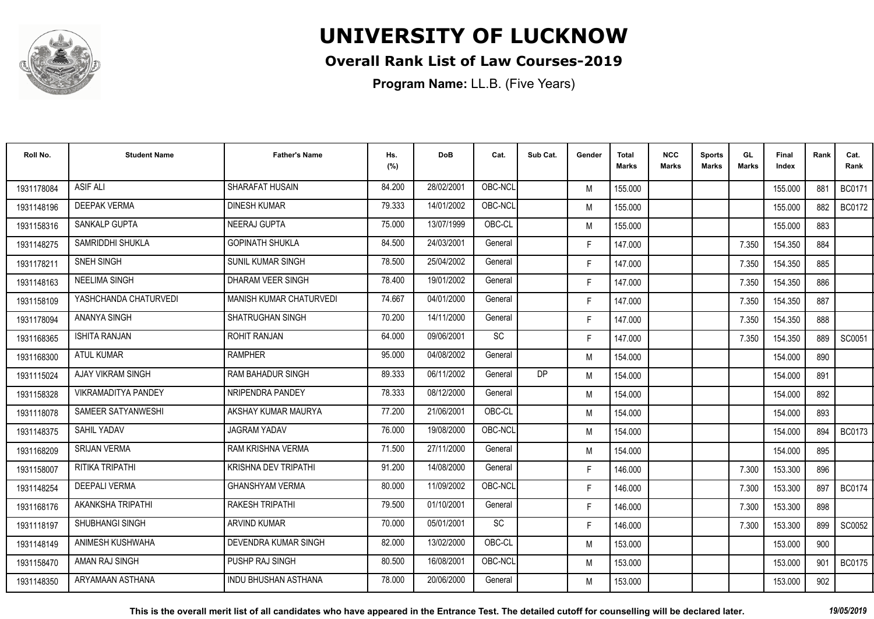

### **Overall Rank List of Law Courses-2019**

**Program Name:** LL.B. (Five Years)

| Roll No.   | <b>Student Name</b>        | <b>Father's Name</b>           | Hs.<br>(%) | <b>DoB</b> | Cat.      | Sub Cat.  | Gender | <b>Total</b><br><b>Marks</b> | <b>NCC</b><br>Marks | <b>Sports</b><br><b>Marks</b> | GL<br><b>Marks</b> | Final<br>Index | Rank | Cat.<br>Rank  |
|------------|----------------------------|--------------------------------|------------|------------|-----------|-----------|--------|------------------------------|---------------------|-------------------------------|--------------------|----------------|------|---------------|
| 1931178084 | <b>ASIF ALI</b>            | SHARAFAT HUSAIN                | 84.200     | 28/02/2001 | OBC-NCL   |           | M      | 155.000                      |                     |                               |                    | 155.000        | 881  | <b>BC0171</b> |
| 1931148196 | <b>DEEPAK VERMA</b>        | <b>DINESH KUMAR</b>            | 79.333     | 14/01/2002 | OBC-NCL   |           | M      | 155.000                      |                     |                               |                    | 155.000        | 882  | <b>BC0172</b> |
| 1931158316 | <b>SANKALP GUPTA</b>       | NEERAJ GUPTA                   | 75.000     | 13/07/1999 | OBC-CL    |           | M      | 155.000                      |                     |                               |                    | 155.000        | 883  |               |
| 1931148275 | SAMRIDDHI SHUKLA           | <b>GOPINATH SHUKLA</b>         | 84.500     | 24/03/2001 | General   |           | F.     | 147.000                      |                     |                               | 7.350              | 154.350        | 884  |               |
| 1931178211 | SNEH SINGH                 | <b>SUNIL KUMAR SINGH</b>       | 78.500     | 25/04/2002 | General   |           | F.     | 147.000                      |                     |                               | 7.350              | 154.350        | 885  |               |
| 1931148163 | <b>NEELIMA SINGH</b>       | DHARAM VEER SINGH              | 78.400     | 19/01/2002 | General   |           | F.     | 147.000                      |                     |                               | 7.350              | 154.350        | 886  |               |
| 1931158109 | YASHCHANDA CHATURVEDI      | <b>MANISH KUMAR CHATURVEDI</b> | 74.667     | 04/01/2000 | General   |           | F.     | 147.000                      |                     |                               | 7.350              | 154.350        | 887  |               |
| 1931178094 | ANANYA SINGH               | <b>SHATRUGHAN SINGH</b>        | 70.200     | 14/11/2000 | General   |           | F.     | 147.000                      |                     |                               | 7.350              | 154.350        | 888  |               |
| 1931168365 | <b>ISHITA RANJAN</b>       | <b>ROHIT RANJAN</b>            | 64.000     | 09/06/2001 | SC        |           | F.     | 147.000                      |                     |                               | 7.350              | 154.350        | 889  | SC0051        |
| 1931168300 | <b>ATUL KUMAR</b>          | <b>RAMPHER</b>                 | 95.000     | 04/08/2002 | General   |           | M      | 154.000                      |                     |                               |                    | 154.000        | 890  |               |
| 1931115024 | AJAY VIKRAM SINGH          | RAM BAHADUR SINGH              | 89.333     | 06/11/2002 | General   | <b>DP</b> | M      | 154.000                      |                     |                               |                    | 154.000        | 891  |               |
| 1931158328 | <b>VIKRAMADITYA PANDEY</b> | NRIPENDRA PANDEY               | 78.333     | 08/12/2000 | General   |           | M      | 154.000                      |                     |                               |                    | 154.000        | 892  |               |
| 1931118078 | SAMEER SATYANWESHI         | AKSHAY KUMAR MAURYA            | 77.200     | 21/06/2001 | OBC-CL    |           | M      | 154.000                      |                     |                               |                    | 154.000        | 893  |               |
| 1931148375 | SAHIL YADAV                | <b>JAGRAM YADAV</b>            | 76.000     | 19/08/2000 | OBC-NCL   |           | M      | 154.000                      |                     |                               |                    | 154.000        | 894  | <b>BC0173</b> |
| 1931168209 | <b>SRIJAN VERMA</b>        | <b>RAM KRISHNA VERMA</b>       | 71.500     | 27/11/2000 | General   |           | M      | 154.000                      |                     |                               |                    | 154.000        | 895  |               |
| 1931158007 | RITIKA TRIPATHI            | <b>KRISHNA DEV TRIPATHI</b>    | 91.200     | 14/08/2000 | General   |           | F.     | 146.000                      |                     |                               | 7.300              | 153.300        | 896  |               |
| 1931148254 | <b>DEEPALI VERMA</b>       | <b>GHANSHYAM VERMA</b>         | 80.000     | 11/09/2002 | OBC-NCL   |           | F.     | 146.000                      |                     |                               | 7.300              | 153.300        | 897  | <b>BC0174</b> |
| 1931168176 | AKANKSHA TRIPATHI          | <b>RAKESH TRIPATHI</b>         | 79.500     | 01/10/2001 | General   |           | F.     | 146.000                      |                     |                               | 7.300              | 153.300        | 898  |               |
| 1931118197 | <b>SHUBHANGI SINGH</b>     | <b>ARVIND KUMAR</b>            | 70.000     | 05/01/2001 | <b>SC</b> |           | F.     | 146.000                      |                     |                               | 7.300              | 153.300        | 899  | SC0052        |
| 1931148149 | ANIMESH KUSHWAHA           | DEVENDRA KUMAR SINGH           | 82.000     | 13/02/2000 | OBC-CL    |           | M      | 153.000                      |                     |                               |                    | 153.000        | 900  |               |
| 1931158470 | AMAN RAJ SINGH             | PUSHP RAJ SINGH                | 80.500     | 16/08/2001 | OBC-NCL   |           | M      | 153.000                      |                     |                               |                    | 153.000        | 901  | <b>BC0175</b> |
| 1931148350 | ARYAMAAN ASTHANA           | <b>INDU BHUSHAN ASTHANA</b>    | 78,000     | 20/06/2000 | General   |           | M      | 153.000                      |                     |                               |                    | 153.000        | 902  |               |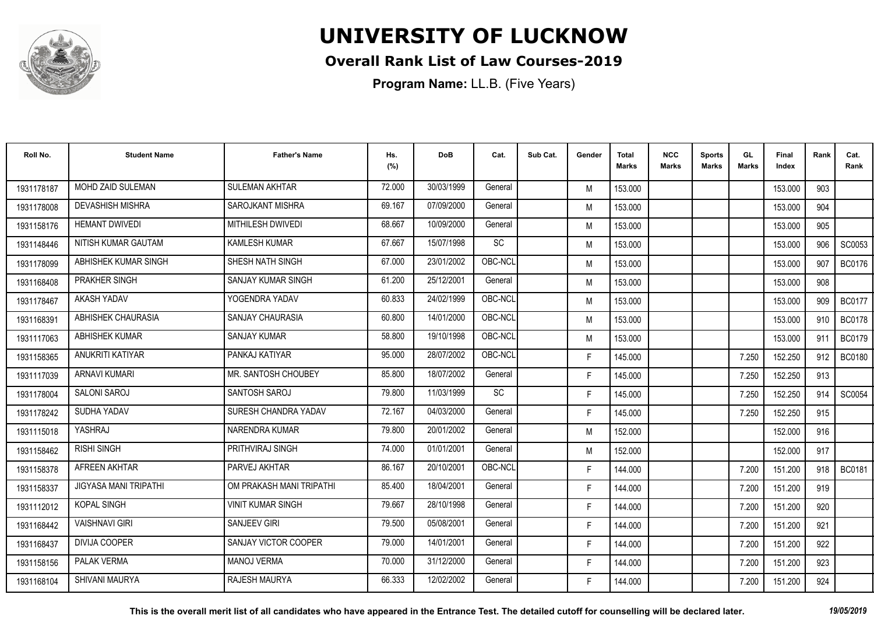

### **Overall Rank List of Law Courses-2019**

| Roll No.   | <b>Student Name</b>          | <b>Father's Name</b>     | Hs.<br>(%) | <b>DoB</b> | Cat.      | Sub Cat. | Gender | <b>Total</b><br><b>Marks</b> | <b>NCC</b><br>Marks | <b>Sports</b><br><b>Marks</b> | GL.<br><b>Marks</b> | Final<br>Index | Rank | Cat.<br>Rank  |
|------------|------------------------------|--------------------------|------------|------------|-----------|----------|--------|------------------------------|---------------------|-------------------------------|---------------------|----------------|------|---------------|
| 1931178187 | MOHD ZAID SULEMAN            | <b>SULEMAN AKHTAR</b>    | 72.000     | 30/03/1999 | General   |          | M      | 153.000                      |                     |                               |                     | 153.000        | 903  |               |
| 1931178008 | <b>DEVASHISH MISHRA</b>      | <b>SAROJKANT MISHRA</b>  | 69.167     | 07/09/2000 | General   |          | M      | 153.000                      |                     |                               |                     | 153.000        | 904  |               |
| 1931158176 | <b>HEMANT DWIVEDI</b>        | <b>MITHILESH DWIVEDI</b> | 68.667     | 10/09/2000 | General   |          | M      | 153.000                      |                     |                               |                     | 153.000        | 905  |               |
| 1931148446 | NITISH KUMAR GAUTAM          | <b>KAMLESH KUMAR</b>     | 67.667     | 15/07/1998 | SC        |          | M      | 153.000                      |                     |                               |                     | 153.000        | 906  | SC0053        |
| 1931178099 | ABHISHEK KUMAR SINGH         | SHESH NATH SINGH         | 67.000     | 23/01/2002 | OBC-NCL   |          | M      | 153.000                      |                     |                               |                     | 153.000        | 907  | <b>BC0176</b> |
| 1931168408 | PRAKHER SINGH                | SANJAY KUMAR SINGH       | 61.200     | 25/12/2001 | General   |          | M      | 153.000                      |                     |                               |                     | 153.000        | 908  |               |
| 1931178467 | AKASH YADAV                  | YOGENDRA YADAV           | 60.833     | 24/02/1999 | OBC-NCL   |          | M      | 153.000                      |                     |                               |                     | 153.000        | 909  | <b>BC0177</b> |
| 1931168391 | ABHISHEK CHAURASIA           | <b>SANJAY CHAURASIA</b>  | 60.800     | 14/01/2000 | OBC-NCL   |          | M      | 153.000                      |                     |                               |                     | 153.000        | 910  | <b>BC0178</b> |
| 1931117063 | <b>ABHISHEK KUMAR</b>        | <b>SANJAY KUMAR</b>      | 58.800     | 19/10/1998 | OBC-NCL   |          | M      | 153.000                      |                     |                               |                     | 153.000        | 911  | <b>BC0179</b> |
| 1931158365 | ANUKRITI KATIYAR             | PANKAJ KATIYAR           | 95.000     | 28/07/2002 | OBC-NCL   |          | F.     | 145.000                      |                     |                               | 7.250               | 152.250        | 912  | <b>BC0180</b> |
| 1931117039 | <b>ARNAVI KUMARI</b>         | MR. SANTOSH CHOUBEY      | 85.800     | 18/07/2002 | General   |          | F.     | 145.000                      |                     |                               | 7.250               | 152.250        | 913  |               |
| 1931178004 | <b>SALONI SAROJ</b>          | SANTOSH SAROJ            | 79.800     | 11/03/1999 | <b>SC</b> |          | F.     | 145.000                      |                     |                               | 7.250               | 152.250        | 914  | SC0054        |
| 1931178242 | SUDHA YADAV                  | SURESH CHANDRA YADAV     | 72.167     | 04/03/2000 | General   |          | F.     | 145.000                      |                     |                               | 7.250               | 152.250        | 915  |               |
| 1931115018 | YASHRAJ                      | NARENDRA KUMAR           | 79.800     | 20/01/2002 | General   |          | M      | 152.000                      |                     |                               |                     | 152.000        | 916  |               |
| 1931158462 | <b>RISHI SINGH</b>           | PRITHVIRAJ SINGH         | 74.000     | 01/01/2001 | General   |          | M      | 152.000                      |                     |                               |                     | 152.000        | 917  |               |
| 1931158378 | AFREEN AKHTAR                | PARVEJ AKHTAR            | 86.167     | 20/10/2001 | OBC-NCL   |          | F.     | 144.000                      |                     |                               | 7.200               | 151.200        | 918  | <b>BC0181</b> |
| 1931158337 | <b>JIGYASA MANI TRIPATHI</b> | OM PRAKASH MANI TRIPATHI | 85.400     | 18/04/2001 | General   |          | F.     | 144.000                      |                     |                               | 7.200               | 151.200        | 919  |               |
| 1931112012 | <b>KOPAL SINGH</b>           | <b>VINIT KUMAR SINGH</b> | 79.667     | 28/10/1998 | General   |          | F.     | 144.000                      |                     |                               | 7.200               | 151.200        | 920  |               |
| 1931168442 | <b>VAISHNAVI GIRI</b>        | <b>SANJEEV GIRI</b>      | 79.500     | 05/08/2001 | General   |          | F.     | 144.000                      |                     |                               | 7.200               | 151.200        | 921  |               |
| 1931168437 | <b>DIVIJA COOPER</b>         | SANJAY VICTOR COOPER     | 79.000     | 14/01/2001 | General   |          | F.     | 144.000                      |                     |                               | 7.200               | 151.200        | 922  |               |
| 1931158156 | <b>PALAK VERMA</b>           | <b>MANOJ VERMA</b>       | 70.000     | 31/12/2000 | General   |          | F.     | 144.000                      |                     |                               | 7.200               | 151.200        | 923  |               |
| 1931168104 | <b>SHIVANI MAURYA</b>        | <b>RAJESH MAURYA</b>     | 66.333     | 12/02/2002 | General   |          | F      | 144.000                      |                     |                               | 7.200               | 151.200        | 924  |               |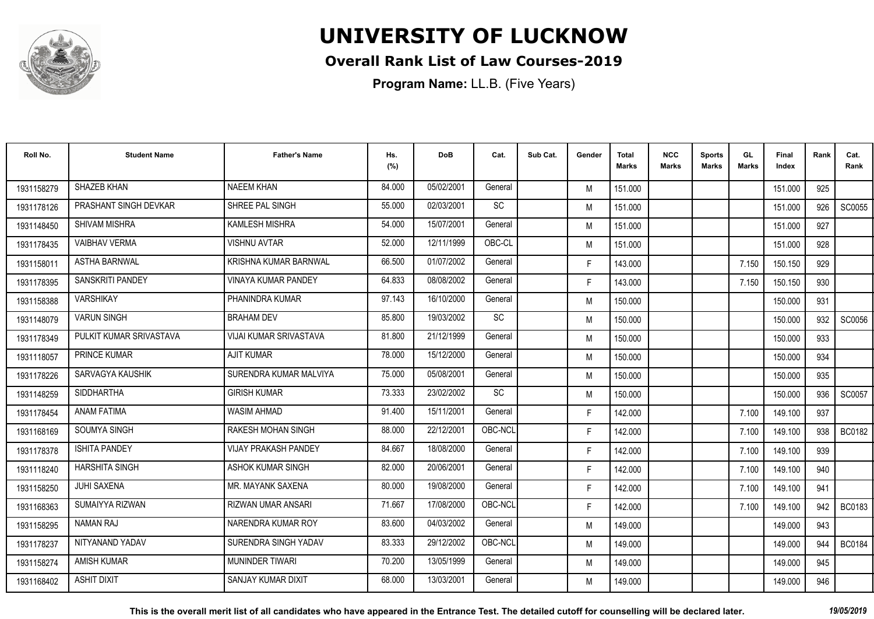

### **Overall Rank List of Law Courses-2019**

| Roll No.   | <b>Student Name</b>     | <b>Father's Name</b>         | Hs.<br>(%) | <b>DoB</b> | Cat.    | Sub Cat. | Gender | <b>Total</b><br><b>Marks</b> | <b>NCC</b><br><b>Marks</b> | <b>Sports</b><br><b>Marks</b> | GL<br>Marks | <b>Final</b><br>Index | Rank | Cat.<br>Rank  |
|------------|-------------------------|------------------------------|------------|------------|---------|----------|--------|------------------------------|----------------------------|-------------------------------|-------------|-----------------------|------|---------------|
| 1931158279 | SHAZEB KHAN             | <b>NAEEM KHAN</b>            | 84.000     | 05/02/2001 | General |          | M      | 151.000                      |                            |                               |             | 151.000               | 925  |               |
| 1931178126 | PRASHANT SINGH DEVKAR   | SHREE PAL SINGH              | 55.000     | 02/03/2001 | SC      |          | M      | 151.000                      |                            |                               |             | 151.000               | 926  | SC0055        |
| 1931148450 | <b>SHIVAM MISHRA</b>    | <b>KAMLESH MISHRA</b>        | 54.000     | 15/07/2001 | General |          | M      | 151.000                      |                            |                               |             | 151.000               | 927  |               |
| 1931178435 | <b>VAIBHAV VERMA</b>    | <b>VISHNU AVTAR</b>          | 52.000     | 12/11/1999 | OBC-CL  |          | M      | 151.000                      |                            |                               |             | 151.000               | 928  |               |
| 1931158011 | <b>ASTHA BARNWAL</b>    | <b>KRISHNA KUMAR BARNWAL</b> | 66.500     | 01/07/2002 | General |          | F.     | 143.000                      |                            |                               | 7.150       | 150.150               | 929  |               |
| 1931178395 | SANSKRITI PANDEY        | <b>VINAYA KUMAR PANDEY</b>   | 64.833     | 08/08/2002 | General |          | F.     | 143.000                      |                            |                               | 7.150       | 150.150               | 930  |               |
| 1931158388 | <b>VARSHIKAY</b>        | PHANINDRA KUMAR              | 97.143     | 16/10/2000 | General |          | M      | 150.000                      |                            |                               |             | 150.000               | 931  |               |
| 1931148079 | <b>VARUN SINGH</b>      | <b>BRAHAM DEV</b>            | 85.800     | 19/03/2002 | SC      |          | M      | 150.000                      |                            |                               |             | 150,000               | 932  | SC0056        |
| 1931178349 | PULKIT KUMAR SRIVASTAVA | VIJAI KUMAR SRIVASTAVA       | 81.800     | 21/12/1999 | General |          | M      | 150.000                      |                            |                               |             | 150,000               | 933  |               |
| 1931118057 | PRINCE KUMAR            | <b>AJIT KUMAR</b>            | 78.000     | 15/12/2000 | General |          | M      | 150.000                      |                            |                               |             | 150.000               | 934  |               |
| 1931178226 | SARVAGYA KAUSHIK        | SURENDRA KUMAR MALVIYA       | 75.000     | 05/08/2001 | General |          | M      | 150.000                      |                            |                               |             | 150.000               | 935  |               |
| 1931148259 | SIDDHARTHA              | <b>GIRISH KUMAR</b>          | 73.333     | 23/02/2002 | SC      |          | M      | 150.000                      |                            |                               |             | 150.000               | 936  | SC0057        |
| 1931178454 | <b>ANAM FATIMA</b>      | <b>WASIM AHMAD</b>           | 91.400     | 15/11/2001 | General |          | F.     | 142.000                      |                            |                               | 7.100       | 149.100               | 937  |               |
| 1931168169 | <b>SOUMYA SINGH</b>     | <b>RAKESH MOHAN SINGH</b>    | 88.000     | 22/12/2001 | OBC-NCL |          | F.     | 142.000                      |                            |                               | 7.100       | 149.100               | 938  | <b>BC0182</b> |
| 1931178378 | <b>ISHITA PANDEY</b>    | <b>VIJAY PRAKASH PANDEY</b>  | 84.667     | 18/08/2000 | General |          | F.     | 142.000                      |                            |                               | 7.100       | 149.100               | 939  |               |
| 1931118240 | <b>HARSHITA SINGH</b>   | ASHOK KUMAR SINGH            | 82.000     | 20/06/2001 | General |          | F.     | 142.000                      |                            |                               | 7.100       | 149.100               | 940  |               |
| 1931158250 | <b>JUHI SAXENA</b>      | MR. MAYANK SAXENA            | 80.000     | 19/08/2000 | General |          | F.     | 142.000                      |                            |                               | 7.100       | 149.100               | 941  |               |
| 1931168363 | SUMAIYYA RIZWAN         | <b>RIZWAN UMAR ANSARI</b>    | 71.667     | 17/08/2000 | OBC-NCL |          | F.     | 142.000                      |                            |                               | 7.100       | 149.100               | 942  | <b>BC0183</b> |
| 1931158295 | NAMAN RAJ               | NARENDRA KUMAR ROY           | 83.600     | 04/03/2002 | General |          | M      | 149.000                      |                            |                               |             | 149.000               | 943  |               |
| 1931178237 | NITYANAND YADAV         | SURENDRA SINGH YADAV         | 83.333     | 29/12/2002 | OBC-NCL |          | M      | 149.000                      |                            |                               |             | 149.000               | 944  | <b>BC0184</b> |
| 1931158274 | <b>AMISH KUMAR</b>      | <b>MUNINDER TIWARI</b>       | 70.200     | 13/05/1999 | General |          | M      | 149.000                      |                            |                               |             | 149.000               | 945  |               |
| 1931168402 | <b>ASHIT DIXIT</b>      | SANJAY KUMAR DIXIT           | 68.000     | 13/03/2001 | General |          | M      | 149.000                      |                            |                               |             | 149.000               | 946  |               |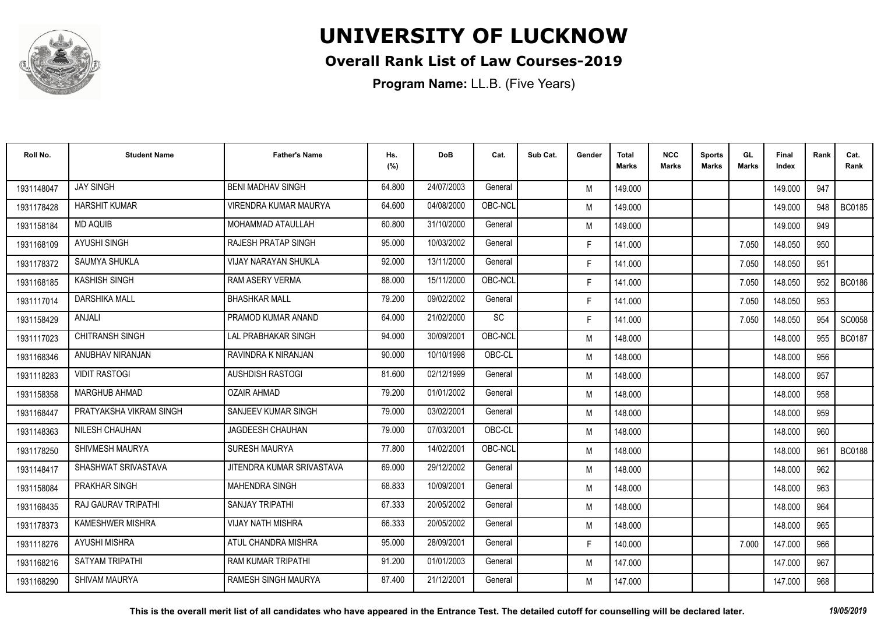

### **Overall Rank List of Law Courses-2019**

| Roll No.   | <b>Student Name</b>        | <b>Father's Name</b>         | Hs.<br>(%) | <b>DoB</b> | Cat.    | Sub Cat. | Gender | <b>Total</b><br><b>Marks</b> | <b>NCC</b><br><b>Marks</b> | <b>Sports</b><br><b>Marks</b> | GL<br><b>Marks</b> | <b>Final</b><br>Index | Rank | Cat.<br>Rank  |
|------------|----------------------------|------------------------------|------------|------------|---------|----------|--------|------------------------------|----------------------------|-------------------------------|--------------------|-----------------------|------|---------------|
| 1931148047 | <b>JAY SINGH</b>           | <b>BENI MADHAV SINGH</b>     | 64.800     | 24/07/2003 | General |          | M      | 149.000                      |                            |                               |                    | 149.000               | 947  |               |
| 1931178428 | <b>HARSHIT KUMAR</b>       | <b>VIRENDRA KUMAR MAURYA</b> | 64.600     | 04/08/2000 | OBC-NCL |          | M      | 149.000                      |                            |                               |                    | 149.000               | 948  | <b>BC0185</b> |
| 1931158184 | <b>MD AQUIB</b>            | MOHAMMAD ATAULLAH            | 60.800     | 31/10/2000 | General |          | M      | 149.000                      |                            |                               |                    | 149.000               | 949  |               |
| 1931168109 | <b>AYUSHI SINGH</b>        | <b>RAJESH PRATAP SINGH</b>   | 95.000     | 10/03/2002 | General |          | F.     | 141.000                      |                            |                               | 7.050              | 148.050               | 950  |               |
| 1931178372 | <b>SAUMYA SHUKLA</b>       | <b>VIJAY NARAYAN SHUKLA</b>  | 92.000     | 13/11/2000 | General |          | F.     | 141.000                      |                            |                               | 7.050              | 148.050               | 951  |               |
| 1931168185 | <b>KASHISH SINGH</b>       | <b>RAM ASERY VERMA</b>       | 88.000     | 15/11/2000 | OBC-NCL |          | F.     | 141.000                      |                            |                               | 7.050              | 148.050               | 952  | <b>BC0186</b> |
| 1931117014 | <b>DARSHIKA MALL</b>       | <b>BHASHKAR MALL</b>         | 79.200     | 09/02/2002 | General |          | F.     | 141.000                      |                            |                               | 7.050              | 148.050               | 953  |               |
| 1931158429 | ANJALI                     | PRAMOD KUMAR ANAND           | 64.000     | 21/02/2000 | SC      |          | F.     | 141.000                      |                            |                               | 7.050              | 148.050               | 954  | SC0058        |
| 1931117023 | <b>CHITRANSH SINGH</b>     | <b>LAL PRABHAKAR SINGH</b>   | 94.000     | 30/09/2001 | OBC-NCL |          | M      | 148.000                      |                            |                               |                    | 148.000               | 955  | <b>BC0187</b> |
| 1931168346 | ANUBHAV NIRANJAN           | RAVINDRA K NIRANJAN          | 90.000     | 10/10/1998 | OBC-CL  |          | M      | 148.000                      |                            |                               |                    | 148.000               | 956  |               |
| 1931118283 | <b>VIDIT RASTOGI</b>       | <b>AUSHDISH RASTOGI</b>      | 81.600     | 02/12/1999 | General |          | M      | 148.000                      |                            |                               |                    | 148.000               | 957  |               |
| 1931158358 | <b>MARGHUB AHMAD</b>       | <b>OZAIR AHMAD</b>           | 79.200     | 01/01/2002 | General |          | M      | 148.000                      |                            |                               |                    | 148.000               | 958  |               |
| 1931168447 | PRATYAKSHA VIKRAM SINGH    | SANJEEV KUMAR SINGH          | 79.000     | 03/02/2001 | General |          | M      | 148.000                      |                            |                               |                    | 148.000               | 959  |               |
| 1931148363 | NILESH CHAUHAN             | <b>JAGDEESH CHAUHAN</b>      | 79.000     | 07/03/2001 | OBC-CL  |          | M      | 148.000                      |                            |                               |                    | 148.000               | 960  |               |
| 1931178250 | SHIVMESH MAURYA            | <b>SURESH MAURYA</b>         | 77.800     | 14/02/2001 | OBC-NCL |          | M      | 148.000                      |                            |                               |                    | 148.000               | 961  | <b>BC0188</b> |
| 1931148417 | SHASHWAT SRIVASTAVA        | JITENDRA KUMAR SRIVASTAVA    | 69.000     | 29/12/2002 | General |          | M      | 148.000                      |                            |                               |                    | 148.000               | 962  |               |
| 1931158084 | <b>PRAKHAR SINGH</b>       | <b>MAHENDRA SINGH</b>        | 68.833     | 10/09/2001 | General |          | M      | 148.000                      |                            |                               |                    | 148.000               | 963  |               |
| 1931168435 | <b>RAJ GAURAV TRIPATHI</b> | <b>SANJAY TRIPATHI</b>       | 67.333     | 20/05/2002 | General |          | M      | 148.000                      |                            |                               |                    | 148.000               | 964  |               |
| 1931178373 | <b>KAMESHWER MISHRA</b>    | <b>VIJAY NATH MISHRA</b>     | 66.333     | 20/05/2002 | General |          | M      | 148.000                      |                            |                               |                    | 148.000               | 965  |               |
| 1931118276 | <b>AYUSHI MISHRA</b>       | ATUL CHANDRA MISHRA          | 95.000     | 28/09/2001 | General |          | F.     | 140.000                      |                            |                               | 7.000              | 147.000               | 966  |               |
| 1931168216 | <b>SATYAM TRIPATHI</b>     | <b>RAM KUMAR TRIPATHI</b>    | 91.200     | 01/01/2003 | General |          | M      | 147.000                      |                            |                               |                    | 147.000               | 967  |               |
| 1931168290 | SHIVAM MAURYA              | RAMESH SINGH MAURYA          | 87.400     | 21/12/2001 | General |          | M      | 147.000                      |                            |                               |                    | 147.000               | 968  |               |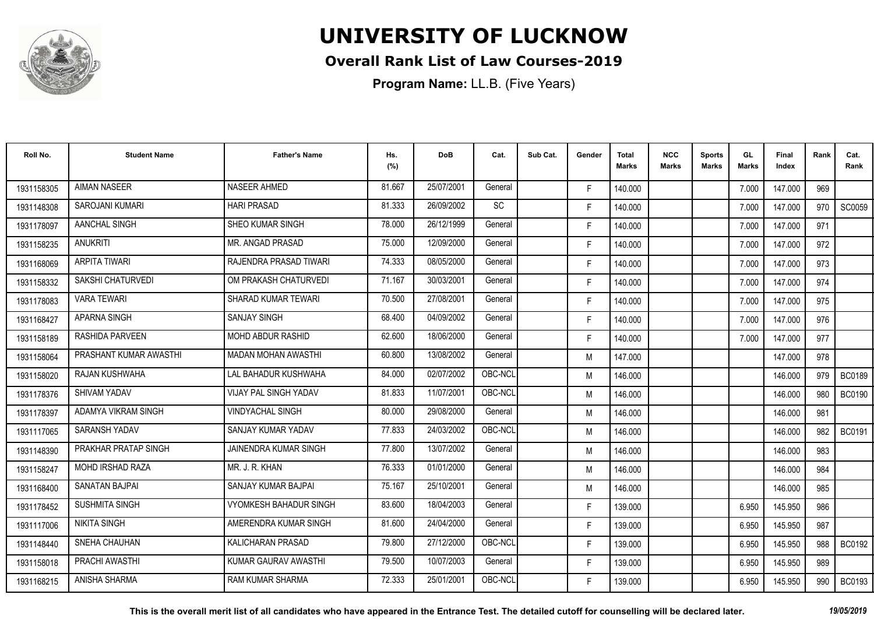

### **Overall Rank List of Law Courses-2019**

| Roll No.   | <b>Student Name</b>     | <b>Father's Name</b>          | Hs.<br>(%) | <b>DoB</b> | Cat.      | Sub Cat. | Gender | <b>Total</b><br><b>Marks</b> | <b>NCC</b><br><b>Marks</b> | <b>Sports</b><br><b>Marks</b> | GL<br><b>Marks</b> | <b>Final</b><br>Index | Rank | Cat.<br>Rank  |
|------------|-------------------------|-------------------------------|------------|------------|-----------|----------|--------|------------------------------|----------------------------|-------------------------------|--------------------|-----------------------|------|---------------|
| 1931158305 | <b>AIMAN NASEER</b>     | NASEER AHMED                  | 81.667     | 25/07/2001 | General   |          | F.     | 140.000                      |                            |                               | 7.000              | 147.000               | 969  |               |
| 1931148308 | SAROJANI KUMARI         | <b>HARI PRASAD</b>            | 81.333     | 26/09/2002 | <b>SC</b> |          | F.     | 140.000                      |                            |                               | 7.000              | 147.000               | 970  | SC0059        |
| 1931178097 | AANCHAL SINGH           | <b>SHEO KUMAR SINGH</b>       | 78,000     | 26/12/1999 | General   |          | F.     | 140.000                      |                            |                               | 7.000              | 147.000               | 971  |               |
| 1931158235 | <b>ANUKRITI</b>         | MR. ANGAD PRASAD              | 75.000     | 12/09/2000 | General   |          | F.     | 140.000                      |                            |                               | 7.000              | 147.000               | 972  |               |
| 1931168069 | <b>ARPITA TIWARI</b>    | RAJENDRA PRASAD TIWARI        | 74.333     | 08/05/2000 | General   |          | F.     | 140.000                      |                            |                               | 7.000              | 147.000               | 973  |               |
| 1931158332 | SAKSHI CHATURVEDI       | OM PRAKASH CHATURVEDI         | 71.167     | 30/03/2001 | General   |          | F.     | 140.000                      |                            |                               | 7.000              | 147.000               | 974  |               |
| 1931178083 | <b>VARA TEWARI</b>      | SHARAD KUMAR TEWARI           | 70.500     | 27/08/2001 | General   |          | F.     | 140.000                      |                            |                               | 7.000              | 147.000               | 975  |               |
| 1931168427 | <b>APARNA SINGH</b>     | <b>SANJAY SINGH</b>           | 68.400     | 04/09/2002 | General   |          | F.     | 140.000                      |                            |                               | 7.000              | 147.000               | 976  |               |
| 1931158189 | RASHIDA PARVEEN         | MOHD ABDUR RASHID             | 62.600     | 18/06/2000 | General   |          | F.     | 140.000                      |                            |                               | 7.000              | 147.000               | 977  |               |
| 1931158064 | PRASHANT KUMAR AWASTHI  | <b>MADAN MOHAN AWASTHI</b>    | 60.800     | 13/08/2002 | General   |          | M      | 147.000                      |                            |                               |                    | 147.000               | 978  |               |
| 1931158020 | RAJAN KUSHWAHA          | LAL BAHADUR KUSHWAHA          | 84.000     | 02/07/2002 | OBC-NCL   |          | M      | 146.000                      |                            |                               |                    | 146.000               | 979  | <b>BC0189</b> |
| 1931178376 | SHIVAM YADAV            | VIJAY PAL SINGH YADAV         | 81.833     | 11/07/2001 | OBC-NCL   |          | M      | 146.000                      |                            |                               |                    | 146.000               | 980  | <b>BC0190</b> |
| 1931178397 | ADAMYA VIKRAM SINGH     | <b>VINDYACHAL SINGH</b>       | 80.000     | 29/08/2000 | General   |          | M      | 146.000                      |                            |                               |                    | 146.000               | 981  |               |
| 1931117065 | <b>SARANSH YADAV</b>    | SANJAY KUMAR YADAV            | 77.833     | 24/03/2002 | OBC-NCL   |          | M      | 146.000                      |                            |                               |                    | 146.000               | 982  | <b>BC0191</b> |
| 1931148390 | PRAKHAR PRATAP SINGH    | <b>JAINENDRA KUMAR SINGH</b>  | 77.800     | 13/07/2002 | General   |          | M      | 146.000                      |                            |                               |                    | 146.000               | 983  |               |
| 1931158247 | <b>MOHD IRSHAD RAZA</b> | MR. J. R. KHAN                | 76.333     | 01/01/2000 | General   |          | M      | 146.000                      |                            |                               |                    | 146.000               | 984  |               |
| 1931168400 | <b>SANATAN BAJPAI</b>   | SANJAY KUMAR BAJPAI           | 75.167     | 25/10/2001 | General   |          | M      | 146.000                      |                            |                               |                    | 146.000               | 985  |               |
| 1931178452 | <b>SUSHMITA SINGH</b>   | <b>VYOMKESH BAHADUR SINGH</b> | 83.600     | 18/04/2003 | General   |          | F.     | 139.000                      |                            |                               | 6.950              | 145.950               | 986  |               |
| 1931117006 | <b>NIKITA SINGH</b>     | AMERENDRA KUMAR SINGH         | 81.600     | 24/04/2000 | General   |          | F.     | 139.000                      |                            |                               | 6.950              | 145.950               | 987  |               |
| 1931148440 | SNEHA CHAUHAN           | <b>KALICHARAN PRASAD</b>      | 79.800     | 27/12/2000 | OBC-NCL   |          | F.     | 139.000                      |                            |                               | 6.950              | 145.950               | 988  | BC0192        |
| 1931158018 | PRACHI AWASTHI          | KUMAR GAURAV AWASTHI          | 79.500     | 10/07/2003 | General   |          | F.     | 139.000                      |                            |                               | 6.950              | 145.950               | 989  |               |
| 1931168215 | ANISHA SHARMA           | <b>RAM KUMAR SHARMA</b>       | 72.333     | 25/01/2001 | OBC-NCL   |          | F.     | 139.000                      |                            |                               | 6.950              | 145.950               | 990  | <b>BC0193</b> |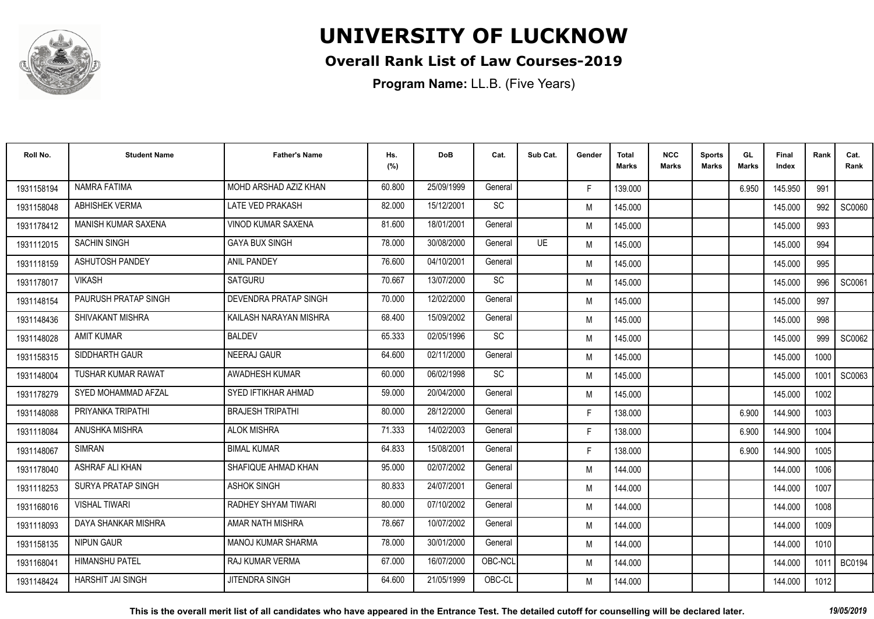

### **Overall Rank List of Law Courses-2019**

| Roll No.   | <b>Student Name</b>        | <b>Father's Name</b>      | Hs.<br>(%) | <b>DoB</b> | Cat.    | Sub Cat.  | Gender | Total<br>Marks | <b>NCC</b><br>Marks | <b>Sports</b><br><b>Marks</b> | GL<br><b>Marks</b> | <b>Final</b><br>Index | Rank | Cat.<br>Rank  |
|------------|----------------------------|---------------------------|------------|------------|---------|-----------|--------|----------------|---------------------|-------------------------------|--------------------|-----------------------|------|---------------|
| 1931158194 | NAMRA FATIMA               | MOHD ARSHAD AZIZ KHAN     | 60.800     | 25/09/1999 | General |           | F.     | 139.000        |                     |                               | 6.950              | 145.950               | 991  |               |
| 1931158048 | <b>ABHISHEK VERMA</b>      | <b>LATE VED PRAKASH</b>   | 82.000     | 15/12/2001 | SC      |           | M      | 145.000        |                     |                               |                    | 145.000               | 992  | SC0060        |
| 1931178412 | <b>MANISH KUMAR SAXENA</b> | <b>VINOD KUMAR SAXENA</b> | 81.600     | 18/01/2001 | General |           | M      | 145.000        |                     |                               |                    | 145.000               | 993  |               |
| 1931112015 | <b>SACHIN SINGH</b>        | <b>GAYA BUX SINGH</b>     | 78.000     | 30/08/2000 | General | <b>UE</b> | M      | 145.000        |                     |                               |                    | 145.000               | 994  |               |
| 1931118159 | <b>ASHUTOSH PANDEY</b>     | <b>ANIL PANDEY</b>        | 76.600     | 04/10/2001 | General |           | M      | 145.000        |                     |                               |                    | 145.000               | 995  |               |
| 1931178017 | <b>VIKASH</b>              | <b>SATGURU</b>            | 70.667     | 13/07/2000 | SC      |           | M      | 145.000        |                     |                               |                    | 145.000               | 996  | SC0061        |
| 1931148154 | PAURUSH PRATAP SINGH       | DEVENDRA PRATAP SINGH     | 70.000     | 12/02/2000 | General |           | M      | 145.000        |                     |                               |                    | 145.000               | 997  |               |
| 1931148436 | SHIVAKANT MISHRA           | KAILASH NARAYAN MISHRA    | 68.400     | 15/09/2002 | General |           | M      | 145.000        |                     |                               |                    | 145.000               | 998  |               |
| 1931148028 | <b>AMIT KUMAR</b>          | <b>BALDEV</b>             | 65.333     | 02/05/1996 | SC      |           | M      | 145.000        |                     |                               |                    | 145.000               | 999  | SC0062        |
| 1931158315 | SIDDHARTH GAUR             | NEERAJ GAUR               | 64.600     | 02/11/2000 | General |           | M      | 145.000        |                     |                               |                    | 145.000               | 1000 |               |
| 1931148004 | <b>TUSHAR KUMAR RAWAT</b>  | AWADHESH KUMAR            | 60.000     | 06/02/1998 | SC      |           | M      | 145.000        |                     |                               |                    | 145.000               | 1001 | SC0063        |
| 1931178279 | SYED MOHAMMAD AFZAL        | SYED IFTIKHAR AHMAD       | 59.000     | 20/04/2000 | General |           | M      | 145.000        |                     |                               |                    | 145.000               | 1002 |               |
| 1931148088 | PRIYANKA TRIPATHI          | <b>BRAJESH TRIPATHI</b>   | 80.000     | 28/12/2000 | General |           | F.     | 138.000        |                     |                               | 6.900              | 144.900               | 1003 |               |
| 1931118084 | ANUSHKA MISHRA             | <b>ALOK MISHRA</b>        | 71.333     | 14/02/2003 | General |           | F.     | 138.000        |                     |                               | 6.900              | 144.900               | 1004 |               |
| 1931148067 | <b>SIMRAN</b>              | <b>BIMAL KUMAR</b>        | 64.833     | 15/08/2001 | General |           | F.     | 138.000        |                     |                               | 6.900              | 144.900               | 1005 |               |
| 1931178040 | <b>ASHRAF ALI KHAN</b>     | SHAFIQUE AHMAD KHAN       | 95.000     | 02/07/2002 | General |           | M      | 144.000        |                     |                               |                    | 144.000               | 1006 |               |
| 1931118253 | <b>SURYA PRATAP SINGH</b>  | <b>ASHOK SINGH</b>        | 80.833     | 24/07/2001 | General |           | M      | 144.000        |                     |                               |                    | 144.000               | 1007 |               |
| 1931168016 | <b>VISHAL TIWARI</b>       | RADHEY SHYAM TIWARI       | 80.000     | 07/10/2002 | General |           | M      | 144.000        |                     |                               |                    | 144.000               | 1008 |               |
| 1931118093 | DAYA SHANKAR MISHRA        | AMAR NATH MISHRA          | 78.667     | 10/07/2002 | General |           | M      | 144.000        |                     |                               |                    | 144.000               | 1009 |               |
| 1931158135 | <b>NIPUN GAUR</b>          | <b>MANOJ KUMAR SHARMA</b> | 78.000     | 30/01/2000 | General |           | M      | 144.000        |                     |                               |                    | 144.000               | 1010 |               |
| 1931168041 | <b>HIMANSHU PATEL</b>      | <b>RAJ KUMAR VERMA</b>    | 67.000     | 16/07/2000 | OBC-NCL |           | M      | 144.000        |                     |                               |                    | 144.000               | 1011 | <b>BC0194</b> |
| 1931148424 | HARSHIT JAI SINGH          | <b>JITENDRA SINGH</b>     | 64.600     | 21/05/1999 | OBC-CL  |           | M      | 144.000        |                     |                               |                    | 144.000               | 1012 |               |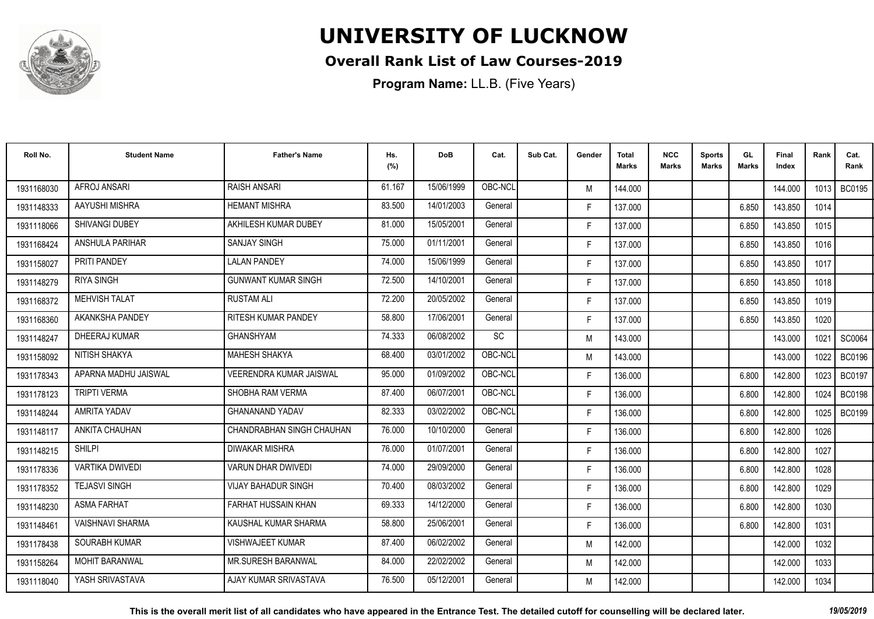

### **Overall Rank List of Law Courses-2019**

| Roll No.   | <b>Student Name</b>    | <b>Father's Name</b>       | Hs.<br>(%) | <b>DoB</b> | Cat.    | Sub Cat. | Gender | <b>Total</b><br><b>Marks</b> | <b>NCC</b><br>Marks | <b>Sports</b><br><b>Marks</b> | GL<br>Marks | <b>Final</b><br>Index | Rank | Cat.<br>Rank  |
|------------|------------------------|----------------------------|------------|------------|---------|----------|--------|------------------------------|---------------------|-------------------------------|-------------|-----------------------|------|---------------|
| 1931168030 | AFROJ ANSARI           | <b>RAISH ANSARI</b>        | 61.167     | 15/06/1999 | OBC-NCL |          | M      | 144.000                      |                     |                               |             | 144.000               |      | 1013   BC0195 |
| 1931148333 | AAYUSHI MISHRA         | <b>HEMANT MISHRA</b>       | 83.500     | 14/01/2003 | General |          | F.     | 137.000                      |                     |                               | 6.850       | 143.850               | 1014 |               |
| 1931118066 | <b>SHIVANGI DUBEY</b>  | AKHILESH KUMAR DUBEY       | 81.000     | 15/05/2001 | General |          | F.     | 137.000                      |                     |                               | 6.850       | 143.850               | 1015 |               |
| 1931168424 | <b>ANSHULA PARIHAR</b> | <b>SANJAY SINGH</b>        | 75.000     | 01/11/2001 | General |          | F.     | 137.000                      |                     |                               | 6.850       | 143.850               | 1016 |               |
| 1931158027 | PRITI PANDEY           | <b>LALAN PANDEY</b>        | 74.000     | 15/06/1999 | General |          | F.     | 137.000                      |                     |                               | 6.850       | 143.850               | 1017 |               |
| 1931148279 | <b>RIYA SINGH</b>      | <b>GUNWANT KUMAR SINGH</b> | 72.500     | 14/10/2001 | General |          | F.     | 137.000                      |                     |                               | 6.850       | 143.850               | 1018 |               |
| 1931168372 | <b>MEHVISH TALAT</b>   | <b>RUSTAM ALI</b>          | 72.200     | 20/05/2002 | General |          | F.     | 137.000                      |                     |                               | 6.850       | 143.850               | 1019 |               |
| 1931168360 | AKANKSHA PANDEY        | RITESH KUMAR PANDEY        | 58.800     | 17/06/2001 | General |          | F.     | 137.000                      |                     |                               | 6.850       | 143.850               | 1020 |               |
| 1931148247 | DHEERAJ KUMAR          | <b>GHANSHYAM</b>           | 74.333     | 06/08/2002 | SC      |          | M      | 143.000                      |                     |                               |             | 143.000               | 1021 | SC0064        |
| 1931158092 | NITISH SHAKYA          | MAHESH SHAKYA              | 68.400     | 03/01/2002 | OBC-NCL |          | M      | 143.000                      |                     |                               |             | 143.000               | 1022 | <b>BC0196</b> |
| 1931178343 | APARNA MADHU JAISWAL   | VEERENDRA KUMAR JAISWAL    | 95.000     | 01/09/2002 | OBC-NCL |          | F.     | 136.000                      |                     |                               | 6.800       | 142.800               | 1023 | <b>BC0197</b> |
| 1931178123 | <b>TRIPTI VERMA</b>    | SHOBHA RAM VERMA           | 87.400     | 06/07/2001 | OBC-NCL |          | F.     | 136.000                      |                     |                               | 6.800       | 142.800               | 1024 | <b>BC0198</b> |
| 1931148244 | <b>AMRITA YADAV</b>    | <b>GHANANAND YADAV</b>     | 82.333     | 03/02/2002 | OBC-NCL |          | F.     | 136.000                      |                     |                               | 6.800       | 142.800               | 1025 | <b>BC0199</b> |
| 1931148117 | ANKITA CHAUHAN         | CHANDRABHAN SINGH CHAUHAN  | 76.000     | 10/10/2000 | General |          | F.     | 136.000                      |                     |                               | 6.800       | 142.800               | 1026 |               |
| 1931148215 | <b>SHILPI</b>          | <b>DIWAKAR MISHRA</b>      | 76.000     | 01/07/2001 | General |          | F.     | 136.000                      |                     |                               | 6.800       | 142.800               | 1027 |               |
| 1931178336 | <b>VARTIKA DWIVEDI</b> | <b>VARUN DHAR DWIVEDI</b>  | 74.000     | 29/09/2000 | General |          | F.     | 136.000                      |                     |                               | 6.800       | 142.800               | 1028 |               |
| 1931178352 | <b>TEJASVI SINGH</b>   | <b>VIJAY BAHADUR SINGH</b> | 70.400     | 08/03/2002 | General |          | F.     | 136.000                      |                     |                               | 6.800       | 142.800               | 1029 |               |
| 1931148230 | <b>ASMA FARHAT</b>     | FARHAT HUSSAIN KHAN        | 69.333     | 14/12/2000 | General |          | F.     | 136.000                      |                     |                               | 6.800       | 142.800               | 1030 |               |
| 1931148461 | VAISHNAVI SHARMA       | KAUSHAL KUMAR SHARMA       | 58.800     | 25/06/2001 | General |          | F.     | 136.000                      |                     |                               | 6.800       | 142.800               | 1031 |               |
| 1931178438 | SOURABH KUMAR          | <b>VISHWAJEET KUMAR</b>    | 87.400     | 06/02/2002 | General |          | M      | 142.000                      |                     |                               |             | 142.000               | 1032 |               |
| 1931158264 | <b>MOHIT BARANWAL</b>  | <b>MR.SURESH BARANWAL</b>  | 84.000     | 22/02/2002 | General |          | M      | 142.000                      |                     |                               |             | 142.000               | 1033 |               |
| 1931118040 | YASH SRIVASTAVA        | AJAY KUMAR SRIVASTAVA      | 76.500     | 05/12/2001 | General |          | M      | 142.000                      |                     |                               |             | 142.000               | 1034 |               |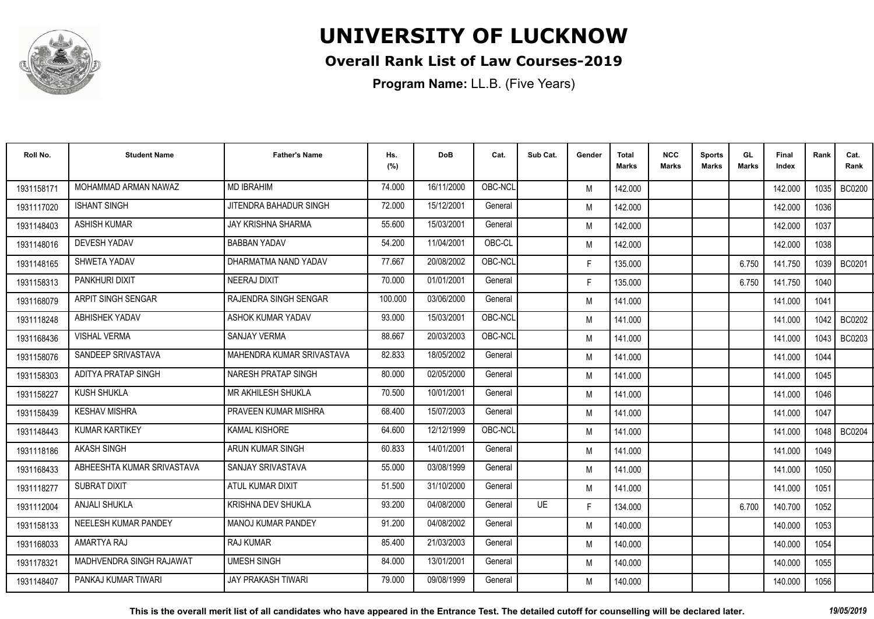

### **Overall Rank List of Law Courses-2019**

| Roll No.   | <b>Student Name</b>        | <b>Father's Name</b>      | Hs.<br>(%) | <b>DoB</b> | Cat.    | Sub Cat.  | Gender | Total<br>Marks | <b>NCC</b><br>Marks | <b>Sports</b><br><b>Marks</b> | GL<br><b>Marks</b> | <b>Final</b><br>Index | Rank   | Cat.<br>Rank  |
|------------|----------------------------|---------------------------|------------|------------|---------|-----------|--------|----------------|---------------------|-------------------------------|--------------------|-----------------------|--------|---------------|
| 1931158171 | MOHAMMAD ARMAN NAWAZ       | <b>MD IBRAHIM</b>         | 74.000     | 16/11/2000 | OBC-NCI |           | M      | 142.000        |                     |                               |                    | 142.000               | 1035 I | <b>BC0200</b> |
| 1931117020 | <b>ISHANT SINGH</b>        | JITENDRA BAHADUR SINGH    | 72.000     | 15/12/2001 | General |           | M      | 142.000        |                     |                               |                    | 142.000               | 1036   |               |
| 1931148403 | <b>ASHISH KUMAR</b>        | <b>JAY KRISHNA SHARMA</b> | 55.600     | 15/03/2001 | General |           | M      | 142.000        |                     |                               |                    | 142.000               | 1037   |               |
| 1931148016 | <b>DEVESH YADAV</b>        | <b>BABBAN YADAV</b>       | 54.200     | 11/04/2001 | OBC-CL  |           | M      | 142.000        |                     |                               |                    | 142.000               | 1038   |               |
| 1931148165 | SHWETA YADAV               | DHARMATMA NAND YADAV      | 77.667     | 20/08/2002 | OBC-NCL |           | F.     | 135.000        |                     |                               | 6.750              | 141.750               | 1039   | <b>BC0201</b> |
| 1931158313 | PANKHURI DIXIT             | NEERAJ DIXIT              | 70.000     | 01/01/2001 | General |           | F.     | 135.000        |                     |                               | 6.750              | 141.750               | 1040   |               |
| 1931168079 | ARPIT SINGH SENGAR         | RAJENDRA SINGH SENGAR     | 100.000    | 03/06/2000 | General |           | M      | 141.000        |                     |                               |                    | 141.000               | 1041   |               |
| 1931118248 | ABHISHEK YADAV             | ASHOK KUMAR YADAV         | 93.000     | 15/03/2001 | OBC-NCL |           | M      | 141.000        |                     |                               |                    | 141.000               | 1042 l | <b>BC0202</b> |
| 1931168436 | <b>VISHAL VERMA</b>        | <b>SANJAY VERMA</b>       | 88.667     | 20/03/2003 | OBC-NCL |           | M      | 141.000        |                     |                               |                    | 141.000               | 1043 I | BC0203        |
| 1931158076 | SANDEEP SRIVASTAVA         | MAHENDRA KUMAR SRIVASTAVA | 82.833     | 18/05/2002 | General |           | M      | 141.000        |                     |                               |                    | 141.000               | 1044   |               |
| 1931158303 | <b>ADITYA PRATAP SINGH</b> | NARESH PRATAP SINGH       | 80.000     | 02/05/2000 | General |           | M      | 141.000        |                     |                               |                    | 141.000               | 1045   |               |
| 1931158227 | <b>KUSH SHUKLA</b>         | MR AKHILESH SHUKLA        | 70.500     | 10/01/2001 | General |           | M      | 141.000        |                     |                               |                    | 141.000               | 1046   |               |
| 1931158439 | <b>KESHAV MISHRA</b>       | PRAVEEN KUMAR MISHRA      | 68.400     | 15/07/2003 | General |           | M      | 141.000        |                     |                               |                    | 141.000               | 1047   |               |
| 1931148443 | <b>KUMAR KARTIKEY</b>      | <b>KAMAL KISHORE</b>      | 64.600     | 12/12/1999 | OBC-NCL |           | M      | 141.000        |                     |                               |                    | 141.000               | 1048 l | <b>BC0204</b> |
| 1931118186 | <b>AKASH SINGH</b>         | ARUN KUMAR SINGH          | 60.833     | 14/01/2001 | General |           | M      | 141.000        |                     |                               |                    | 141.000               | 1049   |               |
| 1931168433 | ABHEESHTA KUMAR SRIVASTAVA | SANJAY SRIVASTAVA         | 55.000     | 03/08/1999 | General |           | M      | 141.000        |                     |                               |                    | 141.000               | 1050   |               |
| 1931118277 | <b>SUBRAT DIXIT</b>        | ATUL KUMAR DIXIT          | 51.500     | 31/10/2000 | General |           | M      | 141.000        |                     |                               |                    | 141.000               | 1051   |               |
| 1931112004 | <b>ANJALI SHUKLA</b>       | <b>KRISHNA DEV SHUKLA</b> | 93.200     | 04/08/2000 | General | <b>UE</b> | F.     | 134.000        |                     |                               | 6.700              | 140.700               | 1052   |               |
| 1931158133 | NEELESH KUMAR PANDEY       | <b>MANOJ KUMAR PANDEY</b> | 91.200     | 04/08/2002 | General |           | M      | 140.000        |                     |                               |                    | 140.000               | 1053   |               |
| 1931168033 | AMARTYA RAJ                | <b>RAJ KUMAR</b>          | 85.400     | 21/03/2003 | General |           | M      | 140.000        |                     |                               |                    | 140.000               | 1054   |               |
| 1931178321 | MADHVENDRA SINGH RAJAWAT   | <b>UMESH SINGH</b>        | 84.000     | 13/01/2001 | General |           | M      | 140.000        |                     |                               |                    | 140.000               | 1055   |               |
| 1931148407 | PANKAJ KUMAR TIWARI        | <b>JAY PRAKASH TIWARI</b> | 79.000     | 09/08/1999 | General |           | M      | 140.000        |                     |                               |                    | 140.000               | 1056   |               |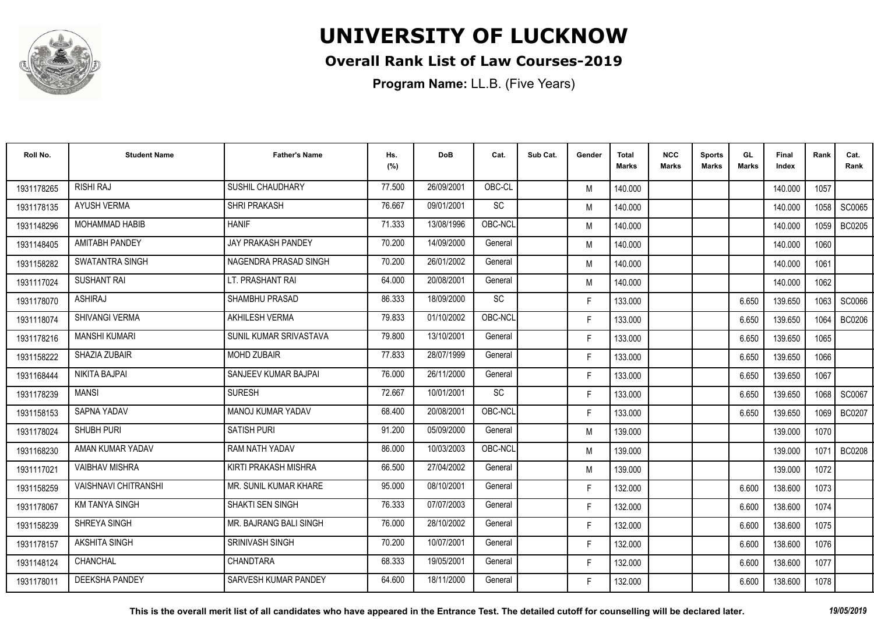

### **Overall Rank List of Law Courses-2019**

| Roll No.   | <b>Student Name</b>         | <b>Father's Name</b>      | Hs.<br>(%) | <b>DoB</b> | Cat.      | Sub Cat. | Gender | <b>Total</b><br>Marks | <b>NCC</b><br>Marks | <b>Sports</b><br><b>Marks</b> | GL.<br><b>Marks</b> | Final<br>Index | Rank | Cat.<br>Rank  |
|------------|-----------------------------|---------------------------|------------|------------|-----------|----------|--------|-----------------------|---------------------|-------------------------------|---------------------|----------------|------|---------------|
| 1931178265 | <b>RISHI RAJ</b>            | SUSHIL CHAUDHARY          | 77.500     | 26/09/2001 | OBC-CL    |          | M      | 140.000               |                     |                               |                     | 140.000        | 1057 |               |
| 1931178135 | <b>AYUSH VERMA</b>          | <b>SHRI PRAKASH</b>       | 76.667     | 09/01/2001 | SC        |          | M      | 140.000               |                     |                               |                     | 140.000        | 1058 | SC0065        |
| 1931148296 | <b>MOHAMMAD HABIB</b>       | <b>HANIF</b>              | 71.333     | 13/08/1996 | OBC-NCL   |          | M      | 140.000               |                     |                               |                     | 140.000        | 1059 | <b>BC0205</b> |
| 1931148405 | <b>AMITABH PANDEY</b>       | <b>JAY PRAKASH PANDEY</b> | 70.200     | 14/09/2000 | General   |          | M      | 140.000               |                     |                               |                     | 140.000        | 1060 |               |
| 1931158282 | <b>SWATANTRA SINGH</b>      | NAGENDRA PRASAD SINGH     | 70.200     | 26/01/2002 | General   |          | M      | 140.000               |                     |                               |                     | 140.000        | 1061 |               |
| 1931117024 | <b>SUSHANT RAI</b>          | LT. PRASHANT RAI          | 64.000     | 20/08/2001 | General   |          | M      | 140.000               |                     |                               |                     | 140.000        | 1062 |               |
| 1931178070 | ASHIRAJ                     | <b>SHAMBHU PRASAD</b>     | 86.333     | 18/09/2000 | SC        |          | F.     | 133.000               |                     |                               | 6.650               | 139.650        | 1063 | <b>SC0066</b> |
| 1931118074 | SHIVANGI VERMA              | <b>AKHILESH VERMA</b>     | 79.833     | 01/10/2002 | OBC-NCL   |          | F.     | 133.000               |                     |                               | 6.650               | 139.650        | 1064 | <b>BC0206</b> |
| 1931178216 | <b>MANSHI KUMARI</b>        | SUNIL KUMAR SRIVASTAVA    | 79.800     | 13/10/2001 | General   |          | F.     | 133.000               |                     |                               | 6.650               | 139.650        | 1065 |               |
| 1931158222 | SHAZIA ZUBAIR               | MOHD ZUBAIR               | 77.833     | 28/07/1999 | General   |          | F.     | 133.000               |                     |                               | 6.650               | 139.650        | 1066 |               |
| 1931168444 | <b>NIKITA BAJPAI</b>        | SANJEEV KUMAR BAJPAI      | 76.000     | 26/11/2000 | General   |          | F.     | 133.000               |                     |                               | 6.650               | 139.650        | 1067 |               |
| 1931178239 | <b>MANSI</b>                | <b>SURESH</b>             | 72.667     | 10/01/2001 | <b>SC</b> |          | F.     | 133.000               |                     |                               | 6.650               | 139.650        | 1068 | SC0067        |
| 1931158153 | SAPNA YADAV                 | <b>MANOJ KUMAR YADAV</b>  | 68.400     | 20/08/2001 | OBC-NCL   |          | F.     | 133.000               |                     |                               | 6.650               | 139.650        | 1069 | <b>BC0207</b> |
| 1931178024 | SHUBH PURI                  | <b>SATISH PURI</b>        | 91.200     | 05/09/2000 | General   |          | M      | 139.000               |                     |                               |                     | 139.000        | 1070 |               |
| 1931168230 | AMAN KUMAR YADAV            | RAM NATH YADAV            | 86.000     | 10/03/2003 | OBC-NCL   |          | M      | 139.000               |                     |                               |                     | 139.000        | 1071 | <b>BC0208</b> |
| 1931117021 | <b>VAIBHAV MISHRA</b>       | KIRTI PRAKASH MISHRA      | 66.500     | 27/04/2002 | General   |          | M      | 139.000               |                     |                               |                     | 139.000        | 1072 |               |
| 1931158259 | <b>VAISHNAVI CHITRANSHI</b> | MR. SUNIL KUMAR KHARE     | 95.000     | 08/10/2001 | General   |          | F.     | 132.000               |                     |                               | 6.600               | 138.600        | 1073 |               |
| 1931178067 | <b>KM TANYA SINGH</b>       | SHAKTI SEN SINGH          | 76.333     | 07/07/2003 | General   |          | F.     | 132.000               |                     |                               | 6.600               | 138.600        | 1074 |               |
| 1931158239 | SHREYA SINGH                | MR. BAJRANG BALI SINGH    | 76.000     | 28/10/2002 | General   |          | F.     | 132.000               |                     |                               | 6.600               | 138.600        | 1075 |               |
| 1931178157 | <b>AKSHITA SINGH</b>        | <b>SRINIVASH SINGH</b>    | 70.200     | 10/07/2001 | General   |          | F.     | 132.000               |                     |                               | 6.600               | 138.600        | 1076 |               |
| 1931148124 | <b>CHANCHAL</b>             | CHANDTARA                 | 68.333     | 19/05/2001 | General   |          | F.     | 132.000               |                     |                               | 6.600               | 138.600        | 1077 |               |
| 1931178011 | <b>DEEKSHA PANDEY</b>       | SARVESH KUMAR PANDEY      | 64.600     | 18/11/2000 | General   |          | F      | 132.000               |                     |                               | 6.600               | 138.600        | 1078 |               |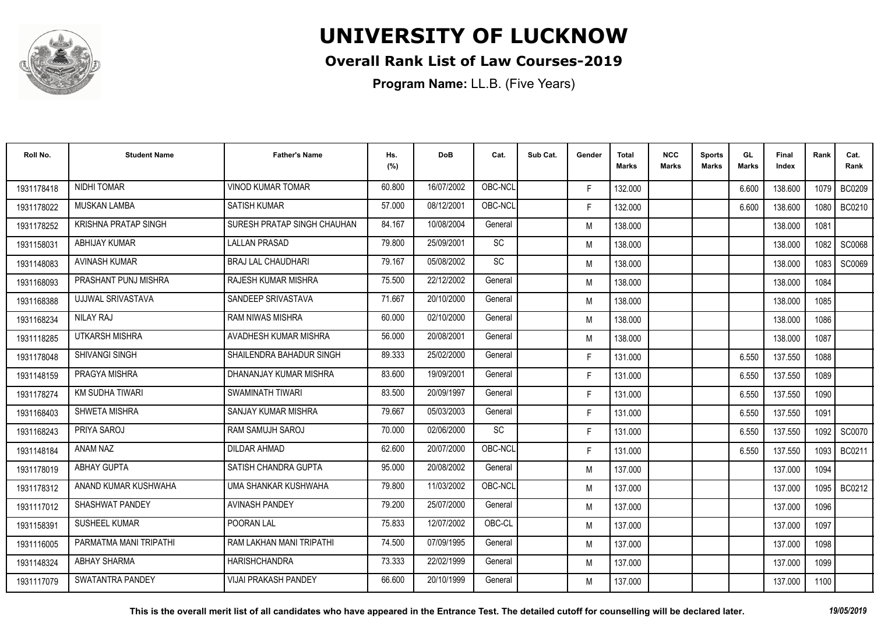

### **Overall Rank List of Law Courses-2019**

**Program Name:** LL.B. (Five Years)

| Roll No.   | <b>Student Name</b>         | <b>Father's Name</b>        | Hs.<br>(%) | <b>DoB</b> | Cat.      | Sub Cat. | Gender | <b>Total</b><br>Marks | <b>NCC</b><br><b>Marks</b> | <b>Sports</b><br><b>Marks</b> | GL<br><b>Marks</b> | <b>Final</b><br>Index | Rank   | Cat.<br>Rank |
|------------|-----------------------------|-----------------------------|------------|------------|-----------|----------|--------|-----------------------|----------------------------|-------------------------------|--------------------|-----------------------|--------|--------------|
| 1931178418 | <b>NIDHI TOMAR</b>          | <b>VINOD KUMAR TOMAR</b>    | 60.800     | 16/07/2002 | OBC-NCL   |          | F.     | 132.000               |                            |                               | 6.600              | 138.600               | 1079 I | BC0209       |
| 1931178022 | <b>MUSKAN LAMBA</b>         | <b>SATISH KUMAR</b>         | 57.000     | 08/12/2001 | OBC-NCL   |          | F.     | 132.000               |                            |                               | 6.600              | 138.600               | 1080   | BC0210       |
| 1931178252 | <b>KRISHNA PRATAP SINGH</b> | SURESH PRATAP SINGH CHAUHAN | 84.167     | 10/08/2004 | General   |          | M      | 138.000               |                            |                               |                    | 138.000               | 1081   |              |
| 1931158031 | ABHIJAY KUMAR               | <b>LALLAN PRASAD</b>        | 79.800     | 25/09/2001 | SC        |          | M      | 138.000               |                            |                               |                    | 138.000               | 1082   | SC0068       |
| 1931148083 | <b>AVINASH KUMAR</b>        | <b>BRAJ LAL CHAUDHARI</b>   | 79.167     | 05/08/2002 | <b>SC</b> |          | M      | 138.000               |                            |                               |                    | 138.000               | 1083   | SC0069       |
| 1931168093 | PRASHANT PUNJ MISHRA        | <b>RAJESH KUMAR MISHRA</b>  | 75.500     | 22/12/2002 | General   |          | M      | 138.000               |                            |                               |                    | 138.000               | 1084   |              |
| 1931168388 | UJJWAL SRIVASTAVA           | SANDEEP SRIVASTAVA          | 71.667     | 20/10/2000 | General   |          | M      | 138.000               |                            |                               |                    | 138.000               | 1085   |              |
| 1931168234 | NILAY RAJ                   | <b>RAM NIWAS MISHRA</b>     | 60.000     | 02/10/2000 | General   |          | M      | 138.000               |                            |                               |                    | 138.000               | 1086   |              |
| 1931118285 | UTKARSH MISHRA              | AVADHESH KUMAR MISHRA       | 56.000     | 20/08/2001 | General   |          | M      | 138.000               |                            |                               |                    | 138.000               | 1087   |              |
| 1931178048 | <b>SHIVANGI SINGH</b>       | SHAILENDRA BAHADUR SINGH    | 89.333     | 25/02/2000 | General   |          | F.     | 131.000               |                            |                               | 6.550              | 137.550               | 1088   |              |
| 1931148159 | PRAGYA MISHRA               | DHANANJAY KUMAR MISHRA      | 83.600     | 19/09/2001 | General   |          | F.     | 131.000               |                            |                               | 6.550              | 137.550               | 1089   |              |
| 1931178274 | KM SUDHA TIWARI             | <b>SWAMINATH TIWARI</b>     | 83.500     | 20/09/1997 | General   |          | F.     | 131.000               |                            |                               | 6.550              | 137.550               | 1090   |              |
| 1931168403 | SHWETA MISHRA               | SANJAY KUMAR MISHRA         | 79.667     | 05/03/2003 | General   |          | F.     | 131.000               |                            |                               | 6.550              | 137.550               | 1091   |              |
| 1931168243 | PRIYA SAROJ                 | <b>RAM SAMUJH SAROJ</b>     | 70.000     | 02/06/2000 | SC        |          | F.     | 131.000               |                            |                               | 6.550              | 137.550               | 1092   | SC0070       |
| 1931148184 | ANAM NAZ                    | <b>DILDAR AHMAD</b>         | 62.600     | 20/07/2000 | OBC-NCL   |          | F.     | 131.000               |                            |                               | 6.550              | 137.550               | 1093   | BC0211       |
| 1931178019 | <b>ABHAY GUPTA</b>          | SATISH CHANDRA GUPTA        | 95.000     | 20/08/2002 | General   |          | M      | 137.000               |                            |                               |                    | 137.000               | 1094   |              |
| 1931178312 | ANAND KUMAR KUSHWAHA        | UMA SHANKAR KUSHWAHA        | 79.800     | 11/03/2002 | OBC-NCL   |          | M      | 137.000               |                            |                               |                    | 137.000               | 1095   | BC0212       |
| 1931117012 | SHASHWAT PANDEY             | <b>AVINASH PANDEY</b>       | 79.200     | 25/07/2000 | General   |          | M      | 137.000               |                            |                               |                    | 137.000               | 1096   |              |
| 1931158391 | <b>SUSHEEL KUMAR</b>        | POORAN LAL                  | 75.833     | 12/07/2002 | OBC-CL    |          | M      | 137.000               |                            |                               |                    | 137.000               | 1097   |              |
| 1931116005 | PARMATMA MANI TRIPATHI      | RAM LAKHAN MANI TRIPATHI    | 74.500     | 07/09/1995 | General   |          | M      | 137.000               |                            |                               |                    | 137.000               | 1098   |              |
| 1931148324 | <b>ABHAY SHARMA</b>         | <b>HARISHCHANDRA</b>        | 73.333     | 22/02/1999 | General   |          | M      | 137.000               |                            |                               |                    | 137.000               | 1099   |              |
| 1931117079 | SWATANTRA PANDEY            | <b>VIJAI PRAKASH PANDEY</b> | 66.600     | 20/10/1999 | General   |          | M      | 137.000               |                            |                               |                    | 137.000               | 1100   |              |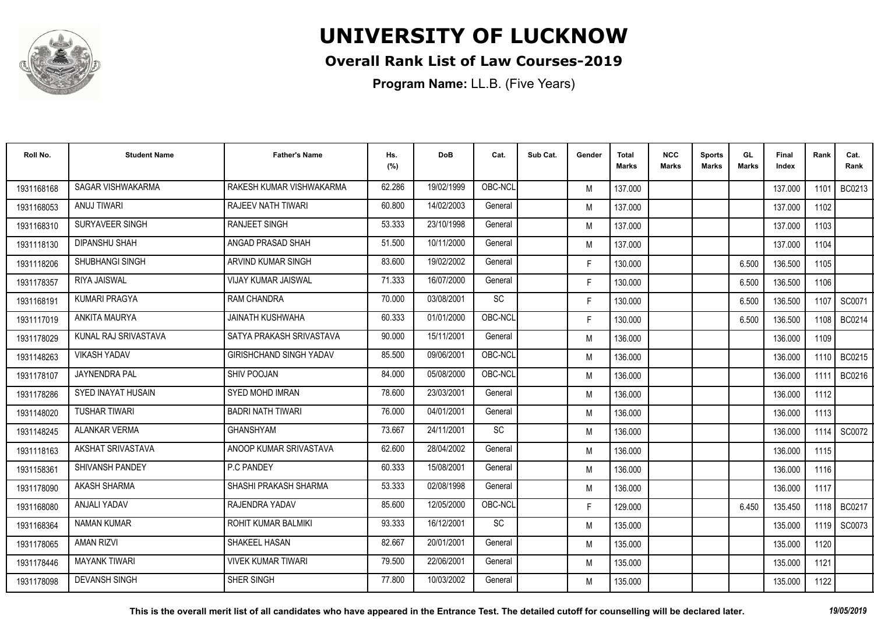

### **Overall Rank List of Law Courses-2019**

| Roll No.   | <b>Student Name</b>       | <b>Father's Name</b>           | Hs.<br>(%) | <b>DoB</b> | Cat.      | Sub Cat. | Gender | <b>Total</b><br>Marks | <b>NCC</b><br>Marks | <b>Sports</b><br><b>Marks</b> | GL<br><b>Marks</b> | Final<br>Index | Rank   | Cat.<br>Rank |
|------------|---------------------------|--------------------------------|------------|------------|-----------|----------|--------|-----------------------|---------------------|-------------------------------|--------------------|----------------|--------|--------------|
| 1931168168 | SAGAR VISHWAKARMA         | RAKESH KUMAR VISHWAKARMA       | 62.286     | 19/02/1999 | OBC-NCL   |          | M      | 137.000               |                     |                               |                    | 137.000        | 1101   | BC0213       |
| 1931168053 | ANUJ TIWARI               | <b>RAJEEV NATH TIWARI</b>      | 60.800     | 14/02/2003 | General   |          | M      | 137.000               |                     |                               |                    | 137.000        | 1102   |              |
| 1931168310 | SURYAVEER SINGH           | <b>RANJEET SINGH</b>           | 53.333     | 23/10/1998 | General   |          | M      | 137.000               |                     |                               |                    | 137.000        | 1103   |              |
| 1931118130 | <b>DIPANSHU SHAH</b>      | ANGAD PRASAD SHAH              | 51.500     | 10/11/2000 | General   |          | M      | 137.000               |                     |                               |                    | 137.000        | 1104   |              |
| 1931118206 | <b>SHUBHANGI SINGH</b>    | ARVIND KUMAR SINGH             | 83.600     | 19/02/2002 | General   |          | F.     | 130.000               |                     |                               | 6.500              | 136.500        | 1105   |              |
| 1931178357 | <b>RIYA JAISWAL</b>       | <b>VIJAY KUMAR JAISWAL</b>     | 71.333     | 16/07/2000 | General   |          | F.     | 130.000               |                     |                               | 6.500              | 136.500        | 1106   |              |
| 1931168191 | <b>KUMARI PRAGYA</b>      | <b>RAM CHANDRA</b>             | 70.000     | 03/08/2001 | <b>SC</b> |          | F.     | 130.000               |                     |                               | 6.500              | 136.500        | 1107   | SC0071       |
| 1931117019 | <b>ANKITA MAURYA</b>      | <b>JAINATH KUSHWAHA</b>        | 60.333     | 01/01/2000 | OBC-NCL   |          | F.     | 130.000               |                     |                               | 6.500              | 136.500        | 1108 l | BC0214       |
| 1931178029 | KUNAL RAJ SRIVASTAVA      | SATYA PRAKASH SRIVASTAVA       | 90.000     | 15/11/2001 | General   |          | M      | 136.000               |                     |                               |                    | 136.000        | 1109   |              |
| 1931148263 | <b>VIKASH YADAV</b>       | <b>GIRISHCHAND SINGH YADAV</b> | 85.500     | 09/06/2001 | OBC-NCL   |          | M      | 136.000               |                     |                               |                    | 136.000        | 1110 I | BC0215       |
| 1931178107 | JAYNENDRA PAL             | <b>SHIV POOJAN</b>             | 84.000     | 05/08/2000 | OBC-NCL   |          | M      | 136.000               |                     |                               |                    | 136.000        | 1111   | BC0216       |
| 1931178286 | <b>SYED INAYAT HUSAIN</b> | <b>SYED MOHD IMRAN</b>         | 78.600     | 23/03/2001 | General   |          | M      | 136.000               |                     |                               |                    | 136.000        | 1112   |              |
| 1931148020 | <b>TUSHAR TIWARI</b>      | <b>BADRI NATH TIWARI</b>       | 76.000     | 04/01/2001 | General   |          | M      | 136.000               |                     |                               |                    | 136.000        | 1113   |              |
| 1931148245 | <b>ALANKAR VERMA</b>      | <b>GHANSHYAM</b>               | 73.667     | 24/11/2001 | SC        |          | M      | 136.000               |                     |                               |                    | 136.000        | 1114   | SC0072       |
| 1931118163 | AKSHAT SRIVASTAVA         | ANOOP KUMAR SRIVASTAVA         | 62.600     | 28/04/2002 | General   |          | M      | 136.000               |                     |                               |                    | 136.000        | 1115   |              |
| 1931158361 | SHIVANSH PANDEY           | <b>P.C PANDEY</b>              | 60.333     | 15/08/2001 | General   |          | M      | 136.000               |                     |                               |                    | 136.000        | 1116   |              |
| 1931178090 | <b>AKASH SHARMA</b>       | SHASHI PRAKASH SHARMA          | 53.333     | 02/08/1998 | General   |          | M      | 136.000               |                     |                               |                    | 136.000        | 1117   |              |
| 1931168080 | ANJALI YADAV              | RAJENDRA YADAV                 | 85.600     | 12/05/2000 | OBC-NCL   |          | F.     | 129.000               |                     |                               | 6.450              | 135.450        | 1118 I | BC0217       |
| 1931168364 | <b>NAMAN KUMAR</b>        | <b>ROHIT KUMAR BALMIKI</b>     | 93.333     | 16/12/2001 | <b>SC</b> |          | M      | 135.000               |                     |                               |                    | 135.000        | 1119 l | SC0073       |
| 1931178065 | <b>AMAN RIZVI</b>         | SHAKEEL HASAN                  | 82.667     | 20/01/2001 | General   |          | M      | 135.000               |                     |                               |                    | 135.000        | 1120   |              |
| 1931178446 | <b>MAYANK TIWARI</b>      | <b>VIVEK KUMAR TIWARI</b>      | 79.500     | 22/06/2001 | General   |          | M      | 135.000               |                     |                               |                    | 135.000        | 1121   |              |
| 1931178098 | <b>DEVANSH SINGH</b>      | SHER SINGH                     | 77.800     | 10/03/2002 | General   |          | M      | 135.000               |                     |                               |                    | 135.000        | 1122   |              |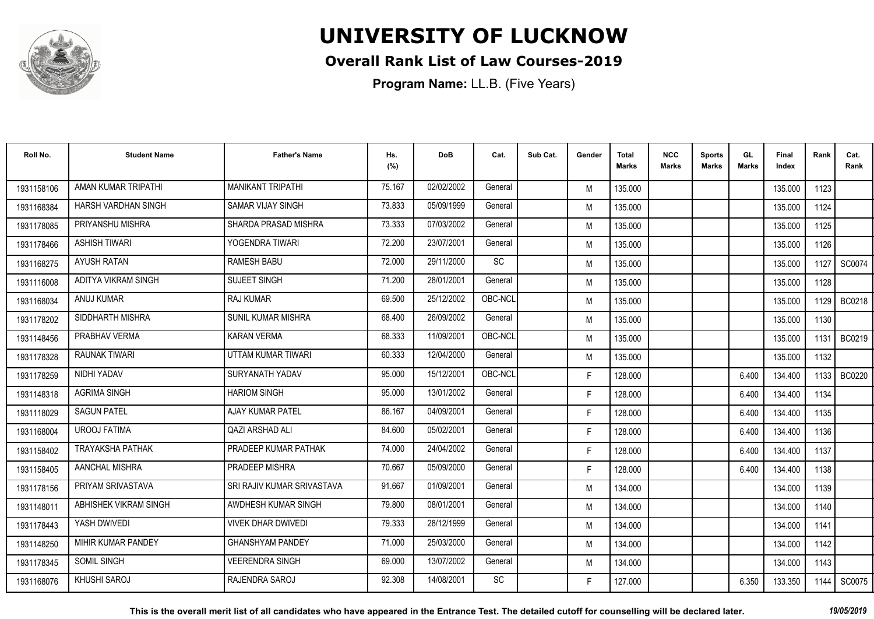

### **Overall Rank List of Law Courses-2019**

**Program Name:** LL.B. (Five Years)

| Roll No.   | <b>Student Name</b>     | <b>Father's Name</b>       | Hs.<br>(%) | <b>DoB</b> | Cat.    | Sub Cat. | Gender | Total<br>Marks | <b>NCC</b><br>Marks | <b>Sports</b><br><b>Marks</b> | GL<br><b>Marks</b> | <b>Final</b><br>Index | Rank | Cat.<br>Rank  |
|------------|-------------------------|----------------------------|------------|------------|---------|----------|--------|----------------|---------------------|-------------------------------|--------------------|-----------------------|------|---------------|
| 1931158106 | AMAN KUMAR TRIPATHI     | <b>MANIKANT TRIPATHI</b>   | 75.167     | 02/02/2002 | General |          | M      | 135.000        |                     |                               |                    | 135.000               | 1123 |               |
| 1931168384 | HARSH VARDHAN SINGH     | <b>SAMAR VIJAY SINGH</b>   | 73.833     | 05/09/1999 | General |          | M      | 135.000        |                     |                               |                    | 135.000               | 1124 |               |
| 1931178085 | PRIYANSHU MISHRA        | SHARDA PRASAD MISHRA       | 73.333     | 07/03/2002 | General |          | M      | 135.000        |                     |                               |                    | 135.000               | 1125 |               |
| 1931178466 | <b>ASHISH TIWARI</b>    | YOGENDRA TIWARI            | 72.200     | 23/07/2001 | General |          | M      | 135.000        |                     |                               |                    | 135.000               | 1126 |               |
| 1931168275 | AYUSH RATAN             | <b>RAMESH BABU</b>         | 72.000     | 29/11/2000 | SC      |          | M      | 135.000        |                     |                               |                    | 135.000               | 1127 | SC0074        |
| 1931116008 | ADITYA VIKRAM SINGH     | <b>SUJEET SINGH</b>        | 71.200     | 28/01/2001 | General |          | M      | 135.000        |                     |                               |                    | 135.000               | 1128 |               |
| 1931168034 | <b>ANUJ KUMAR</b>       | <b>RAJ KUMAR</b>           | 69.500     | 25/12/2002 | OBC-NCL |          | M      | 135.000        |                     |                               |                    | 135.000               | 1129 | <b>BC0218</b> |
| 1931178202 | SIDDHARTH MISHRA        | SUNIL KUMAR MISHRA         | 68.400     | 26/09/2002 | General |          | M      | 135.000        |                     |                               |                    | 135.000               | 1130 |               |
| 1931148456 | PRABHAV VERMA           | <b>KARAN VERMA</b>         | 68.333     | 11/09/2001 | OBC-NCL |          | M      | 135.000        |                     |                               |                    | 135.000               | 1131 | BC0219        |
| 1931178328 | RAUNAK TIWARI           | UTTAM KUMAR TIWARI         | 60.333     | 12/04/2000 | General |          | M      | 135.000        |                     |                               |                    | 135.000               | 1132 |               |
| 1931178259 | NIDHI YADAV             | SURYANATH YADAV            | 95.000     | 15/12/2001 | OBC-NCL |          | F.     | 128.000        |                     |                               | 6.400              | 134.400               | 1133 | <b>BC0220</b> |
| 1931148318 | <b>AGRIMA SINGH</b>     | <b>HARIOM SINGH</b>        | 95.000     | 13/01/2002 | General |          | F.     | 128.000        |                     |                               | 6.400              | 134.400               | 1134 |               |
| 1931118029 | <b>SAGUN PATEL</b>      | AJAY KUMAR PATEL           | 86.167     | 04/09/2001 | General |          | F.     | 128.000        |                     |                               | 6.400              | 134.400               | 1135 |               |
| 1931168004 | <b>UROOJ FATIMA</b>     | <b>QAZI ARSHAD ALI</b>     | 84.600     | 05/02/2001 | General |          | F.     | 128.000        |                     |                               | 6.400              | 134.400               | 1136 |               |
| 1931158402 | <b>TRAYAKSHA PATHAK</b> | PRADEEP KUMAR PATHAK       | 74.000     | 24/04/2002 | General |          | F.     | 128.000        |                     |                               | 6.400              | 134.400               | 1137 |               |
| 1931158405 | AANCHAL MISHRA          | PRADEEP MISHRA             | 70.667     | 05/09/2000 | General |          | F.     | 128.000        |                     |                               | 6.400              | 134.400               | 1138 |               |
| 1931178156 | PRIYAM SRIVASTAVA       | SRI RAJIV KUMAR SRIVASTAVA | 91.667     | 01/09/2001 | General |          | M      | 134.000        |                     |                               |                    | 134.000               | 1139 |               |
| 1931148011 | ABHISHEK VIKRAM SINGH   | AWDHESH KUMAR SINGH        | 79.800     | 08/01/2001 | General |          | M      | 134.000        |                     |                               |                    | 134.000               | 1140 |               |
| 1931178443 | YASH DWIVEDI            | <b>VIVEK DHAR DWIVEDI</b>  | 79.333     | 28/12/1999 | General |          | M      | 134.000        |                     |                               |                    | 134.000               | 1141 |               |
| 1931148250 | MIHIR KUMAR PANDEY      | <b>GHANSHYAM PANDEY</b>    | 71.000     | 25/03/2000 | General |          | M      | 134.000        |                     |                               |                    | 134.000               | 1142 |               |
| 1931178345 | <b>SOMIL SINGH</b>      | VEERENDRA SINGH            | 69.000     | 13/07/2002 | General |          | M      | 134.000        |                     |                               |                    | 134.000               | 1143 |               |
| 1931168076 | <b>KHUSHI SAROJ</b>     | RAJENDRA SAROJ             | 92.308     | 14/08/2001 | SC      |          | F.     | 127.000        |                     |                               | 6.350              | 133.350               | 1144 | SC0075        |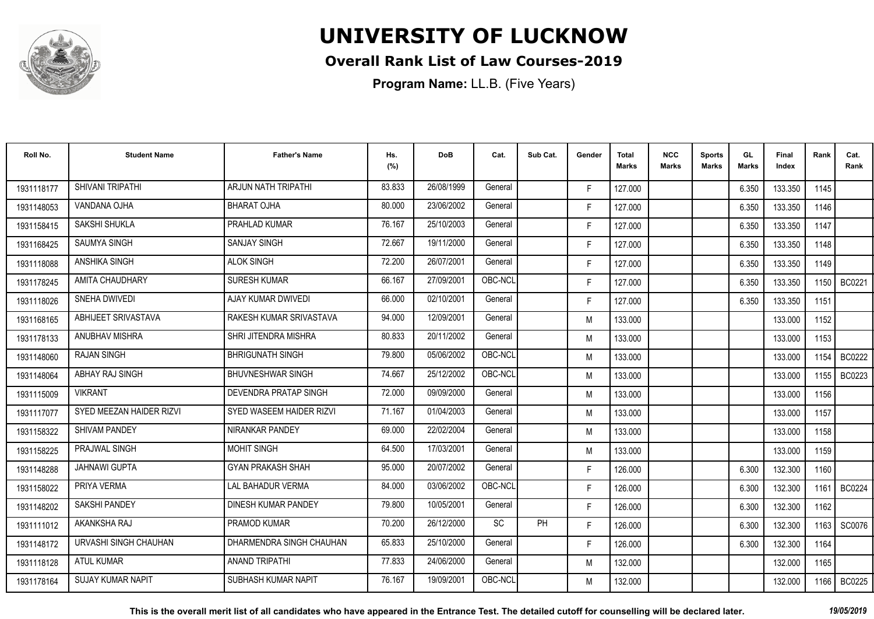

### **Overall Rank List of Law Courses-2019**

| Roll No.   | <b>Student Name</b>      | <b>Father's Name</b>         | Hs.<br>(%) | <b>DoB</b> | Cat.      | Sub Cat. | Gender | <b>Total</b><br>Marks | <b>NCC</b><br><b>Marks</b> | <b>Sports</b><br><b>Marks</b> | GL<br><b>Marks</b> | <b>Final</b><br>Index | Rank   | Cat.<br>Rank  |
|------------|--------------------------|------------------------------|------------|------------|-----------|----------|--------|-----------------------|----------------------------|-------------------------------|--------------------|-----------------------|--------|---------------|
| 1931118177 | SHIVANI TRIPATHI         | ARJUN NATH TRIPATHI          | 83.833     | 26/08/1999 | General   |          | F.     | 127.000               |                            |                               | 6.350              | 133.350               | 1145   |               |
| 1931148053 | VANDANA OJHA             | <b>BHARAT OJHA</b>           | 80.000     | 23/06/2002 | General   |          | F.     | 127.000               |                            |                               | 6.350              | 133.350               | 1146   |               |
| 1931158415 | SAKSHI SHUKLA            | PRAHLAD KUMAR                | 76.167     | 25/10/2003 | General   |          | F.     | 127.000               |                            |                               | 6.350              | 133.350               | 1147   |               |
| 1931168425 | <b>SAUMYA SINGH</b>      | <b>SANJAY SINGH</b>          | 72.667     | 19/11/2000 | General   |          | F.     | 127.000               |                            |                               | 6.350              | 133.350               | 1148   |               |
| 1931118088 | <b>ANSHIKA SINGH</b>     | <b>ALOK SINGH</b>            | 72.200     | 26/07/2001 | General   |          | F.     | 127.000               |                            |                               | 6.350              | 133.350               | 1149   |               |
| 1931178245 | AMITA CHAUDHARY          | <b>SURESH KUMAR</b>          | 66.167     | 27/09/2001 | OBC-NCL   |          | F.     | 127.000               |                            |                               | 6.350              | 133.350               | 1150   | <b>BC0221</b> |
| 1931118026 | SNEHA DWIVEDI            | AJAY KUMAR DWIVEDI           | 66.000     | 02/10/2001 | General   |          | F.     | 127.000               |                            |                               | 6.350              | 133.350               | 1151   |               |
| 1931168165 | ABHIJEET SRIVASTAVA      | RAKESH KUMAR SRIVASTAVA      | 94.000     | 12/09/2001 | General   |          | M      | 133.000               |                            |                               |                    | 133.000               | 1152   |               |
| 1931178133 | ANUBHAV MISHRA           | SHRI JITENDRA MISHRA         | 80.833     | 20/11/2002 | General   |          | M      | 133.000               |                            |                               |                    | 133.000               | 1153   |               |
| 1931148060 | <b>RAJAN SINGH</b>       | <b>BHRIGUNATH SINGH</b>      | 79.800     | 05/06/2002 | OBC-NCL   |          | M      | 133.000               |                            |                               |                    | 133.000               | 1154   | <b>BC0222</b> |
| 1931148064 | ABHAY RAJ SINGH          | <b>BHUVNESHWAR SINGH</b>     | 74.667     | 25/12/2002 | OBC-NCL   |          | M      | 133.000               |                            |                               |                    | 133.000               | 1155 l | BC0223        |
| 1931115009 | <b>VIKRANT</b>           | <b>DEVENDRA PRATAP SINGH</b> | 72.000     | 09/09/2000 | General   |          | M      | 133.000               |                            |                               |                    | 133.000               | 1156   |               |
| 1931117077 | SYED MEEZAN HAIDER RIZVI | SYED WASEEM HAIDER RIZVI     | 71.167     | 01/04/2003 | General   |          | M      | 133.000               |                            |                               |                    | 133.000               | 1157   |               |
| 1931158322 | <b>SHIVAM PANDEY</b>     | NIRANKAR PANDEY              | 69.000     | 22/02/2004 | General   |          | M      | 133.000               |                            |                               |                    | 133.000               | 1158   |               |
| 1931158225 | <b>PRAJWAL SINGH</b>     | <b>MOHIT SINGH</b>           | 64.500     | 17/03/2001 | General   |          | M      | 133.000               |                            |                               |                    | 133.000               | 1159   |               |
| 1931148288 | <b>JAHNAWI GUPTA</b>     | <b>GYAN PRAKASH SHAH</b>     | 95.000     | 20/07/2002 | General   |          | F.     | 126.000               |                            |                               | 6.300              | 132.300               | 1160   |               |
| 1931158022 | PRIYA VERMA              | <b>LAL BAHADUR VERMA</b>     | 84.000     | 03/06/2002 | OBC-NCL   |          | F.     | 126.000               |                            |                               | 6.300              | 132.300               | 1161   | <b>BC0224</b> |
| 1931148202 | <b>SAKSHI PANDEY</b>     | DINESH KUMAR PANDEY          | 79.800     | 10/05/2001 | General   |          | F.     | 126.000               |                            |                               | 6.300              | 132.300               | 1162   |               |
| 1931111012 | AKANKSHA RAJ             | <b>PRAMOD KUMAR</b>          | 70.200     | 26/12/2000 | <b>SC</b> | PH       | F.     | 126.000               |                            |                               | 6.300              | 132.300               | 1163   | SC0076        |
| 1931148172 | URVASHI SINGH CHAUHAN    | DHARMENDRA SINGH CHAUHAN     | 65.833     | 25/10/2000 | General   |          | F.     | 126.000               |                            |                               | 6.300              | 132.300               | 1164   |               |
| 1931118128 | <b>ATUL KUMAR</b>        | <b>ANAND TRIPATHI</b>        | 77.833     | 24/06/2000 | General   |          | M      | 132.000               |                            |                               |                    | 132.000               | 1165   |               |
| 1931178164 | <b>SUJAY KUMAR NAPIT</b> | SUBHASH KUMAR NAPIT          | 76.167     | 19/09/2001 | OBC-NCL   |          | M      | 132.000               |                            |                               |                    | 132.000               |        | 1166   BC0225 |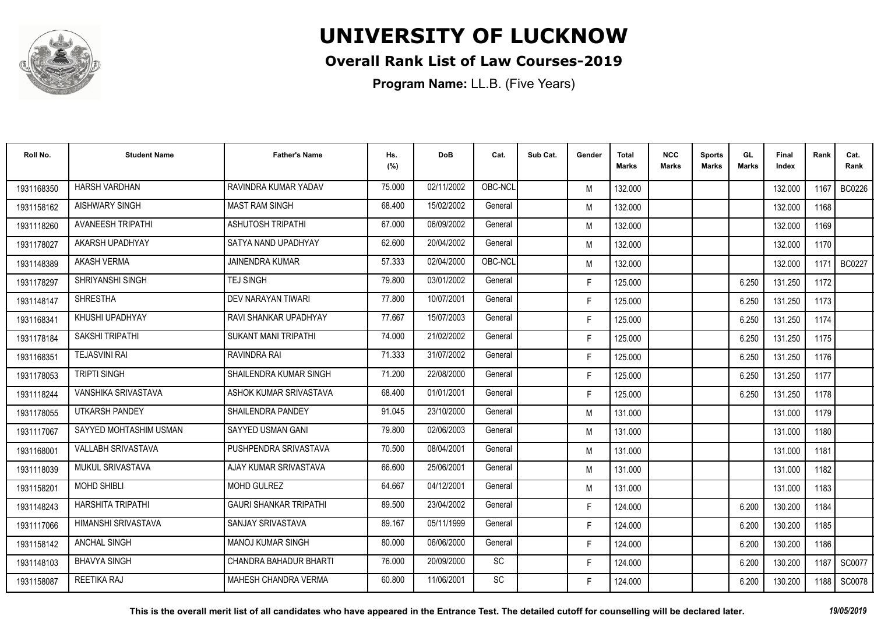

### **Overall Rank List of Law Courses-2019**

| Roll No.   | <b>Student Name</b>       | <b>Father's Name</b>          | Hs.<br>(%) | <b>DoB</b> | Cat.    | Sub Cat. | Gender | <b>Total</b><br>Marks | <b>NCC</b><br><b>Marks</b> | <b>Sports</b><br><b>Marks</b> | GL<br><b>Marks</b> | <b>Final</b><br>Index | Rank | Cat.<br>Rank  |
|------------|---------------------------|-------------------------------|------------|------------|---------|----------|--------|-----------------------|----------------------------|-------------------------------|--------------------|-----------------------|------|---------------|
| 1931168350 | <b>HARSH VARDHAN</b>      | RAVINDRA KUMAR YADAV          | 75.000     | 02/11/2002 | OBC-NCL |          | M      | 132.000               |                            |                               |                    | 132.000               | 1167 | BC0226        |
| 1931158162 | <b>AISHWARY SINGH</b>     | <b>MAST RAM SINGH</b>         | 68.400     | 15/02/2002 | General |          | M      | 132.000               |                            |                               |                    | 132.000               | 1168 |               |
| 1931118260 | <b>AVANEESH TRIPATHI</b>  | <b>ASHUTOSH TRIPATHI</b>      | 67.000     | 06/09/2002 | General |          | M      | 132.000               |                            |                               |                    | 132.000               | 1169 |               |
| 1931178027 | AKARSH UPADHYAY           | SATYA NAND UPADHYAY           | 62.600     | 20/04/2002 | General |          | M      | 132.000               |                            |                               |                    | 132.000               | 1170 |               |
| 1931148389 | <b>AKASH VERMA</b>        | JAINENDRA KUMAR               | 57.333     | 02/04/2000 | OBC-NCL |          | M      | 132.000               |                            |                               |                    | 132.000               | 1171 | <b>BC0227</b> |
| 1931178297 | <b>SHRIYANSHI SINGH</b>   | <b>TEJ SINGH</b>              | 79.800     | 03/01/2002 | General |          | F.     | 125.000               |                            |                               | 6.250              | 131.250               | 1172 |               |
| 1931148147 | <b>SHRESTHA</b>           | DEV NARAYAN TIWARI            | 77.800     | 10/07/2001 | General |          | F.     | 125.000               |                            |                               | 6.250              | 131.250               | 1173 |               |
| 1931168341 | KHUSHI UPADHYAY           | RAVI SHANKAR UPADHYAY         | 77.667     | 15/07/2003 | General |          | F.     | 125.000               |                            |                               | 6.250              | 131.250               | 1174 |               |
| 1931178184 | <b>SAKSHI TRIPATHI</b>    | <b>SUKANT MANI TRIPATHI</b>   | 74.000     | 21/02/2002 | General |          | F.     | 125.000               |                            |                               | 6.250              | 131.250               | 1175 |               |
| 1931168351 | <b>TEJASVINI RAI</b>      | RAVINDRA RAI                  | 71.333     | 31/07/2002 | General |          | F.     | 125.000               |                            |                               | 6.250              | 131.250               | 1176 |               |
| 1931178053 | <b>TRIPTI SINGH</b>       | SHAILENDRA KUMAR SINGH        | 71.200     | 22/08/2000 | General |          | F.     | 125.000               |                            |                               | 6.250              | 131.250               | 1177 |               |
| 1931118244 | VANSHIKA SRIVASTAVA       | ASHOK KUMAR SRIVASTAVA        | 68.400     | 01/01/2001 | General |          | F.     | 125.000               |                            |                               | 6.250              | 131.250               | 1178 |               |
| 1931178055 | UTKARSH PANDEY            | <b>SHAILENDRA PANDEY</b>      | 91.045     | 23/10/2000 | General |          | M      | 131.000               |                            |                               |                    | 131.000               | 1179 |               |
| 1931117067 | SAYYED MOHTASHIM USMAN    | SAYYED USMAN GANI             | 79.800     | 02/06/2003 | General |          | M      | 131.000               |                            |                               |                    | 131.000               | 1180 |               |
| 1931168001 | <b>VALLABH SRIVASTAVA</b> | PUSHPENDRA SRIVASTAVA         | 70.500     | 08/04/2001 | General |          | M      | 131.000               |                            |                               |                    | 131.000               | 1181 |               |
| 1931118039 | <b>MUKUL SRIVASTAVA</b>   | AJAY KUMAR SRIVASTAVA         | 66.600     | 25/06/2001 | General |          | M      | 131.000               |                            |                               |                    | 131.000               | 1182 |               |
| 1931158201 | <b>MOHD SHIBLI</b>        | <b>MOHD GULREZ</b>            | 64.667     | 04/12/2001 | General |          | M      | 131.000               |                            |                               |                    | 131.000               | 1183 |               |
| 1931148243 | <b>HARSHITA TRIPATHI</b>  | <b>GAURI SHANKAR TRIPATHI</b> | 89.500     | 23/04/2002 | General |          | F.     | 124.000               |                            |                               | 6.200              | 130.200               | 1184 |               |
| 1931117066 | HIMANSHI SRIVASTAVA       | SANJAY SRIVASTAVA             | 89.167     | 05/11/1999 | General |          | F.     | 124.000               |                            |                               | 6.200              | 130.200               | 1185 |               |
| 1931158142 | <b>ANCHAL SINGH</b>       | <b>MANOJ KUMAR SINGH</b>      | 80.000     | 06/06/2000 | General |          | F.     | 124.000               |                            |                               | 6.200              | 130.200               | 1186 |               |
| 1931148103 | <b>BHAVYA SINGH</b>       | CHANDRA BAHADUR BHARTI        | 76.000     | 20/09/2000 | SC      |          | F.     | 124.000               |                            |                               | 6.200              | 130.200               | 1187 | SC0077        |
| 1931158087 | REETIKA RAJ               | <b>MAHESH CHANDRA VERMA</b>   | 60.800     | 11/06/2001 | SC      |          | F.     | 124.000               |                            |                               | 6.200              | 130.200               | 1188 | SC0078        |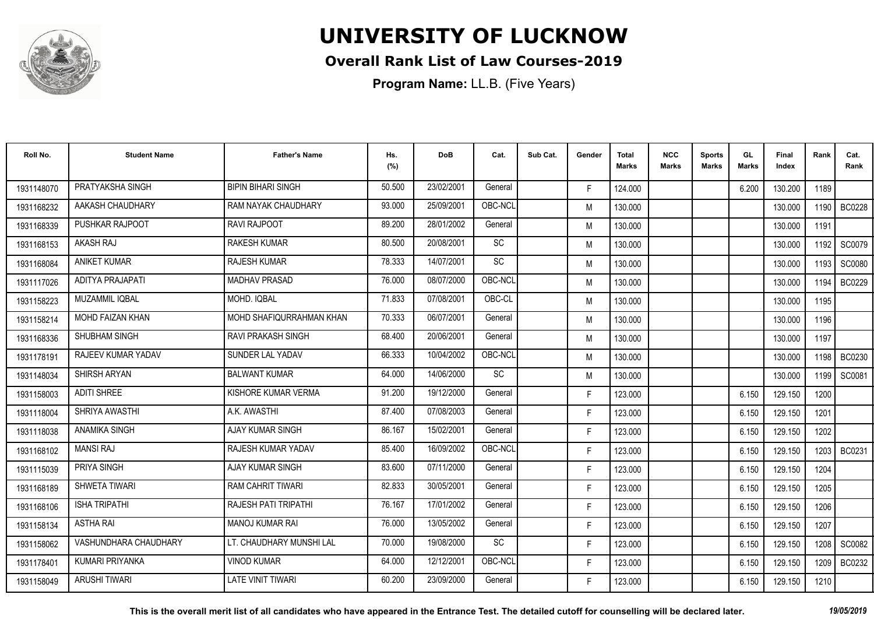

### **Overall Rank List of Law Courses-2019**

**Program Name:** LL.B. (Five Years)

| Roll No.   | <b>Student Name</b>    | <b>Father's Name</b>        | Hs.<br>(%) | <b>DoB</b> | Cat.                         | Sub Cat. | Gender | <b>Total</b><br>Marks | <b>NCC</b><br><b>Marks</b> | <b>Sports</b><br><b>Marks</b> | GL<br><b>Marks</b> | <b>Final</b><br>Index | Rank   | Cat.<br>Rank  |
|------------|------------------------|-----------------------------|------------|------------|------------------------------|----------|--------|-----------------------|----------------------------|-------------------------------|--------------------|-----------------------|--------|---------------|
| 1931148070 | PRATYAKSHA SINGH       | <b>BIPIN BIHARI SINGH</b>   | 50.500     | 23/02/2001 | General                      |          | F.     | 124.000               |                            |                               | 6.200              | 130.200               | 1189   |               |
| 1931168232 | AAKASH CHAUDHARY       | RAM NAYAK CHAUDHARY         | 93.000     | 25/09/2001 | OBC-NCL                      |          | M      | 130.000               |                            |                               |                    | 130.000               | 1190   | BC0228        |
| 1931168339 | <b>PUSHKAR RAJPOOT</b> | <b>RAVI RAJPOOT</b>         | 89.200     | 28/01/2002 | General                      |          | M      | 130.000               |                            |                               |                    | 130.000               | 1191   |               |
| 1931168153 | AKASH RAJ              | <b>RAKESH KUMAR</b>         | 80.500     | 20/08/2001 | SC                           |          | M      | 130.000               |                            |                               |                    | 130.000               | 1192   | SC0079        |
| 1931168084 | <b>ANIKET KUMAR</b>    | <b>RAJESH KUMAR</b>         | 78.333     | 14/07/2001 | <b>SC</b>                    |          | M      | 130.000               |                            |                               |                    | 130.000               | 1193   | SC0080        |
| 1931117026 | ADITYA PRAJAPATI       | <b>MADHAV PRASAD</b>        | 76.000     | 08/07/2000 | OBC-NCL                      |          | M      | 130.000               |                            |                               |                    | 130.000               | 1194   | BC0229        |
| 1931158223 | <b>MUZAMMIL IQBAL</b>  | MOHD. IQBAL                 | 71.833     | 07/08/2001 | OBC-CL                       |          | M      | 130.000               |                            |                               |                    | 130.000               | 1195   |               |
| 1931158214 | MOHD FAIZAN KHAN       | MOHD SHAFIQURRAHMAN KHAN    | 70.333     | 06/07/2001 | General                      |          | M      | 130.000               |                            |                               |                    | 130.000               | 1196   |               |
| 1931168336 | SHUBHAM SINGH          | <b>RAVI PRAKASH SINGH</b>   | 68.400     | 20/06/2001 | General                      |          | M      | 130.000               |                            |                               |                    | 130.000               | 1197   |               |
| 1931178191 | RAJEEV KUMAR YADAV     | <b>SUNDER LAL YADAV</b>     | 66.333     | 10/04/2002 | OBC-NCL                      |          | M      | 130.000               |                            |                               |                    | 130.000               | 1198 I | BC0230        |
| 1931148034 | SHIRSH ARYAN           | <b>BALWANT KUMAR</b>        | 64.000     | 14/06/2000 | $\operatorname{\textsf{SC}}$ |          | M      | 130.000               |                            |                               |                    | 130.000               | 1199   | SC0081        |
| 1931158003 | <b>ADITI SHREE</b>     | KISHORE KUMAR VERMA         | 91.200     | 19/12/2000 | General                      |          | F.     | 123.000               |                            |                               | 6.150              | 129.150               | 1200   |               |
| 1931118004 | SHRIYA AWASTHI         | A.K. AWASTHI                | 87.400     | 07/08/2003 | General                      |          | F.     | 123.000               |                            |                               | 6.150              | 129.150               | 1201   |               |
| 1931118038 | <b>ANAMIKA SINGH</b>   | AJAY KUMAR SINGH            | 86.167     | 15/02/2001 | General                      |          | F.     | 123.000               |                            |                               | 6.150              | 129.150               | 1202   |               |
| 1931168102 | <b>MANSI RAJ</b>       | RAJESH KUMAR YADAV          | 85.400     | 16/09/2002 | OBC-NCL                      |          | F.     | 123.000               |                            |                               | 6.150              | 129.150               | 1203   | <b>BC0231</b> |
| 1931115039 | <b>PRIYA SINGH</b>     | <b>AJAY KUMAR SINGH</b>     | 83.600     | 07/11/2000 | General                      |          | F.     | 123.000               |                            |                               | 6.150              | 129.150               | 1204   |               |
| 1931168189 | SHWETA TIWARI          | <b>RAM CAHRIT TIWARI</b>    | 82.833     | 30/05/2001 | General                      |          | F.     | 123.000               |                            |                               | 6.150              | 129.150               | 1205   |               |
| 1931168106 | <b>ISHA TRIPATHI</b>   | <b>RAJESH PATI TRIPATHI</b> | 76.167     | 17/01/2002 | General                      |          | F.     | 123.000               |                            |                               | 6.150              | 129.150               | 1206   |               |
| 1931158134 | <b>ASTHA RAI</b>       | <b>MANOJ KUMAR RAI</b>      | 76.000     | 13/05/2002 | General                      |          | F.     | 123.000               |                            |                               | 6.150              | 129.150               | 1207   |               |
| 1931158062 | VASHUNDHARA CHAUDHARY  | LT. CHAUDHARY MUNSHI LAL    | 70.000     | 19/08/2000 | <b>SC</b>                    |          | F.     | 123.000               |                            |                               | 6.150              | 129.150               | 1208   | SC0082        |
| 1931178401 | KUMARI PRIYANKA        | <b>VINOD KUMAR</b>          | 64.000     | 12/12/2001 | OBC-NCL                      |          | F.     | 123.000               |                            |                               | 6.150              | 129.150               | 1209   | BC0232        |
| 1931158049 | <b>ARUSHI TIWARI</b>   | <b>LATE VINIT TIWARI</b>    | 60.200     | 23/09/2000 | General                      |          | F.     | 123.000               |                            |                               | 6.150              | 129.150               | 1210   |               |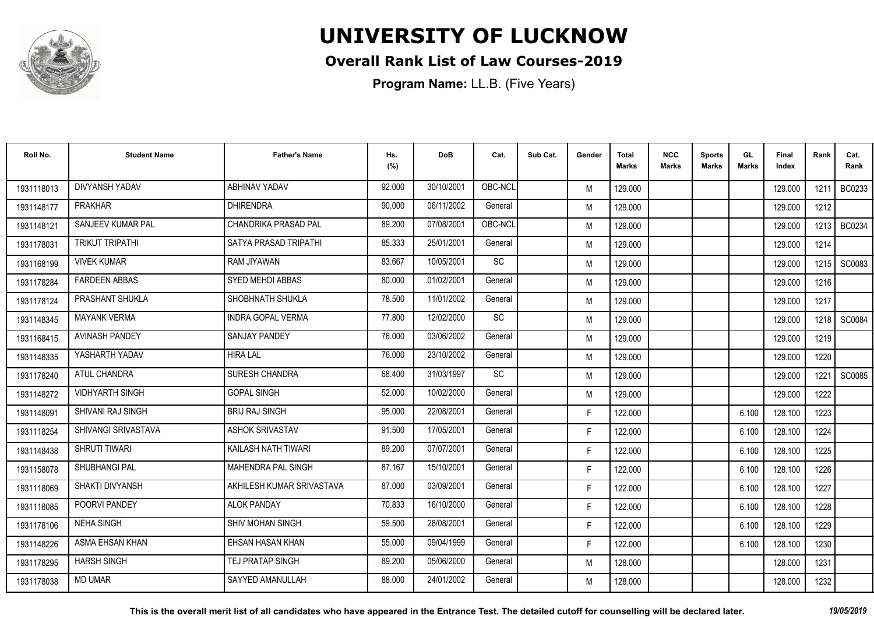

### **Overall Rank List of Law Courses-2019**

| Roll No.   | <b>Student Name</b>      | <b>Father's Name</b>        | Hs.<br>(%) | <b>DoB</b> | Cat.    | Sub Cat. | Gender | Total<br>Marks | <b>NCC</b><br>Marks | <b>Sports</b><br><b>Marks</b> | GL<br><b>Marks</b> | <b>Final</b><br>Index | Rank | Cat.<br>Rank  |
|------------|--------------------------|-----------------------------|------------|------------|---------|----------|--------|----------------|---------------------|-------------------------------|--------------------|-----------------------|------|---------------|
| 1931118013 | <b>DIVYANSH YADAV</b>    | ABHINAV YADAV               | 92.000     | 30/10/2001 | OBC-NCI |          | M      | 129.000        |                     |                               |                    | 129.000               | 1211 | BC0233        |
| 1931148177 | <b>PRAKHAR</b>           | <b>DHIRENDRA</b>            | 90.000     | 06/11/2002 | General |          | M      | 129.000        |                     |                               |                    | 129.000               | 1212 |               |
| 1931148121 | <b>SANJEEV KUMAR PAL</b> | <b>CHANDRIKA PRASAD PAL</b> | 89.200     | 07/08/2001 | OBC-NCL |          | M      | 129.000        |                     |                               |                    | 129.000               | 1213 | BC0234        |
| 1931178031 | <b>TRIKUT TRIPATHI</b>   | SATYA PRASAD TRIPATHI       | 85.333     | 25/01/2001 | General |          | M      | 129.000        |                     |                               |                    | 129.000               | 1214 |               |
| 1931168199 | <b>VIVEK KUMAR</b>       | RAM JIYAWAN                 | 83.667     | 10/05/2001 | SC      |          | M      | 129.000        |                     |                               |                    | 129.000               | 1215 | SC0083        |
| 1931178284 | <b>FARDEEN ABBAS</b>     | <b>SYED MEHDI ABBAS</b>     | 80.000     | 01/02/2001 | General |          | M      | 129.000        |                     |                               |                    | 129.000               | 1216 |               |
| 1931178124 | PRASHANT SHUKLA          | SHOBHNATH SHUKLA            | 78.500     | 11/01/2002 | General |          | M      | 129.000        |                     |                               |                    | 129.000               | 1217 |               |
| 1931148345 | <b>MAYANK VERMA</b>      | <b>INDRA GOPAL VERMA</b>    | 77.800     | 12/02/2000 | SC      |          | M      | 129.000        |                     |                               |                    | 129.000               |      | 1218 SC0084   |
| 1931168415 | <b>AVINASH PANDEY</b>    | <b>SANJAY PANDEY</b>        | 76.000     | 03/06/2002 | General |          | M      | 129.000        |                     |                               |                    | 129.000               | 1219 |               |
| 1931148335 | YASHARTH YADAV           | <b>HIRA LAL</b>             | 76.000     | 23/10/2002 | General |          | M      | 129.000        |                     |                               |                    | 129.000               | 1220 |               |
| 1931178240 | ATUL CHANDRA             | SURESH CHANDRA              | 68.400     | 31/03/1997 | SC      |          | M      | 129.000        |                     |                               |                    | 129.000               | 1221 | <b>SC0085</b> |
| 1931148272 | <b>VIDHYARTH SINGH</b>   | <b>GOPAL SINGH</b>          | 52.000     | 10/02/2000 | General |          | M      | 129.000        |                     |                               |                    | 129.000               | 1222 |               |
| 1931148091 | <b>SHIVANI RAJ SINGH</b> | <b>BRIJ RAJ SINGH</b>       | 95.000     | 22/08/2001 | General |          | F.     | 122.000        |                     |                               | 6.100              | 128.100               | 1223 |               |
| 1931118254 | SHIVANGI SRIVASTAVA      | <b>ASHOK SRIVASTAV</b>      | 91.500     | 17/05/2001 | General |          | F.     | 122.000        |                     |                               | 6.100              | 128.100               | 1224 |               |
| 1931148438 | SHRUTI TIWARI            | KAILASH NATH TIWARI         | 89.200     | 07/07/2001 | General |          | F.     | 122.000        |                     |                               | 6.100              | 128.100               | 1225 |               |
| 1931158078 | <b>SHUBHANGI PAL</b>     | <b>MAHENDRA PAL SINGH</b>   | 87.167     | 15/10/2001 | General |          | F.     | 122.000        |                     |                               | 6.100              | 128.100               | 1226 |               |
| 1931118069 | SHAKTI DIVYANSH          | AKHILESH KUMAR SRIVASTAVA   | 87.000     | 03/09/2001 | General |          | F.     | 122.000        |                     |                               | 6.100              | 128.100               | 1227 |               |
| 1931118085 | POORVI PANDEY            | <b>ALOK PANDAY</b>          | 70.833     | 16/10/2000 | General |          | F.     | 122.000        |                     |                               | 6.100              | 128.100               | 1228 |               |
| 1931178106 | <b>NEHA SINGH</b>        | <b>SHIV MOHAN SINGH</b>     | 59.500     | 26/08/2001 | General |          | F.     | 122.000        |                     |                               | 6.100              | 128.100               | 1229 |               |
| 1931148226 | ASMA EHSAN KHAN          | EHSAN HASAN KHAN            | 55.000     | 09/04/1999 | General |          | F.     | 122.000        |                     |                               | 6.100              | 128.100               | 1230 |               |
| 1931178295 | <b>HARSH SINGH</b>       | <b>TEJ PRATAP SINGH</b>     | 89.200     | 05/06/2000 | General |          | M      | 128.000        |                     |                               |                    | 128.000               | 1231 |               |
| 1931178038 | <b>MD UMAR</b>           | SAYYED AMANULLAH            | 88.000     | 24/01/2002 | General |          | M      | 128.000        |                     |                               |                    | 128.000               | 1232 |               |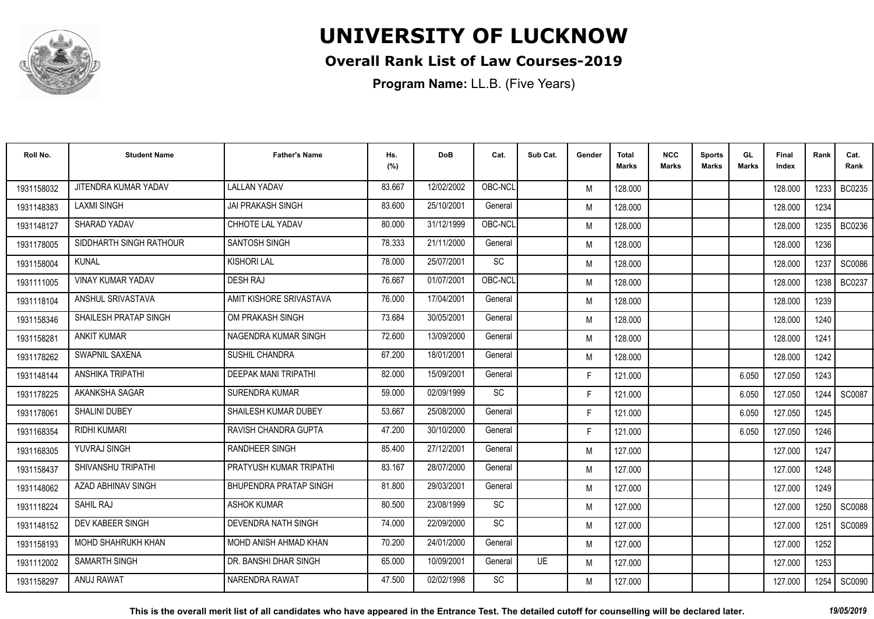

### **Overall Rank List of Law Courses-2019**

**Program Name:** LL.B. (Five Years)

| Roll No.   | <b>Student Name</b>      | <b>Father's Name</b>        | Hs.<br>(%) | <b>DoB</b> | Cat.      | Sub Cat. | Gender | Total<br>Marks | <b>NCC</b><br>Marks | <b>Sports</b><br><b>Marks</b> | GL<br><b>Marks</b> | <b>Final</b><br>Index | Rank   | Cat.<br>Rank  |
|------------|--------------------------|-----------------------------|------------|------------|-----------|----------|--------|----------------|---------------------|-------------------------------|--------------------|-----------------------|--------|---------------|
| 1931158032 | JITENDRA KUMAR YADAV     | <b>LALLAN YADAV</b>         | 83.667     | 12/02/2002 | OBC-NCL   |          | M      | 128.000        |                     |                               |                    | 128,000               | 1233 I | BC0235        |
| 1931148383 | <b>LAXMI SINGH</b>       | <b>JAI PRAKASH SINGH</b>    | 83.600     | 25/10/2001 | General   |          | M      | 128.000        |                     |                               |                    | 128.000               | 1234   |               |
| 1931148127 | SHARAD YADAV             | <b>CHHOTE LAL YADAV</b>     | 80.000     | 31/12/1999 | OBC-NCL   |          | M      | 128.000        |                     |                               |                    | 128.000               | 1235   | BC0236        |
| 1931178005 | SIDDHARTH SINGH RATHOUR  | SANTOSH SINGH               | 78.333     | 21/11/2000 | General   |          | M      | 128.000        |                     |                               |                    | 128.000               | 1236   |               |
| 1931158004 | <b>KUNAL</b>             | <b>KISHORI LAL</b>          | 78.000     | 25/07/2001 | SC        |          | M      | 128.000        |                     |                               |                    | 128.000               | 1237   | <b>SC0086</b> |
| 1931111005 | <b>VINAY KUMAR YADAV</b> | <b>DESH RAJ</b>             | 76.667     | 01/07/2001 | OBC-NCL   |          | M      | 128.000        |                     |                               |                    | 128.000               | 1238   | <b>BC0237</b> |
| 1931118104 | ANSHUL SRIVASTAVA        | AMIT KISHORE SRIVASTAVA     | 76.000     | 17/04/2001 | General   |          | M      | 128.000        |                     |                               |                    | 128.000               | 1239   |               |
| 1931158346 | SHAILESH PRATAP SINGH    | OM PRAKASH SINGH            | 73.684     | 30/05/2001 | General   |          | M      | 128.000        |                     |                               |                    | 128.000               | 1240   |               |
| 1931158281 | <b>ANKIT KUMAR</b>       | NAGENDRA KUMAR SINGH        | 72.600     | 13/09/2000 | General   |          | M      | 128.000        |                     |                               |                    | 128.000               | 1241   |               |
| 1931178262 | SWAPNIL SAXENA           | SUSHIL CHANDRA              | 67.200     | 18/01/2001 | General   |          | M      | 128.000        |                     |                               |                    | 128.000               | 1242   |               |
| 1931148144 | ANSHIKA TRIPATHI         | <b>DEEPAK MANI TRIPATHI</b> | 82.000     | 15/09/2001 | General   |          | F.     | 121.000        |                     |                               | 6.050              | 127.050               | 1243   |               |
| 1931178225 | AKANKSHA SAGAR           | <b>SURENDRA KUMAR</b>       | 59.000     | 02/09/1999 | SC        |          | F.     | 121.000        |                     |                               | 6.050              | 127.050               | 1244   | SC0087        |
| 1931178061 | <b>SHALINI DUBEY</b>     | SHAILESH KUMAR DUBEY        | 53.667     | 25/08/2000 | General   |          | F.     | 121.000        |                     |                               | 6.050              | 127.050               | 1245   |               |
| 1931168354 | <b>RIDHI KUMARI</b>      | RAVISH CHANDRA GUPTA        | 47.200     | 30/10/2000 | General   |          | F.     | 121.000        |                     |                               | 6.050              | 127.050               | 1246   |               |
| 1931168305 | YUVRAJ SINGH             | <b>RANDHEER SINGH</b>       | 85.400     | 27/12/2001 | General   |          | M      | 127.000        |                     |                               |                    | 127.000               | 1247   |               |
| 1931158437 | SHIVANSHU TRIPATHI       | PRATYUSH KUMAR TRIPATHI     | 83.167     | 28/07/2000 | General   |          | M      | 127.000        |                     |                               |                    | 127.000               | 1248   |               |
| 1931148062 | AZAD ABHINAV SINGH       | BHUPENDRA PRATAP SINGH      | 81.800     | 29/03/2001 | General   |          | M      | 127.000        |                     |                               |                    | 127.000               | 1249   |               |
| 1931118224 | SAHIL RAJ                | <b>ASHOK KUMAR</b>          | 80.500     | 23/08/1999 | <b>SC</b> |          | M      | 127.000        |                     |                               |                    | 127.000               | 1250   | <b>SC0088</b> |
| 1931148152 | DEV KABEER SINGH         | <b>DEVENDRA NATH SINGH</b>  | 74.000     | 22/09/2000 | <b>SC</b> |          | M      | 127.000        |                     |                               |                    | 127.000               | 1251   | SC0089        |
| 1931158193 | MOHD SHAHRUKH KHAN       | MOHD ANISH AHMAD KHAN       | 70.200     | 24/01/2000 | General   |          | M      | 127.000        |                     |                               |                    | 127.000               | 1252   |               |
| 1931112002 | <b>SAMARTH SINGH</b>     | DR. BANSHI DHAR SINGH       | 65.000     | 10/09/2001 | General   | UE       | M      | 127.000        |                     |                               |                    | 127.000               | 1253   |               |
| 1931158297 | ANUJ RAWAT               | NARENDRA RAWAT              | 47.500     | 02/02/1998 | SC        |          | M      | 127.000        |                     |                               |                    | 127.000               | 1254   | SC0090        |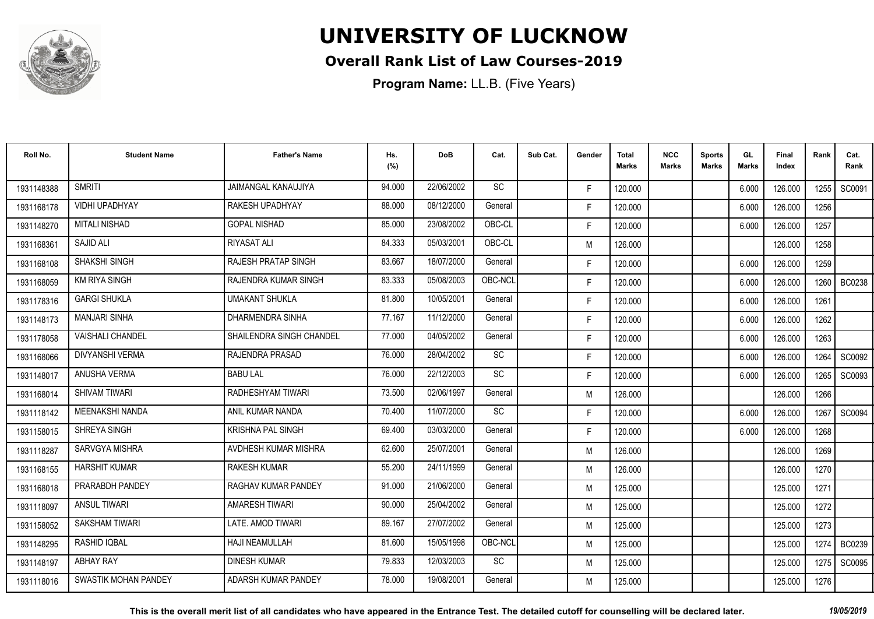

### **Overall Rank List of Law Courses-2019**

| Roll No.   | <b>Student Name</b>         | <b>Father's Name</b>       | Hs.<br>(%) | <b>DoB</b> | Cat.      | Sub Cat. | Gender | <b>Total</b><br>Marks | <b>NCC</b><br>Marks | <b>Sports</b><br><b>Marks</b> | GL<br>Marks | <b>Final</b><br>Index | Rank   | Cat.<br>Rank  |
|------------|-----------------------------|----------------------------|------------|------------|-----------|----------|--------|-----------------------|---------------------|-------------------------------|-------------|-----------------------|--------|---------------|
| 1931148388 | <b>SMRITI</b>               | <b>JAIMANGAL KANAUJIYA</b> | 94.000     | 22/06/2002 | <b>SC</b> |          | F.     | 120.000               |                     |                               | 6.000       | 126.000               | 1255 l | SC0091        |
| 1931168178 | <b>VIDHI UPADHYAY</b>       | RAKESH UPADHYAY            | 88.000     | 08/12/2000 | General   |          | F.     | 120.000               |                     |                               | 6.000       | 126.000               | 1256   |               |
| 1931148270 | <b>MITALI NISHAD</b>        | <b>GOPAL NISHAD</b>        | 85.000     | 23/08/2002 | OBC-CL    |          | F.     | 120.000               |                     |                               | 6.000       | 126.000               | 1257   |               |
| 1931168361 | SAJID ALI                   | <b>RIYASAT ALI</b>         | 84.333     | 05/03/2001 | OBC-CL    |          | M      | 126.000               |                     |                               |             | 126.000               | 1258   |               |
| 1931168108 | SHAKSHI SINGH               | RAJESH PRATAP SINGH        | 83.667     | 18/07/2000 | General   |          | F.     | 120.000               |                     |                               | 6.000       | 126.000               | 1259   |               |
| 1931168059 | <b>KM RIYA SINGH</b>        | RAJENDRA KUMAR SINGH       | 83.333     | 05/08/2003 | OBC-NCL   |          | F.     | 120.000               |                     |                               | 6.000       | 126.000               | 1260   | <b>BC0238</b> |
| 1931178316 | <b>GARGI SHUKLA</b>         | <b>UMAKANT SHUKLA</b>      | 81.800     | 10/05/2001 | General   |          | F.     | 120.000               |                     |                               | 6.000       | 126.000               | 1261   |               |
| 1931148173 | <b>MANJARI SINHA</b>        | <b>DHARMENDRA SINHA</b>    | 77.167     | 11/12/2000 | General   |          | F.     | 120.000               |                     |                               | 6.000       | 126.000               | 1262   |               |
| 1931178058 | <b>VAISHALI CHANDEL</b>     | SHAILENDRA SINGH CHANDEL   | 77.000     | 04/05/2002 | General   |          | F.     | 120.000               |                     |                               | 6.000       | 126.000               | 1263   |               |
| 1931168066 | <b>DIVYANSHI VERMA</b>      | <b>RAJENDRA PRASAD</b>     | 76.000     | 28/04/2002 | SC        |          | F.     | 120.000               |                     |                               | 6.000       | 126.000               | 1264   | SC0092        |
| 1931148017 | ANUSHA VERMA                | <b>BABU LAL</b>            | 76.000     | 22/12/2003 | <b>SC</b> |          | F.     | 120.000               |                     |                               | 6.000       | 126.000               | 1265   | SC0093        |
| 1931168014 | <b>SHIVAM TIWARI</b>        | RADHESHYAM TIWARI          | 73.500     | 02/06/1997 | General   |          | M      | 126.000               |                     |                               |             | 126.000               | 1266   |               |
| 1931118142 | <b>MEENAKSHI NANDA</b>      | ANIL KUMAR NANDA           | 70.400     | 11/07/2000 | <b>SC</b> |          | F.     | 120.000               |                     |                               | 6.000       | 126.000               | 1267   | SC0094        |
| 1931158015 | SHREYA SINGH                | <b>KRISHNA PAL SINGH</b>   | 69.400     | 03/03/2000 | General   |          | F.     | 120.000               |                     |                               | 6.000       | 126.000               | 1268   |               |
| 1931118287 | <b>SARVGYA MISHRA</b>       | AVDHESH KUMAR MISHRA       | 62.600     | 25/07/2001 | General   |          | M      | 126.000               |                     |                               |             | 126.000               | 1269   |               |
| 1931168155 | <b>HARSHIT KUMAR</b>        | <b>RAKESH KUMAR</b>        | 55.200     | 24/11/1999 | General   |          | M      | 126.000               |                     |                               |             | 126.000               | 1270   |               |
| 1931168018 | PRARABDH PANDEY             | <b>RAGHAV KUMAR PANDEY</b> | 91.000     | 21/06/2000 | General   |          | M      | 125.000               |                     |                               |             | 125.000               | 1271   |               |
| 1931118097 | <b>ANSUL TIWARI</b>         | <b>AMARESH TIWARI</b>      | 90.000     | 25/04/2002 | General   |          | M      | 125.000               |                     |                               |             | 125.000               | 1272   |               |
| 1931158052 | SAKSHAM TIWARI              | LATE, AMOD TIWARI          | 89.167     | 27/07/2002 | General   |          | M      | 125.000               |                     |                               |             | 125.000               | 1273   |               |
| 1931148295 | <b>RASHID IQBAL</b>         | <b>HAJI NEAMULLAH</b>      | 81.600     | 15/05/1998 | OBC-NCL   |          | M      | 125.000               |                     |                               |             | 125.000               | 1274   | BC0239        |
| 1931148197 | <b>ABHAY RAY</b>            | <b>DINESH KUMAR</b>        | 79.833     | 12/03/2003 | SC        |          | M      | 125.000               |                     |                               |             | 125.000               | 1275   | SC0095        |
| 1931118016 | <b>SWASTIK MOHAN PANDEY</b> | ADARSH KUMAR PANDEY        | 78.000     | 19/08/2001 | General   |          | M      | 125.000               |                     |                               |             | 125.000               | 1276   |               |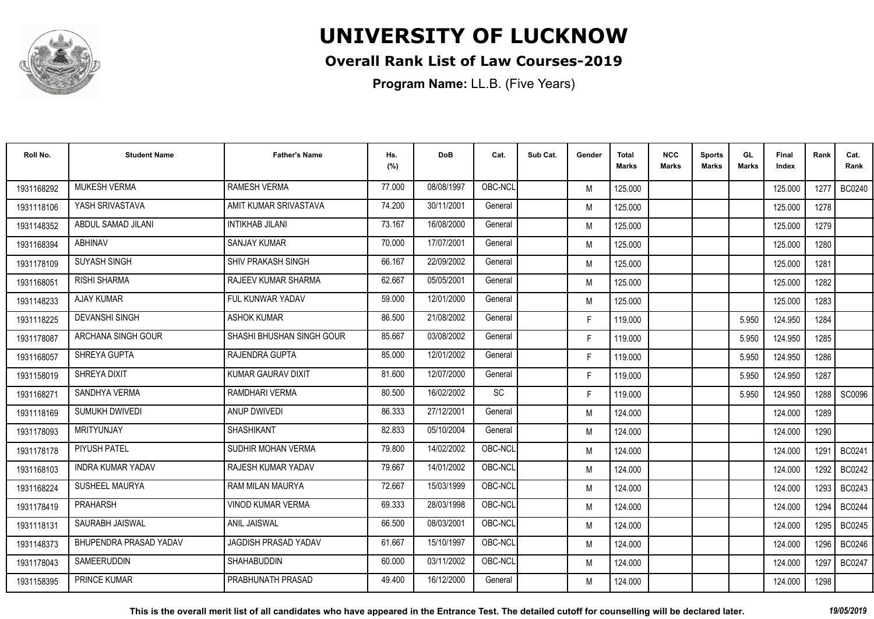

### **Overall Rank List of Law Courses-2019**

| Roll No.   | <b>Student Name</b>      | <b>Father's Name</b>        | Hs.<br>(%) | <b>DoB</b> | Cat.    | Sub Cat. | Gender | <b>Total</b><br>Marks | <b>NCC</b><br><b>Marks</b> | <b>Sports</b><br><b>Marks</b> | GL<br><b>Marks</b> | <b>Final</b><br>Index | Rank | Cat.<br>Rank  |
|------------|--------------------------|-----------------------------|------------|------------|---------|----------|--------|-----------------------|----------------------------|-------------------------------|--------------------|-----------------------|------|---------------|
| 1931168292 | <b>MUKESH VERMA</b>      | <b>RAMESH VERMA</b>         | 77.000     | 08/08/1997 | OBC-NCL |          | M      | 125.000               |                            |                               |                    | 125.000               | 1277 | BC0240        |
| 1931118106 | YASH SRIVASTAVA          | AMIT KUMAR SRIVASTAVA       | 74.200     | 30/11/2001 | General |          | M      | 125.000               |                            |                               |                    | 125.000               | 1278 |               |
| 1931148352 | ABDUL SAMAD JILANI       | <b>INTIKHAB JILANI</b>      | 73.167     | 16/08/2000 | General |          | M      | 125.000               |                            |                               |                    | 125.000               | 1279 |               |
| 1931168394 | ABHINAV                  | <b>SANJAY KUMAR</b>         | 70.000     | 17/07/2001 | General |          | M      | 125.000               |                            |                               |                    | 125.000               | 1280 |               |
| 1931178109 | <b>SUYASH SINGH</b>      | <b>SHIV PRAKASH SINGH</b>   | 66.167     | 22/09/2002 | General |          | M      | 125.000               |                            |                               |                    | 125.000               | 1281 |               |
| 1931168051 | <b>RISHI SHARMA</b>      | RAJEEV KUMAR SHARMA         | 62.667     | 05/05/2001 | General |          | M      | 125.000               |                            |                               |                    | 125.000               | 1282 |               |
| 1931148233 | <b>AJAY KUMAR</b>        | FUL KUNWAR YADAV            | 59.000     | 12/01/2000 | General |          | M      | 125.000               |                            |                               |                    | 125.000               | 1283 |               |
| 1931118225 | <b>DEVANSHI SINGH</b>    | <b>ASHOK KUMAR</b>          | 86.500     | 21/08/2002 | General |          | F.     | 119.000               |                            |                               | 5.950              | 124.950               | 1284 |               |
| 1931178087 | ARCHANA SINGH GOUR       | SHASHI BHUSHAN SINGH GOUR   | 85.667     | 03/08/2002 | General |          | F.     | 119.000               |                            |                               | 5.950              | 124.950               | 1285 |               |
| 1931168057 | SHREYA GUPTA             | RAJENDRA GUPTA              | 85.000     | 12/01/2002 | General |          | F.     | 119.000               |                            |                               | 5.950              | 124.950               | 1286 |               |
| 1931158019 | SHREYA DIXIT             | <b>KUMAR GAURAV DIXIT</b>   | 81.600     | 12/07/2000 | General |          | F.     | 119.000               |                            |                               | 5.950              | 124.950               | 1287 |               |
| 1931168271 | SANDHYA VERMA            | RAMDHARI VERMA              | 80.500     | 16/02/2002 | SC      |          | F.     | 119.000               |                            |                               | 5.950              | 124.950               | 1288 | SC0096        |
| 1931118169 | SUMUKH DWIVEDI           | ANUP DWIVEDI                | 86.333     | 27/12/2001 | General |          | M      | 124.000               |                            |                               |                    | 124.000               | 1289 |               |
| 1931178093 | MRITYUNJAY               | <b>SHASHIKANT</b>           | 82.833     | 05/10/2004 | General |          | M      | 124.000               |                            |                               |                    | 124.000               | 1290 |               |
| 1931178178 | PIYUSH PATEL             | SUDHIR MOHAN VERMA          | 79.800     | 14/02/2002 | OBC-NCL |          | M      | 124.000               |                            |                               |                    | 124.000               | 1291 | <b>BC0241</b> |
| 1931168103 | <b>INDRA KUMAR YADAV</b> | RAJESH KUMAR YADAV          | 79.667     | 14/01/2002 | OBC-NCL |          | M      | 124.000               |                            |                               |                    | 124.000               | 1292 | BC0242        |
| 1931168224 | SUSHEEL MAURYA           | RAM MILAN MAURYA            | 72.667     | 15/03/1999 | OBC-NCL |          | M      | 124.000               |                            |                               |                    | 124.000               | 1293 | BC0243        |
| 1931178419 | PRAHARSH                 | <b>VINOD KUMAR VERMA</b>    | 69.333     | 28/03/1998 | OBC-NCL |          | M      | 124.000               |                            |                               |                    | 124.000               | 1294 | <b>BC0244</b> |
| 1931118131 | SAURABH JAISWAL          | <b>ANIL JAISWAL</b>         | 66.500     | 08/03/2001 | OBC-NCL |          | M      | 124.000               |                            |                               |                    | 124.000               | 1295 | <b>BC0245</b> |
| 1931148373 | BHUPENDRA PRASAD YADAV   | <b>JAGDISH PRASAD YADAV</b> | 61.667     | 15/10/1997 | OBC-NCL |          | M      | 124.000               |                            |                               |                    | 124.000               | 1296 | <b>BC0246</b> |
| 1931178043 | SAMEERUDDIN              | <b>SHAHABUDDIN</b>          | 60.000     | 03/11/2002 | OBC-NCL |          | M      | 124.000               |                            |                               |                    | 124.000               | 1297 | <b>BC0247</b> |
| 1931158395 | PRINCE KUMAR             | PRABHUNATH PRASAD           | 49.400     | 16/12/2000 | General |          | M      | 124.000               |                            |                               |                    | 124.000               | 1298 |               |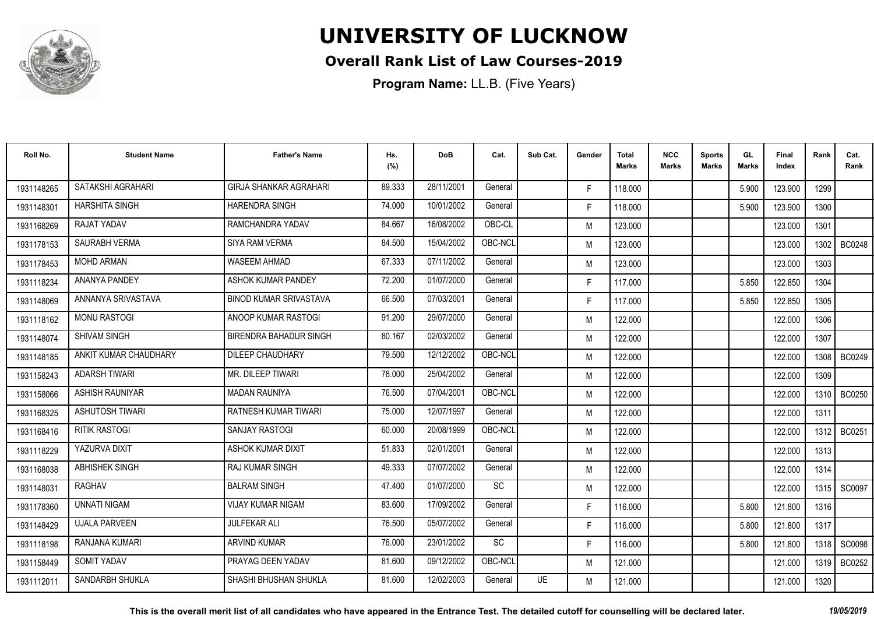

### **Overall Rank List of Law Courses-2019**

| Roll No.   | <b>Student Name</b>    | <b>Father's Name</b>          | Hs.<br>(%) | <b>DoB</b> | Cat.      | Sub Cat. | Gender | <b>Total</b><br>Marks | <b>NCC</b><br><b>Marks</b> | <b>Sports</b><br><b>Marks</b> | GL<br><b>Marks</b> | <b>Final</b><br>Index | Rank   | Cat.<br>Rank  |
|------------|------------------------|-------------------------------|------------|------------|-----------|----------|--------|-----------------------|----------------------------|-------------------------------|--------------------|-----------------------|--------|---------------|
| 1931148265 | SATAKSHI AGRAHARI      | <b>GIRJA SHANKAR AGRAHARI</b> | 89.333     | 28/11/2001 | General   |          | F.     | 118.000               |                            |                               | 5.900              | 123.900               | 1299   |               |
| 1931148301 | <b>HARSHITA SINGH</b>  | <b>HARENDRA SINGH</b>         | 74.000     | 10/01/2002 | General   |          | F.     | 118.000               |                            |                               | 5.900              | 123.900               | 1300   |               |
| 1931168269 | RAJAT YADAV            | RAMCHANDRA YADAV              | 84.667     | 16/08/2002 | OBC-CL    |          | M      | 123.000               |                            |                               |                    | 123.000               | 1301   |               |
| 1931178153 | <b>SAURABH VERMA</b>   | SIYA RAM VERMA                | 84.500     | 15/04/2002 | OBC-NCL   |          | M      | 123.000               |                            |                               |                    | 123.000               | 1302   | <b>BC0248</b> |
| 1931178453 | <b>MOHD ARMAN</b>      | <b>WASEEM AHMAD</b>           | 67.333     | 07/11/2002 | General   |          | M      | 123.000               |                            |                               |                    | 123.000               | 1303   |               |
| 1931118234 | ANANYA PANDEY          | ASHOK KUMAR PANDEY            | 72.200     | 01/07/2000 | General   |          | F.     | 117.000               |                            |                               | 5.850              | 122.850               | 1304   |               |
| 1931148069 | ANNANYA SRIVASTAVA     | <b>BINOD KUMAR SRIVASTAVA</b> | 66.500     | 07/03/2001 | General   |          | F.     | 117.000               |                            |                               | 5.850              | 122.850               | 1305   |               |
| 1931118162 | <b>MONU RASTOGI</b>    | ANOOP KUMAR RASTOGI           | 91.200     | 29/07/2000 | General   |          | M      | 122.000               |                            |                               |                    | 122.000               | 1306   |               |
| 1931148074 | <b>SHIVAM SINGH</b>    | <b>BIRENDRA BAHADUR SINGH</b> | 80.167     | 02/03/2002 | General   |          | M      | 122.000               |                            |                               |                    | 122.000               | 1307   |               |
| 1931148185 | ANKIT KUMAR CHAUDHARY  | DILEEP CHAUDHARY              | 79.500     | 12/12/2002 | OBC-NCL   |          | M      | 122.000               |                            |                               |                    | 122.000               | 1308 l | <b>BC0249</b> |
| 1931158243 | <b>ADARSH TIWARI</b>   | MR. DILEEP TIWARI             | 78.000     | 25/04/2002 | General   |          | M      | 122.000               |                            |                               |                    | 122.000               | 1309   |               |
| 1931158066 | ASHISH RAUNIYAR        | <b>MADAN RAUNIYA</b>          | 76.500     | 07/04/2001 | OBC-NCL   |          | M      | 122.000               |                            |                               |                    | 122.000               | 1310   | BC0250        |
| 1931168325 | <b>ASHUTOSH TIWARI</b> | RATNESH KUMAR TIWARI          | 75.000     | 12/07/1997 | General   |          | M      | 122.000               |                            |                               |                    | 122.000               | 1311   |               |
| 1931168416 | <b>RITIK RASTOGI</b>   | SANJAY RASTOGI                | 60.000     | 20/08/1999 | OBC-NCL   |          | M      | 122.000               |                            |                               |                    | 122.000               | 1312   | BC0251        |
| 1931118229 | YAZURVA DIXIT          | ASHOK KUMAR DIXIT             | 51.833     | 02/01/2001 | General   |          | M      | 122.000               |                            |                               |                    | 122.000               | 1313   |               |
| 1931168038 | <b>ABHISHEK SINGH</b>  | <b>RAJ KUMAR SINGH</b>        | 49.333     | 07/07/2002 | General   |          | M      | 122.000               |                            |                               |                    | 122.000               | 1314   |               |
| 1931148031 | RAGHAV                 | <b>BALRAM SINGH</b>           | 47.400     | 01/07/2000 | <b>SC</b> |          | M      | 122.000               |                            |                               |                    | 122.000               |        | 1315   SC0097 |
| 1931178360 | <b>UNNATI NIGAM</b>    | <b>VIJAY KUMAR NIGAM</b>      | 83.600     | 17/09/2002 | General   |          | F.     | 116.000               |                            |                               | 5.800              | 121.800               | 1316   |               |
| 1931148429 | <b>UJALA PARVEEN</b>   | <b>JULFEKAR ALI</b>           | 76.500     | 05/07/2002 | General   |          | F.     | 116.000               |                            |                               | 5.800              | 121.800               | 1317   |               |
| 1931118198 | RANJANA KUMARI         | <b>ARVIND KUMAR</b>           | 76.000     | 23/01/2002 | <b>SC</b> |          | F.     | 116.000               |                            |                               | 5.800              | 121.800               | 1318   | <b>SC0098</b> |
| 1931158449 | <b>SOMIT YADAV</b>     | PRAYAG DEEN YADAV             | 81.600     | 09/12/2002 | OBC-NCL   |          | M      | 121.000               |                            |                               |                    | 121.000               | 1319 I | BC0252        |
| 1931112011 | SANDARBH SHUKLA        | SHASHI BHUSHAN SHUKLA         | 81.600     | 12/02/2003 | General   | UE       | M      | 121.000               |                            |                               |                    | 121.000               | 1320   |               |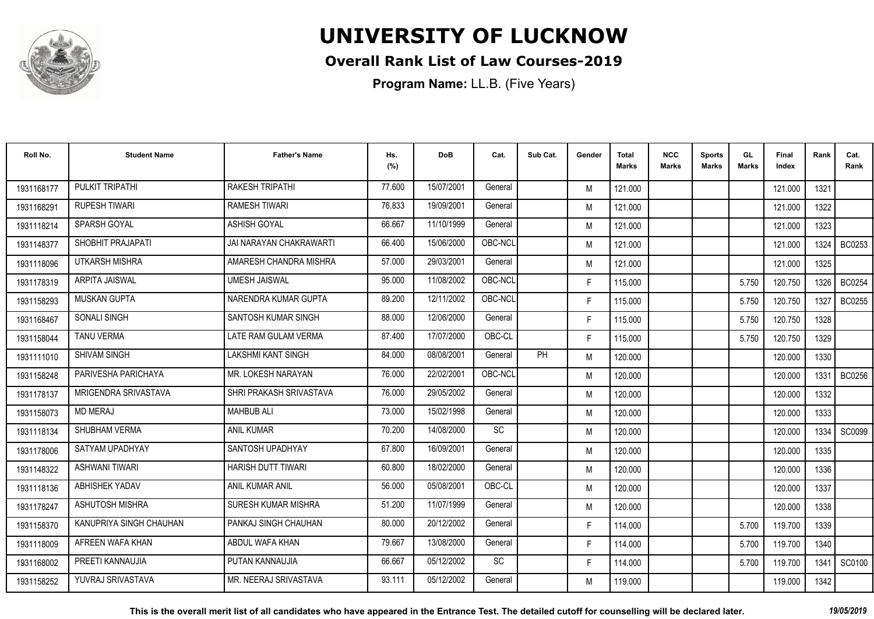

### **Overall Rank List of Law Courses-2019**

| Roll No.   | <b>Student Name</b>     | <b>Father's Name</b>       | Hs.<br>(%) | <b>DoB</b> | Cat.    | Sub Cat. | Gender | <b>Total</b><br>Marks | <b>NCC</b><br><b>Marks</b> | <b>Sports</b><br><b>Marks</b> | GL<br><b>Marks</b> | <b>Final</b><br>Index | Rank | Cat.<br>Rank  |
|------------|-------------------------|----------------------------|------------|------------|---------|----------|--------|-----------------------|----------------------------|-------------------------------|--------------------|-----------------------|------|---------------|
| 1931168177 | PULKIT TRIPATHI         | <b>RAKESH TRIPATHI</b>     | 77.600     | 15/07/2001 | General |          | M      | 121.000               |                            |                               |                    | 121.000               | 1321 |               |
| 1931168291 | <b>RUPESH TIWARI</b>    | <b>RAMESH TIWARI</b>       | 76.833     | 19/09/2001 | General |          | M      | 121.000               |                            |                               |                    | 121.000               | 1322 |               |
| 1931118214 | <b>SPARSH GOYAL</b>     | <b>ASHISH GOYAL</b>        | 66.667     | 11/10/1999 | General |          | M      | 121.000               |                            |                               |                    | 121.000               | 1323 |               |
| 1931148377 | SHOBHIT PRAJAPATI       | JAI NARAYAN CHAKRAWARTI    | 66.400     | 15/06/2000 | OBC-NCL |          | M      | 121.000               |                            |                               |                    | 121.000               | 1324 | BC0253        |
| 1931118096 | UTKARSH MISHRA          | AMARESH CHANDRA MISHRA     | 57.000     | 29/03/2001 | General |          | M      | 121.000               |                            |                               |                    | 121.000               | 1325 |               |
| 1931178319 | <b>ARPITA JAISWAL</b>   | <b>UMESH JAISWAL</b>       | 95.000     | 11/08/2002 | OBC-NCL |          | F.     | 115.000               |                            |                               | 5.750              | 120.750               | 1326 | <b>BC0254</b> |
| 1931158293 | <b>MUSKAN GUPTA</b>     | NARENDRA KUMAR GUPTA       | 89.200     | 12/11/2002 | OBC-NCL |          | F.     | 115.000               |                            |                               | 5.750              | 120.750               | 1327 | <b>BC0255</b> |
| 1931168467 | <b>SONALI SINGH</b>     | SANTOSH KUMAR SINGH        | 88.000     | 12/06/2000 | General |          | F.     | 115.000               |                            |                               | 5.750              | 120.750               | 1328 |               |
| 1931158044 | <b>TANU VERMA</b>       | LATE RAM GULAM VERMA       | 87.400     | 17/07/2000 | OBC-CL  |          | F.     | 115.000               |                            |                               | 5.750              | 120.750               | 1329 |               |
| 1931111010 | <b>SHIVAM SINGH</b>     | <b>LAKSHMI KANT SINGH</b>  | 84.000     | 08/08/2001 | General | PH       | M      | 120.000               |                            |                               |                    | 120.000               | 1330 |               |
| 1931158248 | PARIVESHA PARICHAYA     | MR. LOKESH NARAYAN         | 76.000     | 22/02/2001 | OBC-NCL |          | M      | 120.000               |                            |                               |                    | 120.000               | 1331 | <b>BC0256</b> |
| 1931178137 | MRIGENDRA SRIVASTAVA    | SHRI PRAKASH SRIVASTAVA    | 76.000     | 29/05/2002 | General |          | M      | 120.000               |                            |                               |                    | 120.000               | 1332 |               |
| 1931158073 | <b>MD MERAJ</b>         | <b>MAHBUB ALI</b>          | 73.000     | 15/02/1998 | General |          | M      | 120.000               |                            |                               |                    | 120.000               | 1333 |               |
| 1931118134 | SHUBHAM VERMA           | <b>ANIL KUMAR</b>          | 70.200     | 14/08/2000 | SC      |          | M      | 120.000               |                            |                               |                    | 120.000               | 1334 | SC0099        |
| 1931178006 | SATYAM UPADHYAY         | SANTOSH UPADHYAY           | 67.800     | 16/09/2001 | General |          | M      | 120.000               |                            |                               |                    | 120.000               | 1335 |               |
| 1931148322 | <b>ASHWANI TIWARI</b>   | <b>HARISH DUTT TIWARI</b>  | 60.800     | 18/02/2000 | General |          | M      | 120.000               |                            |                               |                    | 120.000               | 1336 |               |
| 1931118136 | ABHISHEK YADAV          | ANIL KUMAR ANIL            | 56.000     | 05/08/2001 | OBC-CL  |          | M      | 120.000               |                            |                               |                    | 120.000               | 1337 |               |
| 1931178247 | ASHUTOSH MISHRA         | <b>SURESH KUMAR MISHRA</b> | 51.200     | 11/07/1999 | General |          | M      | 120.000               |                            |                               |                    | 120.000               | 1338 |               |
| 1931158370 | KANUPRIYA SINGH CHAUHAN | PANKAJ SINGH CHAUHAN       | 80.000     | 20/12/2002 | General |          | F.     | 114.000               |                            |                               | 5.700              | 119.700               | 1339 |               |
| 1931118009 | AFREEN WAFA KHAN        | ABDUL WAFA KHAN            | 79.667     | 13/08/2000 | General |          | F.     | 114.000               |                            |                               | 5.700              | 119.700               | 1340 |               |
| 1931168002 | PREETI KANNAUJIA        | PUTAN KANNAUJIA            | 66.667     | 05/12/2002 | SC      |          | F.     | 114.000               |                            |                               | 5.700              | 119.700               | 1341 | SC0100        |
| 1931158252 | YUVRAJ SRIVASTAVA       | MR. NEERAJ SRIVASTAVA      | 93.111     | 05/12/2002 | General |          | M      | 119.000               |                            |                               |                    | 119.000               | 1342 |               |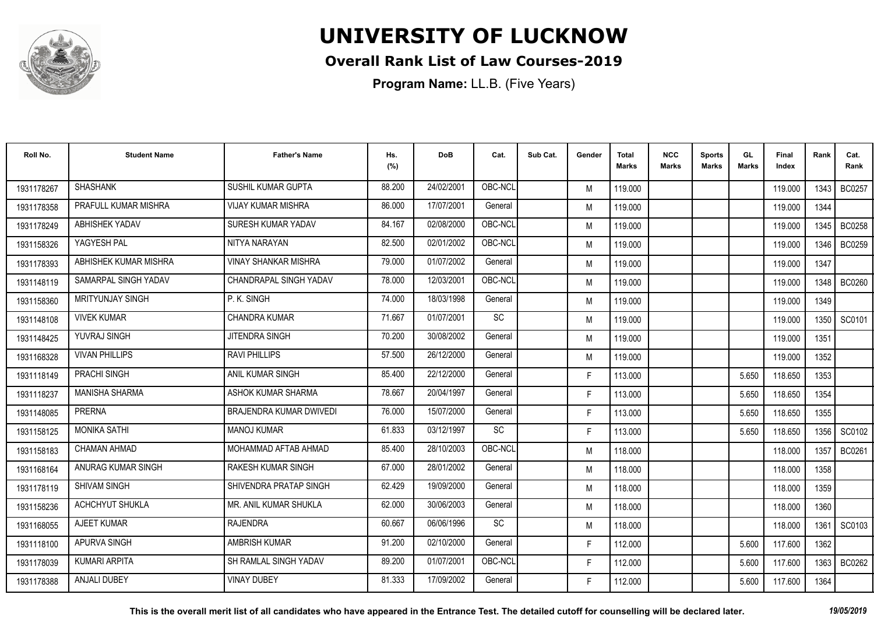

### **Overall Rank List of Law Courses-2019**

**Program Name:** LL.B. (Five Years)

| Roll No.   | <b>Student Name</b>     | <b>Father's Name</b>        | Hs.<br>(%) | <b>DoB</b> | Cat.      | Sub Cat. | Gender | <b>Total</b><br>Marks | <b>NCC</b><br><b>Marks</b> | <b>Sports</b><br><b>Marks</b> | GL<br><b>Marks</b> | <b>Final</b><br>Index | Rank   | Cat.<br>Rank  |
|------------|-------------------------|-----------------------------|------------|------------|-----------|----------|--------|-----------------------|----------------------------|-------------------------------|--------------------|-----------------------|--------|---------------|
| 1931178267 | <b>SHASHANK</b>         | SUSHIL KUMAR GUPTA          | 88.200     | 24/02/2001 | OBC-NCL   |          | M      | 119.000               |                            |                               |                    | 119.000               | 1343 I | <b>BC0257</b> |
| 1931178358 | PRAFULL KUMAR MISHRA    | <b>VIJAY KUMAR MISHRA</b>   | 86.000     | 17/07/2001 | General   |          | M      | 119.000               |                            |                               |                    | 119.000               | 1344   |               |
| 1931178249 | ABHISHEK YADAV          | SURESH KUMAR YADAV          | 84.167     | 02/08/2000 | OBC-NCL   |          | M      | 119.000               |                            |                               |                    | 119.000               | 1345   | <b>BC0258</b> |
| 1931158326 | YAGYESH PAL             | NITYA NARAYAN               | 82.500     | 02/01/2002 | OBC-NCL   |          | M      | 119.000               |                            |                               |                    | 119.000               | 1346   | <b>BC0259</b> |
| 1931178393 | ABHISHEK KUMAR MISHRA   | <b>VINAY SHANKAR MISHRA</b> | 79.000     | 01/07/2002 | General   |          | M      | 119.000               |                            |                               |                    | 119.000               | 1347   |               |
| 1931148119 | SAMARPAL SINGH YADAV    | CHANDRAPAL SINGH YADAV      | 78.000     | 12/03/2001 | OBC-NCL   |          | M      | 119.000               |                            |                               |                    | 119.000               | 1348   | <b>BC0260</b> |
| 1931158360 | <b>MRITYUNJAY SINGH</b> | P.K. SINGH                  | 74.000     | 18/03/1998 | General   |          | M      | 119.000               |                            |                               |                    | 119.000               | 1349   |               |
| 1931148108 | <b>VIVEK KUMAR</b>      | <b>CHANDRA KUMAR</b>        | 71.667     | 01/07/2001 | SC        |          | M      | 119.000               |                            |                               |                    | 119.000               |        | 1350 SC0101   |
| 1931148425 | YUVRAJ SINGH            | JITENDRA SINGH              | 70.200     | 30/08/2002 | General   |          | M      | 119.000               |                            |                               |                    | 119.000               | 1351   |               |
| 1931168328 | <b>VIVAN PHILLIPS</b>   | <b>RAVI PHILLIPS</b>        | 57.500     | 26/12/2000 | General   |          | M      | 119.000               |                            |                               |                    | 119.000               | 1352   |               |
| 1931118149 | PRACHI SINGH            | ANIL KUMAR SINGH            | 85.400     | 22/12/2000 | General   |          | F.     | 113.000               |                            |                               | 5.650              | 118.650               | 1353   |               |
| 1931118237 | <b>MANISHA SHARMA</b>   | ASHOK KUMAR SHARMA          | 78.667     | 20/04/1997 | General   |          | F.     | 113.000               |                            |                               | 5.650              | 118.650               | 1354   |               |
| 1931148085 | PRERNA                  | BRAJENDRA KUMAR DWIVEDI     | 76.000     | 15/07/2000 | General   |          | F.     | 113.000               |                            |                               | 5.650              | 118.650               | 1355   |               |
| 1931158125 | <b>MONIKA SATHI</b>     | <b>MANOJ KUMAR</b>          | 61.833     | 03/12/1997 | SC        |          | F.     | 113.000               |                            |                               | 5.650              | 118.650               | 1356   | SC0102        |
| 1931158183 | CHAMAN AHMAD            | MOHAMMAD AFTAB AHMAD        | 85.400     | 28/10/2003 | OBC-NCL   |          | M      | 118.000               |                            |                               |                    | 118.000               | 1357   | <b>BC0261</b> |
| 1931168164 | ANURAG KUMAR SINGH      | <b>RAKESH KUMAR SINGH</b>   | 67.000     | 28/01/2002 | General   |          | M      | 118.000               |                            |                               |                    | 118.000               | 1358   |               |
| 1931178119 | <b>SHIVAM SINGH</b>     | SHIVENDRA PRATAP SINGH      | 62.429     | 19/09/2000 | General   |          | M      | 118.000               |                            |                               |                    | 118.000               | 1359   |               |
| 1931158236 | <b>ACHCHYUT SHUKLA</b>  | MR. ANIL KUMAR SHUKLA       | 62.000     | 30/06/2003 | General   |          | M      | 118.000               |                            |                               |                    | 118.000               | 1360   |               |
| 1931168055 | <b>AJEET KUMAR</b>      | <b>RAJENDRA</b>             | 60.667     | 06/06/1996 | <b>SC</b> |          | M      | 118.000               |                            |                               |                    | 118.000               | 1361   | SC0103        |
| 1931118100 | APURVA SINGH            | AMBRISH KUMAR               | 91.200     | 02/10/2000 | General   |          | F.     | 112.000               |                            |                               | 5.600              | 117.600               | 1362   |               |
| 1931178039 | <b>KUMARI ARPITA</b>    | SH RAMLAL SINGH YADAV       | 89.200     | 01/07/2001 | OBC-NCL   |          | F.     | 112.000               |                            |                               | 5.600              | 117.600               | 1363   | BC0262        |
| 1931178388 | ANJALI DUBEY            | <b>VINAY DUBEY</b>          | 81.333     | 17/09/2002 | General   |          | F.     | 112.000               |                            |                               | 5.600              | 117.600               | 1364   |               |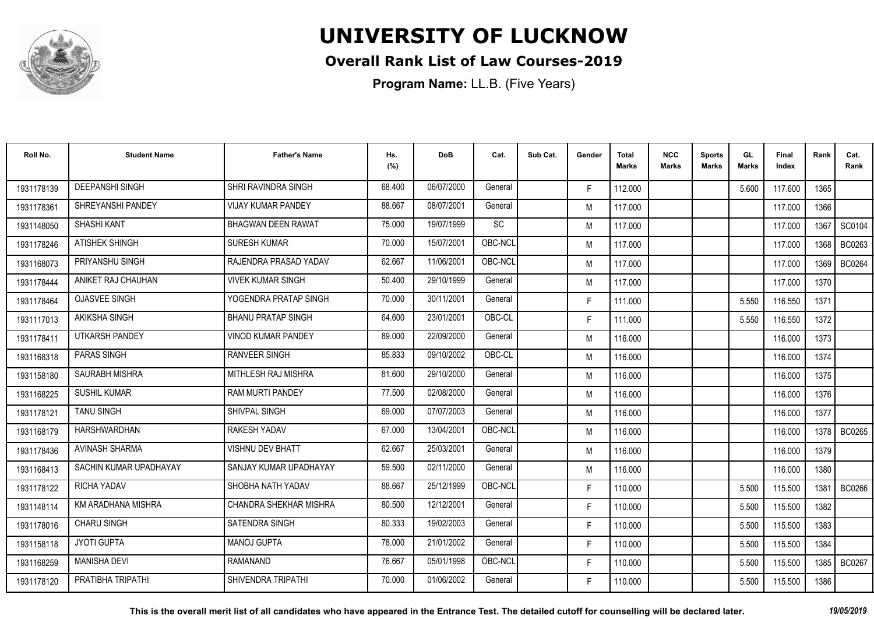

### **Overall Rank List of Law Courses-2019**

| Roll No.   | <b>Student Name</b>    | <b>Father's Name</b>      | Hs.<br>(%) | <b>DoB</b> | Cat.      | Sub Cat. | Gender | <b>Total</b><br>Marks | <b>NCC</b><br>Marks | <b>Sports</b><br><b>Marks</b> | GL<br><b>Marks</b> | Final<br>Index | Rank | Cat.<br>Rank  |
|------------|------------------------|---------------------------|------------|------------|-----------|----------|--------|-----------------------|---------------------|-------------------------------|--------------------|----------------|------|---------------|
| 1931178139 | <b>DEEPANSHI SINGH</b> | SHRI RAVINDRA SINGH       | 68.400     | 06/07/2000 | General   |          | F.     | 112.000               |                     |                               | 5.600              | 117.600        | 1365 |               |
| 1931178361 | SHREYANSHI PANDEY      | <b>VIJAY KUMAR PANDEY</b> | 88.667     | 08/07/2001 | General   |          | M      | 117.000               |                     |                               |                    | 117.000        | 1366 |               |
| 1931148050 | SHASHI KANT            | <b>BHAGWAN DEEN RAWAT</b> | 75.000     | 19/07/1999 | <b>SC</b> |          | M      | 117.000               |                     |                               |                    | 117.000        | 1367 | SC0104        |
| 1931178246 | <b>ATISHEK SHINGH</b>  | <b>SURESH KUMAR</b>       | 70.000     | 15/07/2001 | OBC-NCL   |          | M      | 117.000               |                     |                               |                    | 117.000        | 1368 | BC0263        |
| 1931168073 | PRIYANSHU SINGH        | RAJENDRA PRASAD YADAV     | 62.667     | 11/06/2001 | OBC-NCL   |          | M      | 117.000               |                     |                               |                    | 117.000        | 1369 | <b>BC0264</b> |
| 1931178444 | ANIKET RAJ CHAUHAN     | <b>VIVEK KUMAR SINGH</b>  | 50.400     | 29/10/1999 | General   |          | M      | 117.000               |                     |                               |                    | 117.000        | 1370 |               |
| 1931178464 | <b>OJASVEE SINGH</b>   | YOGENDRA PRATAP SINGH     | 70.000     | 30/11/2001 | General   |          | F.     | 111.000               |                     |                               | 5.550              | 116.550        | 1371 |               |
| 1931117013 | <b>AKIKSHA SINGH</b>   | <b>BHANU PRATAP SINGH</b> | 64.600     | 23/01/2001 | OBC-CL    |          | F.     | 111.000               |                     |                               | 5.550              | 116.550        | 1372 |               |
| 1931178411 | UTKARSH PANDEY         | VINOD KUMAR PANDEY        | 89.000     | 22/09/2000 | General   |          | M      | 116.000               |                     |                               |                    | 116.000        | 1373 |               |
| 1931168318 | PARAS SINGH            | <b>RANVEER SINGH</b>      | 85.833     | 09/10/2002 | OBC-CL    |          | M      | 116.000               |                     |                               |                    | 116.000        | 1374 |               |
| 1931158180 | SAURABH MISHRA         | MITHLESH RAJ MISHRA       | 81.600     | 29/10/2000 | General   |          | M      | 116.000               |                     |                               |                    | 116.000        | 1375 |               |
| 1931168225 | <b>SUSHIL KUMAR</b>    | <b>RAM MURTI PANDEY</b>   | 77.500     | 02/08/2000 | General   |          | M      | 116.000               |                     |                               |                    | 116.000        | 1376 |               |
| 1931178121 | <b>TANU SINGH</b>      | SHIVPAL SINGH             | 69.000     | 07/07/2003 | General   |          | M      | 116.000               |                     |                               |                    | 116.000        | 1377 |               |
| 1931168179 | HARSHWARDHAN           | RAKESH YADAV              | 67.000     | 13/04/2001 | OBC-NCL   |          | M      | 116.000               |                     |                               |                    | 116.000        | 1378 | <b>BC0265</b> |
| 1931178436 | <b>AVINASH SHARMA</b>  | <b>VISHNU DEV BHATT</b>   | 62.667     | 25/03/2001 | General   |          | M      | 116.000               |                     |                               |                    | 116.000        | 1379 |               |
| 1931168413 | SACHIN KUMAR UPADHAYAY | SANJAY KUMAR UPADHAYAY    | 59.500     | 02/11/2000 | General   |          | M      | 116.000               |                     |                               |                    | 116.000        | 1380 |               |
| 1931178122 | RICHA YADAV            | SHOBHA NATH YADAV         | 88.667     | 25/12/1999 | OBC-NCL   |          | F.     | 110.000               |                     |                               | 5.500              | 115.500        | 1381 | <b>BC0266</b> |
| 1931148114 | KM ARADHANA MISHRA     | CHANDRA SHEKHAR MISHRA    | 80.500     | 12/12/2001 | General   |          | F.     | 110.000               |                     |                               | 5.500              | 115.500        | 1382 |               |
| 1931178016 | <b>CHARU SINGH</b>     | SATENDRA SINGH            | 80.333     | 19/02/2003 | General   |          | F.     | 110.000               |                     |                               | 5.500              | 115.500        | 1383 |               |
| 1931158118 | <b>JYOTI GUPTA</b>     | <b>MANOJ GUPTA</b>        | 78,000     | 21/01/2002 | General   |          | F.     | 110.000               |                     |                               | 5.500              | 115.500        | 1384 |               |
| 1931168259 | <b>MANISHA DEVI</b>    | <b>RAMANAND</b>           | 76.667     | 05/01/1998 | OBC-NCL   |          | F.     | 110.000               |                     |                               | 5.500              | 115.500        | 1385 | <b>BC0267</b> |
| 1931178120 | PRATIBHA TRIPATHI      | SHIVENDRA TRIPATHI        | 70.000     | 01/06/2002 | General   |          | F      | 110.000               |                     |                               | 5.500              | 115.500        | 1386 |               |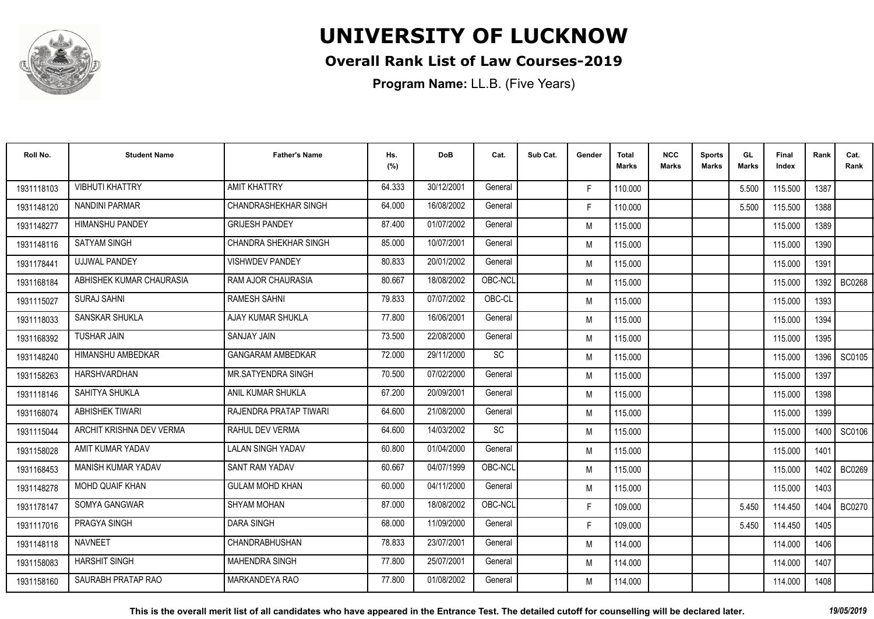

### **Overall Rank List of Law Courses-2019**

**Program Name:** LL.B. (Five Years)

| Roll No.   | <b>Student Name</b>       | <b>Father's Name</b>         | Hs.<br>(%) | <b>DoB</b> | Cat.    | Sub Cat. | Gender | Total<br>Marks | <b>NCC</b><br>Marks | <b>Sports</b><br><b>Marks</b> | GL<br><b>Marks</b> | Final<br>Index | Rank   | Cat.<br>Rank  |
|------------|---------------------------|------------------------------|------------|------------|---------|----------|--------|----------------|---------------------|-------------------------------|--------------------|----------------|--------|---------------|
| 1931118103 | <b>VIBHUTI KHATTRY</b>    | <b>AMIT KHATTRY</b>          | 64.333     | 30/12/2001 | General |          | F.     | 110.000        |                     |                               | 5.500              | 115.500        | 1387   |               |
| 1931148120 | <b>NANDINI PARMAR</b>     | CHANDRASHEKHAR SINGH         | 64.000     | 16/08/2002 | General |          | F.     | 110.000        |                     |                               | 5.500              | 115.500        | 1388   |               |
| 1931148277 | <b>HIMANSHU PANDEY</b>    | <b>GRIJESH PANDEY</b>        | 87.400     | 01/07/2002 | General |          | M      | 115.000        |                     |                               |                    | 115.000        | 1389   |               |
| 1931148116 | <b>SATYAM SINGH</b>       | <b>CHANDRA SHEKHAR SINGH</b> | 85.000     | 10/07/2001 | General |          | M      | 115.000        |                     |                               |                    | 115.000        | 1390   |               |
| 1931178441 | <b>UJJWAL PANDEY</b>      | <b>VISHWDEV PANDEY</b>       | 80.833     | 20/01/2002 | General |          | M      | 115.000        |                     |                               |                    | 115.000        | 1391   |               |
| 1931168184 | ABHISHEK KUMAR CHAURASIA  | <b>RAM AJOR CHAURASIA</b>    | 80.667     | 18/08/2002 | OBC-NCL |          | M      | 115.000        |                     |                               |                    | 115.000        | 1392   | <b>BC0268</b> |
| 1931115027 | <b>SURAJ SAHNI</b>        | <b>RAMESH SAHNI</b>          | 79.833     | 07/07/2002 | OBC-CL  |          | M      | 115.000        |                     |                               |                    | 115.000        | 1393   |               |
| 1931118033 | <b>SANSKAR SHUKLA</b>     | AJAY KUMAR SHUKLA            | 77.800     | 16/06/2001 | General |          | M      | 115.000        |                     |                               |                    | 115.000        | 1394   |               |
| 1931168392 | <b>TUSHAR JAIN</b>        | <b>SANJAY JAIN</b>           | 73.500     | 22/08/2000 | General |          | M      | 115.000        |                     |                               |                    | 115.000        | 1395   |               |
| 1931148240 | HIMANSHU AMBEDKAR         | <b>GANGARAM AMBEDKAR</b>     | 72.000     | 29/11/2000 | SC      |          | M      | 115.000        |                     |                               |                    | 115.000        | 1396 I | SC0105        |
| 1931158263 | <b>HARSHVARDHAN</b>       | <b>MR.SATYENDRA SINGH</b>    | 70.500     | 07/02/2000 | General |          | M      | 115.000        |                     |                               |                    | 115.000        | 1397   |               |
| 1931118146 | SAHITYA SHUKLA            | ANIL KUMAR SHUKLA            | 67.200     | 20/09/2001 | General |          | M      | 115.000        |                     |                               |                    | 115.000        | 1398   |               |
| 1931168074 | <b>ABHISHEK TIWARI</b>    | RAJENDRA PRATAP TIWARI       | 64.600     | 21/08/2000 | General |          | M      | 115.000        |                     |                               |                    | 115.000        | 1399   |               |
| 1931115044 | ARCHIT KRISHNA DEV VERMA  | <b>RAHUL DEV VERMA</b>       | 64.600     | 14/03/2002 | SC      |          | M      | 115.000        |                     |                               |                    | 115.000        | 1400 l | SC0106        |
| 1931158028 | AMIT KUMAR YADAV          | <b>LALAN SINGH YADAV</b>     | 60.800     | 01/04/2000 | General |          | M      | 115.000        |                     |                               |                    | 115.000        | 1401   |               |
| 1931168453 | <b>MANISH KUMAR YADAV</b> | <b>SANT RAM YADAV</b>        | 60.667     | 04/07/1999 | OBC-NCL |          | M      | 115.000        |                     |                               |                    | 115.000        | 1402 l | BC0269        |
| 1931148278 | <b>MOHD QUAIF KHAN</b>    | <b>GULAM MOHD KHAN</b>       | 60.000     | 04/11/2000 | General |          | M      | 115.000        |                     |                               |                    | 115.000        | 1403   |               |
| 1931178147 | SOMYA GANGWAR             | <b>SHYAM MOHAN</b>           | 87.000     | 18/08/2002 | OBC-NCL |          | F.     | 109.000        |                     |                               | 5.450              | 114.450        | 1404   | <b>BC0270</b> |
| 1931117016 | PRAGYA SINGH              | <b>DARA SINGH</b>            | 68.000     | 11/09/2000 | General |          | F.     | 109.000        |                     |                               | 5.450              | 114.450        | 1405   |               |
| 1931148118 | <b>NAVNEET</b>            | CHANDRABHUSHAN               | 78.833     | 23/07/2001 | General |          | M      | 114.000        |                     |                               |                    | 114.000        | 1406   |               |
| 1931158083 | <b>HARSHIT SINGH</b>      | <b>MAHENDRA SINGH</b>        | 77.800     | 25/07/2001 | General |          | M      | 114.000        |                     |                               |                    | 114.000        | 1407   |               |
| 1931158160 | SAURABH PRATAP RAO        | MARKANDEYA RAO               | 77.800     | 01/08/2002 | General |          | M      | 114.000        |                     |                               |                    | 114.000        | 1408   |               |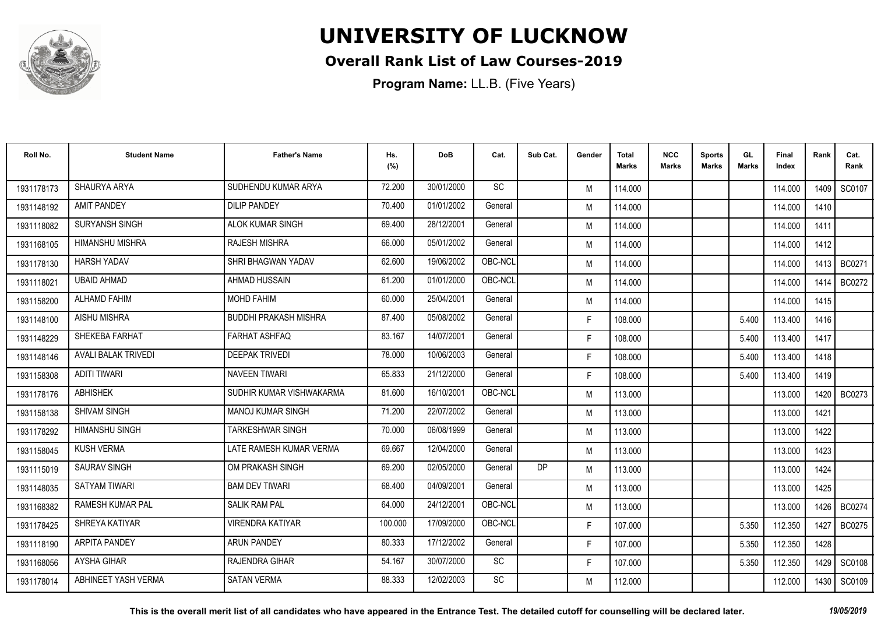

### **Overall Rank List of Law Courses-2019**

**Program Name:** LL.B. (Five Years)

| Roll No.   | <b>Student Name</b>        | <b>Father's Name</b>         | Hs.<br>(%) | DoB        | Cat.      | Sub Cat. | Gender | <b>Total</b><br>Marks | <b>NCC</b><br>Marks | <b>Sports</b><br><b>Marks</b> | GL<br><b>Marks</b> | Final<br>Index | Rank   | Cat.<br>Rank  |
|------------|----------------------------|------------------------------|------------|------------|-----------|----------|--------|-----------------------|---------------------|-------------------------------|--------------------|----------------|--------|---------------|
| 1931178173 | SHAURYA ARYA               | SUDHENDU KUMAR ARYA          | 72.200     | 30/01/2000 | <b>SC</b> |          | M      | 114.000               |                     |                               |                    | 114.000        | 1409   | SC0107        |
| 1931148192 | <b>AMIT PANDEY</b>         | <b>DILIP PANDEY</b>          | 70.400     | 01/01/2002 | General   |          | M      | 114.000               |                     |                               |                    | 114.000        | 1410   |               |
| 1931118082 | SURYANSH SINGH             | <b>ALOK KUMAR SINGH</b>      | 69.400     | 28/12/2001 | General   |          | M      | 114.000               |                     |                               |                    | 114.000        | 1411   |               |
| 1931168105 | <b>HIMANSHU MISHRA</b>     | <b>RAJESH MISHRA</b>         | 66.000     | 05/01/2002 | General   |          | M      | 114.000               |                     |                               |                    | 114.000        | 1412   |               |
| 1931178130 | <b>HARSH YADAV</b>         | SHRI BHAGWAN YADAV           | 62.600     | 19/06/2002 | OBC-NCL   |          | M      | 114.000               |                     |                               |                    | 114.000        | 1413 I | <b>BC0271</b> |
| 1931118021 | <b>UBAID AHMAD</b>         | <b>AHMAD HUSSAIN</b>         | 61.200     | 01/01/2000 | OBC-NCL   |          | M      | 114.000               |                     |                               |                    | 114.000        | 1414   | <b>BC0272</b> |
| 1931158200 | ALHAMD FAHIM               | <b>MOHD FAHIM</b>            | 60.000     | 25/04/2001 | General   |          | M      | 114.000               |                     |                               |                    | 114.000        | 1415   |               |
| 1931148100 | <b>AISHU MISHRA</b>        | <b>BUDDHI PRAKASH MISHRA</b> | 87.400     | 05/08/2002 | General   |          | F.     | 108.000               |                     |                               | 5.400              | 113.400        | 1416   |               |
| 1931148229 | SHEKEBA FARHAT             | <b>FARHAT ASHFAQ</b>         | 83.167     | 14/07/2001 | General   |          | F.     | 108.000               |                     |                               | 5.400              | 113.400        | 1417   |               |
| 1931148146 | <b>AVALI BALAK TRIVEDI</b> | <b>DEEPAK TRIVEDI</b>        | 78,000     | 10/06/2003 | General   |          | F.     | 108.000               |                     |                               | 5.400              | 113.400        | 1418   |               |
| 1931158308 | <b>ADITI TIWARI</b>        | <b>NAVEEN TIWARI</b>         | 65.833     | 21/12/2000 | General   |          | F.     | 108.000               |                     |                               | 5.400              | 113.400        | 1419   |               |
| 1931178176 | <b>ABHISHEK</b>            | SUDHIR KUMAR VISHWAKARMA     | 81.600     | 16/10/2001 | OBC-NCL   |          | M      | 113.000               |                     |                               |                    | 113.000        | 1420   | BC0273        |
| 1931158138 | <b>SHIVAM SINGH</b>        | <b>MANOJ KUMAR SINGH</b>     | 71.200     | 22/07/2002 | General   |          | M      | 113.000               |                     |                               |                    | 113.000        | 1421   |               |
| 1931178292 | <b>HIMANSHU SINGH</b>      | <b>TARKESHWAR SINGH</b>      | 70.000     | 06/08/1999 | General   |          | M      | 113.000               |                     |                               |                    | 113.000        | 1422   |               |
| 1931158045 | <b>KUSH VERMA</b>          | LATE RAMESH KUMAR VERMA      | 69.667     | 12/04/2000 | General   |          | M      | 113.000               |                     |                               |                    | 113.000        | 1423   |               |
| 1931115019 | <b>SAURAV SINGH</b>        | OM PRAKASH SINGH             | 69.200     | 02/05/2000 | General   | DP       | M      | 113.000               |                     |                               |                    | 113.000        | 1424   |               |
| 1931148035 | <b>SATYAM TIWARI</b>       | <b>BAM DEV TIWARI</b>        | 68.400     | 04/09/2001 | General   |          | M      | 113.000               |                     |                               |                    | 113.000        | 1425   |               |
| 1931168382 | <b>RAMESH KUMAR PAL</b>    | <b>SALIK RAM PAL</b>         | 64.000     | 24/12/2001 | OBC-NCL   |          | M      | 113.000               |                     |                               |                    | 113.000        | 1426   | <b>BC0274</b> |
| 1931178425 | SHREYA KATIYAR             | <b>VIRENDRA KATIYAR</b>      | 100.000    | 17/09/2000 | OBC-NCL   |          | F.     | 107.000               |                     |                               | 5.350              | 112.350        | 1427   | <b>BC0275</b> |
| 1931118190 | <b>ARPITA PANDEY</b>       | <b>ARUN PANDEY</b>           | 80.333     | 17/12/2002 | General   |          | F.     | 107.000               |                     |                               | 5.350              | 112.350        | 1428   |               |
| 1931168056 | <b>AYSHA GIHAR</b>         | <b>RAJENDRA GIHAR</b>        | 54.167     | 30/07/2000 | SC        |          | F.     | 107.000               |                     |                               | 5.350              | 112.350        | 1429   | SC0108        |
| 1931178014 | ABHINEET YASH VERMA        | <b>SATAN VERMA</b>           | 88.333     | 12/02/2003 | SC        |          | M      | 112.000               |                     |                               |                    | 112.000        | 1430   | SC0109        |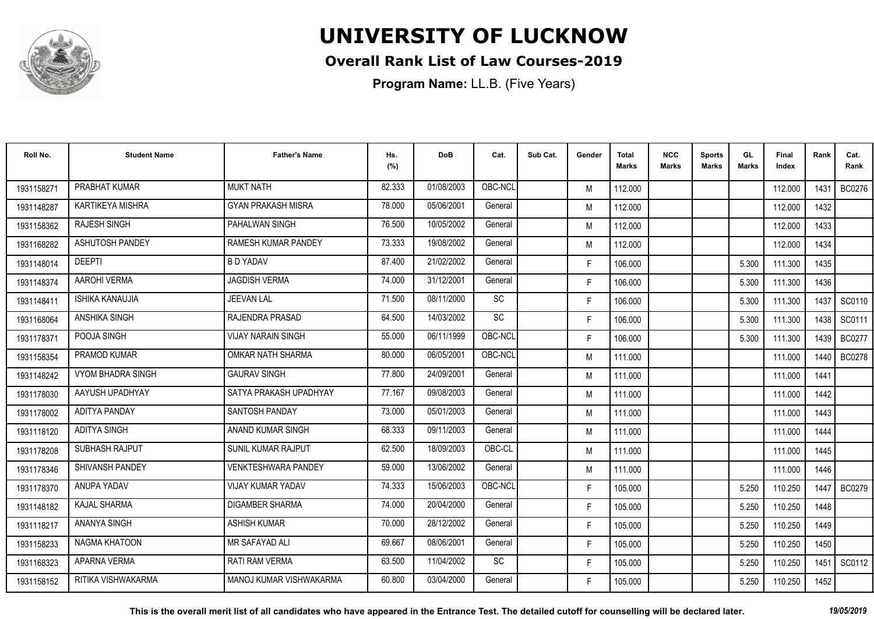

### **Overall Rank List of Law Courses-2019**

| Roll No.   | <b>Student Name</b>      | <b>Father's Name</b>       | Hs.<br>(%) | <b>DoB</b> | Cat.      | Sub Cat. | Gender | Total<br>Marks | <b>NCC</b><br>Marks | <b>Sports</b><br><b>Marks</b> | GL<br><b>Marks</b> | <b>Final</b><br>Index | Rank   | Cat.<br>Rank  |
|------------|--------------------------|----------------------------|------------|------------|-----------|----------|--------|----------------|---------------------|-------------------------------|--------------------|-----------------------|--------|---------------|
| 1931158271 | PRABHAT KUMAR            | <b>MUKT NATH</b>           | 82.333     | 01/08/2003 | OBC-NCL   |          | M      | 112.000        |                     |                               |                    | 112.000               | 1431   | BC0276        |
| 1931148287 | KARTIKEYA MISHRA         | <b>GYAN PRAKASH MISRA</b>  | 78.000     | 05/06/2001 | General   |          | M      | 112.000        |                     |                               |                    | 112.000               | 1432   |               |
| 1931158362 | <b>RAJESH SINGH</b>      | <b>PAHALWAN SINGH</b>      | 76.500     | 10/05/2002 | General   |          | M      | 112.000        |                     |                               |                    | 112.000               | 1433   |               |
| 1931168282 | ASHUTOSH PANDEY          | RAMESH KUMAR PANDEY        | 73.333     | 19/08/2002 | General   |          | M      | 112.000        |                     |                               |                    | 112.000               | 1434   |               |
| 1931148014 | <b>DEEPTI</b>            | <b>B D YADAV</b>           | 87.400     | 21/02/2002 | General   |          | F.     | 106.000        |                     |                               | 5.300              | 111.300               | 1435   |               |
| 1931148374 | AAROHI VERMA             | <b>JAGDISH VERMA</b>       | 74.000     | 31/12/2001 | General   |          | F.     | 106.000        |                     |                               | 5.300              | 111.300               | 1436   |               |
| 1931148411 | <b>ISHIKA KANAUJIA</b>   | <b>JEEVAN LAL</b>          | 71.500     | 08/11/2000 | SC        |          | F      | 106.000        |                     |                               | 5.300              | 111.300               | 1437   | SC0110        |
| 1931168064 | ANSHIKA SINGH            | RAJENDRA PRASAD            | 64.500     | 14/03/2002 | <b>SC</b> |          | F.     | 106.000        |                     |                               | 5.300              | 111.300               | 1438 I | SC0111        |
| 1931178371 | POOJA SINGH              | <b>VIJAY NARAIN SINGH</b>  | 55.000     | 06/11/1999 | OBC-NCL   |          | F.     | 106.000        |                     |                               | 5.300              | 111.300               | 1439 I | <b>BC0277</b> |
| 1931158354 | PRAMOD KUMAR             | OMKAR NATH SHARMA          | 80.000     | 06/05/2001 | OBC-NCL   |          | M      | 111.000        |                     |                               |                    | 111.000               | 1440   | <b>BC0278</b> |
| 1931148242 | <b>VYOM BHADRA SINGH</b> | <b>GAURAV SINGH</b>        | 77.800     | 24/09/2001 | General   |          | M      | 111.000        |                     |                               |                    | 111.000               | 1441   |               |
| 1931178030 | AAYUSH UPADHYAY          | SATYA PRAKASH UPADHYAY     | 77.167     | 09/08/2003 | General   |          | M      | 111.000        |                     |                               |                    | 111.000               | 1442   |               |
| 1931178002 | <b>ADITYA PANDAY</b>     | SANTOSH PANDAY             | 73.000     | 05/01/2003 | General   |          | M      | 111.000        |                     |                               |                    | 111.000               | 1443   |               |
| 1931118120 | <b>ADITYA SINGH</b>      | ANAND KUMAR SINGH          | 68.333     | 09/11/2003 | General   |          | M      | 111.000        |                     |                               |                    | 111.000               | 1444   |               |
| 1931178208 | SUBHASH RAJPUT           | <b>SUNIL KUMAR RAJPUT</b>  | 62.500     | 18/09/2003 | OBC-CL    |          | M      | 111.000        |                     |                               |                    | 111.000               | 1445   |               |
| 1931178346 | SHIVANSH PANDEY          | <b>VENKTESHWARA PANDEY</b> | 59.000     | 13/06/2002 | General   |          | M      | 111.000        |                     |                               |                    | 111.000               | 1446   |               |
| 1931178370 | ANUPA YADAV              | VIJAY KUMAR YADAV          | 74.333     | 15/06/2003 | OBC-NCL   |          | F.     | 105.000        |                     |                               | 5.250              | 110.250               |        | 1447   BC0279 |
| 1931148182 | KAJAL SHARMA             | <b>DIGAMBER SHARMA</b>     | 74.000     | 20/04/2000 | General   |          | F.     | 105.000        |                     |                               | 5.250              | 110.250               | 1448   |               |
| 1931118217 | ANANYA SINGH             | <b>ASHISH KUMAR</b>        | 70.000     | 28/12/2002 | General   |          | F.     | 105.000        |                     |                               | 5.250              | 110.250               | 1449   |               |
| 1931158233 | NAGMA KHATOON            | <b>MR SAFAYAD ALI</b>      | 69.667     | 08/06/2001 | General   |          | F.     | 105.000        |                     |                               | 5.250              | 110.250               | 1450   |               |
| 1931168323 | APARNA VERMA             | <b>RATI RAM VERMA</b>      | 63.500     | 11/04/2002 | SC        |          | F.     | 105.000        |                     |                               | 5.250              | 110.250               | 1451   | SC0112        |
| 1931158152 | RITIKA VISHWAKARMA       | MANOJ KUMAR VISHWAKARMA    | 60.800     | 03/04/2000 | General   |          | F.     | 105.000        |                     |                               | 5.250              | 110.250               | 1452   |               |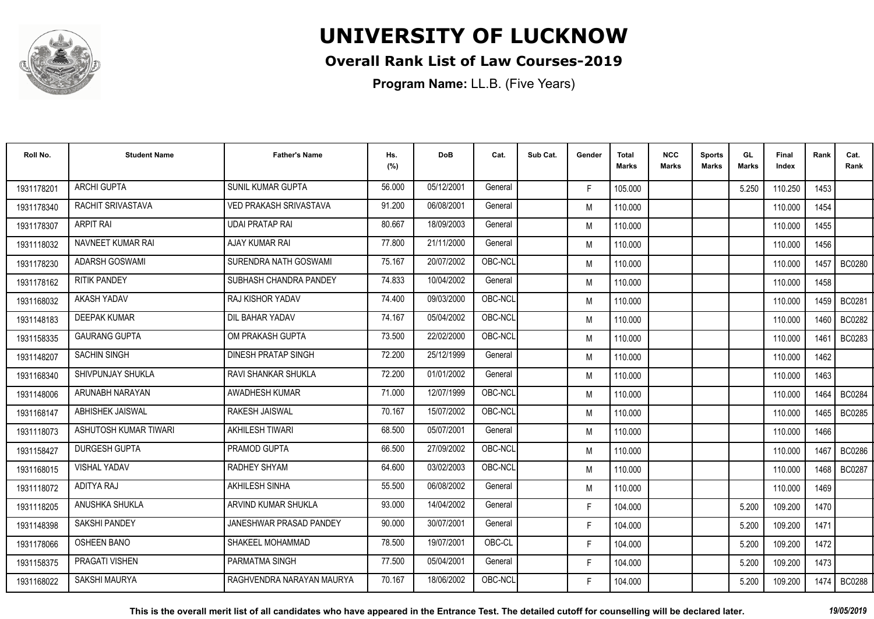

### **Overall Rank List of Law Courses-2019**

| Roll No.   | <b>Student Name</b>   | <b>Father's Name</b>          | Hs.<br>(%) | <b>DoB</b> | Cat.    | Sub Cat. | Gender | <b>Total</b><br>Marks | <b>NCC</b><br>Marks | <b>Sports</b><br><b>Marks</b> | GL<br><b>Marks</b> | Final<br>Index | Rank   | Cat.<br>Rank  |
|------------|-----------------------|-------------------------------|------------|------------|---------|----------|--------|-----------------------|---------------------|-------------------------------|--------------------|----------------|--------|---------------|
| 1931178201 | <b>ARCHI GUPTA</b>    | SUNIL KUMAR GUPTA             | 56.000     | 05/12/2001 | General |          | F.     | 105.000               |                     |                               | 5.250              | 110.250        | 1453   |               |
| 1931178340 | RACHIT SRIVASTAVA     | <b>VED PRAKASH SRIVASTAVA</b> | 91.200     | 06/08/2001 | General |          | M      | 110.000               |                     |                               |                    | 110.000        | 1454   |               |
| 1931178307 | <b>ARPIT RAI</b>      | <b>UDAI PRATAP RAI</b>        | 80.667     | 18/09/2003 | General |          | M      | 110.000               |                     |                               |                    | 110.000        | 1455   |               |
| 1931118032 | NAVNEET KUMAR RAI     | AJAY KUMAR RAI                | 77.800     | 21/11/2000 | General |          | M      | 110.000               |                     |                               |                    | 110.000        | 1456   |               |
| 1931178230 | <b>ADARSH GOSWAMI</b> | SURENDRA NATH GOSWAMI         | 75.167     | 20/07/2002 | OBC-NCL |          | M      | 110.000               |                     |                               |                    | 110.000        | 1457   | <b>BC0280</b> |
| 1931178162 | <b>RITIK PANDEY</b>   | SUBHASH CHANDRA PANDEY        | 74.833     | 10/04/2002 | General |          | M      | 110.000               |                     |                               |                    | 110.000        | 1458   |               |
| 1931168032 | AKASH YADAV           | RAJ KISHOR YADAV              | 74.400     | 09/03/2000 | OBC-NCL |          | M      | 110.000               |                     |                               |                    | 110.000        | 1459   | <b>BC0281</b> |
| 1931148183 | <b>DEEPAK KUMAR</b>   | DIL BAHAR YADAV               | 74.167     | 05/04/2002 | OBC-NCL |          | M      | 110.000               |                     |                               |                    | 110.000        | 1460 I | <b>BC0282</b> |
| 1931158335 | <b>GAURANG GUPTA</b>  | OM PRAKASH GUPTA              | 73.500     | 22/02/2000 | OBC-NCL |          | M      | 110.000               |                     |                               |                    | 110.000        | 1461   | BC0283        |
| 1931148207 | <b>SACHIN SINGH</b>   | <b>DINESH PRATAP SINGH</b>    | 72.200     | 25/12/1999 | General |          | M      | 110.000               |                     |                               |                    | 110.000        | 1462   |               |
| 1931168340 | SHIVPUNJAY SHUKLA     | RAVI SHANKAR SHUKLA           | 72.200     | 01/01/2002 | General |          | M      | 110.000               |                     |                               |                    | 110.000        | 1463   |               |
| 1931148006 | ARUNABH NARAYAN       | AWADHESH KUMAR                | 71.000     | 12/07/1999 | OBC-NCL |          | M      | 110.000               |                     |                               |                    | 110.000        | 1464   | <b>BC0284</b> |
| 1931168147 | ABHISHEK JAISWAL      | <b>RAKESH JAISWAL</b>         | 70.167     | 15/07/2002 | OBC-NCL |          | M      | 110.000               |                     |                               |                    | 110.000        | 1465   | <b>BC0285</b> |
| 1931118073 | ASHUTOSH KUMAR TIWARI | <b>AKHILESH TIWARI</b>        | 68.500     | 05/07/2001 | General |          | M      | 110.000               |                     |                               |                    | 110.000        | 1466   |               |
| 1931158427 | <b>DURGESH GUPTA</b>  | PRAMOD GUPTA                  | 66.500     | 27/09/2002 | OBC-NCL |          | M      | 110.000               |                     |                               |                    | 110.000        | 1467   | <b>BC0286</b> |
| 1931168015 | <b>VISHAL YADAV</b>   | RADHEY SHYAM                  | 64.600     | 03/02/2003 | OBC-NCL |          | M      | 110.000               |                     |                               |                    | 110.000        | 1468 I | <b>BC0287</b> |
| 1931118072 | ADITYA RAJ            | AKHILESH SINHA                | 55.500     | 06/08/2002 | General |          | M      | 110.000               |                     |                               |                    | 110.000        | 1469   |               |
| 1931118205 | ANUSHKA SHUKLA        | ARVIND KUMAR SHUKLA           | 93.000     | 14/04/2002 | General |          | F.     | 104.000               |                     |                               | 5.200              | 109.200        | 1470   |               |
| 1931148398 | <b>SAKSHI PANDEY</b>  | JANESHWAR PRASAD PANDEY       | 90.000     | 30/07/2001 | General |          | F.     | 104.000               |                     |                               | 5.200              | 109.200        | 1471   |               |
| 1931178066 | <b>OSHEEN BANO</b>    | SHAKEEL MOHAMMAD              | 78.500     | 19/07/2001 | OBC-CL  |          | F.     | 104.000               |                     |                               | 5.200              | 109.200        | 1472   |               |
| 1931158375 | PRAGATI VISHEN        | <b>PARMATMA SINGH</b>         | 77.500     | 05/04/2001 | General |          | F.     | 104.000               |                     |                               | 5.200              | 109.200        | 1473   |               |
| 1931168022 | <b>SAKSHI MAURYA</b>  | RAGHVENDRA NARAYAN MAURYA     | 70.167     | 18/06/2002 | OBC-NCL |          | F      | 104.000               |                     |                               | 5.200              | 109.200        | 1474   | <b>BC0288</b> |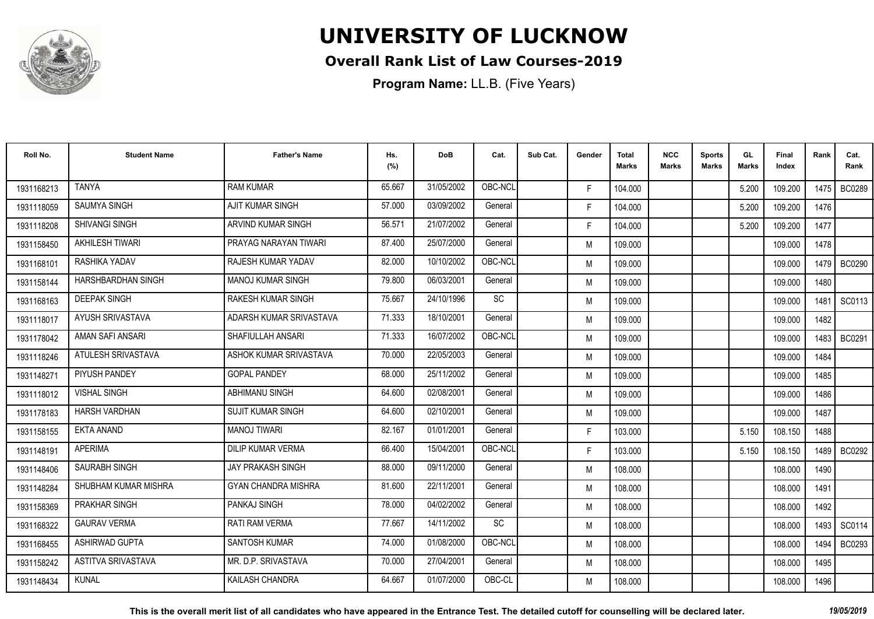

### **Overall Rank List of Law Courses-2019**

**Program Name:** LL.B. (Five Years)

| Roll No.   | <b>Student Name</b>       | <b>Father's Name</b>       | Hs.<br>(%) | <b>DoB</b> | Cat.      | Sub Cat. | Gender | <b>Total</b><br><b>Marks</b> | <b>NCC</b><br><b>Marks</b> | <b>Sports</b><br><b>Marks</b> | GL<br><b>Marks</b> | <b>Final</b><br>Index | Rank   | Cat.<br>Rank  |
|------------|---------------------------|----------------------------|------------|------------|-----------|----------|--------|------------------------------|----------------------------|-------------------------------|--------------------|-----------------------|--------|---------------|
| 1931168213 | <b>TANYA</b>              | <b>RAM KUMAR</b>           | 65.667     | 31/05/2002 | OBC-NCL   |          | F.     | 104.000                      |                            |                               | 5.200              | 109.200               | 1475 I | BC0289        |
| 1931118059 | <b>SAUMYA SINGH</b>       | <b>AJIT KUMAR SINGH</b>    | 57.000     | 03/09/2002 | General   |          | F.     | 104.000                      |                            |                               | 5.200              | 109.200               | 1476   |               |
| 1931118208 | <b>SHIVANGI SINGH</b>     | ARVIND KUMAR SINGH         | 56.571     | 21/07/2002 | General   |          | F.     | 104.000                      |                            |                               | 5.200              | 109.200               | 1477   |               |
| 1931158450 | <b>AKHILESH TIWARI</b>    | PRAYAG NARAYAN TIWARI      | 87.400     | 25/07/2000 | General   |          | M      | 109.000                      |                            |                               |                    | 109.000               | 1478   |               |
| 1931168101 | RASHIKA YADAV             | RAJESH KUMAR YADAV         | 82.000     | 10/10/2002 | OBC-NCL   |          | M      | 109.000                      |                            |                               |                    | 109.000               | 1479   | <b>BC0290</b> |
| 1931158144 | <b>HARSHBARDHAN SINGH</b> | <b>MANOJ KUMAR SINGH</b>   | 79.800     | 06/03/2001 | General   |          | M      | 109.000                      |                            |                               |                    | 109.000               | 1480   |               |
| 1931168163 | <b>DEEPAK SINGH</b>       | <b>RAKESH KUMAR SINGH</b>  | 75.667     | 24/10/1996 | <b>SC</b> |          | M      | 109.000                      |                            |                               |                    | 109.000               | 1481   | SC0113        |
| 1931118017 | AYUSH SRIVASTAVA          | ADARSH KUMAR SRIVASTAVA    | 71.333     | 18/10/2001 | General   |          | M      | 109.000                      |                            |                               |                    | 109.000               | 1482   |               |
| 1931178042 | AMAN SAFI ANSARI          | SHAFIULLAH ANSARI          | 71.333     | 16/07/2002 | OBC-NCL   |          | M      | 109.000                      |                            |                               |                    | 109.000               | 1483 I | <b>BC0291</b> |
| 1931118246 | ATULESH SRIVASTAVA        | ASHOK KUMAR SRIVASTAVA     | 70.000     | 22/05/2003 | General   |          | M      | 109.000                      |                            |                               |                    | 109.000               | 1484   |               |
| 1931148271 | PIYUSH PANDEY             | <b>GOPAL PANDEY</b>        | 68.000     | 25/11/2002 | General   |          | M      | 109.000                      |                            |                               |                    | 109.000               | 1485   |               |
| 1931118012 | <b>VISHAL SINGH</b>       | ABHIMANU SINGH             | 64.600     | 02/08/2001 | General   |          | M      | 109.000                      |                            |                               |                    | 109.000               | 1486   |               |
| 1931178183 | <b>HARSH VARDHAN</b>      | <b>SUJIT KUMAR SINGH</b>   | 64.600     | 02/10/2001 | General   |          | M      | 109.000                      |                            |                               |                    | 109.000               | 1487   |               |
| 1931158155 | <b>EKTA ANAND</b>         | <b>MANOJ TIWARI</b>        | 82.167     | 01/01/2001 | General   |          | F.     | 103.000                      |                            |                               | 5.150              | 108.150               | 1488   |               |
| 1931148191 | <b>APERIMA</b>            | DILIP KUMAR VERMA          | 66.400     | 15/04/2001 | OBC-NCL   |          | F.     | 103.000                      |                            |                               | 5.150              | 108.150               | 1489 I | BC0292        |
| 1931148406 | SAURABH SINGH             | <b>JAY PRAKASH SINGH</b>   | 88.000     | 09/11/2000 | General   |          | M      | 108.000                      |                            |                               |                    | 108.000               | 1490   |               |
| 1931148284 | SHUBHAM KUMAR MISHRA      | <b>GYAN CHANDRA MISHRA</b> | 81.600     | 22/11/2001 | General   |          | M      | 108.000                      |                            |                               |                    | 108.000               | 1491   |               |
| 1931158369 | <b>PRAKHAR SINGH</b>      | PANKAJ SINGH               | 78,000     | 04/02/2002 | General   |          | M      | 108.000                      |                            |                               |                    | 108.000               | 1492   |               |
| 1931168322 | <b>GAURAV VERMA</b>       | <b>RATI RAM VERMA</b>      | 77.667     | 14/11/2002 | <b>SC</b> |          | M      | 108.000                      |                            |                               |                    | 108.000               | 1493   | SC0114        |
| 1931168455 | <b>ASHIRWAD GUPTA</b>     | <b>SANTOSH KUMAR</b>       | 74.000     | 01/08/2000 | OBC-NCL   |          | M      | 108.000                      |                            |                               |                    | 108.000               | 1494   | BC0293        |
| 1931158242 | ASTITVA SRIVASTAVA        | MR. D.P. SRIVASTAVA        | 70.000     | 27/04/2001 | General   |          | M      | 108.000                      |                            |                               |                    | 108.000               | 1495   |               |
| 1931148434 | <b>KUNAL</b>              | KAILASH CHANDRA            | 64.667     | 01/07/2000 | OBC-CL    |          | M      | 108.000                      |                            |                               |                    | 108.000               | 1496   |               |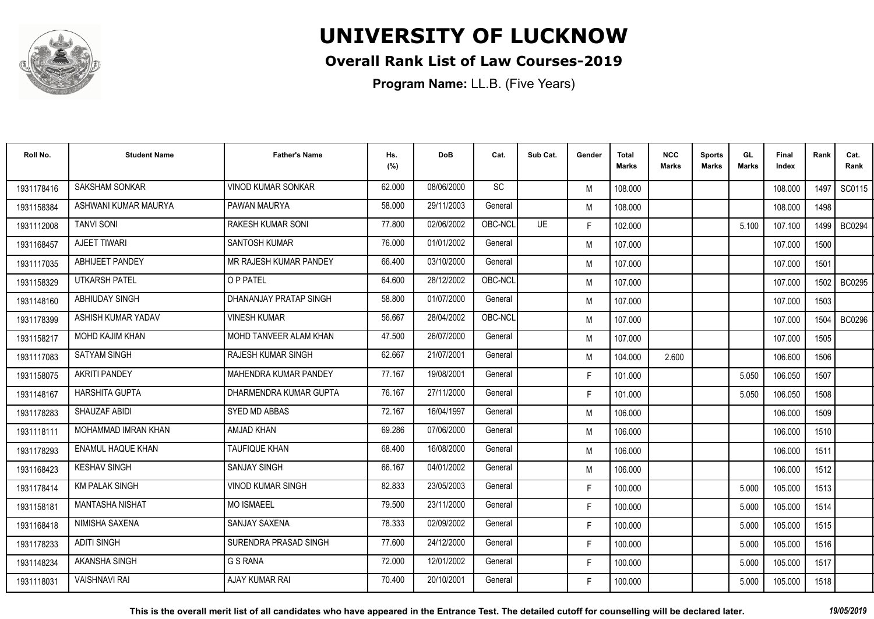

### **Overall Rank List of Law Courses-2019**

**Program Name:** LL.B. (Five Years)

| Roll No.   | <b>Student Name</b>      | <b>Father's Name</b>     | Hs.<br>(%) | <b>DoB</b> | Cat.      | Sub Cat.  | Gender | <b>Total</b><br><b>Marks</b> | <b>NCC</b><br><b>Marks</b> | <b>Sports</b><br><b>Marks</b> | GL<br><b>Marks</b> | <b>Final</b><br>Index | Rank | Cat.<br>Rank  |
|------------|--------------------------|--------------------------|------------|------------|-----------|-----------|--------|------------------------------|----------------------------|-------------------------------|--------------------|-----------------------|------|---------------|
| 1931178416 | <b>SAKSHAM SONKAR</b>    | VINOD KUMAR SONKAR       | 62.000     | 08/06/2000 | <b>SC</b> |           | M      | 108.000                      |                            |                               |                    | 108.000               | 1497 | SC0115        |
| 1931158384 | ASHWANI KUMAR MAURYA     | PAWAN MAURYA             | 58.000     | 29/11/2003 | General   |           | M      | 108.000                      |                            |                               |                    | 108.000               | 1498 |               |
| 1931112008 | <b>TANVI SONI</b>        | <b>RAKESH KUMAR SONI</b> | 77.800     | 02/06/2002 | OBC-NCL   | <b>UE</b> | F.     | 102.000                      |                            |                               | 5.100              | 107.100               | 1499 | <b>BC0294</b> |
| 1931168457 | <b>AJEET TIWARI</b>      | <b>SANTOSH KUMAR</b>     | 76.000     | 01/01/2002 | General   |           | M      | 107.000                      |                            |                               |                    | 107.000               | 1500 |               |
| 1931117035 | <b>ABHIJEET PANDEY</b>   | MR RAJESH KUMAR PANDEY   | 66.400     | 03/10/2000 | General   |           | M      | 107.000                      |                            |                               |                    | 107.000               | 1501 |               |
| 1931158329 | UTKARSH PATEL            | O P PATEL                | 64.600     | 28/12/2002 | OBC-NCL   |           | M      | 107.000                      |                            |                               |                    | 107.000               | 1502 | <b>BC0295</b> |
| 1931148160 | <b>ABHIUDAY SINGH</b>    | DHANANJAY PRATAP SINGH   | 58.800     | 01/07/2000 | General   |           | M      | 107.000                      |                            |                               |                    | 107.000               | 1503 |               |
| 1931178399 | ASHISH KUMAR YADAV       | <b>VINESH KUMAR</b>      | 56.667     | 28/04/2002 | OBC-NCL   |           | M      | 107.000                      |                            |                               |                    | 107.000               | 1504 | <b>BC0296</b> |
| 1931158217 | MOHD KAJIM KHAN          | MOHD TANVEER ALAM KHAN   | 47.500     | 26/07/2000 | General   |           | M      | 107.000                      |                            |                               |                    | 107.000               | 1505 |               |
| 1931117083 | SATYAM SINGH             | RAJESH KUMAR SINGH       | 62.667     | 21/07/2001 | General   |           | M      | 104.000                      | 2.600                      |                               |                    | 106.600               | 1506 |               |
| 1931158075 | <b>AKRITI PANDEY</b>     | MAHENDRA KUMAR PANDEY    | 77.167     | 19/08/2001 | General   |           | F.     | 101.000                      |                            |                               | 5.050              | 106.050               | 1507 |               |
| 1931148167 | <b>HARSHITA GUPTA</b>    | DHARMENDRA KUMAR GUPTA   | 76.167     | 27/11/2000 | General   |           | F.     | 101.000                      |                            |                               | 5.050              | 106.050               | 1508 |               |
| 1931178283 | SHAUZAF ABIDI            | <b>SYED MD ABBAS</b>     | 72.167     | 16/04/1997 | General   |           | M      | 106.000                      |                            |                               |                    | 106.000               | 1509 |               |
| 1931118111 | MOHAMMAD IMRAN KHAN      | AMJAD KHAN               | 69.286     | 07/06/2000 | General   |           | M      | 106.000                      |                            |                               |                    | 106.000               | 1510 |               |
| 1931178293 | <b>ENAMUL HAQUE KHAN</b> | <b>TAUFIQUE KHAN</b>     | 68.400     | 16/08/2000 | General   |           | M      | 106.000                      |                            |                               |                    | 106.000               | 1511 |               |
| 1931168423 | <b>KESHAV SINGH</b>      | <b>SANJAY SINGH</b>      | 66.167     | 04/01/2002 | General   |           | M      | 106.000                      |                            |                               |                    | 106.000               | 1512 |               |
| 1931178414 | <b>KM PALAK SINGH</b>    | <b>VINOD KUMAR SINGH</b> | 82.833     | 23/05/2003 | General   |           | F.     | 100.000                      |                            |                               | 5.000              | 105.000               | 1513 |               |
| 1931158181 | <b>MANTASHA NISHAT</b>   | <b>MO ISMAEEL</b>        | 79.500     | 23/11/2000 | General   |           | F.     | 100.000                      |                            |                               | 5.000              | 105.000               | 1514 |               |
| 1931168418 | NIMISHA SAXENA           | <b>SANJAY SAXENA</b>     | 78.333     | 02/09/2002 | General   |           | F.     | 100.000                      |                            |                               | 5.000              | 105.000               | 1515 |               |
| 1931178233 | <b>ADITI SINGH</b>       | SURENDRA PRASAD SINGH    | 77.600     | 24/12/2000 | General   |           | F.     | 100.000                      |                            |                               | 5.000              | 105.000               | 1516 |               |
| 1931148234 | AKANSHA SINGH            | G S RANA                 | 72.000     | 12/01/2002 | General   |           | F.     | 100.000                      |                            |                               | 5.000              | 105.000               | 1517 |               |
| 1931118031 | <b>VAISHNAVI RAI</b>     | <b>AJAY KUMAR RAI</b>    | 70.400     | 20/10/2001 | General   |           | F.     | 100.000                      |                            |                               | 5.000              | 105.000               | 1518 |               |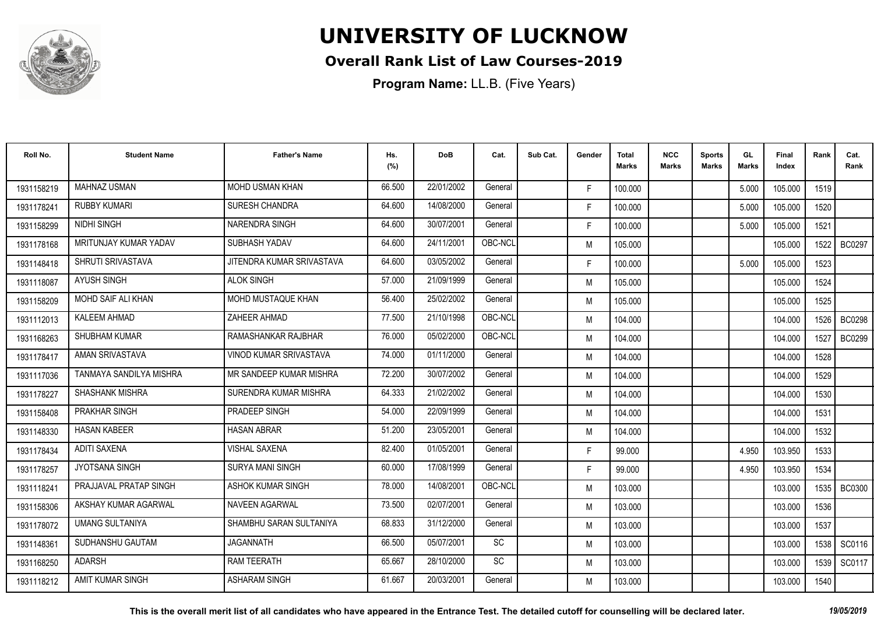

### **Overall Rank List of Law Courses-2019**

| Roll No.   | <b>Student Name</b>     | <b>Father's Name</b>      | Hs.<br>(%) | <b>DoB</b> | Cat.    | Sub Cat. | Gender | Total<br>Marks | <b>NCC</b><br>Marks | <b>Sports</b><br><b>Marks</b> | GL<br><b>Marks</b> | <b>Final</b><br>Index | Rank   | Cat.<br>Rank  |
|------------|-------------------------|---------------------------|------------|------------|---------|----------|--------|----------------|---------------------|-------------------------------|--------------------|-----------------------|--------|---------------|
| 1931158219 | <b>MAHNAZ USMAN</b>     | <b>MOHD USMAN KHAN</b>    | 66.500     | 22/01/2002 | General |          | F.     | 100.000        |                     |                               | 5.000              | 105.000               | 1519   |               |
| 1931178241 | <b>RUBBY KUMARI</b>     | <b>SURESH CHANDRA</b>     | 64.600     | 14/08/2000 | General |          | F.     | 100.000        |                     |                               | 5.000              | 105.000               | 1520   |               |
| 1931158299 | <b>NIDHI SINGH</b>      | <b>NARENDRA SINGH</b>     | 64.600     | 30/07/2001 | General |          | F.     | 100.000        |                     |                               | 5.000              | 105.000               | 1521   |               |
| 1931178168 | MRITUNJAY KUMAR YADAV   | SUBHASH YADAV             | 64.600     | 24/11/2001 | OBC-NCL |          | M      | 105.000        |                     |                               |                    | 105.000               | 1522   | <b>BC0297</b> |
| 1931148418 | SHRUTI SRIVASTAVA       | JITENDRA KUMAR SRIVASTAVA | 64.600     | 03/05/2002 | General |          | F.     | 100.000        |                     |                               | 5.000              | 105.000               | 1523   |               |
| 1931118087 | <b>AYUSH SINGH</b>      | <b>ALOK SINGH</b>         | 57.000     | 21/09/1999 | General |          | M      | 105.000        |                     |                               |                    | 105.000               | 1524   |               |
| 1931158209 | MOHD SAIF ALI KHAN      | MOHD MUSTAQUE KHAN        | 56.400     | 25/02/2002 | General |          | M      | 105.000        |                     |                               |                    | 105.000               | 1525   |               |
| 1931112013 | <b>KALEEM AHMAD</b>     | ZAHEER AHMAD              | 77.500     | 21/10/1998 | OBC-NCL |          | M      | 104.000        |                     |                               |                    | 104.000               |        | 1526   BC0298 |
| 1931168263 | <b>SHUBHAM KUMAR</b>    | RAMASHANKAR RAJBHAR       | 76.000     | 05/02/2000 | OBC-NCL |          | M      | 104.000        |                     |                               |                    | 104.000               | 1527   | <b>BC0299</b> |
| 1931178417 | AMAN SRIVASTAVA         | VINOD KUMAR SRIVASTAVA    | 74.000     | 01/11/2000 | General |          | M      | 104.000        |                     |                               |                    | 104.000               | 1528   |               |
| 1931117036 | TANMAYA SANDILYA MISHRA | MR SANDEEP KUMAR MISHRA   | 72.200     | 30/07/2002 | General |          | M      | 104.000        |                     |                               |                    | 104.000               | 1529   |               |
| 1931178227 | SHASHANK MISHRA         | SURENDRA KUMAR MISHRA     | 64.333     | 21/02/2002 | General |          | M      | 104.000        |                     |                               |                    | 104.000               | 1530   |               |
| 1931158408 | <b>PRAKHAR SINGH</b>    | PRADEEP SINGH             | 54.000     | 22/09/1999 | General |          | M      | 104.000        |                     |                               |                    | 104.000               | 1531   |               |
| 1931148330 | <b>HASAN KABEER</b>     | <b>HASAN ABRAR</b>        | 51.200     | 23/05/2001 | General |          | M      | 104.000        |                     |                               |                    | 104.000               | 1532   |               |
| 1931178434 | <b>ADITI SAXENA</b>     | <b>VISHAL SAXENA</b>      | 82.400     | 01/05/2001 | General |          | F.     | 99.000         |                     |                               | 4.950              | 103.950               | 1533   |               |
| 1931178257 | <b>JYOTSANA SINGH</b>   | <b>SURYA MANI SINGH</b>   | 60.000     | 17/08/1999 | General |          | F.     | 99.000         |                     |                               | 4.950              | 103.950               | 1534   |               |
| 1931118241 | PRAJJAVAL PRATAP SINGH  | <b>ASHOK KUMAR SINGH</b>  | 78.000     | 14/08/2001 | OBC-NCL |          | M      | 103.000        |                     |                               |                    | 103.000               |        | 1535 BC0300   |
| 1931158306 | AKSHAY KUMAR AGARWAL    | <b>NAVEEN AGARWAL</b>     | 73.500     | 02/07/2001 | General |          | M      | 103.000        |                     |                               |                    | 103.000               | 1536   |               |
| 1931178072 | <b>UMANG SULTANIYA</b>  | SHAMBHU SARAN SULTANIYA   | 68.833     | 31/12/2000 | General |          | M      | 103.000        |                     |                               |                    | 103.000               | 1537   |               |
| 1931148361 | SUDHANSHU GAUTAM        | <b>JAGANNATH</b>          | 66.500     | 05/07/2001 | SC      |          | M      | 103.000        |                     |                               |                    | 103.000               | 1538   | SC0116        |
| 1931168250 | ADARSH                  | <b>RAM TEERATH</b>        | 65.667     | 28/10/2000 | SC      |          | M      | 103.000        |                     |                               |                    | 103.000               | 1539 I | SC0117        |
| 1931118212 | AMIT KUMAR SINGH        | <b>ASHARAM SINGH</b>      | 61.667     | 20/03/2001 | General |          | M      | 103.000        |                     |                               |                    | 103.000               | 1540   |               |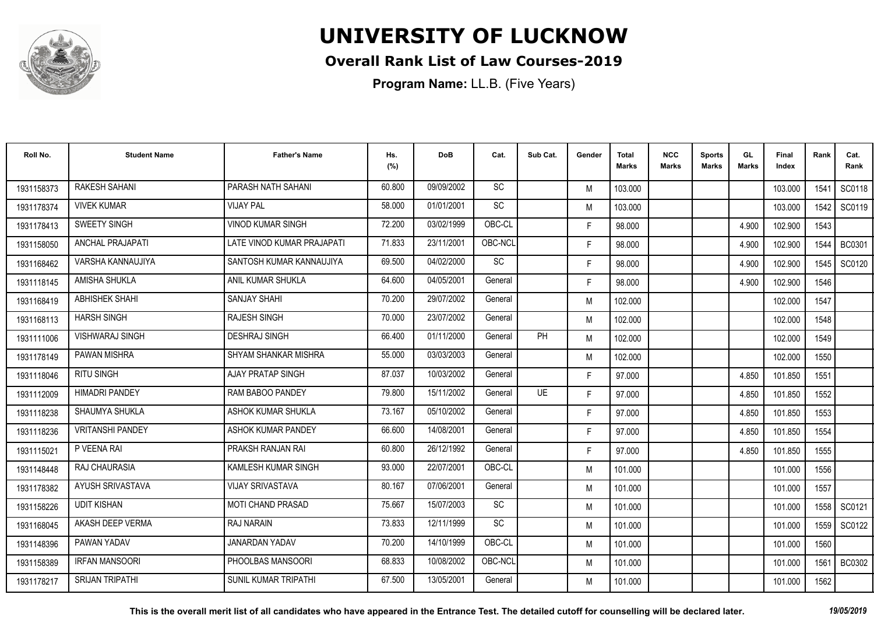

### **Overall Rank List of Law Courses-2019**

**Program Name:** LL.B. (Five Years)

| Roll No.   | <b>Student Name</b>     | <b>Father's Name</b>        | Hs.<br>(%) | <b>DoB</b> | Cat.      | Sub Cat. | Gender | <b>Total</b><br><b>Marks</b> | <b>NCC</b><br>Marks | <b>Sports</b><br><b>Marks</b> | GL<br>Marks | Final<br>Index | Rank   | Cat.<br>Rank  |
|------------|-------------------------|-----------------------------|------------|------------|-----------|----------|--------|------------------------------|---------------------|-------------------------------|-------------|----------------|--------|---------------|
| 1931158373 | <b>RAKESH SAHANI</b>    | PARASH NATH SAHANI          | 60.800     | 09/09/2002 | <b>SC</b> |          | M      | 103.000                      |                     |                               |             | 103.000        | 1541   | SC0118        |
| 1931178374 | <b>VIVEK KUMAR</b>      | <b>VIJAY PAL</b>            | 58.000     | 01/01/2001 | SC        |          | M      | 103.000                      |                     |                               |             | 103.000        | 1542   | SC0119        |
| 1931178413 | <b>SWEETY SINGH</b>     | <b>VINOD KUMAR SINGH</b>    | 72.200     | 03/02/1999 | OBC-CL    |          | F.     | 98.000                       |                     |                               | 4.900       | 102.900        | 1543   |               |
| 1931158050 | ANCHAL PRAJAPATI        | LATE VINOD KUMAR PRAJAPATI  | 71.833     | 23/11/2001 | OBC-NCL   |          | F.     | 98.000                       |                     |                               | 4.900       | 102.900        | 1544   | <b>BC0301</b> |
| 1931168462 | VARSHA KANNAUJIYA       | SANTOSH KUMAR KANNAUJIYA    | 69.500     | 04/02/2000 | SC        |          | F.     | 98.000                       |                     |                               | 4.900       | 102.900        | 1545   | SC0120        |
| 1931118145 | AMISHA SHUKLA           | ANIL KUMAR SHUKLA           | 64.600     | 04/05/2001 | General   |          | F.     | 98.000                       |                     |                               | 4.900       | 102.900        | 1546   |               |
| 1931168419 | ABHISHEK SHAHI          | <b>SANJAY SHAHI</b>         | 70.200     | 29/07/2002 | General   |          | M      | 102.000                      |                     |                               |             | 102.000        | 1547   |               |
| 1931168113 | <b>HARSH SINGH</b>      | <b>RAJESH SINGH</b>         | 70.000     | 23/07/2002 | General   |          | M      | 102.000                      |                     |                               |             | 102.000        | 1548   |               |
| 1931111006 | <b>VISHWARAJ SINGH</b>  | <b>DESHRAJ SINGH</b>        | 66.400     | 01/11/2000 | General   | PH       | M      | 102.000                      |                     |                               |             | 102.000        | 1549   |               |
| 1931178149 | <b>PAWAN MISHRA</b>     | SHYAM SHANKAR MISHRA        | 55.000     | 03/03/2003 | General   |          | M      | 102.000                      |                     |                               |             | 102.000        | 1550   |               |
| 1931118046 | <b>RITU SINGH</b>       | <b>AJAY PRATAP SINGH</b>    | 87.037     | 10/03/2002 | General   |          | F.     | 97.000                       |                     |                               | 4.850       | 101.850        | 1551   |               |
| 1931112009 | <b>HIMADRI PANDEY</b>   | RAM BABOO PANDEY            | 79.800     | 15/11/2002 | General   | UE       | F.     | 97.000                       |                     |                               | 4.850       | 101.850        | 1552   |               |
| 1931118238 | SHAUMYA SHUKLA          | ASHOK KUMAR SHUKLA          | 73.167     | 05/10/2002 | General   |          | F.     | 97.000                       |                     |                               | 4.850       | 101.850        | 1553   |               |
| 1931118236 | <b>VRITANSHI PANDEY</b> | ASHOK KUMAR PANDEY          | 66.600     | 14/08/2001 | General   |          | F.     | 97.000                       |                     |                               | 4.850       | 101.850        | 1554   |               |
| 1931115021 | P VEENA RAI             | PRAKSH RANJAN RAI           | 60.800     | 26/12/1992 | General   |          | F.     | 97.000                       |                     |                               | 4.850       | 101.850        | 1555   |               |
| 1931148448 | RAJ CHAURASIA           | KAMLESH KUMAR SINGH         | 93.000     | 22/07/2001 | OBC-CL    |          | M      | 101.000                      |                     |                               |             | 101.000        | 1556   |               |
| 1931178382 | AYUSH SRIVASTAVA        | <b>VIJAY SRIVASTAVA</b>     | 80.167     | 07/06/2001 | General   |          | M      | 101.000                      |                     |                               |             | 101.000        | 1557   |               |
| 1931158226 | <b>UDIT KISHAN</b>      | <b>MOTI CHAND PRASAD</b>    | 75.667     | 15/07/2003 | SC        |          | M      | 101.000                      |                     |                               |             | 101.000        | 1558 l | SC0121        |
| 1931168045 | AKASH DEEP VERMA        | RAJ NARAIN                  | 73.833     | 12/11/1999 | SC        |          | M      | 101.000                      |                     |                               |             | 101.000        | 1559   | SC0122        |
| 1931148396 | PAWAN YADAV             | JANARDAN YADAV              | 70.200     | 14/10/1999 | OBC-CL    |          | M      | 101.000                      |                     |                               |             | 101.000        | 1560   |               |
| 1931158389 | <b>IRFAN MANSOORI</b>   | PHOOLBAS MANSOORI           | 68.833     | 10/08/2002 | OBC-NCL   |          | M      | 101.000                      |                     |                               |             | 101.000        | 1561   | <b>BC0302</b> |
| 1931178217 | <b>SRIJAN TRIPATHI</b>  | <b>SUNIL KUMAR TRIPATHI</b> | 67.500     | 13/05/2001 | General   |          | M      | 101.000                      |                     |                               |             | 101.000        | 1562   |               |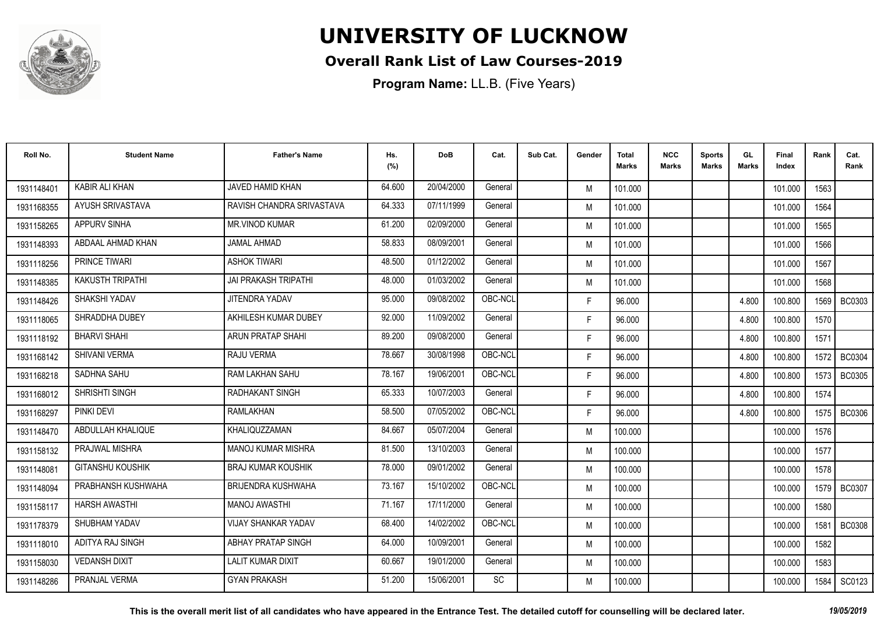

### **Overall Rank List of Law Courses-2019**

**Program Name:** LL.B. (Five Years)

| Roll No.   | <b>Student Name</b>     | <b>Father's Name</b>        | Hs.<br>(%) | DoB        | Cat.    | Sub Cat. | Gender | <b>Total</b><br>Marks | <b>NCC</b><br>Marks | <b>Sports</b><br><b>Marks</b> | GL<br><b>Marks</b> | Final<br>Index | Rank   | Cat.<br>Rank  |
|------------|-------------------------|-----------------------------|------------|------------|---------|----------|--------|-----------------------|---------------------|-------------------------------|--------------------|----------------|--------|---------------|
| 1931148401 | <b>KABIR ALI KHAN</b>   | JAVED HAMID KHAN            | 64.600     | 20/04/2000 | General |          | M      | 101.000               |                     |                               |                    | 101.000        | 1563   |               |
| 1931168355 | AYUSH SRIVASTAVA        | RAVISH CHANDRA SRIVASTAVA   | 64.333     | 07/11/1999 | General |          | M      | 101.000               |                     |                               |                    | 101.000        | 1564   |               |
| 1931158265 | <b>APPURV SINHA</b>     | <b>MR.VINOD KUMAR</b>       | 61.200     | 02/09/2000 | General |          | M      | 101.000               |                     |                               |                    | 101.000        | 1565   |               |
| 1931148393 | ABDAAL AHMAD KHAN       | JAMAL AHMAD                 | 58.833     | 08/09/2001 | General |          | M      | 101.000               |                     |                               |                    | 101.000        | 1566   |               |
| 1931118256 | <b>PRINCE TIWARI</b>    | <b>ASHOK TIWARI</b>         | 48.500     | 01/12/2002 | General |          | M      | 101.000               |                     |                               |                    | 101.000        | 1567   |               |
| 1931148385 | <b>KAKUSTH TRIPATHI</b> | <b>JAI PRAKASH TRIPATHI</b> | 48.000     | 01/03/2002 | General |          | M      | 101.000               |                     |                               |                    | 101.000        | 1568   |               |
| 1931148426 | <b>SHAKSHI YADAV</b>    | <b>JITENDRA YADAV</b>       | 95.000     | 09/08/2002 | OBC-NCL |          | F.     | 96.000                |                     |                               | 4.800              | 100.800        | 1569   | <b>BC0303</b> |
| 1931118065 | SHRADDHA DUBEY          | AKHILESH KUMAR DUBEY        | 92.000     | 11/09/2002 | General |          | F.     | 96.000                |                     |                               | 4.800              | 100.800        | 1570   |               |
| 1931118192 | <b>BHARVI SHAHI</b>     | ARUN PRATAP SHAHI           | 89.200     | 09/08/2000 | General |          | F.     | 96.000                |                     |                               | 4.800              | 100.800        | 1571   |               |
| 1931168142 | <b>SHIVANI VERMA</b>    | RAJU VERMA                  | 78.667     | 30/08/1998 | OBC-NCL |          | F.     | 96.000                |                     |                               | 4.800              | 100.800        | 1572   | <b>BC0304</b> |
| 1931168218 | SADHNA SAHU             | RAM LAKHAN SAHU             | 78.167     | 19/06/2001 | OBC-NCL |          | F.     | 96.000                |                     |                               | 4.800              | 100.800        | 1573   | <b>BC0305</b> |
| 1931168012 | SHRISHTI SINGH          | <b>RADHAKANT SINGH</b>      | 65.333     | 10/07/2003 | General |          | F.     | 96.000                |                     |                               | 4.800              | 100.800        | 1574   |               |
| 1931168297 | <b>PINKI DEVI</b>       | RAMLAKHAN                   | 58.500     | 07/05/2002 | OBC-NCL |          | F.     | 96.000                |                     |                               | 4.800              | 100.800        | 1575 l | <b>BC0306</b> |
| 1931148470 | ABDULLAH KHALIQUE       | KHALIQUZZAMAN               | 84.667     | 05/07/2004 | General |          | M      | 100.000               |                     |                               |                    | 100.000        | 1576   |               |
| 1931158132 | <b>PRAJWAL MISHRA</b>   | <b>MANOJ KUMAR MISHRA</b>   | 81.500     | 13/10/2003 | General |          | M      | 100.000               |                     |                               |                    | 100.000        | 1577   |               |
| 1931148081 | <b>GITANSHU KOUSHIK</b> | <b>BRAJ KUMAR KOUSHIK</b>   | 78.000     | 09/01/2002 | General |          | M      | 100.000               |                     |                               |                    | 100.000        | 1578   |               |
| 1931148094 | PRABHANSH KUSHWAHA      | <b>BRIJENDRA KUSHWAHA</b>   | 73.167     | 15/10/2002 | OBC-NCL |          | M      | 100.000               |                     |                               |                    | 100.000        |        | 1579   BC0307 |
| 1931158117 | <b>HARSH AWASTHI</b>    | <b>MANOJ AWASTHI</b>        | 71.167     | 17/11/2000 | General |          | M      | 100.000               |                     |                               |                    | 100.000        | 1580   |               |
| 1931178379 | SHUBHAM YADAV           | <b>VIJAY SHANKAR YADAV</b>  | 68.400     | 14/02/2002 | OBC-NCL |          | M      | 100.000               |                     |                               |                    | 100.000        | 1581   | <b>BC0308</b> |
| 1931118010 | ADITYA RAJ SINGH        | ABHAY PRATAP SINGH          | 64.000     | 10/09/2001 | General |          | M      | 100.000               |                     |                               |                    | 100.000        | 1582   |               |
| 1931158030 | <b>VEDANSH DIXIT</b>    | <b>LALIT KUMAR DIXIT</b>    | 60.667     | 19/01/2000 | General |          | M      | 100.000               |                     |                               |                    | 100.000        | 1583   |               |
| 1931148286 | PRANJAL VERMA           | <b>GYAN PRAKASH</b>         | 51.200     | 15/06/2001 | SC      |          | M      | 100.000               |                     |                               |                    | 100.000        | 1584   | SC0123        |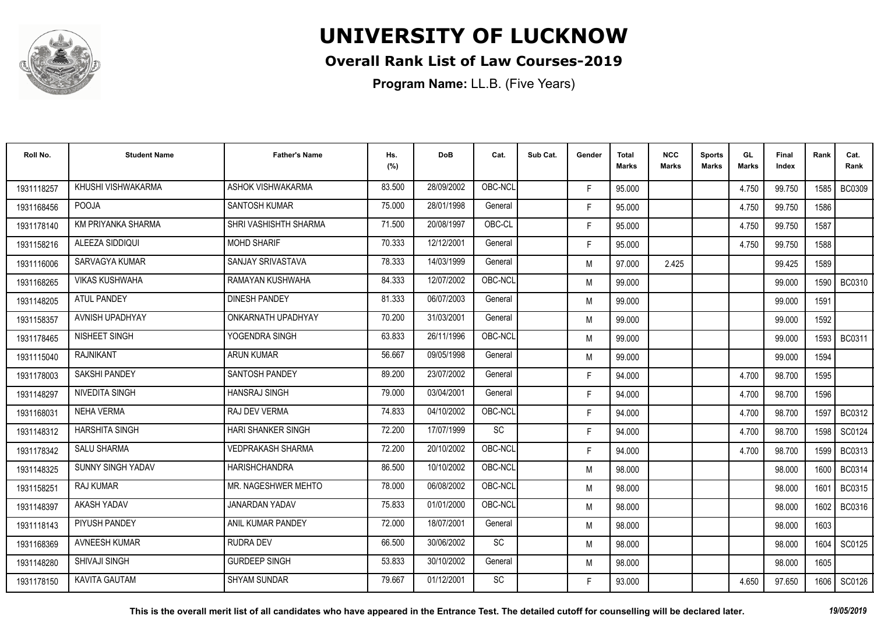

### **Overall Rank List of Law Courses-2019**

**Program Name:** LL.B. (Five Years)

| Roll No.   | <b>Student Name</b>      | <b>Father's Name</b>      | Hs.<br>(%) | <b>DoB</b> | Cat.      | Sub Cat. | Gender | <b>Total</b><br><b>Marks</b> | <b>NCC</b><br>Marks | <b>Sports</b><br><b>Marks</b> | GL<br><b>Marks</b> | Final<br>Index | Rank   | Cat.<br>Rank  |
|------------|--------------------------|---------------------------|------------|------------|-----------|----------|--------|------------------------------|---------------------|-------------------------------|--------------------|----------------|--------|---------------|
| 1931118257 | KHUSHI VISHWAKARMA       | ASHOK VISHWAKARMA         | 83.500     | 28/09/2002 | OBC-NCL   |          | F.     | 95.000                       |                     |                               | 4.750              | 99.750         | 1585 l | <b>BC0309</b> |
| 1931168456 | <b>POOJA</b>             | <b>SANTOSH KUMAR</b>      | 75.000     | 28/01/1998 | General   |          | F.     | 95.000                       |                     |                               | 4.750              | 99.750         | 1586   |               |
| 1931178140 | KM PRIYANKA SHARMA       | SHRI VASHISHTH SHARMA     | 71.500     | 20/08/1997 | OBC-CL    |          | F.     | 95.000                       |                     |                               | 4.750              | 99.750         | 1587   |               |
| 1931158216 | ALEEZA SIDDIQUI          | <b>MOHD SHARIF</b>        | 70.333     | 12/12/2001 | General   |          | F.     | 95.000                       |                     |                               | 4.750              | 99.750         | 1588   |               |
| 1931116006 | SARVAGYA KUMAR           | SANJAY SRIVASTAVA         | 78.333     | 14/03/1999 | General   |          | M      | 97.000                       | 2.425               |                               |                    | 99.425         | 1589   |               |
| 1931168265 | <b>VIKAS KUSHWAHA</b>    | RAMAYAN KUSHWAHA          | 84.333     | 12/07/2002 | OBC-NCL   |          | M      | 99.000                       |                     |                               |                    | 99.000         | 1590   | <b>BC0310</b> |
| 1931148205 | <b>ATUL PANDEY</b>       | <b>DINESH PANDEY</b>      | 81.333     | 06/07/2003 | General   |          | M      | 99.000                       |                     |                               |                    | 99.000         | 1591   |               |
| 1931158357 | AVNISH UPADHYAY          | ONKARNATH UPADHYAY        | 70.200     | 31/03/2001 | General   |          | M      | 99.000                       |                     |                               |                    | 99.000         | 1592   |               |
| 1931178465 | NISHEET SINGH            | YOGENDRA SINGH            | 63.833     | 26/11/1996 | OBC-NCL   |          | M      | 99.000                       |                     |                               |                    | 99.000         | 1593 l | <b>BC0311</b> |
| 1931115040 | RAJNIKANT                | ARUN KUMAR                | 56.667     | 09/05/1998 | General   |          | M      | 99.000                       |                     |                               |                    | 99.000         | 1594   |               |
| 1931178003 | <b>SAKSHI PANDEY</b>     | <b>SANTOSH PANDEY</b>     | 89.200     | 23/07/2002 | General   |          | F.     | 94.000                       |                     |                               | 4.700              | 98.700         | 1595   |               |
| 1931148297 | NIVEDITA SINGH           | <b>HANSRAJ SINGH</b>      | 79.000     | 03/04/2001 | General   |          | F.     | 94.000                       |                     |                               | 4.700              | 98.700         | 1596   |               |
| 1931168031 | <b>NEHA VERMA</b>        | RAJ DEV VERMA             | 74.833     | 04/10/2002 | OBC-NCL   |          | F.     | 94.000                       |                     |                               | 4.700              | 98.700         | 1597   | BC0312        |
| 1931148312 | <b>HARSHITA SINGH</b>    | <b>HARI SHANKER SINGH</b> | 72.200     | 17/07/1999 | <b>SC</b> |          | F.     | 94.000                       |                     |                               | 4.700              | 98.700         | 1598   | SC0124        |
| 1931178342 | <b>SALU SHARMA</b>       | <b>VEDPRAKASH SHARMA</b>  | 72.200     | 20/10/2002 | OBC-NCL   |          | F.     | 94.000                       |                     |                               | 4.700              | 98.700         | 1599 I | BC0313        |
| 1931148325 | <b>SUNNY SINGH YADAV</b> | <b>HARISHCHANDRA</b>      | 86.500     | 10/10/2002 | OBC-NCL   |          | M      | 98.000                       |                     |                               |                    | 98.000         | 1600   | <b>BC0314</b> |
| 1931158251 | <b>RAJ KUMAR</b>         | MR. NAGESHWER MEHTO       | 78.000     | 06/08/2002 | OBC-NCL   |          | M      | 98.000                       |                     |                               |                    | 98.000         | 1601   | <b>BC0315</b> |
| 1931148397 | AKASH YADAV              | <b>JANARDAN YADAV</b>     | 75.833     | 01/01/2000 | OBC-NCL   |          | M      | 98.000                       |                     |                               |                    | 98.000         | 1602   | BC0316        |
| 1931118143 | PIYUSH PANDEY            | ANIL KUMAR PANDEY         | 72.000     | 18/07/2001 | General   |          | M      | 98.000                       |                     |                               |                    | 98.000         | 1603   |               |
| 1931168369 | <b>AVNEESH KUMAR</b>     | <b>RUDRA DEV</b>          | 66.500     | 30/06/2002 | SC        |          | M      | 98.000                       |                     |                               |                    | 98.000         | 1604   | SC0125        |
| 1931148280 | <b>SHIVAJI SINGH</b>     | <b>GURDEEP SINGH</b>      | 53.833     | 30/10/2002 | General   |          | M      | 98.000                       |                     |                               |                    | 98.000         | 1605   |               |
| 1931178150 | <b>KAVITA GAUTAM</b>     | <b>SHYAM SUNDAR</b>       | 79.667     | 01/12/2001 | <b>SC</b> |          | F      | 93.000                       |                     |                               | 4.650              | 97.650         | 1606   | SC0126        |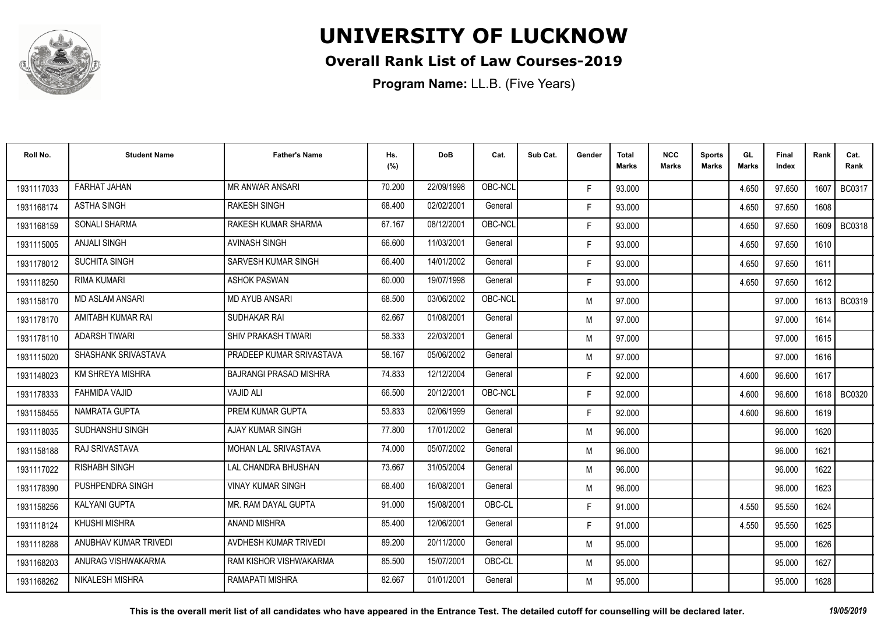

### **Overall Rank List of Law Courses-2019**

| Roll No.   | <b>Student Name</b>     | <b>Father's Name</b>          | Hs.<br>(%) | <b>DoB</b> | Cat.    | Sub Cat. | Gender | <b>Total</b><br><b>Marks</b> | <b>NCC</b><br><b>Marks</b> | <b>Sports</b><br><b>Marks</b> | GL<br><b>Marks</b> | <b>Final</b><br>Index | Rank   | Cat.<br>Rank  |
|------------|-------------------------|-------------------------------|------------|------------|---------|----------|--------|------------------------------|----------------------------|-------------------------------|--------------------|-----------------------|--------|---------------|
| 1931117033 | <b>FARHAT JAHAN</b>     | <b>MR ANWAR ANSARI</b>        | 70.200     | 22/09/1998 | OBC-NCL |          | F.     | 93.000                       |                            |                               | 4.650              | 97.650                | 1607   | BC0317        |
| 1931168174 | <b>ASTHA SINGH</b>      | <b>RAKESH SINGH</b>           | 68.400     | 02/02/2001 | General |          | F.     | 93.000                       |                            |                               | 4.650              | 97.650                | 1608   |               |
| 1931168159 | <b>SONALI SHARMA</b>    | RAKESH KUMAR SHARMA           | 67.167     | 08/12/2001 | OBC-NCL |          | F.     | 93.000                       |                            |                               | 4.650              | 97.650                | 1609   | <b>BC0318</b> |
| 1931115005 | ANJALI SINGH            | <b>AVINASH SINGH</b>          | 66.600     | 11/03/2001 | General |          | F.     | 93.000                       |                            |                               | 4.650              | 97.650                | 1610   |               |
| 1931178012 | <b>SUCHITA SINGH</b>    | SARVESH KUMAR SINGH           | 66.400     | 14/01/2002 | General |          | F.     | 93.000                       |                            |                               | 4.650              | 97.650                | 1611   |               |
| 1931118250 | RIMA KUMARI             | <b>ASHOK PASWAN</b>           | 60.000     | 19/07/1998 | General |          | F.     | 93.000                       |                            |                               | 4.650              | 97.650                | 1612   |               |
| 1931158170 | <b>MD ASLAM ANSARI</b>  | <b>MD AYUB ANSARI</b>         | 68.500     | 03/06/2002 | OBC-NCL |          | M      | 97.000                       |                            |                               |                    | 97.000                | 1613   | BC0319        |
| 1931178170 | AMITABH KUMAR RAI       | SUDHAKAR RAI                  | 62.667     | 01/08/2001 | General |          | M      | 97.000                       |                            |                               |                    | 97.000                | 1614   |               |
| 1931178110 | <b>ADARSH TIWARI</b>    | <b>SHIV PRAKASH TIWARI</b>    | 58.333     | 22/03/2001 | General |          | M      | 97.000                       |                            |                               |                    | 97.000                | 1615   |               |
| 1931115020 | SHASHANK SRIVASTAVA     | PRADEEP KUMAR SRIVASTAVA      | 58.167     | 05/06/2002 | General |          | M      | 97.000                       |                            |                               |                    | 97.000                | 1616   |               |
| 1931148023 | <b>KM SHREYA MISHRA</b> | <b>BAJRANGI PRASAD MISHRA</b> | 74.833     | 12/12/2004 | General |          | F.     | 92.000                       |                            |                               | 4.600              | 96.600                | 1617   |               |
| 1931178333 | <b>FAHMIDA VAJID</b>    | <b>VAJID ALI</b>              | 66.500     | 20/12/2001 | OBC-NCL |          | F.     | 92.000                       |                            |                               | 4.600              | 96.600                | 1618 l | <b>BC0320</b> |
| 1931158455 | NAMRATA GUPTA           | PREM KUMAR GUPTA              | 53.833     | 02/06/1999 | General |          | F.     | 92.000                       |                            |                               | 4.600              | 96.600                | 1619   |               |
| 1931118035 | SUDHANSHU SINGH         | AJAY KUMAR SINGH              | 77.800     | 17/01/2002 | General |          | M      | 96.000                       |                            |                               |                    | 96.000                | 1620   |               |
| 1931158188 | RAJ SRIVASTAVA          | MOHAN LAL SRIVASTAVA          | 74.000     | 05/07/2002 | General |          | M      | 96.000                       |                            |                               |                    | 96.000                | 1621   |               |
| 1931117022 | <b>RISHABH SINGH</b>    | LAL CHANDRA BHUSHAN           | 73.667     | 31/05/2004 | General |          | M      | 96.000                       |                            |                               |                    | 96.000                | 1622   |               |
| 1931178390 | PUSHPENDRA SINGH        | <b>VINAY KUMAR SINGH</b>      | 68.400     | 16/08/2001 | General |          | M      | 96.000                       |                            |                               |                    | 96.000                | 1623   |               |
| 1931158256 | KALYANI GUPTA           | MR. RAM DAYAL GUPTA           | 91.000     | 15/08/2001 | OBC-CL  |          | F.     | 91.000                       |                            |                               | 4.550              | 95.550                | 1624   |               |
| 1931118124 | KHUSHI MISHRA           | <b>ANAND MISHRA</b>           | 85.400     | 12/06/2001 | General |          | F.     | 91.000                       |                            |                               | 4.550              | 95.550                | 1625   |               |
| 1931118288 | ANUBHAV KUMAR TRIVEDI   | AVDHESH KUMAR TRIVEDI         | 89.200     | 20/11/2000 | General |          | M      | 95.000                       |                            |                               |                    | 95.000                | 1626   |               |
| 1931168203 | ANURAG VISHWAKARMA      | <b>RAM KISHOR VISHWAKARMA</b> | 85.500     | 15/07/2001 | OBC-CL  |          | M      | 95.000                       |                            |                               |                    | 95.000                | 1627   |               |
| 1931168262 | NIKALESH MISHRA         | <b>RAMAPATI MISHRA</b>        | 82.667     | 01/01/2001 | General |          | M      | 95.000                       |                            |                               |                    | 95.000                | 1628   |               |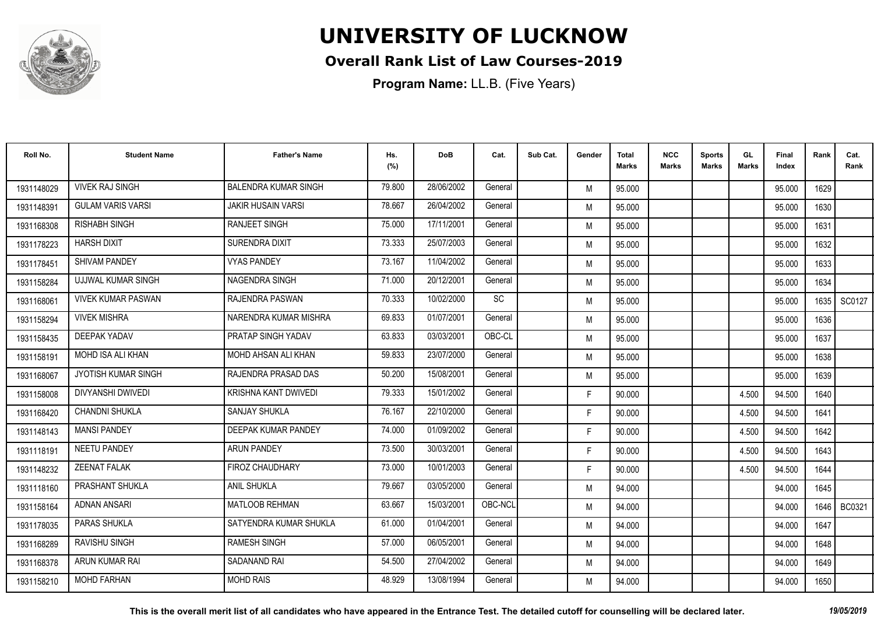

### **Overall Rank List of Law Courses-2019**

| Roll No.   | <b>Student Name</b>       | <b>Father's Name</b>        | Hs.<br>(%) | <b>DoB</b> | Cat.      | Sub Cat. | Gender | <b>Total</b><br><b>Marks</b> | <b>NCC</b><br><b>Marks</b> | <b>Sports</b><br><b>Marks</b> | GL<br><b>Marks</b> | <b>Final</b><br>Index | Rank   | Cat.<br>Rank  |
|------------|---------------------------|-----------------------------|------------|------------|-----------|----------|--------|------------------------------|----------------------------|-------------------------------|--------------------|-----------------------|--------|---------------|
| 1931148029 | <b>VIVEK RAJ SINGH</b>    | <b>BALENDRA KUMAR SINGH</b> | 79.800     | 28/06/2002 | General   |          | M      | 95.000                       |                            |                               |                    | 95.000                | 1629   |               |
| 1931148391 | <b>GULAM VARIS VARSI</b>  | <b>JAKIR HUSAIN VARSI</b>   | 78.667     | 26/04/2002 | General   |          | M      | 95.000                       |                            |                               |                    | 95.000                | 1630   |               |
| 1931168308 | <b>RISHABH SINGH</b>      | <b>RANJEET SINGH</b>        | 75.000     | 17/11/2001 | General   |          | M      | 95.000                       |                            |                               |                    | 95.000                | 1631   |               |
| 1931178223 | <b>HARSH DIXIT</b>        | <b>SURENDRA DIXIT</b>       | 73.333     | 25/07/2003 | General   |          | M      | 95.000                       |                            |                               |                    | 95.000                | 1632   |               |
| 1931178451 | <b>SHIVAM PANDEY</b>      | <b>VYAS PANDEY</b>          | 73.167     | 11/04/2002 | General   |          | M      | 95.000                       |                            |                               |                    | 95.000                | 1633   |               |
| 1931158284 | UJJWAL KUMAR SINGH        | <b>NAGENDRA SINGH</b>       | 71.000     | 20/12/2001 | General   |          | M      | 95.000                       |                            |                               |                    | 95.000                | 1634   |               |
| 1931168061 | <b>VIVEK KUMAR PASWAN</b> | RAJENDRA PASWAN             | 70.333     | 10/02/2000 | <b>SC</b> |          | M      | 95.000                       |                            |                               |                    | 95.000                | 1635   | SC0127        |
| 1931158294 | <b>VIVEK MISHRA</b>       | NARENDRA KUMAR MISHRA       | 69.833     | 01/07/2001 | General   |          | M      | 95.000                       |                            |                               |                    | 95.000                | 1636   |               |
| 1931158435 | <b>DEEPAK YADAV</b>       | PRATAP SINGH YADAV          | 63.833     | 03/03/2001 | OBC-CL    |          | M      | 95.000                       |                            |                               |                    | 95.000                | 1637   |               |
| 1931158191 | MOHD ISA ALI KHAN         | MOHD AHSAN ALI KHAN         | 59.833     | 23/07/2000 | General   |          | M      | 95.000                       |                            |                               |                    | 95.000                | 1638   |               |
| 1931168067 | JYOTISH KUMAR SINGH       | RAJENDRA PRASAD DAS         | 50.200     | 15/08/2001 | General   |          | M      | 95.000                       |                            |                               |                    | 95.000                | 1639   |               |
| 1931158008 | DIVYANSHI DWIVEDI         | KRISHNA KANT DWIVEDI        | 79.333     | 15/01/2002 | General   |          | F.     | 90.000                       |                            |                               | 4.500              | 94.500                | 1640   |               |
| 1931168420 | <b>CHANDNI SHUKLA</b>     | <b>SANJAY SHUKLA</b>        | 76.167     | 22/10/2000 | General   |          | F.     | 90.000                       |                            |                               | 4.500              | 94.500                | 1641   |               |
| 1931148143 | <b>MANSI PANDEY</b>       | DEEPAK KUMAR PANDEY         | 74.000     | 01/09/2002 | General   |          | F.     | 90.000                       |                            |                               | 4.500              | 94.500                | 1642   |               |
| 1931118191 | <b>NEETU PANDEY</b>       | <b>ARUN PANDEY</b>          | 73.500     | 30/03/2001 | General   |          | F.     | 90.000                       |                            |                               | 4.500              | 94.500                | 1643   |               |
| 1931148232 | <b>ZEENAT FALAK</b>       | <b>FIROZ CHAUDHARY</b>      | 73.000     | 10/01/2003 | General   |          | F.     | 90.000                       |                            |                               | 4.500              | 94.500                | 1644   |               |
| 1931118160 | PRASHANT SHUKLA           | <b>ANIL SHUKLA</b>          | 79.667     | 03/05/2000 | General   |          | M      | 94.000                       |                            |                               |                    | 94.000                | 1645   |               |
| 1931158164 | <b>ADNAN ANSARI</b>       | <b>MATLOOB REHMAN</b>       | 63.667     | 15/03/2001 | OBC-NCL   |          | M      | 94.000                       |                            |                               |                    | 94.000                | 1646 l | <b>BC0321</b> |
| 1931178035 | PARAS SHUKLA              | SATYENDRA KUMAR SHUKLA      | 61.000     | 01/04/2001 | General   |          | M      | 94.000                       |                            |                               |                    | 94.000                | 1647   |               |
| 1931168289 | <b>RAVISHU SINGH</b>      | <b>RAMESH SINGH</b>         | 57.000     | 06/05/2001 | General   |          | M      | 94.000                       |                            |                               |                    | 94.000                | 1648   |               |
| 1931168378 | ARUN KUMAR RAI            | SADANAND RAI                | 54.500     | 27/04/2002 | General   |          | M      | 94.000                       |                            |                               |                    | 94.000                | 1649   |               |
| 1931158210 | <b>MOHD FARHAN</b>        | <b>MOHD RAIS</b>            | 48.929     | 13/08/1994 | General   |          | M      | 94.000                       |                            |                               |                    | 94.000                | 1650   |               |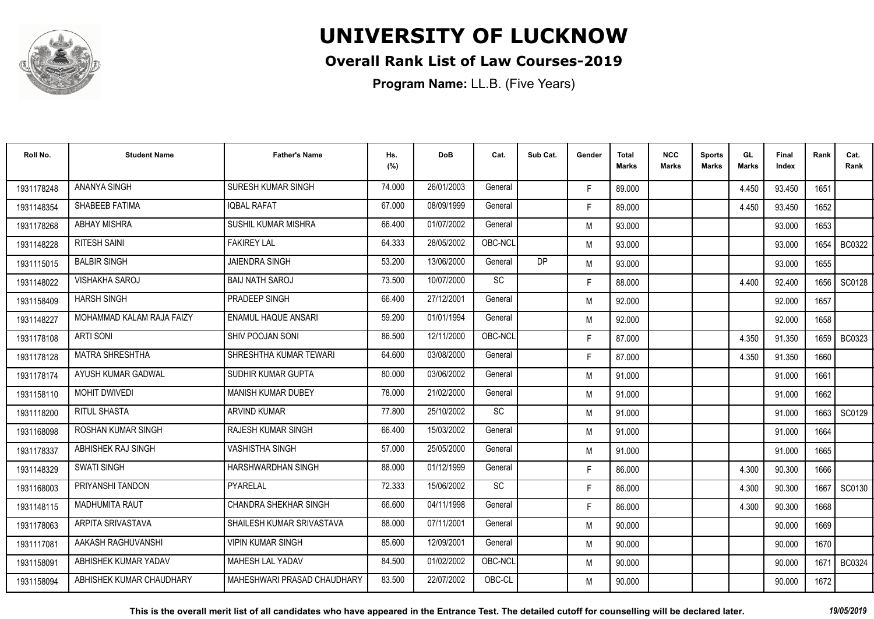

### **Overall Rank List of Law Courses-2019**

| Roll No.   | <b>Student Name</b>       | <b>Father's Name</b>        | Hs.<br>(%) | <b>DoB</b> | Cat.      | Sub Cat. | Gender | <b>Total</b><br><b>Marks</b> | <b>NCC</b><br><b>Marks</b> | <b>Sports</b><br><b>Marks</b> | GL<br><b>Marks</b> | <b>Final</b><br>Index | Rank | Cat.<br>Rank  |
|------------|---------------------------|-----------------------------|------------|------------|-----------|----------|--------|------------------------------|----------------------------|-------------------------------|--------------------|-----------------------|------|---------------|
| 1931178248 | <b>ANANYA SINGH</b>       | SURESH KUMAR SINGH          | 74.000     | 26/01/2003 | General   |          | F.     | 89.000                       |                            |                               | 4.450              | 93.450                | 1651 |               |
| 1931148354 | SHABEEB FATIMA            | <b>IOBAL RAFAT</b>          | 67.000     | 08/09/1999 | General   |          | F.     | 89.000                       |                            |                               | 4.450              | 93.450                | 1652 |               |
| 1931178268 | <b>ABHAY MISHRA</b>       | <b>SUSHIL KUMAR MISHRA</b>  | 66.400     | 01/07/2002 | General   |          | M      | 93.000                       |                            |                               |                    | 93.000                | 1653 |               |
| 1931148228 | <b>RITESH SAINI</b>       | <b>FAKIREY LAL</b>          | 64.333     | 28/05/2002 | OBC-NCL   |          | M      | 93.000                       |                            |                               |                    | 93.000                | 1654 | <b>BC0322</b> |
| 1931115015 | <b>BALBIR SINGH</b>       | <b>JAIENDRA SINGH</b>       | 53.200     | 13/06/2000 | General   | DP       | M      | 93.000                       |                            |                               |                    | 93.000                | 1655 |               |
| 1931148022 | <b>VISHAKHA SAROJ</b>     | <b>BAIJ NATH SAROJ</b>      | 73.500     | 10/07/2000 | <b>SC</b> |          | F.     | 88.000                       |                            |                               | 4.400              | 92.400                | 1656 | SC0128        |
| 1931158409 | <b>HARSH SINGH</b>        | PRADEEP SINGH               | 66.400     | 27/12/2001 | General   |          | M      | 92.000                       |                            |                               |                    | 92.000                | 1657 |               |
| 1931148227 | MOHAMMAD KALAM RAJA FAIZY | <b>ENAMUL HAQUE ANSARI</b>  | 59.200     | 01/01/1994 | General   |          | M      | 92.000                       |                            |                               |                    | 92.000                | 1658 |               |
| 1931178108 | <b>ARTI SONI</b>          | SHIV POOJAN SONI            | 86.500     | 12/11/2000 | OBC-NCL   |          | F.     | 87.000                       |                            |                               | 4.350              | 91.350                |      | 1659   BC0323 |
| 1931178128 | <b>MATRA SHRESHTHA</b>    | SHRESHTHA KUMAR TEWARI      | 64.600     | 03/08/2000 | General   |          | F.     | 87.000                       |                            |                               | 4.350              | 91.350                | 1660 |               |
| 1931178174 | AYUSH KUMAR GADWAL        | SUDHIR KUMAR GUPTA          | 80.000     | 03/06/2002 | General   |          | M      | 91.000                       |                            |                               |                    | 91.000                | 1661 |               |
| 1931158110 | <b>MOHIT DWIVEDI</b>      | <b>MANISH KUMAR DUBEY</b>   | 78.000     | 21/02/2000 | General   |          | M      | 91.000                       |                            |                               |                    | 91.000                | 1662 |               |
| 1931118200 | <b>RITUL SHASTA</b>       | <b>ARVIND KUMAR</b>         | 77.800     | 25/10/2002 | <b>SC</b> |          | M      | 91.000                       |                            |                               |                    | 91.000                | 1663 | SC0129        |
| 1931168098 | ROSHAN KUMAR SINGH        | <b>RAJESH KUMAR SINGH</b>   | 66.400     | 15/03/2002 | General   |          | M      | 91.000                       |                            |                               |                    | 91.000                | 1664 |               |
| 1931178337 | ABHISHEK RAJ SINGH        | <b>VASHISTHA SINGH</b>      | 57.000     | 25/05/2000 | General   |          | M      | 91.000                       |                            |                               |                    | 91.000                | 1665 |               |
| 1931148329 | <b>SWATI SINGH</b>        | HARSHWARDHAN SINGH          | 88.000     | 01/12/1999 | General   |          | F.     | 86.000                       |                            |                               | 4.300              | 90.300                | 1666 |               |
| 1931168003 | PRIYANSHI TANDON          | PYARELAL                    | 72.333     | 15/06/2002 | <b>SC</b> |          | F.     | 86.000                       |                            |                               | 4.300              | 90.300                | 1667 | SC0130        |
| 1931148115 | <b>MADHUMITA RAUT</b>     | CHANDRA SHEKHAR SINGH       | 66.600     | 04/11/1998 | General   |          | F.     | 86.000                       |                            |                               | 4.300              | 90.300                | 1668 |               |
| 1931178063 | ARPITA SRIVASTAVA         | SHAILESH KUMAR SRIVASTAVA   | 88.000     | 07/11/2001 | General   |          | M      | 90.000                       |                            |                               |                    | 90.000                | 1669 |               |
| 1931117081 | AAKASH RAGHUVANSHI        | <b>VIPIN KUMAR SINGH</b>    | 85.600     | 12/09/2001 | General   |          | M      | 90.000                       |                            |                               |                    | 90.000                | 1670 |               |
| 1931158091 | ABHISHEK KUMAR YADAV      | <b>MAHESH LAL YADAV</b>     | 84.500     | 01/02/2002 | OBC-NCL   |          | M      | 90.000                       |                            |                               |                    | 90.000                | 167  | <b>BC0324</b> |
| 1931158094 | ABHISHEK KUMAR CHAUDHARY  | MAHESHWARI PRASAD CHAUDHARY | 83.500     | 22/07/2002 | OBC-CL    |          | M      | 90.000                       |                            |                               |                    | 90.000                | 1672 |               |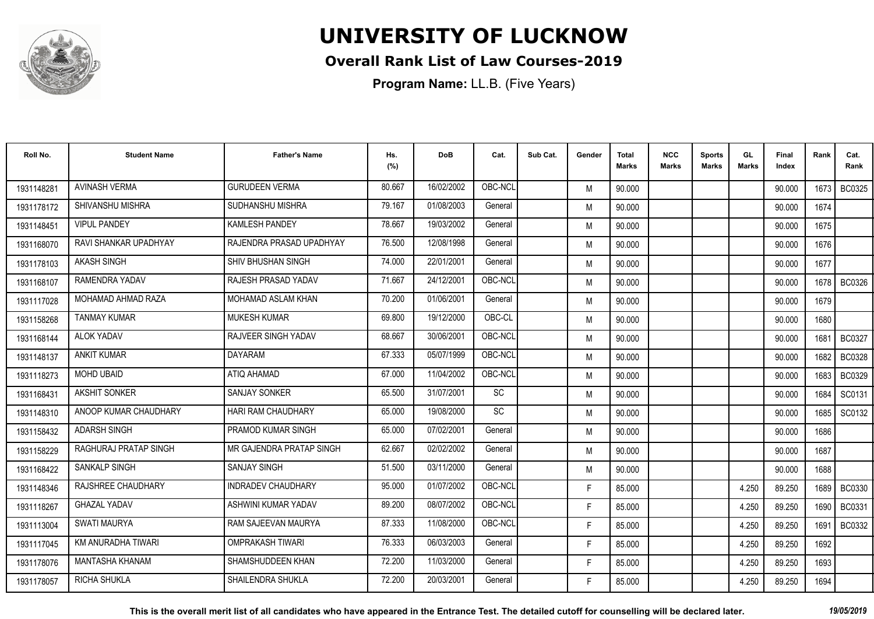

### **Overall Rank List of Law Courses-2019**

| Roll No.   | <b>Student Name</b>    | <b>Father's Name</b>      | Hs.<br>(%) | <b>DoB</b> | Cat.    | Sub Cat. | Gender | Total<br>Marks | <b>NCC</b><br>Marks | <b>Sports</b><br><b>Marks</b> | GL<br><b>Marks</b> | <b>Final</b><br>Index | Rank   | Cat.<br>Rank  |
|------------|------------------------|---------------------------|------------|------------|---------|----------|--------|----------------|---------------------|-------------------------------|--------------------|-----------------------|--------|---------------|
| 1931148281 | <b>AVINASH VERMA</b>   | <b>GURUDEEN VERMA</b>     | 80.667     | 16/02/2002 | OBC-NCL |          | M      | 90.000         |                     |                               |                    | 90.000                | 1673 I | BC0325        |
| 1931178172 | SHIVANSHU MISHRA       | <b>SUDHANSHU MISHRA</b>   | 79.167     | 01/08/2003 | General |          | M      | 90.000         |                     |                               |                    | 90.000                | 1674   |               |
| 1931148451 | <b>VIPUL PANDEY</b>    | <b>KAMLESH PANDEY</b>     | 78.667     | 19/03/2002 | General |          | M      | 90.000         |                     |                               |                    | 90.000                | 1675   |               |
| 1931168070 | RAVI SHANKAR UPADHYAY  | RAJENDRA PRASAD UPADHYAY  | 76.500     | 12/08/1998 | General |          | M      | 90.000         |                     |                               |                    | 90.000                | 1676   |               |
| 1931178103 | <b>AKASH SINGH</b>     | SHIV BHUSHAN SINGH        | 74.000     | 22/01/2001 | General |          | M      | 90.000         |                     |                               |                    | 90.000                | 1677   |               |
| 1931168107 | RAMENDRA YADAV         | RAJESH PRASAD YADAV       | 71.667     | 24/12/2001 | OBC-NCL |          | M      | 90.000         |                     |                               |                    | 90.000                | 1678   | <b>BC0326</b> |
| 1931117028 | MOHAMAD AHMAD RAZA     | MOHAMAD ASLAM KHAN        | 70.200     | 01/06/2001 | General |          | M      | 90.000         |                     |                               |                    | 90.000                | 1679   |               |
| 1931158268 | <b>TANMAY KUMAR</b>    | <b>MUKESH KUMAR</b>       | 69.800     | 19/12/2000 | OBC-CL  |          | M      | 90.000         |                     |                               |                    | 90.000                | 1680   |               |
| 1931168144 | <b>ALOK YADAV</b>      | RAJVEER SINGH YADAV       | 68.667     | 30/06/2001 | OBC-NCL |          | M      | 90.000         |                     |                               |                    | 90.000                | 1681   | <b>BC0327</b> |
| 1931148137 | <b>ANKIT KUMAR</b>     | <b>DAYARAM</b>            | 67.333     | 05/07/1999 | OBC-NCL |          | M      | 90.000         |                     |                               |                    | 90.000                | 1682   | <b>BC0328</b> |
| 1931118273 | <b>MOHD UBAID</b>      | ATIQ AHAMAD               | 67.000     | 11/04/2002 | OBC-NCL |          | M      | 90.000         |                     |                               |                    | 90.000                | 1683   | <b>BC0329</b> |
| 1931168431 | AKSHIT SONKER          | <b>SANJAY SONKER</b>      | 65.500     | 31/07/2001 | SC      |          | M      | 90.000         |                     |                               |                    | 90.000                | 1684   | SC0131        |
| 1931148310 | ANOOP KUMAR CHAUDHARY  | <b>HARI RAM CHAUDHARY</b> | 65.000     | 19/08/2000 | SC      |          | M      | 90.000         |                     |                               |                    | 90.000                | 1685   | SC0132        |
| 1931158432 | <b>ADARSH SINGH</b>    | PRAMOD KUMAR SINGH        | 65.000     | 07/02/2001 | General |          | M      | 90.000         |                     |                               |                    | 90.000                | 1686   |               |
| 1931158229 | RAGHURAJ PRATAP SINGH  | MR GAJENDRA PRATAP SINGH  | 62.667     | 02/02/2002 | General |          | M      | 90.000         |                     |                               |                    | 90.000                | 1687   |               |
| 1931168422 | SANKALP SINGH          | <b>SANJAY SINGH</b>       | 51.500     | 03/11/2000 | General |          | M      | 90.000         |                     |                               |                    | 90.000                | 1688   |               |
| 1931148346 | RAJSHREE CHAUDHARY     | <b>INDRADEV CHAUDHARY</b> | 95.000     | 01/07/2002 | OBC-NCL |          | F.     | 85.000         |                     |                               | 4.250              | 89.250                |        | 1689   BC0330 |
| 1931118267 | <b>GHAZAL YADAV</b>    | ASHWINI KUMAR YADAV       | 89.200     | 08/07/2002 | OBC-NCL |          | F.     | 85.000         |                     |                               | 4.250              | 89.250                | 1690   | <b>BC0331</b> |
| 1931113004 | <b>SWATI MAURYA</b>    | RAM SAJEEVAN MAURYA       | 87.333     | 11/08/2000 | OBC-NCL |          | F      | 85.000         |                     |                               | 4.250              | 89.250                | 1691   | <b>BC0332</b> |
| 1931117045 | KM ANURADHA TIWARI     | <b>OMPRAKASH TIWARI</b>   | 76.333     | 06/03/2003 | General |          | F.     | 85.000         |                     |                               | 4.250              | 89.250                | 1692   |               |
| 1931178076 | <b>MANTASHA KHANAM</b> | SHAMSHUDDEEN KHAN         | 72.200     | 11/03/2000 | General |          | F.     | 85.000         |                     |                               | 4.250              | 89.250                | 1693   |               |
| 1931178057 | <b>RICHA SHUKLA</b>    | SHAILENDRA SHUKLA         | 72.200     | 20/03/2001 | General |          | F.     | 85.000         |                     |                               | 4.250              | 89.250                | 1694   |               |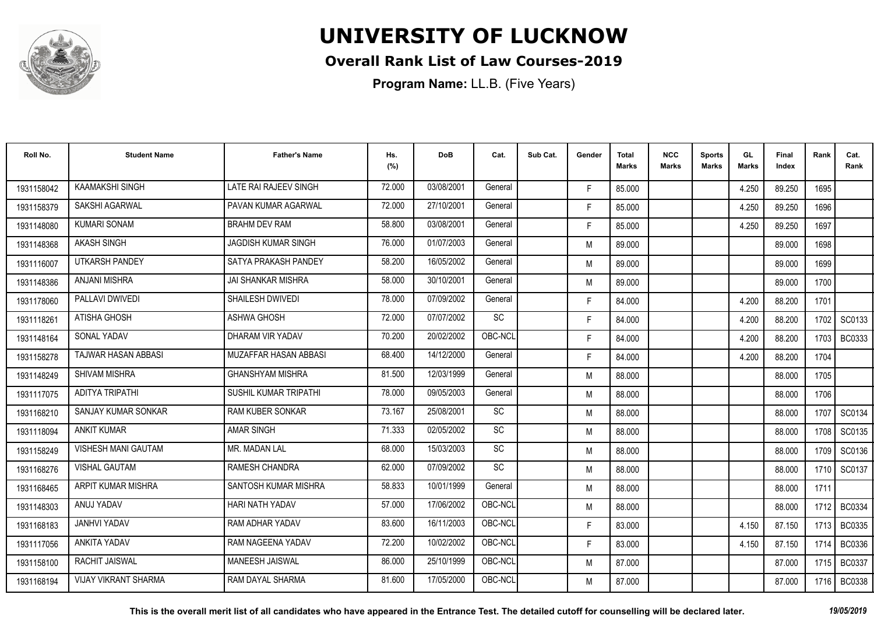

### **Overall Rank List of Law Courses-2019**

**Program Name:** LL.B. (Five Years)

| Roll No.   | <b>Student Name</b>         | <b>Father's Name</b>       | Hs.<br>(%) | <b>DoB</b> | Cat.      | Sub Cat. | Gender | Total<br>Marks | <b>NCC</b><br>Marks | <b>Sports</b><br><b>Marks</b> | GL<br><b>Marks</b> | Final<br>Index | Rank   | Cat.<br>Rank  |
|------------|-----------------------------|----------------------------|------------|------------|-----------|----------|--------|----------------|---------------------|-------------------------------|--------------------|----------------|--------|---------------|
| 1931158042 | <b>KAAMAKSHI SINGH</b>      | LATE RAI RAJEEV SINGH      | 72.000     | 03/08/2001 | General   |          | F.     | 85.000         |                     |                               | 4.250              | 89.250         | 1695   |               |
| 1931158379 | <b>SAKSHI AGARWAL</b>       | PAVAN KUMAR AGARWAL        | 72.000     | 27/10/2001 | General   |          | F.     | 85.000         |                     |                               | 4.250              | 89.250         | 1696   |               |
| 1931148080 | <b>KUMARI SONAM</b>         | <b>BRAHM DEV RAM</b>       | 58.800     | 03/08/2001 | General   |          | F.     | 85.000         |                     |                               | 4.250              | 89.250         | 1697   |               |
| 1931148368 | <b>AKASH SINGH</b>          | <b>JAGDISH KUMAR SINGH</b> | 76.000     | 01/07/2003 | General   |          | M      | 89.000         |                     |                               |                    | 89.000         | 1698   |               |
| 1931116007 | <b>UTKARSH PANDEY</b>       | SATYA PRAKASH PANDEY       | 58.200     | 16/05/2002 | General   |          | M      | 89.000         |                     |                               |                    | 89.000         | 1699   |               |
| 1931148386 | <b>ANJANI MISHRA</b>        | <b>JAI SHANKAR MISHRA</b>  | 58.000     | 30/10/2001 | General   |          | M      | 89.000         |                     |                               |                    | 89.000         | 1700   |               |
| 1931178060 | PALLAVI DWIVEDI             | <b>SHAILESH DWIVEDI</b>    | 78.000     | 07/09/2002 | General   |          | F.     | 84.000         |                     |                               | 4.200              | 88.200         | 1701   |               |
| 1931118261 | ATISHA GHOSH                | <b>ASHWA GHOSH</b>         | 72.000     | 07/07/2002 | SC        |          | F.     | 84.000         |                     |                               | 4.200              | 88.200         |        | 1702 SC0133   |
| 1931148164 | SONAL YADAV                 | DHARAM VIR YADAV           | 70.200     | 20/02/2002 | OBC-NCL   |          | F.     | 84.000         |                     |                               | 4.200              | 88.200         | 1703 I | BC0333        |
| 1931158278 | TAJWAR HASAN ABBASI         | MUZAFFAR HASAN ABBASI      | 68.400     | 14/12/2000 | General   |          | F.     | 84.000         |                     |                               | 4.200              | 88.200         | 1704   |               |
| 1931148249 | <b>SHIVAM MISHRA</b>        | <b>GHANSHYAM MISHRA</b>    | 81.500     | 12/03/1999 | General   |          | M      | 88.000         |                     |                               |                    | 88.000         | 1705   |               |
| 1931117075 | ADITYA TRIPATHI             | SUSHIL KUMAR TRIPATHI      | 78.000     | 09/05/2003 | General   |          | M      | 88.000         |                     |                               |                    | 88.000         | 1706   |               |
| 1931168210 | SANJAY KUMAR SONKAR         | <b>RAM KUBER SONKAR</b>    | 73.167     | 25/08/2001 | SC        |          | M      | 88.000         |                     |                               |                    | 88.000         | 1707   | SC0134        |
| 1931118094 | <b>ANKIT KUMAR</b>          | <b>AMAR SINGH</b>          | 71.333     | 02/05/2002 | SC        |          | M      | 88.000         |                     |                               |                    | 88.000         | 1708   | SC0135        |
| 1931158249 | VISHESH MANI GAUTAM         | MR. MADAN LAL              | 68.000     | 15/03/2003 | <b>SC</b> |          | M      | 88.000         |                     |                               |                    | 88.000         | 1709   | SC0136        |
| 1931168276 | <b>VISHAL GAUTAM</b>        | <b>RAMESH CHANDRA</b>      | 62.000     | 07/09/2002 | SC        |          | M      | 88.000         |                     |                               |                    | 88.000         | 1710 I | SC0137        |
| 1931168465 | ARPIT KUMAR MISHRA          | SANTOSH KUMAR MISHRA       | 58.833     | 10/01/1999 | General   |          | M      | 88.000         |                     |                               |                    | 88.000         | 1711   |               |
| 1931148303 | ANUJ YADAV                  | <b>HARI NATH YADAV</b>     | 57.000     | 17/06/2002 | OBC-NCL   |          | M      | 88.000         |                     |                               |                    | 88.000         | 1712   | <b>BC0334</b> |
| 1931168183 | <b>JANHVI YADAV</b>         | RAM ADHAR YADAV            | 83.600     | 16/11/2003 | OBC-NCL   |          | F.     | 83.000         |                     |                               | 4.150              | 87.150         | 1713   | <b>BC0335</b> |
| 1931117056 | <b>ANKITA YADAV</b>         | RAM NAGEENA YADAV          | 72.200     | 10/02/2002 | OBC-NCL   |          | F.     | 83.000         |                     |                               | 4.150              | 87.150         | 1714   | <b>BC0336</b> |
| 1931158100 | RACHIT JAISWAL              | <b>MANEESH JAISWAL</b>     | 86.000     | 25/10/1999 | OBC-NCL   |          | M      | 87.000         |                     |                               |                    | 87.000         | 1715   | <b>BC0337</b> |
| 1931168194 | <b>VIJAY VIKRANT SHARMA</b> | RAM DAYAL SHARMA           | 81.600     | 17/05/2000 | OBC-NCL   |          | M      | 87.000         |                     |                               |                    | 87.000         | 1716 I | <b>BC0338</b> |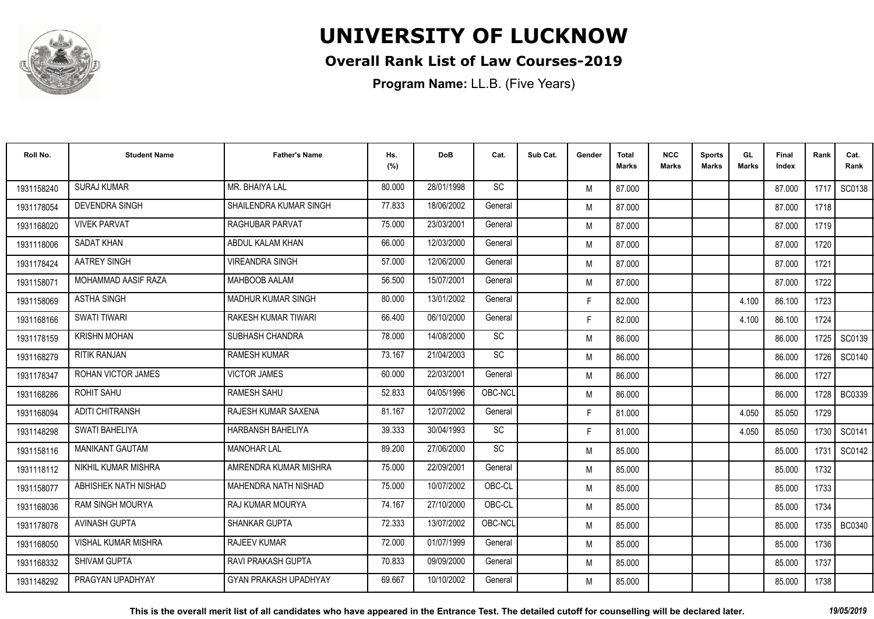

### **Overall Rank List of Law Courses-2019**

| Roll No.   | <b>Student Name</b>        | <b>Father's Name</b>         | Hs.<br>(%) | <b>DoB</b> | Cat.      | Sub Cat. | Gender | <b>Total</b><br><b>Marks</b> | <b>NCC</b><br>Marks | <b>Sports</b><br><b>Marks</b> | GL<br><b>Marks</b> | Final<br>Index | Rank   | Cat.<br>Rank  |
|------------|----------------------------|------------------------------|------------|------------|-----------|----------|--------|------------------------------|---------------------|-------------------------------|--------------------|----------------|--------|---------------|
| 1931158240 | <b>SURAJ KUMAR</b>         | MR. BHAIYA LAL               | 80.000     | 28/01/1998 | <b>SC</b> |          | M      | 87.000                       |                     |                               |                    | 87.000         | 1717   | SC0138        |
| 1931178054 | <b>DEVENDRA SINGH</b>      | SHAILENDRA KUMAR SINGH       | 77.833     | 18/06/2002 | General   |          | M      | 87.000                       |                     |                               |                    | 87.000         | 1718   |               |
| 1931168020 | <b>VIVEK PARVAT</b>        | <b>RAGHUBAR PARVAT</b>       | 75.000     | 23/03/2001 | General   |          | M      | 87.000                       |                     |                               |                    | 87.000         | 1719   |               |
| 1931118006 | <b>SADAT KHAN</b>          | ABDUL KALAM KHAN             | 66.000     | 12/03/2000 | General   |          | M      | 87.000                       |                     |                               |                    | 87.000         | 1720   |               |
| 1931178424 | AATREY SINGH               | <b>VIREANDRA SINGH</b>       | 57.000     | 12/06/2000 | General   |          | M      | 87.000                       |                     |                               |                    | 87.000         | 1721   |               |
| 1931158071 | MOHAMMAD AASIF RAZA        | <b>MAHBOOB AALAM</b>         | 56.500     | 15/07/2001 | General   |          | M      | 87.000                       |                     |                               |                    | 87.000         | 1722   |               |
| 1931158069 | <b>ASTHA SINGH</b>         | <b>MADHUR KUMAR SINGH</b>    | 80.000     | 13/01/2002 | General   |          | F.     | 82.000                       |                     |                               | 4.100              | 86.100         | 1723   |               |
| 1931168166 | <b>SWATI TIWARI</b>        | RAKESH KUMAR TIWARI          | 66.400     | 06/10/2000 | General   |          | F.     | 82.000                       |                     |                               | 4.100              | 86.100         | 1724   |               |
| 1931178159 | <b>KRISHN MOHAN</b>        | SUBHASH CHANDRA              | 78.000     | 14/08/2000 | SC        |          | M      | 86.000                       |                     |                               |                    | 86.000         | 1725   | SC0139        |
| 1931168279 | <b>RITIK RANJAN</b>        | <b>RAMESH KUMAR</b>          | 73.167     | 21/04/2003 | <b>SC</b> |          | M      | 86.000                       |                     |                               |                    | 86.000         | 1726   | SC0140        |
| 1931178347 | ROHAN VICTOR JAMES         | <b>VICTOR JAMES</b>          | 60.000     | 22/03/2001 | General   |          | M      | 86.000                       |                     |                               |                    | 86.000         | 1727   |               |
| 1931168286 | <b>ROHIT SAHU</b>          | <b>RAMESH SAHU</b>           | 52.833     | 04/05/1996 | OBC-NCL   |          | M      | 86.000                       |                     |                               |                    | 86.000         | 1728 l | BC0339        |
| 1931168094 | <b>ADITI CHITRANSH</b>     | RAJESH KUMAR SAXENA          | 81.167     | 12/07/2002 | General   |          | F.     | 81.000                       |                     |                               | 4.050              | 85.050         | 1729   |               |
| 1931148298 | SWATI BAHELIYA             | <b>HARBANSH BAHELIYA</b>     | 39.333     | 30/04/1993 | <b>SC</b> |          | F.     | 81.000                       |                     |                               | 4.050              | 85.050         | 1730   | SC0141        |
| 1931158116 | <b>MANIKANT GAUTAM</b>     | <b>MANOHAR LAL</b>           | 89.200     | 27/06/2000 | <b>SC</b> |          | M      | 85.000                       |                     |                               |                    | 85.000         | 1731   | SC0142        |
| 1931118112 | NIKHIL KUMAR MISHRA        | AMRENDRA KUMAR MISHRA        | 75.000     | 22/09/2001 | General   |          | M      | 85.000                       |                     |                               |                    | 85.000         | 1732   |               |
| 1931158077 | ABHISHEK NATH NISHAD       | MAHENDRA NATH NISHAD         | 75.000     | 10/07/2002 | OBC-CL    |          | M      | 85.000                       |                     |                               |                    | 85.000         | 1733   |               |
| 1931168036 | <b>RAM SINGH MOURYA</b>    | <b>RAJ KUMAR MOURYA</b>      | 74.167     | 27/10/2000 | OBC-CL    |          | M      | 85.000                       |                     |                               |                    | 85.000         | 1734   |               |
| 1931178078 | <b>AVINASH GUPTA</b>       | <b>SHANKAR GUPTA</b>         | 72.333     | 13/07/2002 | OBC-NCL   |          | M      | 85.000                       |                     |                               |                    | 85.000         | 1735 l | <b>BC0340</b> |
| 1931168050 | <b>VISHAL KUMAR MISHRA</b> | <b>RAJEEV KUMAR</b>          | 72.000     | 01/07/1999 | General   |          | M      | 85.000                       |                     |                               |                    | 85.000         | 1736   |               |
| 1931168332 | <b>SHIVAM GUPTA</b>        | RAVI PRAKASH GUPTA           | 70.833     | 09/09/2000 | General   |          | M      | 85.000                       |                     |                               |                    | 85.000         | 1737   |               |
| 1931148292 | PRAGYAN UPADHYAY           | <b>GYAN PRAKASH UPADHYAY</b> | 69.667     | 10/10/2002 | General   |          | M      | 85.000                       |                     |                               |                    | 85.000         | 1738   |               |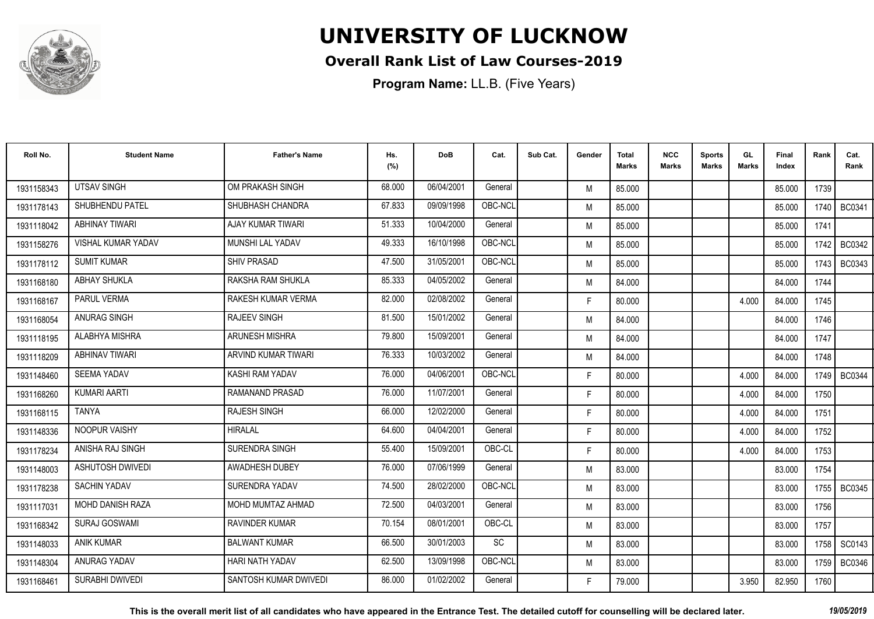

### **Overall Rank List of Law Courses-2019**

| Roll No.   | <b>Student Name</b>       | <b>Father's Name</b>   | Hs.<br>(%) | <b>DoB</b> | Cat.    | Sub Cat. | Gender | <b>Total</b><br><b>Marks</b> | <b>NCC</b><br>Marks | <b>Sports</b><br><b>Marks</b> | GL<br>Marks | Final<br>Index | Rank   | Cat.<br>Rank  |
|------------|---------------------------|------------------------|------------|------------|---------|----------|--------|------------------------------|---------------------|-------------------------------|-------------|----------------|--------|---------------|
| 1931158343 | <b>UTSAV SINGH</b>        | OM PRAKASH SINGH       | 68.000     | 06/04/2001 | General |          | M      | 85.000                       |                     |                               |             | 85.000         | 1739   |               |
| 1931178143 | SHUBHENDU PATEL           | SHUBHASH CHANDRA       | 67.833     | 09/09/1998 | OBC-NCL |          | M      | 85.000                       |                     |                               |             | 85.000         | 1740 I | BC0341        |
| 1931118042 | <b>ABHINAY TIWARI</b>     | AJAY KUMAR TIWARI      | 51.333     | 10/04/2000 | General |          | M      | 85.000                       |                     |                               |             | 85.000         | 1741   |               |
| 1931158276 | <b>VISHAL KUMAR YADAV</b> | MUNSHI LAL YADAV       | 49.333     | 16/10/1998 | OBC-NCL |          | M      | 85.000                       |                     |                               |             | 85.000         | 1742   | BC0342        |
| 1931178112 | <b>SUMIT KUMAR</b>        | <b>SHIV PRASAD</b>     | 47.500     | 31/05/2001 | OBC-NCL |          | M      | 85.000                       |                     |                               |             | 85.000         | 1743   | <b>BC0343</b> |
| 1931168180 | <b>ABHAY SHUKLA</b>       | RAKSHA RAM SHUKLA      | 85.333     | 04/05/2002 | General |          | M      | 84.000                       |                     |                               |             | 84.000         | 1744   |               |
| 1931168167 | <b>PARUL VERMA</b>        | RAKESH KUMAR VERMA     | 82.000     | 02/08/2002 | General |          | F.     | 80.000                       |                     |                               | 4.000       | 84.000         | 1745   |               |
| 1931168054 | ANURAG SINGH              | <b>RAJEEV SINGH</b>    | 81.500     | 15/01/2002 | General |          | M      | 84.000                       |                     |                               |             | 84.000         | 1746   |               |
| 1931118195 | ALABHYA MISHRA            | <b>ARUNESH MISHRA</b>  | 79.800     | 15/09/2001 | General |          | M      | 84.000                       |                     |                               |             | 84.000         | 1747   |               |
| 1931118209 | <b>ABHINAV TIWARI</b>     | ARVIND KUMAR TIWARI    | 76.333     | 10/03/2002 | General |          | M      | 84.000                       |                     |                               |             | 84.000         | 1748   |               |
| 1931148460 | <b>SEEMA YADAV</b>        | KASHI RAM YADAV        | 76.000     | 04/06/2001 | OBC-NCL |          | F.     | 80.000                       |                     |                               | 4.000       | 84.000         | 1749 I | <b>BC0344</b> |
| 1931168260 | KUMARI AARTI              | RAMANAND PRASAD        | 76.000     | 11/07/2001 | General |          | F.     | 80.000                       |                     |                               | 4.000       | 84.000         | 1750   |               |
| 1931168115 | <b>TANYA</b>              | <b>RAJESH SINGH</b>    | 66.000     | 12/02/2000 | General |          | F.     | 80.000                       |                     |                               | 4.000       | 84.000         | 1751   |               |
| 1931148336 | NOOPUR VAISHY             | <b>HIRALAL</b>         | 64.600     | 04/04/2001 | General |          | F.     | 80.000                       |                     |                               | 4.000       | 84.000         | 1752   |               |
| 1931178234 | ANISHA RAJ SINGH          | SURENDRA SINGH         | 55.400     | 15/09/2001 | OBC-CL  |          | F.     | 80.000                       |                     |                               | 4.000       | 84.000         | 1753   |               |
| 1931148003 | <b>ASHUTOSH DWIVEDI</b>   | <b>AWADHESH DUBEY</b>  | 76.000     | 07/06/1999 | General |          | M      | 83.000                       |                     |                               |             | 83.000         | 1754   |               |
| 1931178238 | <b>SACHIN YADAV</b>       | SURENDRA YADAV         | 74.500     | 28/02/2000 | OBC-NCL |          | M      | 83.000                       |                     |                               |             | 83.000         |        | 1755   BC0345 |
| 1931117031 | MOHD DANISH RAZA          | MOHD MUMTAZ AHMAD      | 72.500     | 04/03/2001 | General |          | M      | 83.000                       |                     |                               |             | 83.000         | 1756   |               |
| 1931168342 | <b>SURAJ GOSWAMI</b>      | <b>RAVINDER KUMAR</b>  | 70.154     | 08/01/2001 | OBC-CL  |          | M      | 83.000                       |                     |                               |             | 83.000         | 1757   |               |
| 1931148033 | <b>ANIK KUMAR</b>         | <b>BALWANT KUMAR</b>   | 66.500     | 30/01/2003 | SC      |          | M      | 83.000                       |                     |                               |             | 83.000         | 1758 I | SC0143        |
| 1931148304 | <b>ANURAG YADAV</b>       | <b>HARI NATH YADAV</b> | 62.500     | 13/09/1998 | OBC-NCL |          | M      | 83.000                       |                     |                               |             | 83.000         | 1759 I | <b>BC0346</b> |
| 1931168461 | <b>SURABHI DWIVEDI</b>    | SANTOSH KUMAR DWIVEDI  | 86.000     | 01/02/2002 | General |          | F.     | 79.000                       |                     |                               | 3.950       | 82.950         | 1760   |               |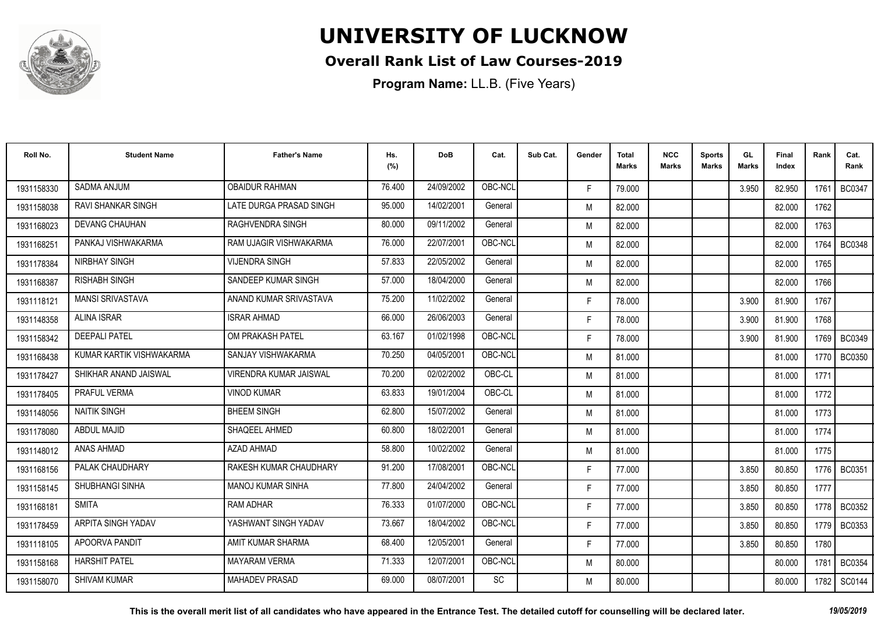

### **Overall Rank List of Law Courses-2019**

| Roll No.   | <b>Student Name</b>       | <b>Father's Name</b>          | Hs.<br>(%) | <b>DoB</b> | Cat.    | Sub Cat. | Gender | Total<br>Marks | <b>NCC</b><br>Marks | <b>Sports</b><br><b>Marks</b> | GL<br><b>Marks</b> | <b>Final</b><br>Index | Rank   | Cat.<br>Rank  |
|------------|---------------------------|-------------------------------|------------|------------|---------|----------|--------|----------------|---------------------|-------------------------------|--------------------|-----------------------|--------|---------------|
| 1931158330 | <b>SADMA ANJUM</b>        | <b>OBAIDUR RAHMAN</b>         | 76.400     | 24/09/2002 | OBC-NCL |          | F.     | 79.000         |                     |                               | 3.950              | 82.950                | 1761   | <b>BC0347</b> |
| 1931158038 | <b>RAVI SHANKAR SINGH</b> | LATE DURGA PRASAD SINGH       | 95.000     | 14/02/2001 | General |          | M      | 82.000         |                     |                               |                    | 82.000                | 1762   |               |
| 1931168023 | <b>DEVANG CHAUHAN</b>     | RAGHVENDRA SINGH              | 80.000     | 09/11/2002 | General |          | M      | 82.000         |                     |                               |                    | 82.000                | 1763   |               |
| 1931168251 | PANKAJ VISHWAKARMA        | RAM UJAGIR VISHWAKARMA        | 76.000     | 22/07/2001 | OBC-NCL |          | M      | 82.000         |                     |                               |                    | 82.000                | 1764   | <b>BC0348</b> |
| 1931178384 | NIRBHAY SINGH             | <b>VIJENDRA SINGH</b>         | 57.833     | 22/05/2002 | General |          | M      | 82.000         |                     |                               |                    | 82.000                | 1765   |               |
| 1931168387 | <b>RISHABH SINGH</b>      | SANDEEP KUMAR SINGH           | 57.000     | 18/04/2000 | General |          | M      | 82.000         |                     |                               |                    | 82.000                | 1766   |               |
| 1931118121 | <b>MANSI SRIVASTAVA</b>   | ANAND KUMAR SRIVASTAVA        | 75.200     | 11/02/2002 | General |          | F.     | 78.000         |                     |                               | 3.900              | 81.900                | 1767   |               |
| 1931148358 | <b>ALINA ISRAR</b>        | <b>ISRAR AHMAD</b>            | 66.000     | 26/06/2003 | General |          | F      | 78.000         |                     |                               | 3.900              | 81.900                | 1768   |               |
| 1931158342 | <b>DEEPALI PATEL</b>      | OM PRAKASH PATEL              | 63.167     | 01/02/1998 | OBC-NCL |          | F.     | 78.000         |                     |                               | 3.900              | 81.900                |        | 1769 BC0349   |
| 1931168438 | KUMAR KARTIK VISHWAKARMA  | SANJAY VISHWAKARMA            | 70.250     | 04/05/2001 | OBC-NCL |          | M      | 81.000         |                     |                               |                    | 81.000                | 1770   | <b>BC0350</b> |
| 1931178427 | SHIKHAR ANAND JAISWAL     | <b>VIRENDRA KUMAR JAISWAL</b> | 70.200     | 02/02/2002 | OBC-CL  |          | M      | 81.000         |                     |                               |                    | 81.000                | 1771   |               |
| 1931178405 | PRAFUL VERMA              | <b>VINOD KUMAR</b>            | 63.833     | 19/01/2004 | OBC-CL  |          | M      | 81.000         |                     |                               |                    | 81.000                | 1772   |               |
| 1931148056 | <b>NAITIK SINGH</b>       | <b>BHEEM SINGH</b>            | 62.800     | 15/07/2002 | General |          | M      | 81.000         |                     |                               |                    | 81.000                | 1773   |               |
| 1931178080 | <b>ABDUL MAJID</b>        | SHAQEEL AHMED                 | 60.800     | 18/02/2001 | General |          | M      | 81.000         |                     |                               |                    | 81.000                | 1774   |               |
| 1931148012 | ANAS AHMAD                | AZAD AHMAD                    | 58.800     | 10/02/2002 | General |          | M      | 81.000         |                     |                               |                    | 81.000                | 1775   |               |
| 1931168156 | PALAK CHAUDHARY           | RAKESH KUMAR CHAUDHARY        | 91.200     | 17/08/2001 | OBC-NCL |          | F.     | 77.000         |                     |                               | 3.850              | 80.850                |        | 1776 BC0351   |
| 1931158145 | SHUBHANGI SINHA           | <b>MANOJ KUMAR SINHA</b>      | 77.800     | 24/04/2002 | General |          | F.     | 77.000         |                     |                               | 3.850              | 80.850                | 1777   |               |
| 1931168181 | <b>SMITA</b>              | RAM ADHAR                     | 76.333     | 01/07/2000 | OBC-NCL |          | F.     | 77.000         |                     |                               | 3.850              | 80.850                | 1778   | <b>BC0352</b> |
| 1931178459 | ARPITA SINGH YADAV        | YASHWANT SINGH YADAV          | 73.667     | 18/04/2002 | OBC-NCL |          | F      | 77.000         |                     |                               | 3.850              | 80.850                | 1779 l | <b>BC0353</b> |
| 1931118105 | APOORVA PANDIT            | AMIT KUMAR SHARMA             | 68.400     | 12/05/2001 | General |          | F.     | 77.000         |                     |                               | 3.850              | 80.850                | 1780   |               |
| 1931158168 | <b>HARSHIT PATEL</b>      | <b>MAYARAM VERMA</b>          | 71.333     | 12/07/2001 | OBC-NCL |          | M      | 80.000         |                     |                               |                    | 80.000                | 1781   | <b>BC0354</b> |
| 1931158070 | <b>SHIVAM KUMAR</b>       | <b>MAHADEV PRASAD</b>         | 69.000     | 08/07/2001 | SC      |          | M      | 80.000         |                     |                               |                    | 80.000                | 1782   | SC0144        |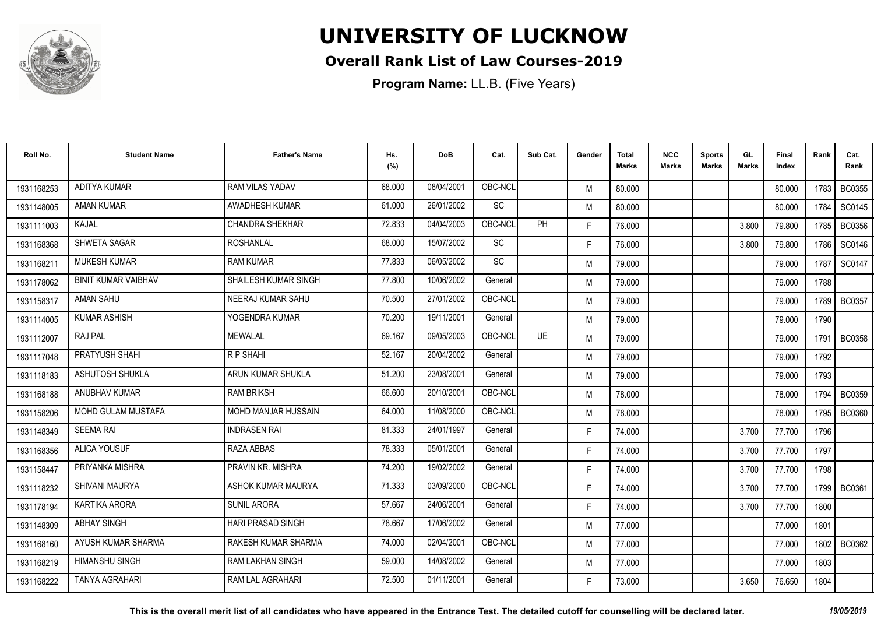

### **Overall Rank List of Law Courses-2019**

| Roll No.   | <b>Student Name</b>        | <b>Father's Name</b>    | Hs.<br>(%) | <b>DoB</b> | Cat.    | Sub Cat.  | Gender | <b>Total</b><br><b>Marks</b> | <b>NCC</b><br><b>Marks</b> | <b>Sports</b><br><b>Marks</b> | GL<br><b>Marks</b> | <b>Final</b><br>Index | Rank   | Cat.<br>Rank  |
|------------|----------------------------|-------------------------|------------|------------|---------|-----------|--------|------------------------------|----------------------------|-------------------------------|--------------------|-----------------------|--------|---------------|
| 1931168253 | ADITYA KUMAR               | RAM VILAS YADAV         | 68.000     | 08/04/2001 | OBC-NCL |           | M      | 80.000                       |                            |                               |                    | 80.000                | 1783 I | <b>BC0355</b> |
| 1931148005 | <b>AMAN KUMAR</b>          | AWADHESH KUMAR          | 61.000     | 26/01/2002 | SC      |           | M      | 80.000                       |                            |                               |                    | 80.000                | 1784   | SC0145        |
| 1931111003 | KAJAL                      | <b>CHANDRA SHEKHAR</b>  | 72.833     | 04/04/2003 | OBC-NCL | <b>PH</b> | F.     | 76.000                       |                            |                               | 3.800              | 79.800                | 1785   | BC0356        |
| 1931168368 | SHWETA SAGAR               | <b>ROSHANLAL</b>        | 68.000     | 15/07/2002 | SC      |           | F.     | 76.000                       |                            |                               | 3.800              | 79.800                | 1786   | SC0146        |
| 1931168211 | <b>MUKESH KUMAR</b>        | <b>RAM KUMAR</b>        | 77.833     | 06/05/2002 | SC      |           | M      | 79.000                       |                            |                               |                    | 79.000                | 1787   | SC0147        |
| 1931178062 | <b>BINIT KUMAR VAIBHAV</b> | SHAILESH KUMAR SINGH    | 77.800     | 10/06/2002 | General |           | M      | 79.000                       |                            |                               |                    | 79.000                | 1788   |               |
| 1931158317 | <b>AMAN SAHU</b>           | NEERAJ KUMAR SAHU       | 70.500     | 27/01/2002 | OBC-NCL |           | M      | 79.000                       |                            |                               |                    | 79.000                | 1789   | <b>BC0357</b> |
| 1931114005 | <b>KUMAR ASHISH</b>        | YOGENDRA KUMAR          | 70.200     | 19/11/2001 | General |           | M      | 79.000                       |                            |                               |                    | 79.000                | 1790   |               |
| 1931112007 | <b>RAJ PAL</b>             | <b>MEWALAL</b>          | 69.167     | 09/05/2003 | OBC-NCL | UE        | M      | 79.000                       |                            |                               |                    | 79.000                | 1791   | <b>BC0358</b> |
| 1931117048 | PRATYUSH SHAHI             | R P SHAHI               | 52.167     | 20/04/2002 | General |           | M      | 79.000                       |                            |                               |                    | 79.000                | 1792   |               |
| 1931118183 | ASHUTOSH SHUKLA            | ARUN KUMAR SHUKLA       | 51.200     | 23/08/2001 | General |           | M      | 79.000                       |                            |                               |                    | 79.000                | 1793   |               |
| 1931168188 | ANUBHAV KUMAR              | <b>RAM BRIKSH</b>       | 66.600     | 20/10/2001 | OBC-NCL |           | M      | 78.000                       |                            |                               |                    | 78.000                | 1794   | <b>BC0359</b> |
| 1931158206 | <b>MOHD GULAM MUSTAFA</b>  | MOHD MANJAR HUSSAIN     | 64.000     | 11/08/2000 | OBC-NCL |           | M      | 78.000                       |                            |                               |                    | 78.000                | 1795   | <b>BC0360</b> |
| 1931148349 | <b>SEEMA RAI</b>           | <b>INDRASEN RAI</b>     | 81.333     | 24/01/1997 | General |           | F.     | 74.000                       |                            |                               | 3.700              | 77.700                | 1796   |               |
| 1931168356 | <b>ALICA YOUSUF</b>        | RAZA ABBAS              | 78.333     | 05/01/2001 | General |           | F.     | 74.000                       |                            |                               | 3.700              | 77.700                | 1797   |               |
| 1931158447 | PRIYANKA MISHRA            | PRAVIN KR. MISHRA       | 74.200     | 19/02/2002 | General |           | F.     | 74.000                       |                            |                               | 3.700              | 77.700                | 1798   |               |
| 1931118232 | SHIVANI MAURYA             | ASHOK KUMAR MAURYA      | 71.333     | 03/09/2000 | OBC-NCL |           | F.     | 74.000                       |                            |                               | 3.700              | 77.700                |        | 1799 BC0361   |
| 1931178194 | <b>KARTIKA ARORA</b>       | <b>SUNIL ARORA</b>      | 57.667     | 24/06/2001 | General |           | F.     | 74.000                       |                            |                               | 3.700              | 77.700                | 1800   |               |
| 1931148309 | <b>ABHAY SINGH</b>         | HARI PRASAD SINGH       | 78.667     | 17/06/2002 | General |           | M      | 77.000                       |                            |                               |                    | 77.000                | 1801   |               |
| 1931168160 | AYUSH KUMAR SHARMA         | RAKESH KUMAR SHARMA     | 74.000     | 02/04/2001 | OBC-NCL |           | M      | 77.000                       |                            |                               |                    | 77.000                | 1802 l | BC0362        |
| 1931168219 | <b>HIMANSHU SINGH</b>      | <b>RAM LAKHAN SINGH</b> | 59.000     | 14/08/2002 | General |           | M      | 77.000                       |                            |                               |                    | 77.000                | 1803   |               |
| 1931168222 | <b>TANYA AGRAHARI</b>      | RAM LAL AGRAHARI        | 72.500     | 01/11/2001 | General |           | F      | 73.000                       |                            |                               | 3.650              | 76.650                | 1804   |               |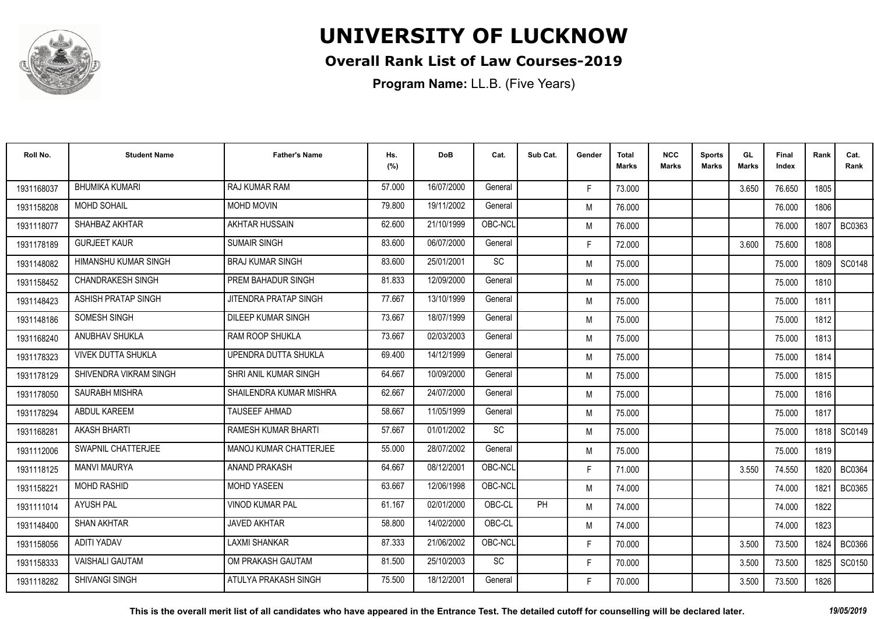

### **Overall Rank List of Law Courses-2019**

| Roll No.   | <b>Student Name</b>        | <b>Father's Name</b>    | Hs.<br>(%) | <b>DoB</b> | Cat.    | Sub Cat. | Gender | Total<br>Marks | <b>NCC</b><br>Marks | <b>Sports</b><br><b>Marks</b> | GL<br><b>Marks</b> | <b>Final</b><br>Index | Rank   | Cat.<br>Rank  |
|------------|----------------------------|-------------------------|------------|------------|---------|----------|--------|----------------|---------------------|-------------------------------|--------------------|-----------------------|--------|---------------|
| 1931168037 | <b>BHUMIKA KUMARI</b>      | RAJ KUMAR RAM           | 57.000     | 16/07/2000 | General |          | F.     | 73.000         |                     |                               | 3.650              | 76.650                | 1805   |               |
| 1931158208 | <b>MOHD SOHAIL</b>         | <b>MOHD MOVIN</b>       | 79.800     | 19/11/2002 | General |          | M      | 76.000         |                     |                               |                    | 76.000                | 1806   |               |
| 1931118077 | SHAHBAZ AKHTAR             | AKHTAR HUSSAIN          | 62.600     | 21/10/1999 | OBC-NCL |          | M      | 76.000         |                     |                               |                    | 76.000                | 1807   | <b>BC0363</b> |
| 1931178189 | <b>GURJEET KAUR</b>        | <b>SUMAIR SINGH</b>     | 83.600     | 06/07/2000 | General |          | F.     | 72.000         |                     |                               | 3.600              | 75.600                | 1808   |               |
| 1931148082 | HIMANSHU KUMAR SINGH       | <b>BRAJ KUMAR SINGH</b> | 83.600     | 25/01/2001 | SC      |          | M      | 75.000         |                     |                               |                    | 75.000                | 1809   | SC0148        |
| 1931158452 | <b>CHANDRAKESH SINGH</b>   | PREM BAHADUR SINGH      | 81.833     | 12/09/2000 | General |          | M      | 75.000         |                     |                               |                    | 75.000                | 1810   |               |
| 1931148423 | <b>ASHISH PRATAP SINGH</b> | JITENDRA PRATAP SINGH   | 77.667     | 13/10/1999 | General |          | M      | 75.000         |                     |                               |                    | 75.000                | 1811   |               |
| 1931148186 | <b>SOMESH SINGH</b>        | DILEEP KUMAR SINGH      | 73.667     | 18/07/1999 | General |          | M      | 75.000         |                     |                               |                    | 75.000                | 1812   |               |
| 1931168240 | ANUBHAV SHUKLA             | <b>RAM ROOP SHUKLA</b>  | 73.667     | 02/03/2003 | General |          | M      | 75.000         |                     |                               |                    | 75.000                | 1813   |               |
| 1931178323 | <b>VIVEK DUTTA SHUKLA</b>  | UPENDRA DUTTA SHUKLA    | 69.400     | 14/12/1999 | General |          | M      | 75.000         |                     |                               |                    | 75.000                | 1814   |               |
| 1931178129 | SHIVENDRA VIKRAM SINGH     | SHRI ANIL KUMAR SINGH   | 64.667     | 10/09/2000 | General |          | M      | 75.000         |                     |                               |                    | 75.000                | 1815   |               |
| 1931178050 | SAURABH MISHRA             | SHAILENDRA KUMAR MISHRA | 62.667     | 24/07/2000 | General |          | M      | 75.000         |                     |                               |                    | 75.000                | 1816   |               |
| 1931178294 | <b>ABDUL KAREEM</b>        | <b>TAUSEEF AHMAD</b>    | 58.667     | 11/05/1999 | General |          | M      | 75.000         |                     |                               |                    | 75.000                | 1817   |               |
| 1931168281 | <b>AKASH BHARTI</b>        | RAMESH KUMAR BHARTI     | 57.667     | 01/01/2002 | SC      |          | M      | 75.000         |                     |                               |                    | 75.000                | 1818   | <b>SC0149</b> |
| 1931112006 | SWAPNIL CHATTERJEE         | MANOJ KUMAR CHATTERJEE  | 55.000     | 28/07/2002 | General |          | M      | 75.000         |                     |                               |                    | 75.000                | 1819   |               |
| 1931118125 | <b>MANVI MAURYA</b>        | ANAND PRAKASH           | 64.667     | 08/12/2001 | OBC-NCL |          | F.     | 71.000         |                     |                               | 3.550              | 74.550                | 1820 I | <b>BC0364</b> |
| 1931158221 | <b>MOHD RASHID</b>         | <b>MOHD YASEEN</b>      | 63.667     | 12/06/1998 | OBC-NCL |          | M      | 74.000         |                     |                               |                    | 74.000                | 1821   | <b>BC0365</b> |
| 1931111014 | <b>AYUSH PAL</b>           | <b>VINOD KUMAR PAL</b>  | 61.167     | 02/01/2000 | OBC-CL  | PH       | M      | 74.000         |                     |                               |                    | 74.000                | 1822   |               |
| 1931148400 | <b>SHAN AKHTAR</b>         | <b>JAVED AKHTAR</b>     | 58.800     | 14/02/2000 | OBC-CL  |          | M      | 74.000         |                     |                               |                    | 74.000                | 1823   |               |
| 1931158056 | <b>ADITI YADAV</b>         | <b>LAXMI SHANKAR</b>    | 87.333     | 21/06/2002 | OBC-NCL |          | F.     | 70.000         |                     |                               | 3.500              | 73.500                | 1824   | <b>BC0366</b> |
| 1931158333 | <b>VAISHALI GAUTAM</b>     | OM PRAKASH GAUTAM       | 81.500     | 25/10/2003 | SC      |          | F.     | 70.000         |                     |                               | 3.500              | 73.500                | 1825   | SC0150        |
| 1931118282 | <b>SHIVANGI SINGH</b>      | ATULYA PRAKASH SINGH    | 75.500     | 18/12/2001 | General |          | F.     | 70.000         |                     |                               | 3.500              | 73.500                | 1826   |               |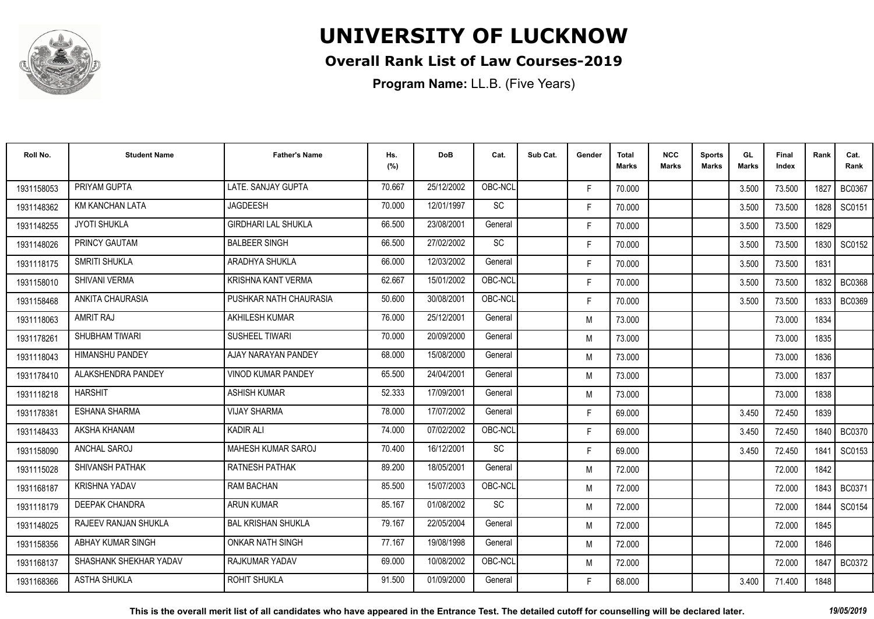

### **Overall Rank List of Law Courses-2019**

**Program Name:** LL.B. (Five Years)

| Roll No.   | <b>Student Name</b>    | <b>Father's Name</b>       | Hs.<br>(%) | <b>DoB</b> | Cat.                         | Sub Cat. | Gender | <b>Total</b><br><b>Marks</b> | <b>NCC</b><br>Marks | <b>Sports</b><br><b>Marks</b> | GL<br>Marks | <b>Final</b><br>Index | Rank   | Cat.<br>Rank  |
|------------|------------------------|----------------------------|------------|------------|------------------------------|----------|--------|------------------------------|---------------------|-------------------------------|-------------|-----------------------|--------|---------------|
| 1931158053 | PRIYAM GUPTA           | LATE. SANJAY GUPTA         | 70.667     | 25/12/2002 | OBC-NCL                      |          | F.     | 70.000                       |                     |                               | 3.500       | 73.500                | 1827   | <b>BC0367</b> |
| 1931148362 | <b>KM KANCHAN LATA</b> | <b>JAGDEESH</b>            | 70.000     | 12/01/1997 | $\operatorname{\textsf{SC}}$ |          | F.     | 70.000                       |                     |                               | 3.500       | 73.500                | 1828   | SC0151        |
| 1931148255 | <b>JYOTI SHUKLA</b>    | <b>GIRDHARI LAL SHUKLA</b> | 66.500     | 23/08/2001 | General                      |          | F.     | 70.000                       |                     |                               | 3.500       | 73.500                | 1829   |               |
| 1931148026 | PRINCY GAUTAM          | <b>BALBEER SINGH</b>       | 66.500     | 27/02/2002 | SC                           |          | F.     | 70.000                       |                     |                               | 3.500       | 73.500                | 1830   | SC0152        |
| 1931118175 | <b>SMRITI SHUKLA</b>   | ARADHYA SHUKLA             | 66.000     | 12/03/2002 | General                      |          | F.     | 70.000                       |                     |                               | 3.500       | 73.500                | 1831   |               |
| 1931158010 | <b>SHIVANI VERMA</b>   | KRISHNA KANT VERMA         | 62.667     | 15/01/2002 | OBC-NCL                      |          | F.     | 70.000                       |                     |                               | 3.500       | 73.500                | 1832   | <b>BC0368</b> |
| 1931158468 | ANKITA CHAURASIA       | PUSHKAR NATH CHAURASIA     | 50.600     | 30/08/2001 | OBC-NCL                      |          | F.     | 70.000                       |                     |                               | 3.500       | 73.500                | 1833   | BC0369        |
| 1931118063 | <b>AMRIT RAJ</b>       | AKHILESH KUMAR             | 76.000     | 25/12/2001 | General                      |          | M      | 73.000                       |                     |                               |             | 73.000                | 1834   |               |
| 1931178261 | SHUBHAM TIWARI         | <b>SUSHEEL TIWARI</b>      | 70.000     | 20/09/2000 | General                      |          | M      | 73.000                       |                     |                               |             | 73.000                | 1835   |               |
| 1931118043 | <b>HIMANSHU PANDEY</b> | AJAY NARAYAN PANDEY        | 68.000     | 15/08/2000 | General                      |          | M      | 73.000                       |                     |                               |             | 73,000                | 1836   |               |
| 1931178410 | ALAKSHENDRA PANDEY     | <b>VINOD KUMAR PANDEY</b>  | 65.500     | 24/04/2001 | General                      |          | M      | 73.000                       |                     |                               |             | 73.000                | 1837   |               |
| 1931118218 | <b>HARSHIT</b>         | <b>ASHISH KUMAR</b>        | 52.333     | 17/09/2001 | General                      |          | M      | 73.000                       |                     |                               |             | 73.000                | 1838   |               |
| 1931178381 | <b>ESHANA SHARMA</b>   | <b>VIJAY SHARMA</b>        | 78.000     | 17/07/2002 | General                      |          | F.     | 69.000                       |                     |                               | 3.450       | 72.450                | 1839   |               |
| 1931148433 | AKSHA KHANAM           | <b>KADIR ALI</b>           | 74.000     | 07/02/2002 | OBC-NCL                      |          | F.     | 69.000                       |                     |                               | 3.450       | 72.450                | 1840   | <b>BC0370</b> |
| 1931158090 | ANCHAL SAROJ           | MAHESH KUMAR SAROJ         | 70.400     | 16/12/2001 | <b>SC</b>                    |          | F.     | 69.000                       |                     |                               | 3.450       | 72.450                | 1841   | SC0153        |
| 1931115028 | <b>SHIVANSH PATHAK</b> | <b>RATNESH PATHAK</b>      | 89.200     | 18/05/2001 | General                      |          | M      | 72.000                       |                     |                               |             | 72.000                | 1842   |               |
| 1931168187 | <b>KRISHNA YADAV</b>   | <b>RAM BACHAN</b>          | 85.500     | 15/07/2003 | OBC-NCL                      |          | M      | 72.000                       |                     |                               |             | 72.000                | 1843 I | <b>BC0371</b> |
| 1931118179 | DEEPAK CHANDRA         | <b>ARUN KUMAR</b>          | 85.167     | 01/08/2002 | SC                           |          | M      | 72.000                       |                     |                               |             | 72.000                | 1844   | SC0154        |
| 1931148025 | RAJEEV RANJAN SHUKLA   | <b>BAL KRISHAN SHUKLA</b>  | 79.167     | 22/05/2004 | General                      |          | M      | 72.000                       |                     |                               |             | 72.000                | 1845   |               |
| 1931158356 | ABHAY KUMAR SINGH      | <b>ONKAR NATH SINGH</b>    | 77.167     | 19/08/1998 | General                      |          | M      | 72.000                       |                     |                               |             | 72.000                | 1846   |               |
| 1931168137 | SHASHANK SHEKHAR YADAV | <b>RAJKUMAR YADAV</b>      | 69.000     | 10/08/2002 | OBC-NCL                      |          | M      | 72.000                       |                     |                               |             | 72.000                | 1847   | <b>BC0372</b> |
| 1931168366 | <b>ASTHA SHUKLA</b>    | <b>ROHIT SHUKLA</b>        | 91.500     | 01/09/2000 | General                      |          | F.     | 68.000                       |                     |                               | 3.400       | 71.400                | 1848   |               |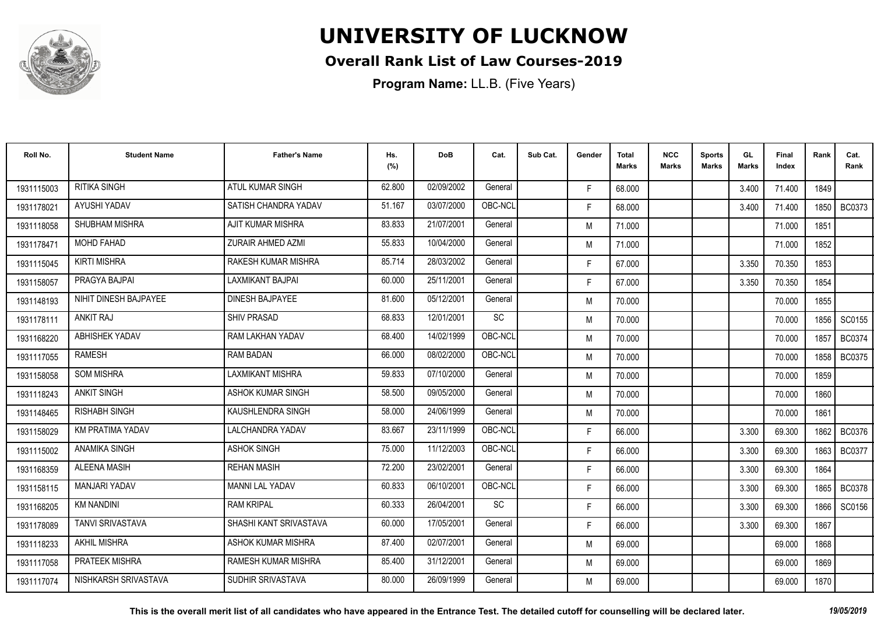

### **Overall Rank List of Law Courses-2019**

| Roll No.   | <b>Student Name</b>     | <b>Father's Name</b>       | Hs.<br>(%) | <b>DoB</b> | Cat.    | Sub Cat. | Gender | <b>Total</b><br><b>Marks</b> | <b>NCC</b><br><b>Marks</b> | <b>Sports</b><br><b>Marks</b> | GL<br><b>Marks</b> | <b>Final</b><br>Index | Rank   | Cat.<br>Rank  |
|------------|-------------------------|----------------------------|------------|------------|---------|----------|--------|------------------------------|----------------------------|-------------------------------|--------------------|-----------------------|--------|---------------|
| 1931115003 | <b>RITIKA SINGH</b>     | ATUL KUMAR SINGH           | 62.800     | 02/09/2002 | General |          | F.     | 68.000                       |                            |                               | 3.400              | 71.400                | 1849   |               |
| 1931178021 | AYUSHI YADAV            | SATISH CHANDRA YADAV       | 51.167     | 03/07/2000 | OBC-NCL |          | F.     | 68.000                       |                            |                               | 3.400              | 71.400                | 1850   | BC0373        |
| 1931118058 | <b>SHUBHAM MISHRA</b>   | AJIT KUMAR MISHRA          | 83.833     | 21/07/2001 | General |          | M      | 71.000                       |                            |                               |                    | 71.000                | 1851   |               |
| 1931178471 | MOHD FAHAD              | ZURAIR AHMED AZMI          | 55.833     | 10/04/2000 | General |          | M      | 71.000                       |                            |                               |                    | 71.000                | 1852   |               |
| 1931115045 | <b>KIRTI MISHRA</b>     | RAKESH KUMAR MISHRA        | 85.714     | 28/03/2002 | General |          | F.     | 67.000                       |                            |                               | 3.350              | 70.350                | 1853   |               |
| 1931158057 | PRAGYA BAJPAI           | <b>LAXMIKANT BAJPAI</b>    | 60.000     | 25/11/2001 | General |          | F.     | 67.000                       |                            |                               | 3.350              | 70.350                | 1854   |               |
| 1931148193 | NIHIT DINESH BAJPAYEE   | <b>DINESH BAJPAYEE</b>     | 81.600     | 05/12/2001 | General |          | M      | 70.000                       |                            |                               |                    | 70.000                | 1855   |               |
| 1931178111 | <b>ANKIT RAJ</b>        | <b>SHIV PRASAD</b>         | 68.833     | 12/01/2001 | SC      |          | M      | 70.000                       |                            |                               |                    | 70.000                |        | 1856   SC0155 |
| 1931168220 | <b>ABHISHEK YADAV</b>   | RAM LAKHAN YADAV           | 68.400     | 14/02/1999 | OBC-NCL |          | M      | 70.000                       |                            |                               |                    | 70,000                | 1857   | <b>BC0374</b> |
| 1931117055 | <b>RAMESH</b>           | <b>RAM BADAN</b>           | 66.000     | 08/02/2000 | OBC-NCL |          | M      | 70.000                       |                            |                               |                    | 70.000                | 1858   | BC0375        |
| 1931158058 | <b>SOM MISHRA</b>       | <b>LAXMIKANT MISHRA</b>    | 59.833     | 07/10/2000 | General |          | M      | 70.000                       |                            |                               |                    | 70.000                | 1859   |               |
| 1931118243 | <b>ANKIT SINGH</b>      | ASHOK KUMAR SINGH          | 58.500     | 09/05/2000 | General |          | M      | 70.000                       |                            |                               |                    | 70.000                | 1860   |               |
| 1931148465 | <b>RISHABH SINGH</b>    | KAUSHLENDRA SINGH          | 58.000     | 24/06/1999 | General |          | M      | 70.000                       |                            |                               |                    | 70.000                | 1861   |               |
| 1931158029 | KM PRATIMA YADAV        | <b>LALCHANDRA YADAV</b>    | 83.667     | 23/11/1999 | OBC-NCL |          | F.     | 66.000                       |                            |                               | 3.300              | 69.300                | 1862   | BC0376        |
| 1931115002 | <b>ANAMIKA SINGH</b>    | <b>ASHOK SINGH</b>         | 75.000     | 11/12/2003 | OBC-NCL |          | F.     | 66.000                       |                            |                               | 3.300              | 69.300                | 1863   | <b>BC0377</b> |
| 1931168359 | <b>ALEENA MASIH</b>     | <b>REHAN MASIH</b>         | 72.200     | 23/02/2001 | General |          | F.     | 66.000                       |                            |                               | 3.300              | 69.300                | 1864   |               |
| 1931158115 | <b>MANJARI YADAV</b>    | <b>MANNI LAL YADAV</b>     | 60.833     | 06/10/2001 | OBC-NCL |          | F.     | 66.000                       |                            |                               | 3.300              | 69.300                | 1865 I | <b>BC0378</b> |
| 1931168205 | <b>KM NANDINI</b>       | <b>RAM KRIPAL</b>          | 60.333     | 26/04/2001 | SC      |          | F.     | 66.000                       |                            |                               | 3.300              | 69.300                | 1866   | SC0156        |
| 1931178089 | <b>TANVI SRIVASTAVA</b> | SHASHI KANT SRIVASTAVA     | 60.000     | 17/05/2001 | General |          | F.     | 66.000                       |                            |                               | 3.300              | 69.300                | 1867   |               |
| 1931118233 | <b>AKHIL MISHRA</b>     | ASHOK KUMAR MISHRA         | 87.400     | 02/07/2001 | General |          | M      | 69.000                       |                            |                               |                    | 69.000                | 1868   |               |
| 1931117058 | <b>PRATEEK MISHRA</b>   | <b>RAMESH KUMAR MISHRA</b> | 85.400     | 31/12/2001 | General |          | M      | 69.000                       |                            |                               |                    | 69.000                | 1869   |               |
| 1931117074 | NISHKARSH SRIVASTAVA    | SUDHIR SRIVASTAVA          | 80.000     | 26/09/1999 | General |          | M      | 69.000                       |                            |                               |                    | 69.000                | 1870   |               |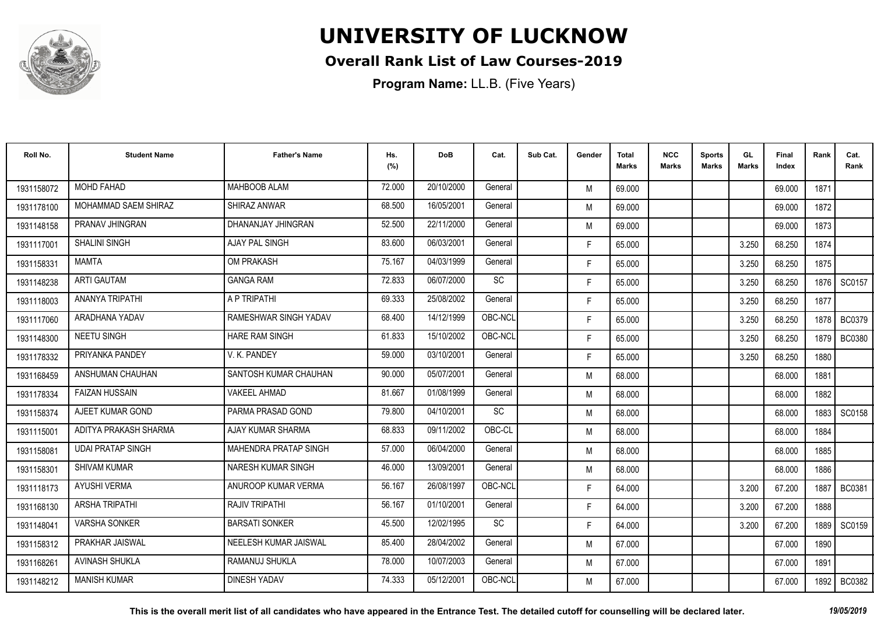

### **Overall Rank List of Law Courses-2019**

| Roll No.   | <b>Student Name</b>      | <b>Father's Name</b>      | Hs.<br>(%) | DoB        | Cat.      | Sub Cat. | Gender | <b>Total</b><br><b>Marks</b> | <b>NCC</b><br>Marks | <b>Sports</b><br><b>Marks</b> | GL<br><b>Marks</b> | Final<br>Index | Rank   | Cat.<br>Rank  |
|------------|--------------------------|---------------------------|------------|------------|-----------|----------|--------|------------------------------|---------------------|-------------------------------|--------------------|----------------|--------|---------------|
| 1931158072 | <b>MOHD FAHAD</b>        | MAHBOOB ALAM              | 72.000     | 20/10/2000 | General   |          | M      | 69.000                       |                     |                               |                    | 69.000         | 1871   |               |
| 1931178100 | MOHAMMAD SAEM SHIRAZ     | SHIRAZ ANWAR              | 68.500     | 16/05/2001 | General   |          | M      | 69.000                       |                     |                               |                    | 69.000         | 1872   |               |
| 1931148158 | PRANAV JHINGRAN          | DHANANJAY JHINGRAN        | 52.500     | 22/11/2000 | General   |          | M      | 69.000                       |                     |                               |                    | 69.000         | 1873   |               |
| 1931117001 | <b>SHALINI SINGH</b>     | AJAY PAL SINGH            | 83.600     | 06/03/2001 | General   |          | F.     | 65.000                       |                     |                               | 3.250              | 68.250         | 1874   |               |
| 1931158331 | MAMTA                    | <b>OM PRAKASH</b>         | 75.167     | 04/03/1999 | General   |          | F.     | 65.000                       |                     |                               | 3.250              | 68.250         | 1875   |               |
| 1931148238 | <b>ARTI GAUTAM</b>       | <b>GANGA RAM</b>          | 72.833     | 06/07/2000 | <b>SC</b> |          | F.     | 65.000                       |                     |                               | 3.250              | 68.250         | 1876   | SC0157        |
| 1931118003 | ANANYA TRIPATHI          | A P TRIPATHI              | 69.333     | 25/08/2002 | General   |          | F.     | 65.000                       |                     |                               | 3.250              | 68.250         | 1877   |               |
| 1931117060 | ARADHANA YADAV           | RAMESHWAR SINGH YADAV     | 68.400     | 14/12/1999 | OBC-NCL   |          | F.     | 65.000                       |                     |                               | 3.250              | 68.250         |        | 1878   BC0379 |
| 1931148300 | <b>NEETU SINGH</b>       | <b>HARE RAM SINGH</b>     | 61.833     | 15/10/2002 | OBC-NCL   |          | F.     | 65.000                       |                     |                               | 3.250              | 68.250         | 1879 I | <b>BC0380</b> |
| 1931178332 | PRIYANKA PANDEY          | V. K. PANDEY              | 59.000     | 03/10/2001 | General   |          | F.     | 65.000                       |                     |                               | 3.250              | 68.250         | 1880   |               |
| 1931168459 | ANSHUMAN CHAUHAN         | SANTOSH KUMAR CHAUHAN     | 90.000     | 05/07/2001 | General   |          | M      | 68.000                       |                     |                               |                    | 68.000         | 1881   |               |
| 1931178334 | <b>FAIZAN HUSSAIN</b>    | <b>VAKEEL AHMAD</b>       | 81.667     | 01/08/1999 | General   |          | M      | 68.000                       |                     |                               |                    | 68.000         | 1882   |               |
| 1931158374 | AJEET KUMAR GOND         | PARMA PRASAD GOND         | 79.800     | 04/10/2001 | SC        |          | M      | 68.000                       |                     |                               |                    | 68.000         | 1883   | SC0158        |
| 1931115001 | ADITYA PRAKASH SHARMA    | AJAY KUMAR SHARMA         | 68.833     | 09/11/2002 | OBC-CL    |          | M      | 68.000                       |                     |                               |                    | 68.000         | 1884   |               |
| 1931158081 | <b>UDAI PRATAP SINGH</b> | MAHENDRA PRATAP SINGH     | 57.000     | 06/04/2000 | General   |          | M      | 68.000                       |                     |                               |                    | 68.000         | 1885   |               |
| 1931158301 | <b>SHIVAM KUMAR</b>      | <b>NARESH KUMAR SINGH</b> | 46.000     | 13/09/2001 | General   |          | M      | 68.000                       |                     |                               |                    | 68.000         | 1886   |               |
| 1931118173 | <b>AYUSHI VERMA</b>      | ANUROOP KUMAR VERMA       | 56.167     | 26/08/1997 | OBC-NCL   |          | F.     | 64.000                       |                     |                               | 3.200              | 67.200         | 1887   | BC0381        |
| 1931168130 | <b>ARSHA TRIPATHI</b>    | <b>RAJIV TRIPATHI</b>     | 56.167     | 01/10/2001 | General   |          | F.     | 64.000                       |                     |                               | 3.200              | 67.200         | 1888   |               |
| 1931148041 | <b>VARSHA SONKER</b>     | <b>BARSATI SONKER</b>     | 45.500     | 12/02/1995 | <b>SC</b> |          | F.     | 64.000                       |                     |                               | 3.200              | 67.200         | 1889   | SC0159        |
| 1931158312 | PRAKHAR JAISWAL          | NEELESH KUMAR JAISWAL     | 85.400     | 28/04/2002 | General   |          | M      | 67.000                       |                     |                               |                    | 67.000         | 1890   |               |
| 1931168261 | <b>AVINASH SHUKLA</b>    | RAMANUJ SHUKLA            | 78.000     | 10/07/2003 | General   |          | M      | 67.000                       |                     |                               |                    | 67.000         | 1891   |               |
| 1931148212 | <b>MANISH KUMAR</b>      | <b>DINESH YADAV</b>       | 74.333     | 05/12/2001 | OBC-NCL   |          | M      | 67.000                       |                     |                               |                    | 67.000         | 1892   | <b>BC0382</b> |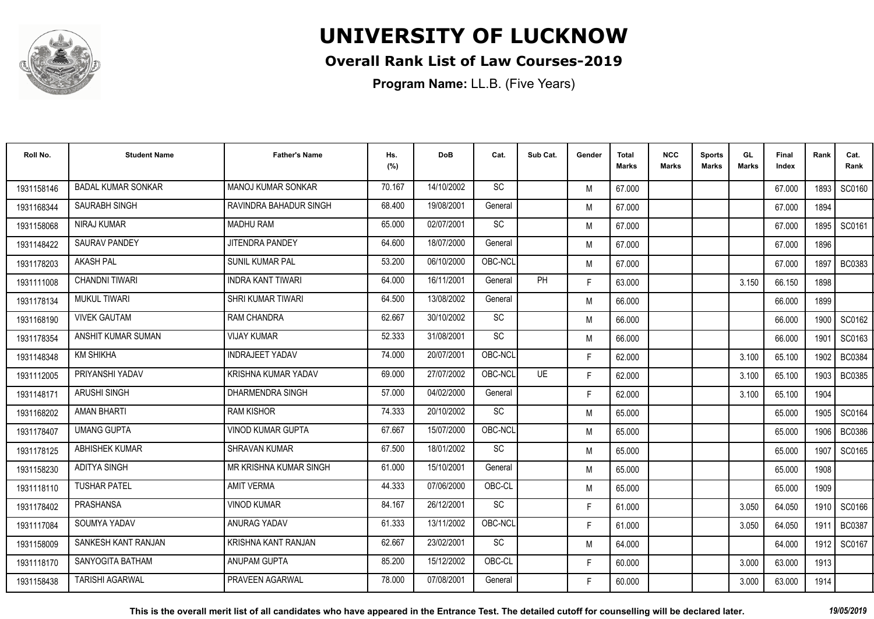

### **Overall Rank List of Law Courses-2019**

| Roll No.   | <b>Student Name</b>       | <b>Father's Name</b>     | Hs.<br>(%) | <b>DoB</b> | Cat.      | Sub Cat. | Gender | <b>Total</b><br><b>Marks</b> | <b>NCC</b><br>Marks | <b>Sports</b><br><b>Marks</b> | GL<br><b>Marks</b> | Final<br>Index | Rank   | Cat.<br>Rank  |
|------------|---------------------------|--------------------------|------------|------------|-----------|----------|--------|------------------------------|---------------------|-------------------------------|--------------------|----------------|--------|---------------|
| 1931158146 | <b>BADAL KUMAR SONKAR</b> | MANOJ KUMAR SONKAR       | 70.167     | 14/10/2002 | <b>SC</b> |          | M      | 67.000                       |                     |                               |                    | 67.000         | 1893   | SC0160        |
| 1931168344 | <b>SAURABH SINGH</b>      | RAVINDRA BAHADUR SINGH   | 68.400     | 19/08/2001 | General   |          | M      | 67.000                       |                     |                               |                    | 67.000         | 1894   |               |
| 1931158068 | <b>NIRAJ KUMAR</b>        | <b>MADHU RAM</b>         | 65.000     | 02/07/2001 | <b>SC</b> |          | M      | 67.000                       |                     |                               |                    | 67.000         | 1895   | SC0161        |
| 1931148422 | <b>SAURAV PANDEY</b>      | <b>JITENDRA PANDEY</b>   | 64.600     | 18/07/2000 | General   |          | M      | 67.000                       |                     |                               |                    | 67.000         | 1896   |               |
| 1931178203 | <b>AKASH PAL</b>          | <b>SUNIL KUMAR PAL</b>   | 53.200     | 06/10/2000 | OBC-NCL   |          | M      | 67.000                       |                     |                               |                    | 67.000         | 1897   | <b>BC0383</b> |
| 1931111008 | <b>CHANDNI TIWARI</b>     | <b>INDRA KANT TIWARI</b> | 64.000     | 16/11/2001 | General   | PH       | F.     | 63.000                       |                     |                               | 3.150              | 66.150         | 1898   |               |
| 1931178134 | <b>MUKUL TIWARI</b>       | <b>SHRI KUMAR TIWARI</b> | 64.500     | 13/08/2002 | General   |          | M      | 66.000                       |                     |                               |                    | 66.000         | 1899   |               |
| 1931168190 | <b>VIVEK GAUTAM</b>       | <b>RAM CHANDRA</b>       | 62.667     | 30/10/2002 | SC        |          | M      | 66.000                       |                     |                               |                    | 66.000         |        | 1900   SC0162 |
| 1931178354 | ANSHIT KUMAR SUMAN        | <b>VIJAY KUMAR</b>       | 52.333     | 31/08/2001 | <b>SC</b> |          | M      | 66.000                       |                     |                               |                    | 66.000         | 1901   | SC0163        |
| 1931148348 | <b>KM SHIKHA</b>          | <b>INDRAJEET YADAV</b>   | 74.000     | 20/07/2001 | OBC-NCL   |          | F.     | 62.000                       |                     |                               | 3.100              | 65.100         | 1902   | <b>BC0384</b> |
| 1931112005 | PRIYANSHI YADAV           | KRISHNA KUMAR YADAV      | 69.000     | 27/07/2002 | OBC-NCL   | UE       | F.     | 62.000                       |                     |                               | 3.100              | 65.100         | 1903 l | <b>BC0385</b> |
| 1931148171 | <b>ARUSHI SINGH</b>       | DHARMENDRA SINGH         | 57.000     | 04/02/2000 | General   |          | F.     | 62.000                       |                     |                               | 3.100              | 65.100         | 1904   |               |
| 1931168202 | <b>AMAN BHARTI</b>        | <b>RAM KISHOR</b>        | 74.333     | 20/10/2002 | <b>SC</b> |          | M      | 65.000                       |                     |                               |                    | 65.000         | 1905   | SC0164        |
| 1931178407 | <b>UMANG GUPTA</b>        | <b>VINOD KUMAR GUPTA</b> | 67.667     | 15/07/2000 | OBC-NCL   |          | M      | 65.000                       |                     |                               |                    | 65.000         | 1906   | <b>BC0386</b> |
| 1931178125 | <b>ABHISHEK KUMAR</b>     | <b>SHRAVAN KUMAR</b>     | 67.500     | 18/01/2002 | <b>SC</b> |          | M      | 65.000                       |                     |                               |                    | 65.000         | 1907   | SC0165        |
| 1931158230 | <b>ADITYA SINGH</b>       | MR KRISHNA KUMAR SINGH   | 61.000     | 15/10/2001 | General   |          | M      | 65.000                       |                     |                               |                    | 65.000         | 1908   |               |
| 1931118110 | <b>TUSHAR PATEL</b>       | <b>AMIT VERMA</b>        | 44.333     | 07/06/2000 | OBC-CL    |          | M      | 65.000                       |                     |                               |                    | 65.000         | 1909   |               |
| 1931178402 | PRASHANSA                 | <b>VINOD KUMAR</b>       | 84.167     | 26/12/2001 | SC        |          | F.     | 61.000                       |                     |                               | 3.050              | 64.050         | 1910   | SC0166        |
| 1931117084 | SOUMYA YADAV              | <b>ANURAG YADAV</b>      | 61.333     | 13/11/2002 | OBC-NCL   |          | F.     | 61.000                       |                     |                               | 3.050              | 64.050         | 1911   | <b>BC0387</b> |
| 1931158009 | SANKESH KANT RANJAN       | KRISHNA KANT RANJAN      | 62.667     | 23/02/2001 | <b>SC</b> |          | M      | 64.000                       |                     |                               |                    | 64.000         | 1912 l | SC0167        |
| 1931118170 | SANYOGITA BATHAM          | ANUPAM GUPTA             | 85.200     | 15/12/2002 | OBC-CL    |          | F.     | 60.000                       |                     |                               | 3.000              | 63.000         | 1913   |               |
| 1931158438 | <b>TARISHI AGARWAL</b>    | PRAVEEN AGARWAL          | 78.000     | 07/08/2001 | General   |          | F.     | 60.000                       |                     |                               | 3.000              | 63.000         | 1914   |               |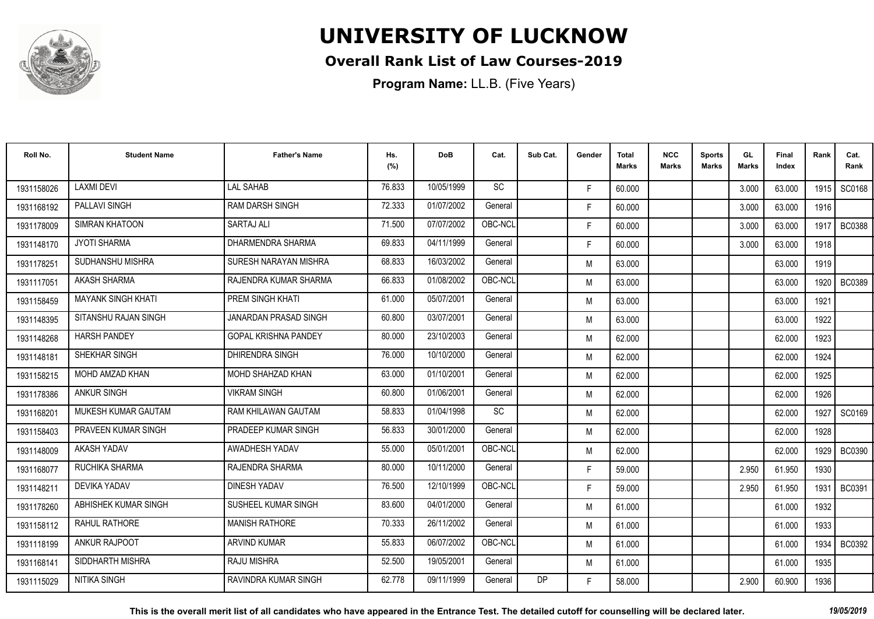

### **Overall Rank List of Law Courses-2019**

| Roll No.   | <b>Student Name</b>        | <b>Father's Name</b>         | Hs.<br>(%) | <b>DoB</b> | Cat.      | Sub Cat. | Gender | <b>Total</b><br><b>Marks</b> | <b>NCC</b><br>Marks | <b>Sports</b><br><b>Marks</b> | GL<br><b>Marks</b> | Final<br>Index | Rank   | Cat.<br>Rank  |
|------------|----------------------------|------------------------------|------------|------------|-----------|----------|--------|------------------------------|---------------------|-------------------------------|--------------------|----------------|--------|---------------|
| 1931158026 | <b>LAXMI DEVI</b>          | <b>LAL SAHAB</b>             | 76.833     | 10/05/1999 | <b>SC</b> |          | F.     | 60.000                       |                     |                               | 3.000              | 63.000         | 1915 l | SC0168        |
| 1931168192 | <b>PALLAVI SINGH</b>       | <b>RAM DARSH SINGH</b>       | 72.333     | 01/07/2002 | General   |          | F.     | 60.000                       |                     |                               | 3.000              | 63.000         | 1916   |               |
| 1931178009 | <b>SIMRAN KHATOON</b>      | <b>SARTAJ ALI</b>            | 71.500     | 07/07/2002 | OBC-NCL   |          | F.     | 60.000                       |                     |                               | 3.000              | 63.000         | 1917   | <b>BC0388</b> |
| 1931148170 | <b>JYOTI SHARMA</b>        | DHARMENDRA SHARMA            | 69.833     | 04/11/1999 | General   |          | F.     | 60.000                       |                     |                               | 3.000              | 63.000         | 1918   |               |
| 1931178251 | SUDHANSHU MISHRA           | SURESH NARAYAN MISHRA        | 68.833     | 16/03/2002 | General   |          | M      | 63.000                       |                     |                               |                    | 63.000         | 1919   |               |
| 1931117051 | AKASH SHARMA               | RAJENDRA KUMAR SHARMA        | 66.833     | 01/08/2002 | OBC-NCL   |          | M      | 63.000                       |                     |                               |                    | 63.000         | 1920   | <b>BC0389</b> |
| 1931158459 | <b>MAYANK SINGH KHATI</b>  | <b>PREM SINGH KHATI</b>      | 61.000     | 05/07/2001 | General   |          | M      | 63.000                       |                     |                               |                    | 63.000         | 1921   |               |
| 1931148395 | SITANSHU RAJAN SINGH       | <b>JANARDAN PRASAD SINGH</b> | 60.800     | 03/07/2001 | General   |          | M      | 63.000                       |                     |                               |                    | 63.000         | 1922   |               |
| 1931148268 | <b>HARSH PANDEY</b>        | <b>GOPAL KRISHNA PANDEY</b>  | 80.000     | 23/10/2003 | General   |          | M      | 62.000                       |                     |                               |                    | 62.000         | 1923   |               |
| 1931148181 | SHEKHAR SINGH              | DHIRENDRA SINGH              | 76.000     | 10/10/2000 | General   |          | M      | 62.000                       |                     |                               |                    | 62.000         | 1924   |               |
| 1931158215 | MOHD AMZAD KHAN            | MOHD SHAHZAD KHAN            | 63.000     | 01/10/2001 | General   |          | M      | 62.000                       |                     |                               |                    | 62.000         | 1925   |               |
| 1931178386 | <b>ANKUR SINGH</b>         | <b>VIKRAM SINGH</b>          | 60.800     | 01/06/2001 | General   |          | M      | 62.000                       |                     |                               |                    | 62.000         | 1926   |               |
| 1931168201 | <b>MUKESH KUMAR GAUTAM</b> | RAM KHILAWAN GAUTAM          | 58.833     | 01/04/1998 | SC        |          | M      | 62.000                       |                     |                               |                    | 62.000         | 1927   | SC0169        |
| 1931158403 | PRAVEEN KUMAR SINGH        | PRADEEP KUMAR SINGH          | 56.833     | 30/01/2000 | General   |          | M      | 62.000                       |                     |                               |                    | 62.000         | 1928   |               |
| 1931148009 | AKASH YADAV                | AWADHESH YADAV               | 55.000     | 05/01/2001 | OBC-NCL   |          | M      | 62.000                       |                     |                               |                    | 62.000         |        | 1929   BC0390 |
| 1931168077 | RUCHIKA SHARMA             | RAJENDRA SHARMA              | 80.000     | 10/11/2000 | General   |          | F.     | 59.000                       |                     |                               | 2.950              | 61.950         | 1930   |               |
| 1931148211 | <b>DEVIKA YADAV</b>        | <b>DINESH YADAV</b>          | 76.500     | 12/10/1999 | OBC-NCL   |          | F.     | 59.000                       |                     |                               | 2.950              | 61.950         | 1931   | <b>BC0391</b> |
| 1931178260 | ABHISHEK KUMAR SINGH       | SUSHEEL KUMAR SINGH          | 83.600     | 04/01/2000 | General   |          | M      | 61.000                       |                     |                               |                    | 61.000         | 1932   |               |
| 1931158112 | <b>RAHUL RATHORE</b>       | <b>MANISH RATHORE</b>        | 70.333     | 26/11/2002 | General   |          | M      | 61.000                       |                     |                               |                    | 61.000         | 1933   |               |
| 1931118199 | <b>ANKUR RAJPOOT</b>       | <b>ARVIND KUMAR</b>          | 55.833     | 06/07/2002 | OBC-NCL   |          | M      | 61.000                       |                     |                               |                    | 61.000         | 1934   | <b>BC0392</b> |
| 1931168141 | SIDDHARTH MISHRA           | <b>RAJU MISHRA</b>           | 52.500     | 19/05/2001 | General   |          | M      | 61.000                       |                     |                               |                    | 61.000         | 1935   |               |
| 1931115029 | NITIKA SINGH               | RAVINDRA KUMAR SINGH         | 62.778     | 09/11/1999 | General   | DP       | F      | 58.000                       |                     |                               | 2.900              | 60.900         | 1936   |               |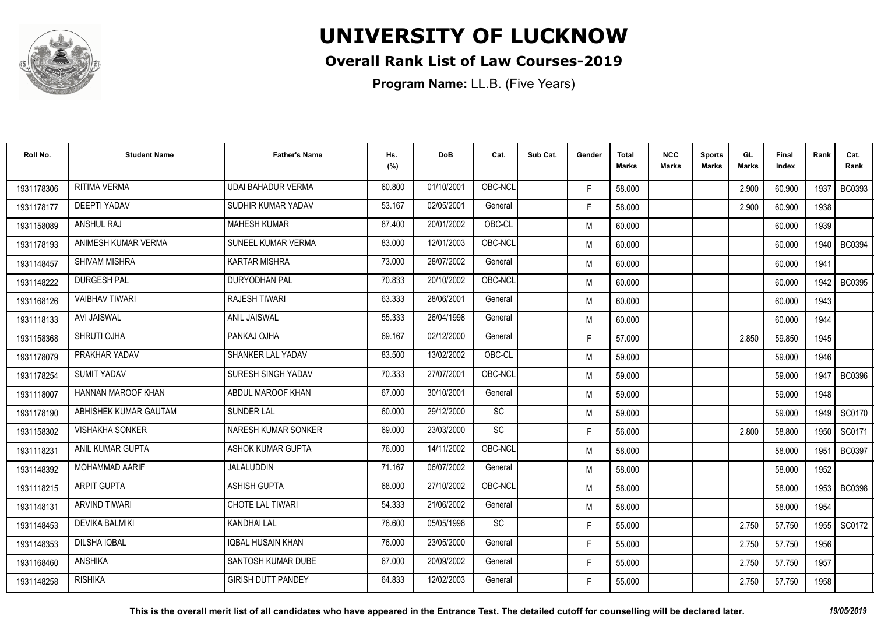

### **Overall Rank List of Law Courses-2019**

| Roll No.   | <b>Student Name</b>    | <b>Father's Name</b>      | Hs.<br>(%) | <b>DoB</b> | Cat.      | Sub Cat. | Gender | <b>Total</b><br><b>Marks</b> | <b>NCC</b><br><b>Marks</b> | <b>Sports</b><br><b>Marks</b> | GL<br><b>Marks</b> | <b>Final</b><br>Index | Rank | Cat.<br>Rank  |
|------------|------------------------|---------------------------|------------|------------|-----------|----------|--------|------------------------------|----------------------------|-------------------------------|--------------------|-----------------------|------|---------------|
| 1931178306 | <b>RITIMA VERMA</b>    | <b>UDAI BAHADUR VERMA</b> | 60.800     | 01/10/2001 | OBC-NCL   |          | F.     | 58,000                       |                            |                               | 2.900              | 60.900                | 1937 | <b>BC0393</b> |
| 1931178177 | <b>DEEPTI YADAV</b>    | SUDHIR KUMAR YADAV        | 53.167     | 02/05/2001 | General   |          | F.     | 58.000                       |                            |                               | 2.900              | 60.900                | 1938 |               |
| 1931158089 | <b>ANSHUL RAJ</b>      | <b>MAHESH KUMAR</b>       | 87.400     | 20/01/2002 | OBC-CL    |          | M      | 60.000                       |                            |                               |                    | 60.000                | 1939 |               |
| 1931178193 | ANIMESH KUMAR VERMA    | SUNEEL KUMAR VERMA        | 83.000     | 12/01/2003 | OBC-NCL   |          | M      | 60.000                       |                            |                               |                    | 60.000                | 1940 | <b>BC0394</b> |
| 1931148457 | <b>SHIVAM MISHRA</b>   | <b>KARTAR MISHRA</b>      | 73.000     | 28/07/2002 | General   |          | M      | 60.000                       |                            |                               |                    | 60.000                | 1941 |               |
| 1931148222 | <b>DURGESH PAL</b>     | <b>DURYODHAN PAL</b>      | 70.833     | 20/10/2002 | OBC-NCL   |          | M      | 60.000                       |                            |                               |                    | 60.000                | 1942 | BC0395        |
| 1931168126 | <b>VAIBHAV TIWARI</b>  | <b>RAJESH TIWARI</b>      | 63.333     | 28/06/2001 | General   |          | M      | 60.000                       |                            |                               |                    | 60.000                | 1943 |               |
| 1931118133 | <b>AVI JAISWAL</b>     | <b>ANIL JAISWAL</b>       | 55.333     | 26/04/1998 | General   |          | M      | 60.000                       |                            |                               |                    | 60.000                | 1944 |               |
| 1931158368 | SHRUTI OJHA            | PANKAJ OJHA               | 69.167     | 02/12/2000 | General   |          | F.     | 57.000                       |                            |                               | 2.850              | 59.850                | 1945 |               |
| 1931178079 | PRAKHAR YADAV          | SHANKER LAL YADAV         | 83.500     | 13/02/2002 | OBC-CL    |          | M      | 59.000                       |                            |                               |                    | 59.000                | 1946 |               |
| 1931178254 | <b>SUMIT YADAV</b>     | SURESH SINGH YADAV        | 70.333     | 27/07/2001 | OBC-NCL   |          | M      | 59.000                       |                            |                               |                    | 59.000                | 1947 | <b>BC0396</b> |
| 1931118007 | HANNAN MAROOF KHAN     | ABDUL MAROOF KHAN         | 67.000     | 30/10/2001 | General   |          | M      | 59.000                       |                            |                               |                    | 59.000                | 1948 |               |
| 1931178190 | ABHISHEK KUMAR GAUTAM  | <b>SUNDER LAL</b>         | 60.000     | 29/12/2000 | SC        |          | M      | 59.000                       |                            |                               |                    | 59.000                | 1949 | SC0170        |
| 1931158302 | <b>VISHAKHA SONKER</b> | NARESH KUMAR SONKER       | 69.000     | 23/03/2000 | SC        |          | F.     | 56.000                       |                            |                               | 2.800              | 58.800                | 1950 | SC0171        |
| 1931118231 | ANIL KUMAR GUPTA       | ASHOK KUMAR GUPTA         | 76.000     | 14/11/2002 | OBC-NCL   |          | M      | 58.000                       |                            |                               |                    | 58.000                | 1951 | <b>BC0397</b> |
| 1931148392 | <b>MOHAMMAD AARIF</b>  | <b>JALALUDDIN</b>         | 71.167     | 06/07/2002 | General   |          | M      | 58.000                       |                            |                               |                    | 58.000                | 1952 |               |
| 1931118215 | ARPIT GUPTA            | <b>ASHISH GUPTA</b>       | 68.000     | 27/10/2002 | OBC-NCL   |          | M      | 58,000                       |                            |                               |                    | 58.000                |      | 1953   BC0398 |
| 1931148131 | <b>ARVIND TIWARI</b>   | <b>CHOTE LAL TIWARI</b>   | 54.333     | 21/06/2002 | General   |          | M      | 58.000                       |                            |                               |                    | 58.000                | 1954 |               |
| 1931148453 | <b>DEVIKA BALMIKI</b>  | <b>KANDHAI LAL</b>        | 76.600     | 05/05/1998 | <b>SC</b> |          | F.     | 55.000                       |                            |                               | 2.750              | 57.750                | 1955 | SC0172        |
| 1931148353 | <b>DILSHA IQBAL</b>    | <b>IQBAL HUSAIN KHAN</b>  | 76.000     | 23/05/2000 | General   |          | F.     | 55.000                       |                            |                               | 2.750              | 57.750                | 1956 |               |
| 1931168460 | <b>ANSHIKA</b>         | SANTOSH KUMAR DUBE        | 67.000     | 20/09/2002 | General   |          | F.     | 55.000                       |                            |                               | 2.750              | 57.750                | 1957 |               |
| 1931148258 | <b>RISHIKA</b>         | <b>GIRISH DUTT PANDEY</b> | 64.833     | 12/02/2003 | General   |          | F.     | 55.000                       |                            |                               | 2.750              | 57.750                | 1958 |               |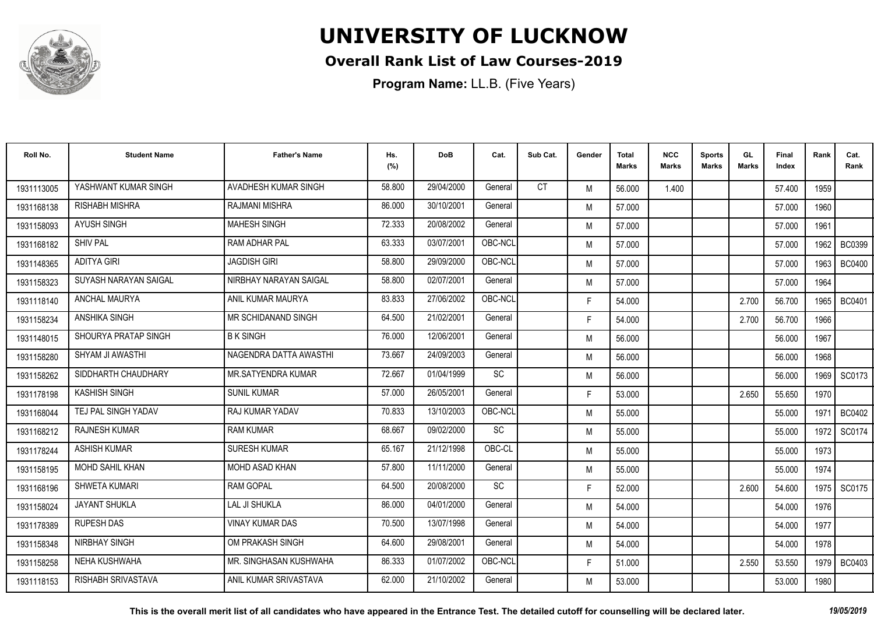

### **Overall Rank List of Law Courses-2019**

| Roll No.   | <b>Student Name</b>   | <b>Father's Name</b>   | Hs.<br>(%) | <b>DoB</b> | Cat.      | Sub Cat.  | Gender | <b>Total</b><br><b>Marks</b> | <b>NCC</b><br>Marks | <b>Sports</b><br><b>Marks</b> | GL<br><b>Marks</b> | Final<br>Index | Rank   | Cat.<br>Rank  |
|------------|-----------------------|------------------------|------------|------------|-----------|-----------|--------|------------------------------|---------------------|-------------------------------|--------------------|----------------|--------|---------------|
| 1931113005 | YASHWANT KUMAR SINGH  | AVADHESH KUMAR SINGH   | 58.800     | 29/04/2000 | General   | <b>CT</b> | M      | 56.000                       | 1.400               |                               |                    | 57.400         | 1959   |               |
| 1931168138 | <b>RISHABH MISHRA</b> | <b>RAJMANI MISHRA</b>  | 86.000     | 30/10/2001 | General   |           | M      | 57.000                       |                     |                               |                    | 57.000         | 1960   |               |
| 1931158093 | <b>AYUSH SINGH</b>    | <b>MAHESH SINGH</b>    | 72.333     | 20/08/2002 | General   |           | M      | 57.000                       |                     |                               |                    | 57.000         | 1961   |               |
| 1931168182 | <b>SHIV PAL</b>       | RAM ADHAR PAL          | 63.333     | 03/07/2001 | OBC-NCL   |           | M      | 57.000                       |                     |                               |                    | 57.000         | 1962   | <b>BC0399</b> |
| 1931148365 | <b>ADITYA GIRI</b>    | <b>JAGDISH GIRI</b>    | 58.800     | 29/09/2000 | OBC-NCL   |           | M      | 57.000                       |                     |                               |                    | 57.000         | 1963   | <b>BC0400</b> |
| 1931158323 | SUYASH NARAYAN SAIGAL | NIRBHAY NARAYAN SAIGAL | 58.800     | 02/07/2001 | General   |           | M      | 57.000                       |                     |                               |                    | 57.000         | 1964   |               |
| 1931118140 | <b>ANCHAL MAURYA</b>  | ANIL KUMAR MAURYA      | 83.833     | 27/06/2002 | OBC-NCL   |           | F.     | 54.000                       |                     |                               | 2.700              | 56.700         | 1965   | <b>BC0401</b> |
| 1931158234 | <b>ANSHIKA SINGH</b>  | MR SCHIDANAND SINGH    | 64.500     | 21/02/2001 | General   |           | F.     | 54.000                       |                     |                               | 2.700              | 56.700         | 1966   |               |
| 1931148015 | SHOURYA PRATAP SINGH  | <b>BK SINGH</b>        | 76.000     | 12/06/2001 | General   |           | M      | 56.000                       |                     |                               |                    | 56.000         | 1967   |               |
| 1931158280 | SHYAM JI AWASTHI      | NAGENDRA DATTA AWASTHI | 73.667     | 24/09/2003 | General   |           | M      | 56.000                       |                     |                               |                    | 56.000         | 1968   |               |
| 1931158262 | SIDDHARTH CHAUDHARY   | MR.SATYENDRA KUMAR     | 72.667     | 01/04/1999 | SC        |           | M      | 56.000                       |                     |                               |                    | 56.000         | 1969 l | SC0173        |
| 1931178198 | <b>KASHISH SINGH</b>  | <b>SUNIL KUMAR</b>     | 57.000     | 26/05/2001 | General   |           | F.     | 53.000                       |                     |                               | 2.650              | 55.650         | 1970   |               |
| 1931168044 | TEJ PAL SINGH YADAV   | <b>RAJ KUMAR YADAV</b> | 70.833     | 13/10/2003 | OBC-NCL   |           | M      | 55.000                       |                     |                               |                    | 55.000         | 1971   | <b>BC0402</b> |
| 1931168212 | <b>RAJNESH KUMAR</b>  | <b>RAM KUMAR</b>       | 68.667     | 09/02/2000 | SC        |           | M      | 55.000                       |                     |                               |                    | 55.000         | 1972   | SC0174        |
| 1931178244 | <b>ASHISH KUMAR</b>   | <b>SURESH KUMAR</b>    | 65.167     | 21/12/1998 | OBC-CL    |           | M      | 55.000                       |                     |                               |                    | 55.000         | 1973   |               |
| 1931158195 | MOHD SAHIL KHAN       | MOHD ASAD KHAN         | 57.800     | 11/11/2000 | General   |           | M      | 55.000                       |                     |                               |                    | 55.000         | 1974   |               |
| 1931168196 | SHWETA KUMARI         | <b>RAM GOPAL</b>       | 64.500     | 20/08/2000 | <b>SC</b> |           | F.     | 52.000                       |                     |                               | 2.600              | 54.600         | 1975 I | SC0175        |
| 1931158024 | <b>JAYANT SHUKLA</b>  | <b>LAL JI SHUKLA</b>   | 86.000     | 04/01/2000 | General   |           | M      | 54.000                       |                     |                               |                    | 54.000         | 1976   |               |
| 1931178389 | <b>RUPESH DAS</b>     | <b>VINAY KUMAR DAS</b> | 70.500     | 13/07/1998 | General   |           | M      | 54.000                       |                     |                               |                    | 54.000         | 1977   |               |
| 1931158348 | <b>NIRBHAY SINGH</b>  | OM PRAKASH SINGH       | 64.600     | 29/08/2001 | General   |           | M      | 54.000                       |                     |                               |                    | 54.000         | 1978   |               |
| 1931158258 | NEHA KUSHWAHA         | MR. SINGHASAN KUSHWAHA | 86.333     | 01/07/2002 | OBC-NCL   |           | F.     | 51.000                       |                     |                               | 2.550              | 53.550         | 1979   | <b>BC0403</b> |
| 1931118153 | RISHABH SRIVASTAVA    | ANIL KUMAR SRIVASTAVA  | 62.000     | 21/10/2002 | General   |           | M      | 53.000                       |                     |                               |                    | 53.000         | 1980   |               |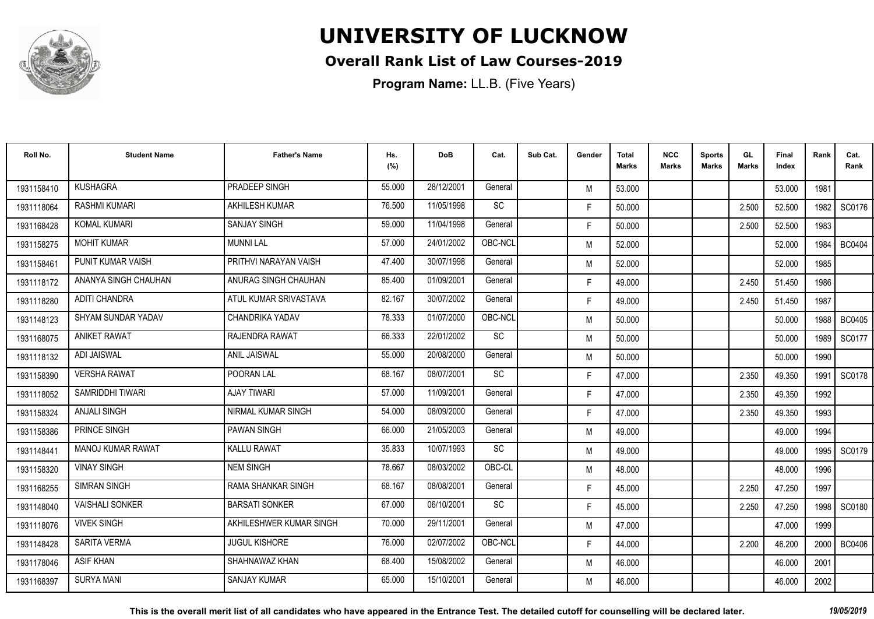

### **Overall Rank List of Law Courses-2019**

**Program Name:** LL.B. (Five Years)

| Roll No.   | <b>Student Name</b>      | <b>Father's Name</b>      | Hs.<br>(%) | <b>DoB</b> | Cat.      | Sub Cat. | Gender | <b>Total</b><br><b>Marks</b> | <b>NCC</b><br><b>Marks</b> | <b>Sports</b><br><b>Marks</b> | GL<br><b>Marks</b> | <b>Final</b><br>Index | Rank   | Cat.<br>Rank  |
|------------|--------------------------|---------------------------|------------|------------|-----------|----------|--------|------------------------------|----------------------------|-------------------------------|--------------------|-----------------------|--------|---------------|
| 1931158410 | <b>KUSHAGRA</b>          | PRADEEP SINGH             | 55.000     | 28/12/2001 | General   |          | M      | 53.000                       |                            |                               |                    | 53.000                | 1981   |               |
| 1931118064 | <b>RASHMI KUMARI</b>     | <b>AKHILESH KUMAR</b>     | 76.500     | 11/05/1998 | <b>SC</b> |          | F.     | 50.000                       |                            |                               | 2.500              | 52.500                | 1982   | SC0176        |
| 1931168428 | <b>KOMAL KUMARI</b>      | <b>SANJAY SINGH</b>       | 59.000     | 11/04/1998 | General   |          | F.     | 50.000                       |                            |                               | 2.500              | 52.500                | 1983   |               |
| 1931158275 | <b>MOHIT KUMAR</b>       | <b>MUNNI LAL</b>          | 57.000     | 24/01/2002 | OBC-NCL   |          | M      | 52.000                       |                            |                               |                    | 52.000                | 1984   | <b>BC0404</b> |
| 1931158461 | PUNIT KUMAR VAISH        | PRITHVI NARAYAN VAISH     | 47.400     | 30/07/1998 | General   |          | M      | 52.000                       |                            |                               |                    | 52.000                | 1985   |               |
| 1931118172 | ANANYA SINGH CHAUHAN     | ANURAG SINGH CHAUHAN      | 85.400     | 01/09/2001 | General   |          | F.     | 49.000                       |                            |                               | 2.450              | 51.450                | 1986   |               |
| 1931118280 | <b>ADITI CHANDRA</b>     | ATUL KUMAR SRIVASTAVA     | 82.167     | 30/07/2002 | General   |          | F.     | 49.000                       |                            |                               | 2.450              | 51.450                | 1987   |               |
| 1931148123 | SHYAM SUNDAR YADAV       | CHANDRIKA YADAV           | 78.333     | 01/07/2000 | OBC-NCL   |          | M      | 50.000                       |                            |                               |                    | 50.000                |        | 1988   BC0405 |
| 1931168075 | <b>ANIKET RAWAT</b>      | RAJENDRA RAWAT            | 66.333     | 22/01/2002 | SC        |          | M      | 50.000                       |                            |                               |                    | 50,000                | 1989 l | SC0177        |
| 1931118132 | <b>ADI JAISWAL</b>       | <b>ANIL JAISWAL</b>       | 55.000     | 20/08/2000 | General   |          | M      | 50.000                       |                            |                               |                    | 50.000                | 1990   |               |
| 1931158390 | <b>VERSHA RAWAT</b>      | POORAN LAL                | 68.167     | 08/07/2001 | SC        |          | F.     | 47.000                       |                            |                               | 2.350              | 49.350                | 1991   | SC0178        |
| 1931118052 | SAMRIDDHI TIWARI         | <b>AJAY TIWARI</b>        | 57.000     | 11/09/2001 | General   |          | F.     | 47.000                       |                            |                               | 2.350              | 49.350                | 1992   |               |
| 1931158324 | <b>ANJALI SINGH</b>      | NIRMAL KUMAR SINGH        | 54.000     | 08/09/2000 | General   |          | F.     | 47.000                       |                            |                               | 2.350              | 49.350                | 1993   |               |
| 1931158386 | <b>PRINCE SINGH</b>      | <b>PAWAN SINGH</b>        | 66.000     | 21/05/2003 | General   |          | M      | 49.000                       |                            |                               |                    | 49.000                | 1994   |               |
| 1931148441 | <b>MANOJ KUMAR RAWAT</b> | <b>KALLU RAWAT</b>        | 35.833     | 10/07/1993 | <b>SC</b> |          | M      | 49.000                       |                            |                               |                    | 49.000                | 1995   | SC0179        |
| 1931158320 | <b>VINAY SINGH</b>       | <b>NEM SINGH</b>          | 78.667     | 08/03/2002 | OBC-CL    |          | M      | 48.000                       |                            |                               |                    | 48.000                | 1996   |               |
| 1931168255 | <b>SIMRAN SINGH</b>      | <b>RAMA SHANKAR SINGH</b> | 68.167     | 08/08/2001 | General   |          | F.     | 45.000                       |                            |                               | 2.250              | 47.250                | 1997   |               |
| 1931148040 | <b>VAISHALI SONKER</b>   | <b>BARSATI SONKER</b>     | 67.000     | 06/10/2001 | <b>SC</b> |          | F.     | 45.000                       |                            |                               | 2.250              | 47.250                | 1998   | SC0180        |
| 1931118076 | <b>VIVEK SINGH</b>       | AKHILESHWER KUMAR SINGH   | 70.000     | 29/11/2001 | General   |          | M      | 47.000                       |                            |                               |                    | 47.000                | 1999   |               |
| 1931148428 | <b>SARITA VERMA</b>      | <b>JUGUL KISHORE</b>      | 76.000     | 02/07/2002 | OBC-NCL   |          | F.     | 44.000                       |                            |                               | 2.200              | 46.200                | 2000   | BC0406        |
| 1931178046 | <b>ASIF KHAN</b>         | SHAHNAWAZ KHAN            | 68.400     | 15/08/2002 | General   |          | M      | 46.000                       |                            |                               |                    | 46.000                | 2001   |               |
| 1931168397 | <b>SURYA MANI</b>        | <b>SANJAY KUMAR</b>       | 65.000     | 15/10/2001 | General   |          | M      | 46.000                       |                            |                               |                    | 46.000                | 2002   |               |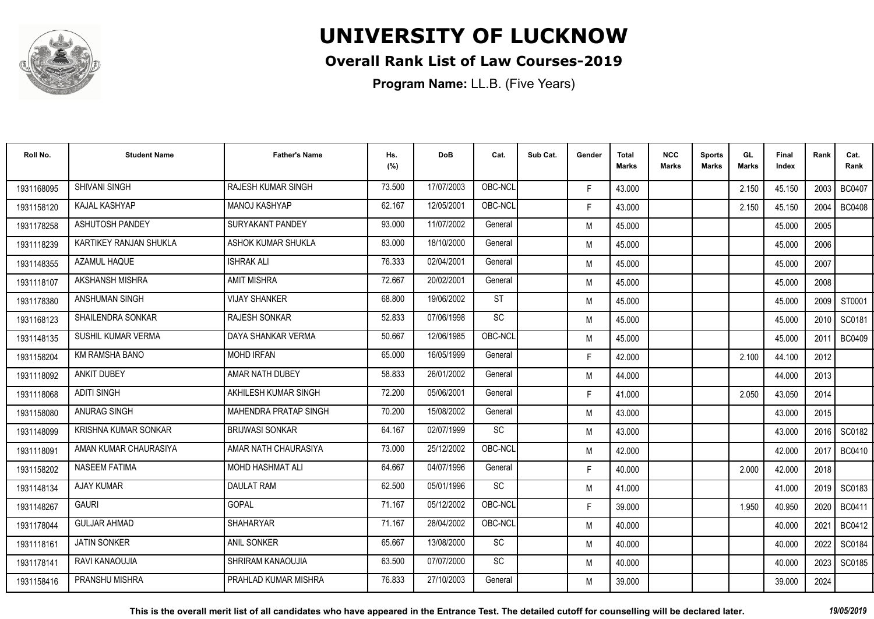

### **Overall Rank List of Law Courses-2019**

**Program Name:** LL.B. (Five Years)

| Roll No.   | <b>Student Name</b>      | <b>Father's Name</b>         | Hs.<br>(%) | <b>DoB</b> | Cat.      | Sub Cat. | Gender | Total<br>Marks | <b>NCC</b><br>Marks | <b>Sports</b><br><b>Marks</b> | GL<br><b>Marks</b> | <b>Final</b><br>Index | Rank | Cat.<br>Rank  |
|------------|--------------------------|------------------------------|------------|------------|-----------|----------|--------|----------------|---------------------|-------------------------------|--------------------|-----------------------|------|---------------|
| 1931168095 | <b>SHIVANI SINGH</b>     | <b>RAJESH KUMAR SINGH</b>    | 73.500     | 17/07/2003 | OBC-NCI   |          | F.     | 43.000         |                     |                               | 2.150              | 45.150                | 2003 | <b>BC0407</b> |
| 1931158120 | KAJAL KASHYAP            | <b>MANOJ KASHYAP</b>         | 62.167     | 12/05/2001 | OBC-NCL   |          | F.     | 43.000         |                     |                               | 2.150              | 45.150                | 2004 | <b>BC0408</b> |
| 1931178258 | <b>ASHUTOSH PANDEY</b>   | SURYAKANT PANDEY             | 93.000     | 11/07/2002 | General   |          | M      | 45.000         |                     |                               |                    | 45.000                | 2005 |               |
| 1931118239 | KARTIKEY RANJAN SHUKLA   | ASHOK KUMAR SHUKLA           | 83.000     | 18/10/2000 | General   |          | M      | 45.000         |                     |                               |                    | 45.000                | 2006 |               |
| 1931148355 | AZAMUL HAQUE             | <b>ISHRAK ALI</b>            | 76.333     | 02/04/2001 | General   |          | M      | 45.000         |                     |                               |                    | 45.000                | 2007 |               |
| 1931118107 | AKSHANSH MISHRA          | <b>AMIT MISHRA</b>           | 72.667     | 20/02/2001 | General   |          | M      | 45.000         |                     |                               |                    | 45.000                | 2008 |               |
| 1931178380 | ANSHUMAN SINGH           | <b>VIJAY SHANKER</b>         | 68.800     | 19/06/2002 | <b>ST</b> |          | M      | 45.000         |                     |                               |                    | 45.000                | 2009 | ST0001        |
| 1931168123 | <b>SHAILENDRA SONKAR</b> | <b>RAJESH SONKAR</b>         | 52.833     | 07/06/1998 | <b>SC</b> |          | M      | 45.000         |                     |                               |                    | 45.000                | 2010 | SC0181        |
| 1931148135 | SUSHIL KUMAR VERMA       | DAYA SHANKAR VERMA           | 50.667     | 12/06/1985 | OBC-NCL   |          | M      | 45.000         |                     |                               |                    | 45.000                | 2011 | <b>BC0409</b> |
| 1931158204 | KM RAMSHA BANO           | <b>MOHD IRFAN</b>            | 65.000     | 16/05/1999 | General   |          | F.     | 42.000         |                     |                               | 2.100              | 44.100                | 2012 |               |
| 1931118092 | <b>ANKIT DUBEY</b>       | AMAR NATH DUBEY              | 58.833     | 26/01/2002 | General   |          | M      | 44.000         |                     |                               |                    | 44.000                | 2013 |               |
| 1931118068 | <b>ADITI SINGH</b>       | AKHILESH KUMAR SINGH         | 72.200     | 05/06/2001 | General   |          | F.     | 41.000         |                     |                               | 2.050              | 43.050                | 2014 |               |
| 1931158080 | <b>ANURAG SINGH</b>      | <b>MAHENDRA PRATAP SINGH</b> | 70.200     | 15/08/2002 | General   |          | M      | 43.000         |                     |                               |                    | 43.000                | 2015 |               |
| 1931148099 | KRISHNA KUMAR SONKAR     | <b>BRIJWASI SONKAR</b>       | 64.167     | 02/07/1999 | SC        |          | M      | 43.000         |                     |                               |                    | 43.000                | 2016 | SC0182        |
| 1931118091 | AMAN KUMAR CHAURASIYA    | AMAR NATH CHAURASIYA         | 73.000     | 25/12/2002 | OBC-NCL   |          | M      | 42.000         |                     |                               |                    | 42.000                | 2017 | <b>BC0410</b> |
| 1931158202 | <b>NASEEM FATIMA</b>     | <b>MOHD HASHMAT ALI</b>      | 64.667     | 04/07/1996 | General   |          | F.     | 40.000         |                     |                               | 2.000              | 42.000                | 2018 |               |
| 1931148134 | <b>AJAY KUMAR</b>        | <b>DAULAT RAM</b>            | 62.500     | 05/01/1996 | SC        |          | M      | 41.000         |                     |                               |                    | 41.000                | 2019 | SC0183        |
| 1931148267 | <b>GAURI</b>             | <b>GOPAL</b>                 | 71.167     | 05/12/2002 | OBC-NCL   |          | F.     | 39.000         |                     |                               | 1.950              | 40.950                | 2020 | <b>BC0411</b> |
| 1931178044 | <b>GULJAR AHMAD</b>      | <b>SHAHARYAR</b>             | 71.167     | 28/04/2002 | OBC-NCL   |          | M      | 40.000         |                     |                               |                    | 40.000                | 2021 | <b>BC0412</b> |
| 1931118161 | <b>JATIN SONKER</b>      | <b>ANIL SONKER</b>           | 65.667     | 13/08/2000 | SC        |          | M      | 40.000         |                     |                               |                    | 40.000                | 2022 | SC0184        |
| 1931178141 | RAVI KANAOUJIA           | SHRIRAM KANAOUJIA            | 63.500     | 07/07/2000 | SC        |          | M      | 40.000         |                     |                               |                    | 40.000                | 2023 | SC0185        |
| 1931158416 | PRANSHU MISHRA           | PRAHLAD KUMAR MISHRA         | 76.833     | 27/10/2003 | General   |          | M      | 39.000         |                     |                               |                    | 39.000                | 2024 |               |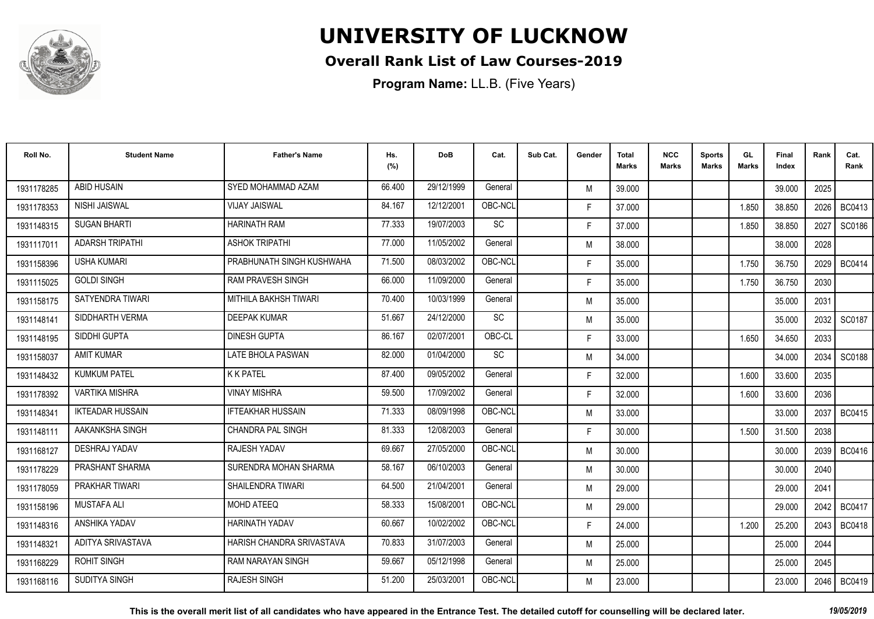

### **Overall Rank List of Law Courses-2019**

| Roll No.   | <b>Student Name</b>     | <b>Father's Name</b>      | Hs.<br>(%) | <b>DoB</b> | Cat.      | Sub Cat. | Gender | <b>Total</b><br><b>Marks</b> | <b>NCC</b><br>Marks | <b>Sports</b><br><b>Marks</b> | GL<br><b>Marks</b> | Final<br>Index | Rank   | Cat.<br>Rank  |
|------------|-------------------------|---------------------------|------------|------------|-----------|----------|--------|------------------------------|---------------------|-------------------------------|--------------------|----------------|--------|---------------|
| 1931178285 | <b>ABID HUSAIN</b>      | SYED MOHAMMAD AZAM        | 66.400     | 29/12/1999 | General   |          | M      | 39.000                       |                     |                               |                    | 39.000         | 2025   |               |
| 1931178353 | NISHI JAISWAL           | <b>VIJAY JAISWAL</b>      | 84.167     | 12/12/2001 | OBC-NCL   |          | F.     | 37.000                       |                     |                               | 1.850              | 38.850         | 2026   | <b>BC0413</b> |
| 1931148315 | <b>SUGAN BHARTI</b>     | <b>HARINATH RAM</b>       | 77.333     | 19/07/2003 | <b>SC</b> |          | F.     | 37.000                       |                     |                               | 1.850              | 38.850         | 2027   | SC0186        |
| 1931117011 | <b>ADARSH TRIPATHI</b>  | <b>ASHOK TRIPATHI</b>     | 77.000     | 11/05/2002 | General   |          | M      | 38.000                       |                     |                               |                    | 38.000         | 2028   |               |
| 1931158396 | <b>USHA KUMARI</b>      | PRABHUNATH SINGH KUSHWAHA | 71.500     | 08/03/2002 | OBC-NCL   |          | F.     | 35.000                       |                     |                               | 1.750              | 36.750         | 2029   | <b>BC0414</b> |
| 1931115025 | <b>GOLDI SINGH</b>      | <b>RAM PRAVESH SINGH</b>  | 66.000     | 11/09/2000 | General   |          | F.     | 35.000                       |                     |                               | 1.750              | 36.750         | 2030   |               |
| 1931158175 | SATYENDRA TIWARI        | MITHILA BAKHSH TIWARI     | 70.400     | 10/03/1999 | General   |          | M      | 35.000                       |                     |                               |                    | 35.000         | 2031   |               |
| 1931148141 | SIDDHARTH VERMA         | <b>DEEPAK KUMAR</b>       | 51.667     | 24/12/2000 | SC        |          | M      | 35.000                       |                     |                               |                    | 35.000         | 2032 l | SC0187        |
| 1931148195 | SIDDHI GUPTA            | <b>DINESH GUPTA</b>       | 86.167     | 02/07/2001 | OBC-CL    |          | F.     | 33.000                       |                     |                               | 1.650              | 34.650         | 2033   |               |
| 1931158037 | <b>AMIT KUMAR</b>       | LATE BHOLA PASWAN         | 82.000     | 01/04/2000 | SC        |          | M      | 34.000                       |                     |                               |                    | 34.000         | 2034   | SC0188        |
| 1931148432 | <b>KUMKUM PATEL</b>     | <b>K K PATEL</b>          | 87.400     | 09/05/2002 | General   |          | F.     | 32.000                       |                     |                               | 1.600              | 33.600         | 2035   |               |
| 1931178392 | <b>VARTIKA MISHRA</b>   | <b>VINAY MISHRA</b>       | 59.500     | 17/09/2002 | General   |          | F.     | 32.000                       |                     |                               | 1.600              | 33.600         | 2036   |               |
| 1931148341 | <b>IKTEADAR HUSSAIN</b> | <b>IFTEAKHAR HUSSAIN</b>  | 71.333     | 08/09/1998 | OBC-NCL   |          | M      | 33.000                       |                     |                               |                    | 33.000         | 2037   | <b>BC0415</b> |
| 1931148111 | AAKANKSHA SINGH         | <b>CHANDRA PAL SINGH</b>  | 81.333     | 12/08/2003 | General   |          | F.     | 30.000                       |                     |                               | 1.500              | 31.500         | 2038   |               |
| 1931168127 | DESHRAJ YADAV           | <b>RAJESH YADAV</b>       | 69.667     | 27/05/2000 | OBC-NCL   |          | M      | 30.000                       |                     |                               |                    | 30.000         | 2039   | <b>BC0416</b> |
| 1931178229 | PRASHANT SHARMA         | SURENDRA MOHAN SHARMA     | 58.167     | 06/10/2003 | General   |          | M      | 30.000                       |                     |                               |                    | 30.000         | 2040   |               |
| 1931178059 | PRAKHAR TIWARI          | SHAILENDRA TIWARI         | 64.500     | 21/04/2001 | General   |          | M      | 29.000                       |                     |                               |                    | 29.000         | 2041   |               |
| 1931158196 | <b>MUSTAFA ALI</b>      | <b>MOHD ATEEQ</b>         | 58.333     | 15/08/2001 | OBC-NCL   |          | M      | 29.000                       |                     |                               |                    | 29.000         | 2042 l | <b>BC0417</b> |
| 1931148316 | ANSHIKA YADAV           | <b>HARINATH YADAV</b>     | 60.667     | 10/02/2002 | OBC-NCL   |          | F.     | 24.000                       |                     |                               | 1.200              | 25.200         | 2043   | <b>BC0418</b> |
| 1931148321 | ADITYA SRIVASTAVA       | HARISH CHANDRA SRIVASTAVA | 70.833     | 31/07/2003 | General   |          | M      | 25.000                       |                     |                               |                    | 25.000         | 2044   |               |
| 1931168229 | <b>ROHIT SINGH</b>      | <b>RAM NARAYAN SINGH</b>  | 59.667     | 05/12/1998 | General   |          | M      | 25.000                       |                     |                               |                    | 25.000         | 2045   |               |
| 1931168116 | SUDITYA SINGH           | <b>RAJESH SINGH</b>       | 51.200     | 25/03/2001 | OBC-NCL   |          | M      | 23.000                       |                     |                               |                    | 23.000         |        | 2046   BC0419 |